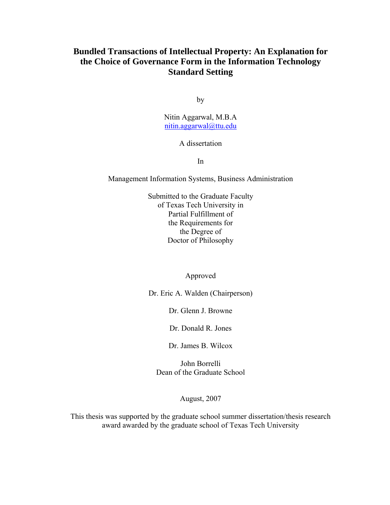## **Bundled Transactions of Intellectual Property: An Explanation for the Choice of Governance Form in the Information Technology Standard Setting**

by

Nitin Aggarwal, M.B.A nitin.aggarwal@ttu.edu

### A dissertation

In

Management Information Systems, Business Administration

Submitted to the Graduate Faculty of Texas Tech University in Partial Fulfillment of the Requirements for the Degree of Doctor of Philosophy

Approved

Dr. Eric A. Walden (Chairperson)

Dr. Glenn J. Browne

Dr. Donald R. Jones

Dr. James B. Wilcox

John Borrelli Dean of the Graduate School

August, 2007

This thesis was supported by the graduate school summer dissertation/thesis research award awarded by the graduate school of Texas Tech University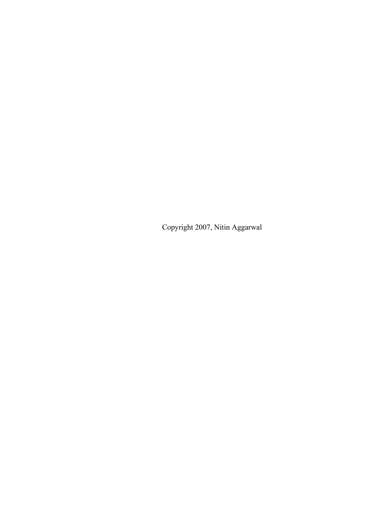Copyright 2007, Nitin Aggarwal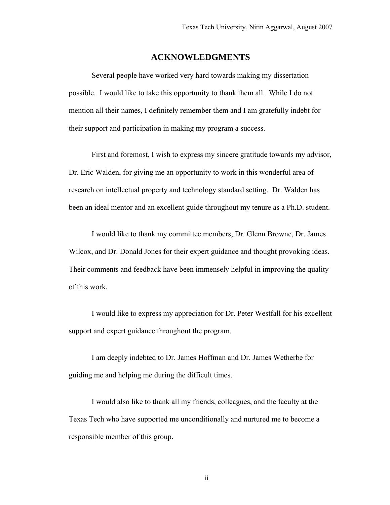## **ACKNOWLEDGMENTS**

Several people have worked very hard towards making my dissertation possible. I would like to take this opportunity to thank them all. While I do not mention all their names, I definitely remember them and I am gratefully indebt for their support and participation in making my program a success.

First and foremost, I wish to express my sincere gratitude towards my advisor, Dr. Eric Walden, for giving me an opportunity to work in this wonderful area of research on intellectual property and technology standard setting. Dr. Walden has been an ideal mentor and an excellent guide throughout my tenure as a Ph.D. student.

I would like to thank my committee members, Dr. Glenn Browne, Dr. James Wilcox, and Dr. Donald Jones for their expert guidance and thought provoking ideas. Their comments and feedback have been immensely helpful in improving the quality of this work.

I would like to express my appreciation for Dr. Peter Westfall for his excellent support and expert guidance throughout the program.

I am deeply indebted to Dr. James Hoffman and Dr. James Wetherbe for guiding me and helping me during the difficult times.

I would also like to thank all my friends, colleagues, and the faculty at the Texas Tech who have supported me unconditionally and nurtured me to become a responsible member of this group.

ii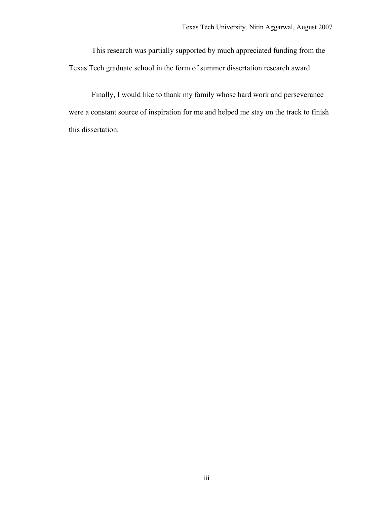This research was partially supported by much appreciated funding from the Texas Tech graduate school in the form of summer dissertation research award.

Finally, I would like to thank my family whose hard work and perseverance were a constant source of inspiration for me and helped me stay on the track to finish this dissertation.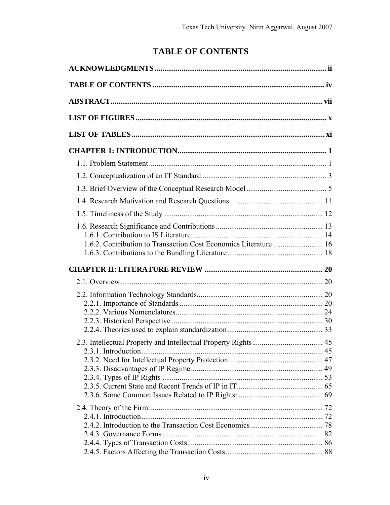# **TABLE OF CONTENTS**

| 1.6.2. Contribution to Transaction Cost Economics Literature  16 |  |
|------------------------------------------------------------------|--|
|                                                                  |  |
|                                                                  |  |
|                                                                  |  |
|                                                                  |  |
|                                                                  |  |
|                                                                  |  |
|                                                                  |  |
|                                                                  |  |
|                                                                  |  |
|                                                                  |  |
|                                                                  |  |
|                                                                  |  |
|                                                                  |  |
|                                                                  |  |
|                                                                  |  |
|                                                                  |  |
|                                                                  |  |
|                                                                  |  |
|                                                                  |  |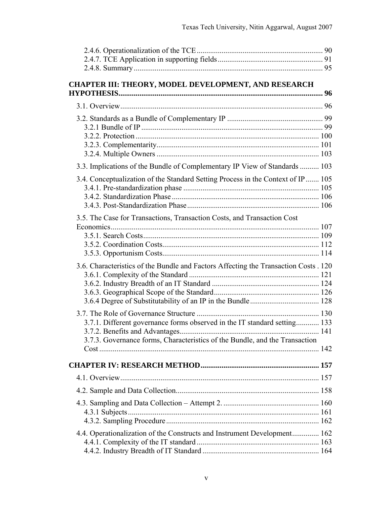| <b>CHAPTER III: THEORY, MODEL DEVELOPMENT, AND RESEARCH</b>                          |  |
|--------------------------------------------------------------------------------------|--|
|                                                                                      |  |
|                                                                                      |  |
|                                                                                      |  |
|                                                                                      |  |
|                                                                                      |  |
|                                                                                      |  |
| 3.3. Implications of the Bundle of Complementary IP View of Standards  103           |  |
| 3.4. Conceptualization of the Standard Setting Process in the Context of IP 105      |  |
|                                                                                      |  |
|                                                                                      |  |
| 3.5. The Case for Transactions, Transaction Costs, and Transaction Cost              |  |
|                                                                                      |  |
|                                                                                      |  |
|                                                                                      |  |
|                                                                                      |  |
| 3.6. Characteristics of the Bundle and Factors Affecting the Transaction Costs . 120 |  |
|                                                                                      |  |
|                                                                                      |  |
|                                                                                      |  |
|                                                                                      |  |
| 3.7.1. Different governance forms observed in the IT standard setting 133            |  |
|                                                                                      |  |
| 3.7.3. Governance forms, Characteristics of the Bundle, and the Transaction          |  |
|                                                                                      |  |
|                                                                                      |  |
|                                                                                      |  |
|                                                                                      |  |
|                                                                                      |  |
|                                                                                      |  |
|                                                                                      |  |
| 4.4. Operationalization of the Constructs and Instrument Development 162             |  |
|                                                                                      |  |
|                                                                                      |  |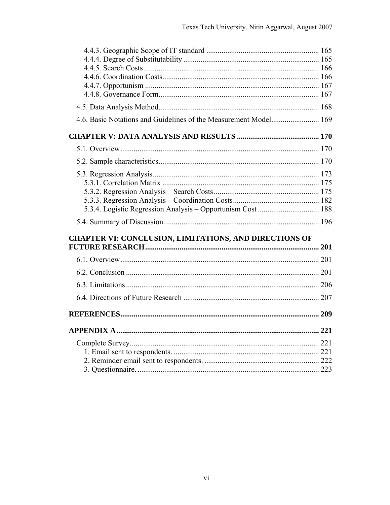| <b>CHAPTER VI: CONCLUSION, LIMITATIONS, AND DIRECTIONS OF</b> |  |
|---------------------------------------------------------------|--|
|                                                               |  |
|                                                               |  |
|                                                               |  |
|                                                               |  |
|                                                               |  |
|                                                               |  |
|                                                               |  |
|                                                               |  |
|                                                               |  |
|                                                               |  |
|                                                               |  |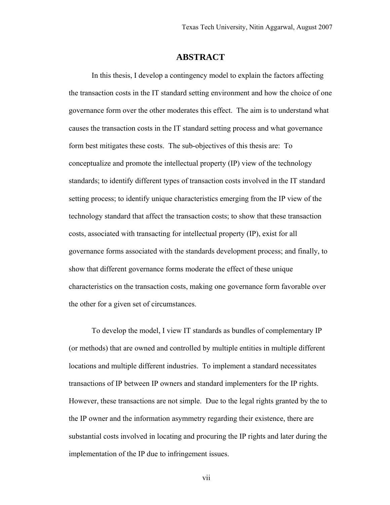## **ABSTRACT**

In this thesis, I develop a contingency model to explain the factors affecting the transaction costs in the IT standard setting environment and how the choice of one governance form over the other moderates this effect. The aim is to understand what causes the transaction costs in the IT standard setting process and what governance form best mitigates these costs. The sub-objectives of this thesis are: To conceptualize and promote the intellectual property (IP) view of the technology standards; to identify different types of transaction costs involved in the IT standard setting process; to identify unique characteristics emerging from the IP view of the technology standard that affect the transaction costs; to show that these transaction costs, associated with transacting for intellectual property (IP), exist for all governance forms associated with the standards development process; and finally, to show that different governance forms moderate the effect of these unique characteristics on the transaction costs, making one governance form favorable over the other for a given set of circumstances.

To develop the model, I view IT standards as bundles of complementary IP (or methods) that are owned and controlled by multiple entities in multiple different locations and multiple different industries. To implement a standard necessitates transactions of IP between IP owners and standard implementers for the IP rights. However, these transactions are not simple. Due to the legal rights granted by the to the IP owner and the information asymmetry regarding their existence, there are substantial costs involved in locating and procuring the IP rights and later during the implementation of the IP due to infringement issues.

vii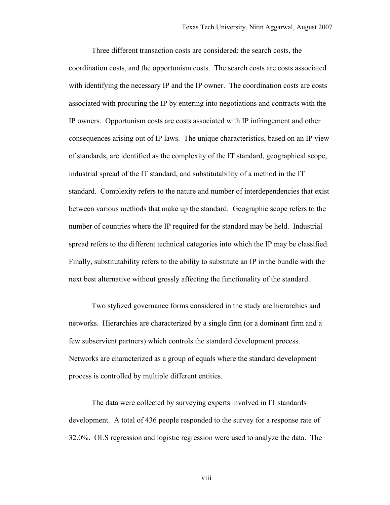Three different transaction costs are considered: the search costs, the coordination costs, and the opportunism costs. The search costs are costs associated with identifying the necessary IP and the IP owner. The coordination costs are costs associated with procuring the IP by entering into negotiations and contracts with the IP owners. Opportunism costs are costs associated with IP infringement and other consequences arising out of IP laws. The unique characteristics, based on an IP view of standards, are identified as the complexity of the IT standard, geographical scope, industrial spread of the IT standard, and substitutability of a method in the IT standard. Complexity refers to the nature and number of interdependencies that exist between various methods that make up the standard. Geographic scope refers to the number of countries where the IP required for the standard may be held. Industrial spread refers to the different technical categories into which the IP may be classified. Finally, substitutability refers to the ability to substitute an IP in the bundle with the next best alternative without grossly affecting the functionality of the standard.

Two stylized governance forms considered in the study are hierarchies and networks. Hierarchies are characterized by a single firm (or a dominant firm and a few subservient partners) which controls the standard development process. Networks are characterized as a group of equals where the standard development process is controlled by multiple different entities.

The data were collected by surveying experts involved in IT standards development. A total of 436 people responded to the survey for a response rate of 32.0%. OLS regression and logistic regression were used to analyze the data. The

viii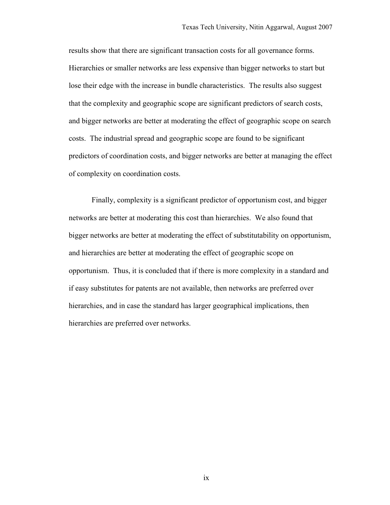results show that there are significant transaction costs for all governance forms. Hierarchies or smaller networks are less expensive than bigger networks to start but lose their edge with the increase in bundle characteristics. The results also suggest that the complexity and geographic scope are significant predictors of search costs, and bigger networks are better at moderating the effect of geographic scope on search costs. The industrial spread and geographic scope are found to be significant predictors of coordination costs, and bigger networks are better at managing the effect of complexity on coordination costs.

Finally, complexity is a significant predictor of opportunism cost, and bigger networks are better at moderating this cost than hierarchies. We also found that bigger networks are better at moderating the effect of substitutability on opportunism, and hierarchies are better at moderating the effect of geographic scope on opportunism. Thus, it is concluded that if there is more complexity in a standard and if easy substitutes for patents are not available, then networks are preferred over hierarchies, and in case the standard has larger geographical implications, then hierarchies are preferred over networks.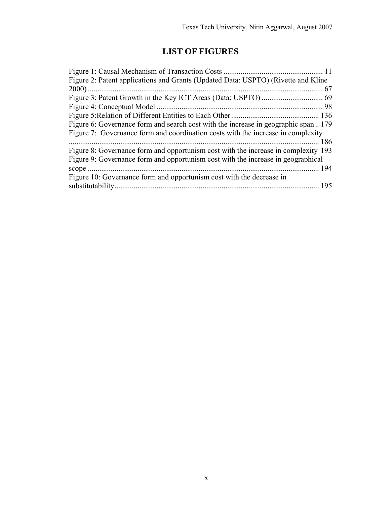## **LIST OF FIGURES**

| Figure 2: Patent applications and Grants (Updated Data: USPTO) (Rivette and Kline  |  |
|------------------------------------------------------------------------------------|--|
|                                                                                    |  |
|                                                                                    |  |
|                                                                                    |  |
|                                                                                    |  |
| Figure 6: Governance form and search cost with the increase in geographic span179  |  |
| Figure 7: Governance form and coordination costs with the increase in complexity   |  |
| 186                                                                                |  |
| Figure 8: Governance form and opportunism cost with the increase in complexity 193 |  |
| Figure 9: Governance form and opportunism cost with the increase in geographical   |  |
|                                                                                    |  |
| Figure 10: Governance form and opportunism cost with the decrease in               |  |
|                                                                                    |  |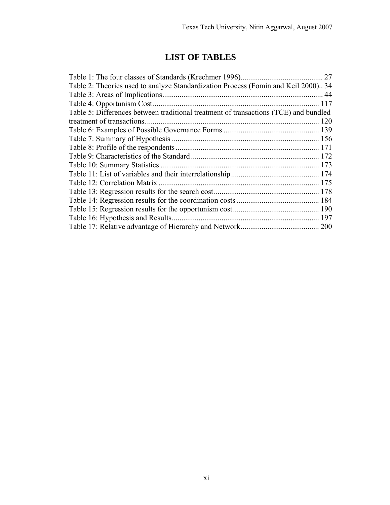## **LIST OF TABLES**

|                                                                                      | 27  |
|--------------------------------------------------------------------------------------|-----|
| Table 2: Theories used to analyze Standardization Process (Fomin and Keil 2000) 34   |     |
|                                                                                      | 44  |
| Table 4: Opportunism Cost.                                                           | 117 |
| Table 5: Differences between traditional treatment of transactions (TCE) and bundled |     |
| treatment of transactions.                                                           |     |
|                                                                                      |     |
|                                                                                      |     |
|                                                                                      |     |
|                                                                                      |     |
|                                                                                      |     |
|                                                                                      |     |
| Table 12: Correlation Matrix                                                         |     |
|                                                                                      |     |
|                                                                                      |     |
|                                                                                      |     |
|                                                                                      |     |
|                                                                                      |     |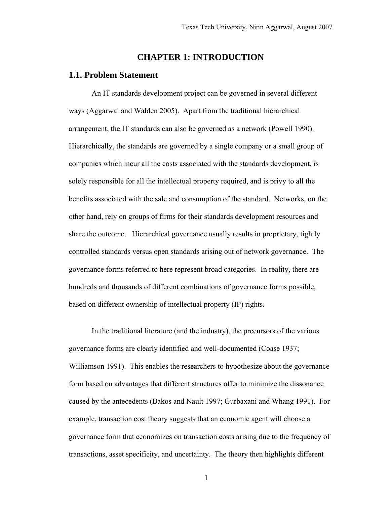## **CHAPTER 1: INTRODUCTION**

## **1.1. Problem Statement**

An IT standards development project can be governed in several different ways (Aggarwal and Walden 2005). Apart from the traditional hierarchical arrangement, the IT standards can also be governed as a network (Powell 1990). Hierarchically, the standards are governed by a single company or a small group of companies which incur all the costs associated with the standards development, is solely responsible for all the intellectual property required, and is privy to all the benefits associated with the sale and consumption of the standard. Networks, on the other hand, rely on groups of firms for their standards development resources and share the outcome. Hierarchical governance usually results in proprietary, tightly controlled standards versus open standards arising out of network governance. The governance forms referred to here represent broad categories. In reality, there are hundreds and thousands of different combinations of governance forms possible, based on different ownership of intellectual property (IP) rights.

In the traditional literature (and the industry), the precursors of the various governance forms are clearly identified and well-documented (Coase 1937; Williamson 1991). This enables the researchers to hypothesize about the governance form based on advantages that different structures offer to minimize the dissonance caused by the antecedents (Bakos and Nault 1997; Gurbaxani and Whang 1991). For example, transaction cost theory suggests that an economic agent will choose a governance form that economizes on transaction costs arising due to the frequency of transactions, asset specificity, and uncertainty. The theory then highlights different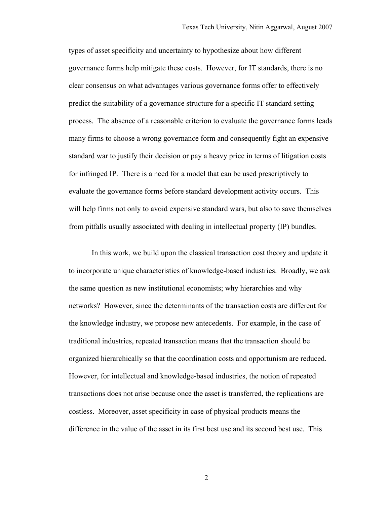types of asset specificity and uncertainty to hypothesize about how different governance forms help mitigate these costs. However, for IT standards, there is no clear consensus on what advantages various governance forms offer to effectively predict the suitability of a governance structure for a specific IT standard setting process. The absence of a reasonable criterion to evaluate the governance forms leads many firms to choose a wrong governance form and consequently fight an expensive standard war to justify their decision or pay a heavy price in terms of litigation costs for infringed IP. There is a need for a model that can be used prescriptively to evaluate the governance forms before standard development activity occurs. This will help firms not only to avoid expensive standard wars, but also to save themselves from pitfalls usually associated with dealing in intellectual property (IP) bundles.

In this work, we build upon the classical transaction cost theory and update it to incorporate unique characteristics of knowledge-based industries. Broadly, we ask the same question as new institutional economists; why hierarchies and why networks? However, since the determinants of the transaction costs are different for the knowledge industry, we propose new antecedents. For example, in the case of traditional industries, repeated transaction means that the transaction should be organized hierarchically so that the coordination costs and opportunism are reduced. However, for intellectual and knowledge-based industries, the notion of repeated transactions does not arise because once the asset is transferred, the replications are costless. Moreover, asset specificity in case of physical products means the difference in the value of the asset in its first best use and its second best use. This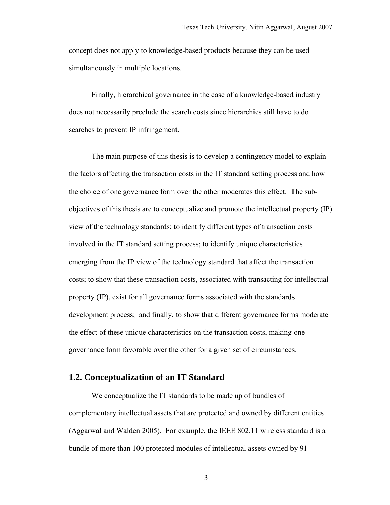concept does not apply to knowledge-based products because they can be used simultaneously in multiple locations.

Finally, hierarchical governance in the case of a knowledge-based industry does not necessarily preclude the search costs since hierarchies still have to do searches to prevent IP infringement.

The main purpose of this thesis is to develop a contingency model to explain the factors affecting the transaction costs in the IT standard setting process and how the choice of one governance form over the other moderates this effect. The subobjectives of this thesis are to conceptualize and promote the intellectual property (IP) view of the technology standards; to identify different types of transaction costs involved in the IT standard setting process; to identify unique characteristics emerging from the IP view of the technology standard that affect the transaction costs; to show that these transaction costs, associated with transacting for intellectual property (IP), exist for all governance forms associated with the standards development process; and finally, to show that different governance forms moderate the effect of these unique characteristics on the transaction costs, making one governance form favorable over the other for a given set of circumstances.

#### **1.2. Conceptualization of an IT Standard**

We conceptualize the IT standards to be made up of bundles of complementary intellectual assets that are protected and owned by different entities (Aggarwal and Walden 2005). For example, the IEEE 802.11 wireless standard is a bundle of more than 100 protected modules of intellectual assets owned by 91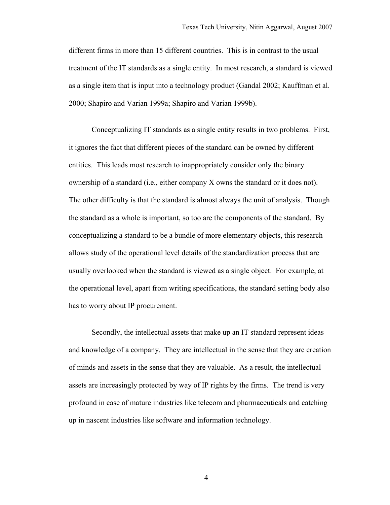different firms in more than 15 different countries. This is in contrast to the usual treatment of the IT standards as a single entity. In most research, a standard is viewed as a single item that is input into a technology product (Gandal 2002; Kauffman et al. 2000; Shapiro and Varian 1999a; Shapiro and Varian 1999b).

Conceptualizing IT standards as a single entity results in two problems. First, it ignores the fact that different pieces of the standard can be owned by different entities. This leads most research to inappropriately consider only the binary ownership of a standard (i.e., either company X owns the standard or it does not). The other difficulty is that the standard is almost always the unit of analysis. Though the standard as a whole is important, so too are the components of the standard. By conceptualizing a standard to be a bundle of more elementary objects, this research allows study of the operational level details of the standardization process that are usually overlooked when the standard is viewed as a single object. For example, at the operational level, apart from writing specifications, the standard setting body also has to worry about IP procurement.

Secondly, the intellectual assets that make up an IT standard represent ideas and knowledge of a company. They are intellectual in the sense that they are creation of minds and assets in the sense that they are valuable. As a result, the intellectual assets are increasingly protected by way of IP rights by the firms. The trend is very profound in case of mature industries like telecom and pharmaceuticals and catching up in nascent industries like software and information technology.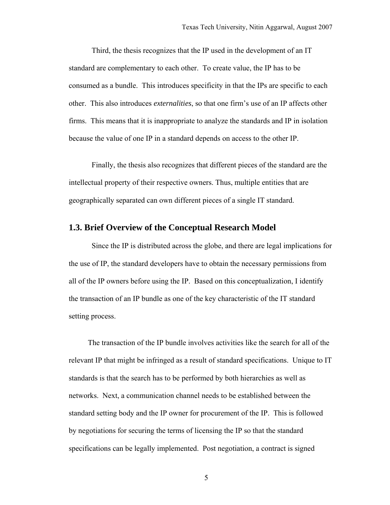Third, the thesis recognizes that the IP used in the development of an IT standard are complementary to each other. To create value, the IP has to be consumed as a bundle. This introduces specificity in that the IPs are specific to each other. This also introduces *externalities*, so that one firm's use of an IP affects other firms. This means that it is inappropriate to analyze the standards and IP in isolation because the value of one IP in a standard depends on access to the other IP.

Finally, the thesis also recognizes that different pieces of the standard are the intellectual property of their respective owners. Thus, multiple entities that are geographically separated can own different pieces of a single IT standard.

#### **1.3. Brief Overview of the Conceptual Research Model**

Since the IP is distributed across the globe, and there are legal implications for the use of IP, the standard developers have to obtain the necessary permissions from all of the IP owners before using the IP. Based on this conceptualization, I identify the transaction of an IP bundle as one of the key characteristic of the IT standard setting process.

 The transaction of the IP bundle involves activities like the search for all of the relevant IP that might be infringed as a result of standard specifications. Unique to IT standards is that the search has to be performed by both hierarchies as well as networks. Next, a communication channel needs to be established between the standard setting body and the IP owner for procurement of the IP. This is followed by negotiations for securing the terms of licensing the IP so that the standard specifications can be legally implemented. Post negotiation, a contract is signed

 $\overline{5}$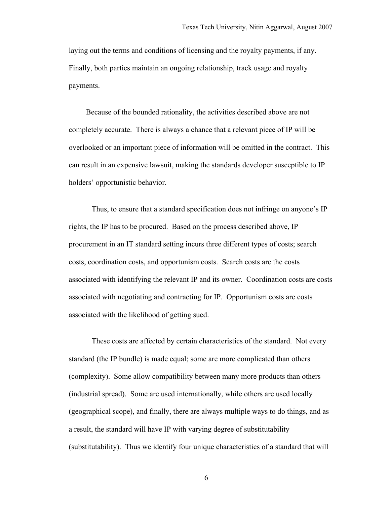laying out the terms and conditions of licensing and the royalty payments, if any. Finally, both parties maintain an ongoing relationship, track usage and royalty payments.

 Because of the bounded rationality, the activities described above are not completely accurate. There is always a chance that a relevant piece of IP will be overlooked or an important piece of information will be omitted in the contract. This can result in an expensive lawsuit, making the standards developer susceptible to IP holders' opportunistic behavior.

Thus, to ensure that a standard specification does not infringe on anyone's IP rights, the IP has to be procured. Based on the process described above, IP procurement in an IT standard setting incurs three different types of costs; search costs, coordination costs, and opportunism costs. Search costs are the costs associated with identifying the relevant IP and its owner. Coordination costs are costs associated with negotiating and contracting for IP. Opportunism costs are costs associated with the likelihood of getting sued.

These costs are affected by certain characteristics of the standard. Not every standard (the IP bundle) is made equal; some are more complicated than others (complexity). Some allow compatibility between many more products than others (industrial spread). Some are used internationally, while others are used locally (geographical scope), and finally, there are always multiple ways to do things, and as a result, the standard will have IP with varying degree of substitutability (substitutability). Thus we identify four unique characteristics of a standard that will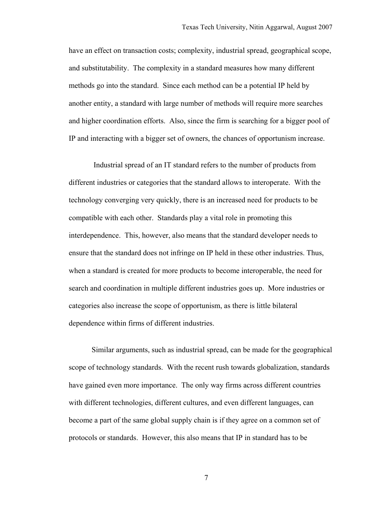have an effect on transaction costs; complexity, industrial spread, geographical scope, and substitutability. The complexity in a standard measures how many different methods go into the standard. Since each method can be a potential IP held by another entity, a standard with large number of methods will require more searches and higher coordination efforts. Also, since the firm is searching for a bigger pool of IP and interacting with a bigger set of owners, the chances of opportunism increase.

 Industrial spread of an IT standard refers to the number of products from different industries or categories that the standard allows to interoperate. With the technology converging very quickly, there is an increased need for products to be compatible with each other. Standards play a vital role in promoting this interdependence. This, however, also means that the standard developer needs to ensure that the standard does not infringe on IP held in these other industries. Thus, when a standard is created for more products to become interoperable, the need for search and coordination in multiple different industries goes up. More industries or categories also increase the scope of opportunism, as there is little bilateral dependence within firms of different industries.

Similar arguments, such as industrial spread, can be made for the geographical scope of technology standards. With the recent rush towards globalization, standards have gained even more importance. The only way firms across different countries with different technologies, different cultures, and even different languages, can become a part of the same global supply chain is if they agree on a common set of protocols or standards. However, this also means that IP in standard has to be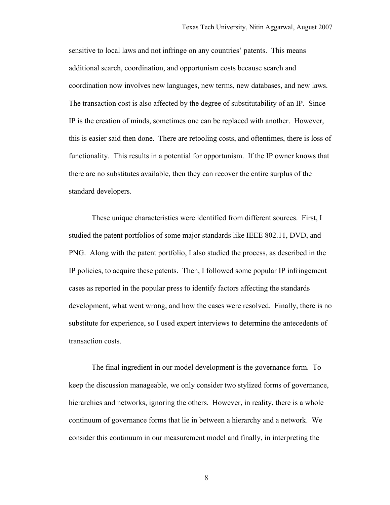sensitive to local laws and not infringe on any countries' patents. This means additional search, coordination, and opportunism costs because search and coordination now involves new languages, new terms, new databases, and new laws. The transaction cost is also affected by the degree of substitutability of an IP. Since IP is the creation of minds, sometimes one can be replaced with another. However, this is easier said then done. There are retooling costs, and oftentimes, there is loss of functionality. This results in a potential for opportunism. If the IP owner knows that there are no substitutes available, then they can recover the entire surplus of the standard developers.

These unique characteristics were identified from different sources. First, I studied the patent portfolios of some major standards like IEEE 802.11, DVD, and PNG. Along with the patent portfolio, I also studied the process, as described in the IP policies, to acquire these patents. Then, I followed some popular IP infringement cases as reported in the popular press to identify factors affecting the standards development, what went wrong, and how the cases were resolved. Finally, there is no substitute for experience, so I used expert interviews to determine the antecedents of transaction costs.

The final ingredient in our model development is the governance form. To keep the discussion manageable, we only consider two stylized forms of governance, hierarchies and networks, ignoring the others. However, in reality, there is a whole continuum of governance forms that lie in between a hierarchy and a network. We consider this continuum in our measurement model and finally, in interpreting the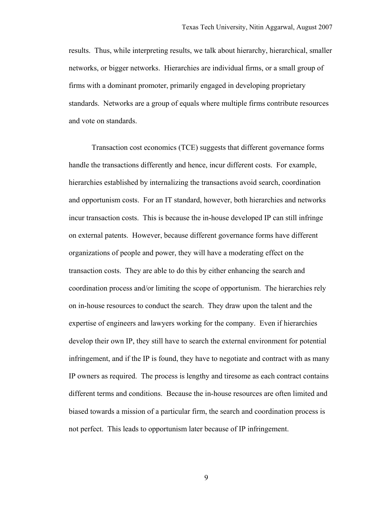results. Thus, while interpreting results, we talk about hierarchy, hierarchical, smaller networks, or bigger networks. Hierarchies are individual firms, or a small group of firms with a dominant promoter, primarily engaged in developing proprietary standards. Networks are a group of equals where multiple firms contribute resources and vote on standards.

Transaction cost economics (TCE) suggests that different governance forms handle the transactions differently and hence, incur different costs. For example, hierarchies established by internalizing the transactions avoid search, coordination and opportunism costs. For an IT standard, however, both hierarchies and networks incur transaction costs. This is because the in-house developed IP can still infringe on external patents. However, because different governance forms have different organizations of people and power, they will have a moderating effect on the transaction costs. They are able to do this by either enhancing the search and coordination process and/or limiting the scope of opportunism. The hierarchies rely on in-house resources to conduct the search. They draw upon the talent and the expertise of engineers and lawyers working for the company. Even if hierarchies develop their own IP, they still have to search the external environment for potential infringement, and if the IP is found, they have to negotiate and contract with as many IP owners as required. The process is lengthy and tiresome as each contract contains different terms and conditions. Because the in-house resources are often limited and biased towards a mission of a particular firm, the search and coordination process is not perfect. This leads to opportunism later because of IP infringement.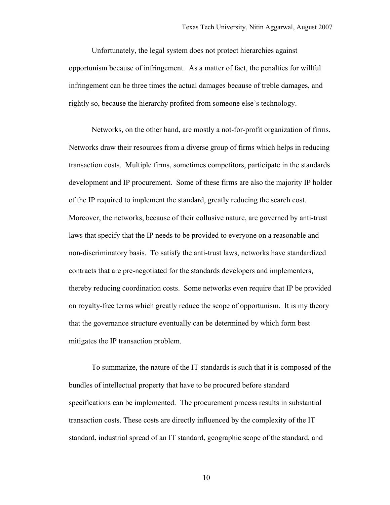Unfortunately, the legal system does not protect hierarchies against opportunism because of infringement. As a matter of fact, the penalties for willful infringement can be three times the actual damages because of treble damages, and rightly so, because the hierarchy profited from someone else's technology.

Networks, on the other hand, are mostly a not-for-profit organization of firms. Networks draw their resources from a diverse group of firms which helps in reducing transaction costs. Multiple firms, sometimes competitors, participate in the standards development and IP procurement. Some of these firms are also the majority IP holder of the IP required to implement the standard, greatly reducing the search cost. Moreover, the networks, because of their collusive nature, are governed by anti-trust laws that specify that the IP needs to be provided to everyone on a reasonable and non-discriminatory basis. To satisfy the anti-trust laws, networks have standardized contracts that are pre-negotiated for the standards developers and implementers, thereby reducing coordination costs. Some networks even require that IP be provided on royalty-free terms which greatly reduce the scope of opportunism. It is my theory that the governance structure eventually can be determined by which form best mitigates the IP transaction problem.

To summarize, the nature of the IT standards is such that it is composed of the bundles of intellectual property that have to be procured before standard specifications can be implemented. The procurement process results in substantial transaction costs. These costs are directly influenced by the complexity of the IT standard, industrial spread of an IT standard, geographic scope of the standard, and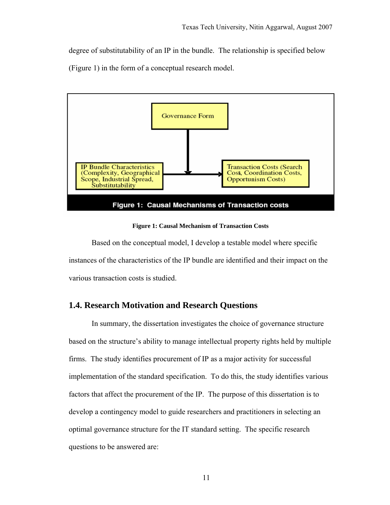degree of substitutability of an IP in the bundle. The relationship is specified below (Figure 1) in the form of a conceptual research model.



**Figure 1: Causal Mechanism of Transaction Costs** 

Based on the conceptual model, I develop a testable model where specific instances of the characteristics of the IP bundle are identified and their impact on the various transaction costs is studied.

## **1.4. Research Motivation and Research Questions**

In summary, the dissertation investigates the choice of governance structure based on the structure's ability to manage intellectual property rights held by multiple firms. The study identifies procurement of IP as a major activity for successful implementation of the standard specification. To do this, the study identifies various factors that affect the procurement of the IP. The purpose of this dissertation is to develop a contingency model to guide researchers and practitioners in selecting an optimal governance structure for the IT standard setting. The specific research questions to be answered are: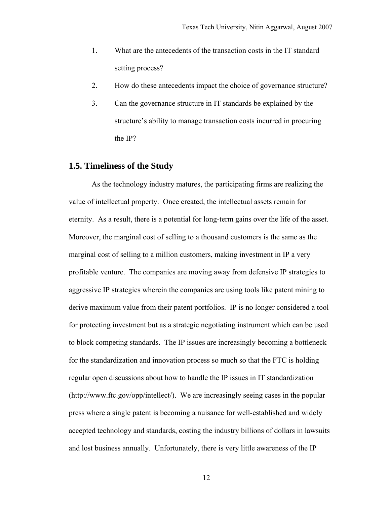- 1. What are the antecedents of the transaction costs in the IT standard setting process?
- 2. How do these antecedents impact the choice of governance structure?
- 3. Can the governance structure in IT standards be explained by the structure's ability to manage transaction costs incurred in procuring the IP?

## **1.5. Timeliness of the Study**

As the technology industry matures, the participating firms are realizing the value of intellectual property. Once created, the intellectual assets remain for eternity. As a result, there is a potential for long-term gains over the life of the asset. Moreover, the marginal cost of selling to a thousand customers is the same as the marginal cost of selling to a million customers, making investment in IP a very profitable venture. The companies are moving away from defensive IP strategies to aggressive IP strategies wherein the companies are using tools like patent mining to derive maximum value from their patent portfolios. IP is no longer considered a tool for protecting investment but as a strategic negotiating instrument which can be used to block competing standards. The IP issues are increasingly becoming a bottleneck for the standardization and innovation process so much so that the FTC is holding regular open discussions about how to handle the IP issues in IT standardization (http://www.ftc.gov/opp/intellect/). We are increasingly seeing cases in the popular press where a single patent is becoming a nuisance for well-established and widely accepted technology and standards, costing the industry billions of dollars in lawsuits and lost business annually. Unfortunately, there is very little awareness of the IP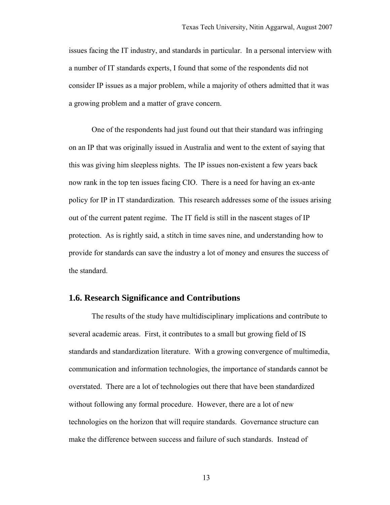issues facing the IT industry, and standards in particular. In a personal interview with a number of IT standards experts, I found that some of the respondents did not consider IP issues as a major problem, while a majority of others admitted that it was a growing problem and a matter of grave concern.

One of the respondents had just found out that their standard was infringing on an IP that was originally issued in Australia and went to the extent of saying that this was giving him sleepless nights. The IP issues non-existent a few years back now rank in the top ten issues facing CIO. There is a need for having an ex-ante policy for IP in IT standardization. This research addresses some of the issues arising out of the current patent regime. The IT field is still in the nascent stages of IP protection. As is rightly said, a stitch in time saves nine, and understanding how to provide for standards can save the industry a lot of money and ensures the success of the standard.

## **1.6. Research Significance and Contributions**

The results of the study have multidisciplinary implications and contribute to several academic areas. First, it contributes to a small but growing field of IS standards and standardization literature. With a growing convergence of multimedia, communication and information technologies, the importance of standards cannot be overstated. There are a lot of technologies out there that have been standardized without following any formal procedure. However, there are a lot of new technologies on the horizon that will require standards. Governance structure can make the difference between success and failure of such standards. Instead of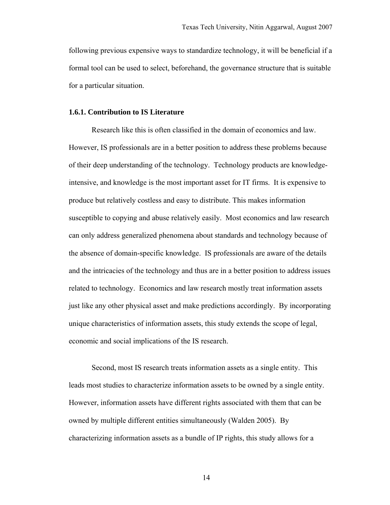following previous expensive ways to standardize technology, it will be beneficial if a formal tool can be used to select, beforehand, the governance structure that is suitable for a particular situation.

#### **1.6.1. Contribution to IS Literature**

Research like this is often classified in the domain of economics and law. However, IS professionals are in a better position to address these problems because of their deep understanding of the technology. Technology products are knowledgeintensive, and knowledge is the most important asset for IT firms. It is expensive to produce but relatively costless and easy to distribute. This makes information susceptible to copying and abuse relatively easily. Most economics and law research can only address generalized phenomena about standards and technology because of the absence of domain-specific knowledge. IS professionals are aware of the details and the intricacies of the technology and thus are in a better position to address issues related to technology. Economics and law research mostly treat information assets just like any other physical asset and make predictions accordingly. By incorporating unique characteristics of information assets, this study extends the scope of legal, economic and social implications of the IS research.

Second, most IS research treats information assets as a single entity. This leads most studies to characterize information assets to be owned by a single entity. However, information assets have different rights associated with them that can be owned by multiple different entities simultaneously (Walden 2005). By characterizing information assets as a bundle of IP rights, this study allows for a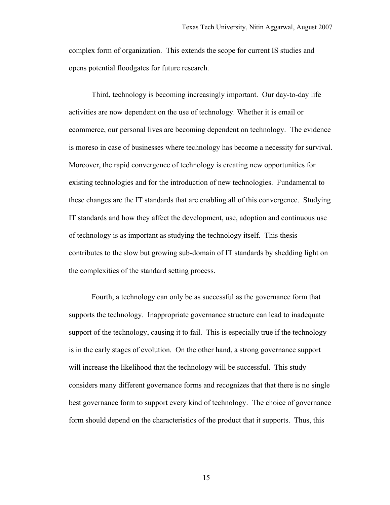complex form of organization. This extends the scope for current IS studies and opens potential floodgates for future research.

Third, technology is becoming increasingly important. Our day-to-day life activities are now dependent on the use of technology. Whether it is email or ecommerce, our personal lives are becoming dependent on technology. The evidence is moreso in case of businesses where technology has become a necessity for survival. Moreover, the rapid convergence of technology is creating new opportunities for existing technologies and for the introduction of new technologies. Fundamental to these changes are the IT standards that are enabling all of this convergence. Studying IT standards and how they affect the development, use, adoption and continuous use of technology is as important as studying the technology itself. This thesis contributes to the slow but growing sub-domain of IT standards by shedding light on the complexities of the standard setting process.

Fourth, a technology can only be as successful as the governance form that supports the technology. Inappropriate governance structure can lead to inadequate support of the technology, causing it to fail. This is especially true if the technology is in the early stages of evolution. On the other hand, a strong governance support will increase the likelihood that the technology will be successful. This study considers many different governance forms and recognizes that that there is no single best governance form to support every kind of technology. The choice of governance form should depend on the characteristics of the product that it supports. Thus, this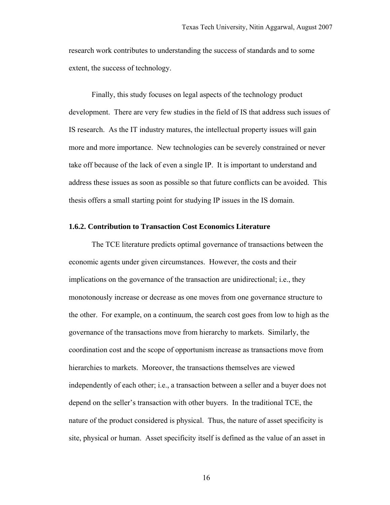research work contributes to understanding the success of standards and to some extent, the success of technology.

Finally, this study focuses on legal aspects of the technology product development. There are very few studies in the field of IS that address such issues of IS research. As the IT industry matures, the intellectual property issues will gain more and more importance. New technologies can be severely constrained or never take off because of the lack of even a single IP. It is important to understand and address these issues as soon as possible so that future conflicts can be avoided. This thesis offers a small starting point for studying IP issues in the IS domain.

#### **1.6.2. Contribution to Transaction Cost Economics Literature**

The TCE literature predicts optimal governance of transactions between the economic agents under given circumstances. However, the costs and their implications on the governance of the transaction are unidirectional; i.e., they monotonously increase or decrease as one moves from one governance structure to the other. For example, on a continuum, the search cost goes from low to high as the governance of the transactions move from hierarchy to markets. Similarly, the coordination cost and the scope of opportunism increase as transactions move from hierarchies to markets. Moreover, the transactions themselves are viewed independently of each other; i.e., a transaction between a seller and a buyer does not depend on the seller's transaction with other buyers. In the traditional TCE, the nature of the product considered is physical. Thus, the nature of asset specificity is site, physical or human. Asset specificity itself is defined as the value of an asset in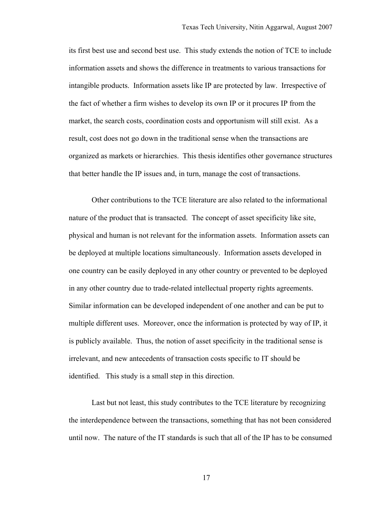its first best use and second best use. This study extends the notion of TCE to include information assets and shows the difference in treatments to various transactions for intangible products. Information assets like IP are protected by law. Irrespective of the fact of whether a firm wishes to develop its own IP or it procures IP from the market, the search costs, coordination costs and opportunism will still exist. As a result, cost does not go down in the traditional sense when the transactions are organized as markets or hierarchies. This thesis identifies other governance structures that better handle the IP issues and, in turn, manage the cost of transactions.

Other contributions to the TCE literature are also related to the informational nature of the product that is transacted. The concept of asset specificity like site, physical and human is not relevant for the information assets. Information assets can be deployed at multiple locations simultaneously. Information assets developed in one country can be easily deployed in any other country or prevented to be deployed in any other country due to trade-related intellectual property rights agreements. Similar information can be developed independent of one another and can be put to multiple different uses. Moreover, once the information is protected by way of IP, it is publicly available. Thus, the notion of asset specificity in the traditional sense is irrelevant, and new antecedents of transaction costs specific to IT should be identified. This study is a small step in this direction.

Last but not least, this study contributes to the TCE literature by recognizing the interdependence between the transactions, something that has not been considered until now. The nature of the IT standards is such that all of the IP has to be consumed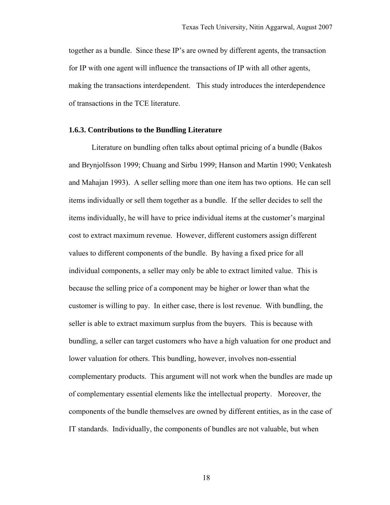together as a bundle. Since these IP's are owned by different agents, the transaction for IP with one agent will influence the transactions of IP with all other agents, making the transactions interdependent. This study introduces the interdependence of transactions in the TCE literature.

#### **1.6.3. Contributions to the Bundling Literature**

Literature on bundling often talks about optimal pricing of a bundle (Bakos and Brynjolfsson 1999; Chuang and Sirbu 1999; Hanson and Martin 1990; Venkatesh and Mahajan 1993). A seller selling more than one item has two options. He can sell items individually or sell them together as a bundle. If the seller decides to sell the items individually, he will have to price individual items at the customer's marginal cost to extract maximum revenue. However, different customers assign different values to different components of the bundle. By having a fixed price for all individual components, a seller may only be able to extract limited value. This is because the selling price of a component may be higher or lower than what the customer is willing to pay. In either case, there is lost revenue. With bundling, the seller is able to extract maximum surplus from the buyers. This is because with bundling, a seller can target customers who have a high valuation for one product and lower valuation for others. This bundling, however, involves non-essential complementary products. This argument will not work when the bundles are made up of complementary essential elements like the intellectual property. Moreover, the components of the bundle themselves are owned by different entities, as in the case of IT standards. Individually, the components of bundles are not valuable, but when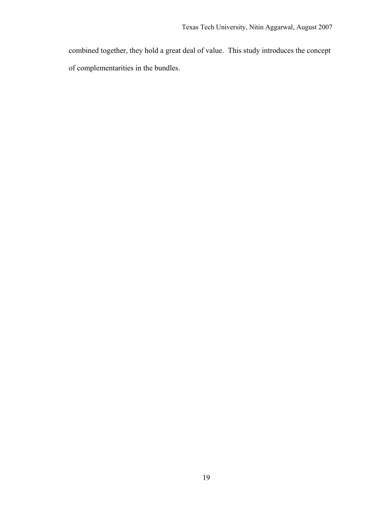combined together, they hold a great deal of value. This study introduces the concept of complementarities in the bundles.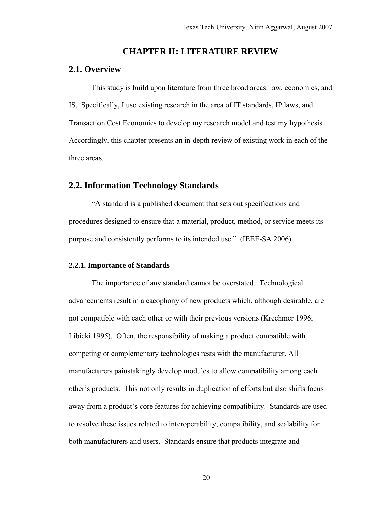## **CHAPTER II: LITERATURE REVIEW**

#### **2.1. Overview**

This study is build upon literature from three broad areas: law, economics, and IS. Specifically, I use existing research in the area of IT standards, IP laws, and Transaction Cost Economics to develop my research model and test my hypothesis. Accordingly, this chapter presents an in-depth review of existing work in each of the three areas.

#### **2.2. Information Technology Standards**

"A standard is a published document that sets out specifications and procedures designed to ensure that a material, product, method, or service meets its purpose and consistently performs to its intended use." (IEEE-SA 2006)

#### **2.2.1. Importance of Standards**

The importance of any standard cannot be overstated. Technological advancements result in a cacophony of new products which, although desirable, are not compatible with each other or with their previous versions (Krechmer 1996; Libicki 1995). Often, the responsibility of making a product compatible with competing or complementary technologies rests with the manufacturer. All manufacturers painstakingly develop modules to allow compatibility among each other's products. This not only results in duplication of efforts but also shifts focus away from a product's core features for achieving compatibility. Standards are used to resolve these issues related to interoperability, compatibility, and scalability for both manufacturers and users. Standards ensure that products integrate and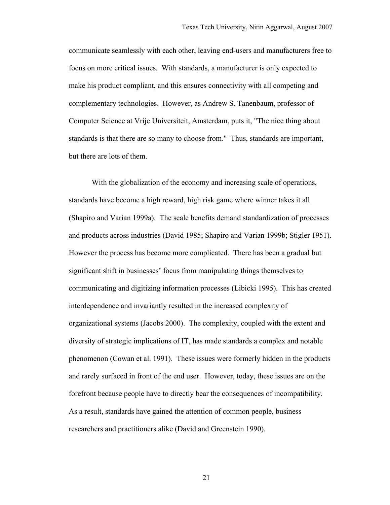communicate seamlessly with each other, leaving end-users and manufacturers free to focus on more critical issues. With standards, a manufacturer is only expected to make his product compliant, and this ensures connectivity with all competing and complementary technologies. However, as Andrew S. Tanenbaum, professor of Computer Science at Vrije Universiteit, Amsterdam, puts it, "The nice thing about standards is that there are so many to choose from." Thus, standards are important, but there are lots of them.

With the globalization of the economy and increasing scale of operations, standards have become a high reward, high risk game where winner takes it all (Shapiro and Varian 1999a). The scale benefits demand standardization of processes and products across industries (David 1985; Shapiro and Varian 1999b; Stigler 1951). However the process has become more complicated. There has been a gradual but significant shift in businesses' focus from manipulating things themselves to communicating and digitizing information processes (Libicki 1995). This has created interdependence and invariantly resulted in the increased complexity of organizational systems (Jacobs 2000). The complexity, coupled with the extent and diversity of strategic implications of IT, has made standards a complex and notable phenomenon (Cowan et al. 1991). These issues were formerly hidden in the products and rarely surfaced in front of the end user. However, today, these issues are on the forefront because people have to directly bear the consequences of incompatibility. As a result, standards have gained the attention of common people, business researchers and practitioners alike (David and Greenstein 1990).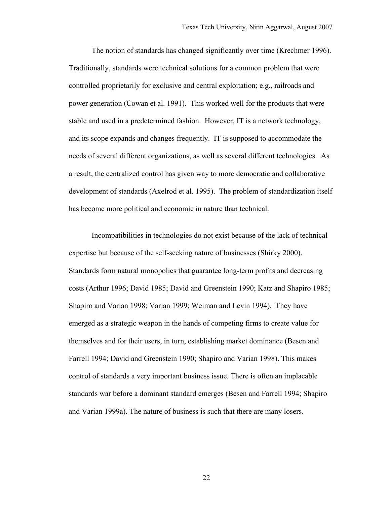The notion of standards has changed significantly over time (Krechmer 1996). Traditionally, standards were technical solutions for a common problem that were controlled proprietarily for exclusive and central exploitation; e.g., railroads and power generation (Cowan et al. 1991). This worked well for the products that were stable and used in a predetermined fashion. However, IT is a network technology, and its scope expands and changes frequently. IT is supposed to accommodate the needs of several different organizations, as well as several different technologies. As a result, the centralized control has given way to more democratic and collaborative development of standards (Axelrod et al. 1995). The problem of standardization itself has become more political and economic in nature than technical.

Incompatibilities in technologies do not exist because of the lack of technical expertise but because of the self-seeking nature of businesses (Shirky 2000). Standards form natural monopolies that guarantee long-term profits and decreasing costs (Arthur 1996; David 1985; David and Greenstein 1990; Katz and Shapiro 1985; Shapiro and Varian 1998; Varian 1999; Weiman and Levin 1994). They have emerged as a strategic weapon in the hands of competing firms to create value for themselves and for their users, in turn, establishing market dominance (Besen and Farrell 1994; David and Greenstein 1990; Shapiro and Varian 1998). This makes control of standards a very important business issue. There is often an implacable standards war before a dominant standard emerges (Besen and Farrell 1994; Shapiro and Varian 1999a). The nature of business is such that there are many losers.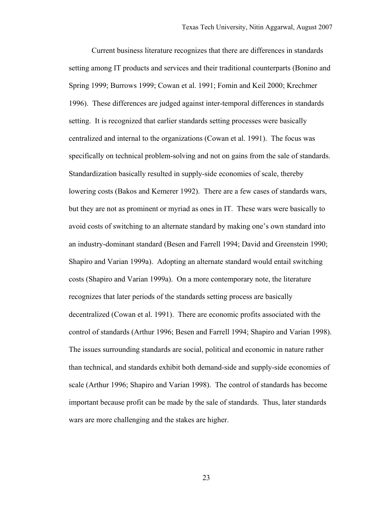Current business literature recognizes that there are differences in standards setting among IT products and services and their traditional counterparts (Bonino and Spring 1999; Burrows 1999; Cowan et al. 1991; Fomin and Keil 2000; Krechmer 1996). These differences are judged against inter-temporal differences in standards setting. It is recognized that earlier standards setting processes were basically centralized and internal to the organizations (Cowan et al. 1991). The focus was specifically on technical problem-solving and not on gains from the sale of standards. Standardization basically resulted in supply-side economies of scale, thereby lowering costs (Bakos and Kemerer 1992). There are a few cases of standards wars, but they are not as prominent or myriad as ones in IT. These wars were basically to avoid costs of switching to an alternate standard by making one's own standard into an industry-dominant standard (Besen and Farrell 1994; David and Greenstein 1990; Shapiro and Varian 1999a). Adopting an alternate standard would entail switching costs (Shapiro and Varian 1999a). On a more contemporary note, the literature recognizes that later periods of the standards setting process are basically decentralized (Cowan et al. 1991). There are economic profits associated with the control of standards (Arthur 1996; Besen and Farrell 1994; Shapiro and Varian 1998). The issues surrounding standards are social, political and economic in nature rather than technical, and standards exhibit both demand-side and supply-side economies of scale (Arthur 1996; Shapiro and Varian 1998). The control of standards has become important because profit can be made by the sale of standards. Thus, later standards wars are more challenging and the stakes are higher.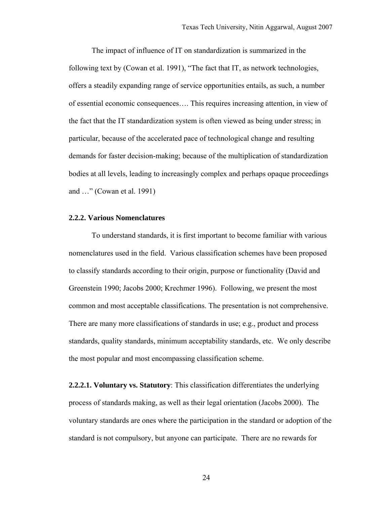The impact of influence of IT on standardization is summarized in the following text by (Cowan et al. 1991), "The fact that IT, as network technologies, offers a steadily expanding range of service opportunities entails, as such, a number of essential economic consequences…. This requires increasing attention, in view of the fact that the IT standardization system is often viewed as being under stress; in particular, because of the accelerated pace of technological change and resulting demands for faster decision-making; because of the multiplication of standardization bodies at all levels, leading to increasingly complex and perhaps opaque proceedings and …" (Cowan et al. 1991)

#### **2.2.2. Various Nomenclatures**

To understand standards, it is first important to become familiar with various nomenclatures used in the field. Various classification schemes have been proposed to classify standards according to their origin, purpose or functionality (David and Greenstein 1990; Jacobs 2000; Krechmer 1996). Following, we present the most common and most acceptable classifications. The presentation is not comprehensive. There are many more classifications of standards in use; e.g., product and process standards, quality standards, minimum acceptability standards, etc. We only describe the most popular and most encompassing classification scheme.

**2.2.2.1. Voluntary vs. Statutory**: This classification differentiates the underlying process of standards making, as well as their legal orientation (Jacobs 2000). The voluntary standards are ones where the participation in the standard or adoption of the standard is not compulsory, but anyone can participate. There are no rewards for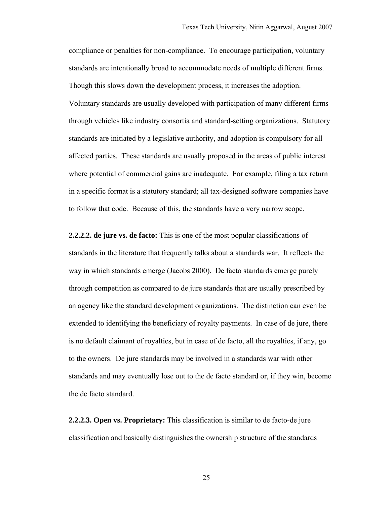compliance or penalties for non-compliance. To encourage participation, voluntary standards are intentionally broad to accommodate needs of multiple different firms. Though this slows down the development process, it increases the adoption. Voluntary standards are usually developed with participation of many different firms through vehicles like industry consortia and standard-setting organizations. Statutory standards are initiated by a legislative authority, and adoption is compulsory for all affected parties. These standards are usually proposed in the areas of public interest where potential of commercial gains are inadequate. For example, filing a tax return in a specific format is a statutory standard; all tax-designed software companies have to follow that code. Because of this, the standards have a very narrow scope.

**2.2.2.2. de jure vs. de facto:** This is one of the most popular classifications of standards in the literature that frequently talks about a standards war. It reflects the way in which standards emerge (Jacobs 2000). De facto standards emerge purely through competition as compared to de jure standards that are usually prescribed by an agency like the standard development organizations. The distinction can even be extended to identifying the beneficiary of royalty payments. In case of de jure, there is no default claimant of royalties, but in case of de facto, all the royalties, if any, go to the owners. De jure standards may be involved in a standards war with other standards and may eventually lose out to the de facto standard or, if they win, become the de facto standard.

**2.2.2.3. Open vs. Proprietary:** This classification is similar to de facto-de jure classification and basically distinguishes the ownership structure of the standards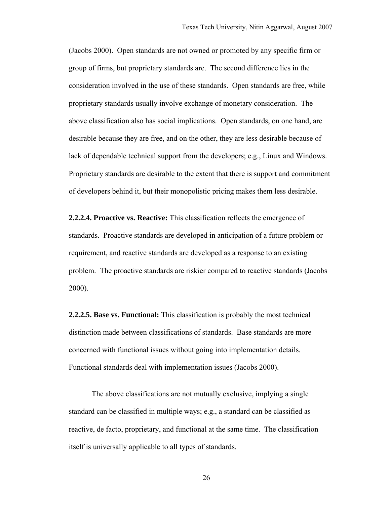(Jacobs 2000). Open standards are not owned or promoted by any specific firm or group of firms, but proprietary standards are. The second difference lies in the consideration involved in the use of these standards. Open standards are free, while proprietary standards usually involve exchange of monetary consideration. The above classification also has social implications. Open standards, on one hand, are desirable because they are free, and on the other, they are less desirable because of lack of dependable technical support from the developers; e.g., Linux and Windows. Proprietary standards are desirable to the extent that there is support and commitment of developers behind it, but their monopolistic pricing makes them less desirable.

**2.2.2.4. Proactive vs. Reactive:** This classification reflects the emergence of standards. Proactive standards are developed in anticipation of a future problem or requirement, and reactive standards are developed as a response to an existing problem. The proactive standards are riskier compared to reactive standards (Jacobs 2000).

**2.2.2.5. Base vs. Functional:** This classification is probably the most technical distinction made between classifications of standards. Base standards are more concerned with functional issues without going into implementation details. Functional standards deal with implementation issues (Jacobs 2000).

The above classifications are not mutually exclusive, implying a single standard can be classified in multiple ways; e.g., a standard can be classified as reactive, de facto, proprietary, and functional at the same time. The classification itself is universally applicable to all types of standards.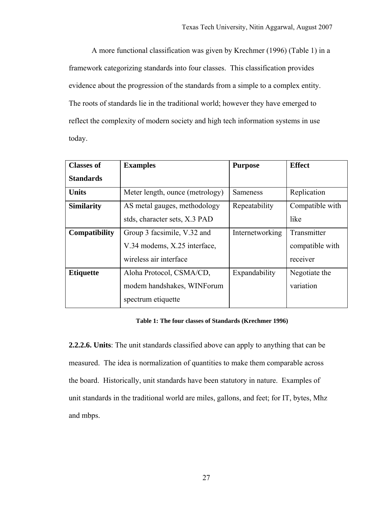A more functional classification was given by Krechmer (1996) (Table 1) in a framework categorizing standards into four classes. This classification provides evidence about the progression of the standards from a simple to a complex entity. The roots of standards lie in the traditional world; however they have emerged to reflect the complexity of modern society and high tech information systems in use today.

| <b>Classes of</b> | <b>Examples</b>                 | <b>Purpose</b>  | <b>Effect</b>   |
|-------------------|---------------------------------|-----------------|-----------------|
| <b>Standards</b>  |                                 |                 |                 |
| <b>Units</b>      | Meter length, ounce (metrology) | Sameness        | Replication     |
| <b>Similarity</b> | AS metal gauges, methodology    | Repeatability   | Compatible with |
|                   | stds, character sets, X.3 PAD   |                 | like            |
| Compatibility     | Group 3 facsimile, V.32 and     | Internetworking | Transmitter     |
|                   | V.34 modems, X.25 interface,    |                 | compatible with |
|                   | wireless air interface          |                 | receiver        |
| <b>Etiquette</b>  | Aloha Protocol, CSMA/CD,        | Expandability   | Negotiate the   |
|                   | modem handshakes, WINForum      |                 | variation       |
|                   | spectrum etiquette              |                 |                 |

## **Table 1: The four classes of Standards (Krechmer 1996)**

**2.2.2.6. Units**: The unit standards classified above can apply to anything that can be measured. The idea is normalization of quantities to make them comparable across the board. Historically, unit standards have been statutory in nature. Examples of unit standards in the traditional world are miles, gallons, and feet; for IT, bytes, Mhz and mbps.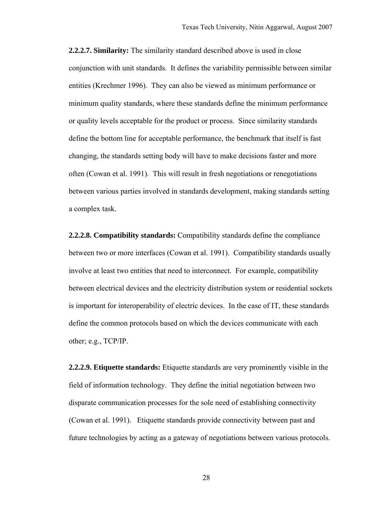**2.2.2.7. Similarity:** The similarity standard described above is used in close conjunction with unit standards. It defines the variability permissible between similar entities (Krechmer 1996). They can also be viewed as minimum performance or minimum quality standards, where these standards define the minimum performance or quality levels acceptable for the product or process. Since similarity standards define the bottom line for acceptable performance, the benchmark that itself is fast changing, the standards setting body will have to make decisions faster and more often (Cowan et al. 1991). This will result in fresh negotiations or renegotiations between various parties involved in standards development, making standards setting a complex task.

**2.2.2.8. Compatibility standards:** Compatibility standards define the compliance between two or more interfaces (Cowan et al. 1991). Compatibility standards usually involve at least two entities that need to interconnect. For example, compatibility between electrical devices and the electricity distribution system or residential sockets is important for interoperability of electric devices. In the case of IT, these standards define the common protocols based on which the devices communicate with each other; e.g., TCP/IP.

**2.2.2.9. Etiquette standards:** Etiquette standards are very prominently visible in the field of information technology. They define the initial negotiation between two disparate communication processes for the sole need of establishing connectivity (Cowan et al. 1991). Etiquette standards provide connectivity between past and future technologies by acting as a gateway of negotiations between various protocols.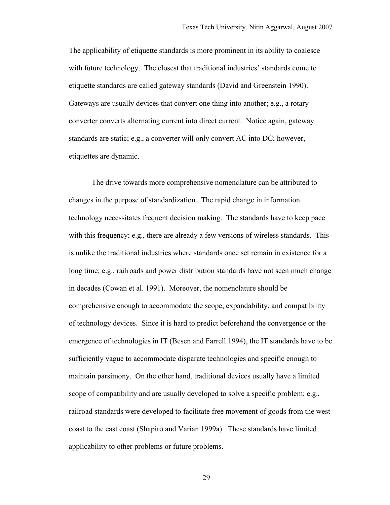The applicability of etiquette standards is more prominent in its ability to coalesce with future technology. The closest that traditional industries' standards come to etiquette standards are called gateway standards (David and Greenstein 1990). Gateways are usually devices that convert one thing into another; e.g., a rotary converter converts alternating current into direct current. Notice again, gateway standards are static; e.g., a converter will only convert AC into DC; however, etiquettes are dynamic.

The drive towards more comprehensive nomenclature can be attributed to changes in the purpose of standardization. The rapid change in information technology necessitates frequent decision making. The standards have to keep pace with this frequency; e.g., there are already a few versions of wireless standards. This is unlike the traditional industries where standards once set remain in existence for a long time; e.g., railroads and power distribution standards have not seen much change in decades (Cowan et al. 1991). Moreover, the nomenclature should be comprehensive enough to accommodate the scope, expandability, and compatibility of technology devices. Since it is hard to predict beforehand the convergence or the emergence of technologies in IT (Besen and Farrell 1994), the IT standards have to be sufficiently vague to accommodate disparate technologies and specific enough to maintain parsimony. On the other hand, traditional devices usually have a limited scope of compatibility and are usually developed to solve a specific problem; e.g., railroad standards were developed to facilitate free movement of goods from the west coast to the east coast (Shapiro and Varian 1999a). These standards have limited applicability to other problems or future problems.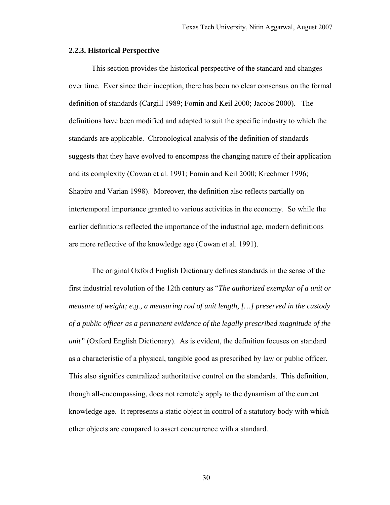## **2.2.3. Historical Perspective**

This section provides the historical perspective of the standard and changes over time. Ever since their inception, there has been no clear consensus on the formal definition of standards (Cargill 1989; Fomin and Keil 2000; Jacobs 2000). The definitions have been modified and adapted to suit the specific industry to which the standards are applicable. Chronological analysis of the definition of standards suggests that they have evolved to encompass the changing nature of their application and its complexity (Cowan et al. 1991; Fomin and Keil 2000; Krechmer 1996; Shapiro and Varian 1998). Moreover, the definition also reflects partially on intertemporal importance granted to various activities in the economy. So while the earlier definitions reflected the importance of the industrial age, modern definitions are more reflective of the knowledge age (Cowan et al. 1991).

The original Oxford English Dictionary defines standards in the sense of the first industrial revolution of the 12th century as "*The authorized exemplar of a unit or measure of weight; e.g., a measuring rod of unit length, […] preserved in the custody of a public officer as a permanent evidence of the legally prescribed magnitude of the unit"* (Oxford English Dictionary). As is evident, the definition focuses on standard as a characteristic of a physical, tangible good as prescribed by law or public officer. This also signifies centralized authoritative control on the standards. This definition, though all-encompassing, does not remotely apply to the dynamism of the current knowledge age. It represents a static object in control of a statutory body with which other objects are compared to assert concurrence with a standard.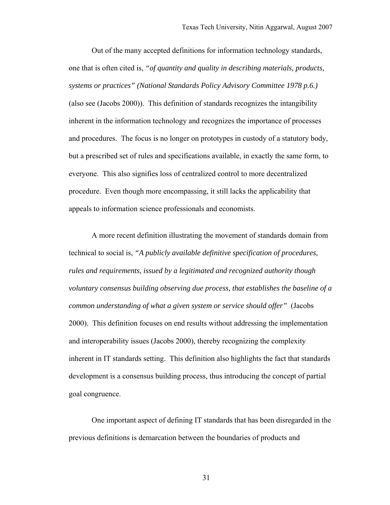Out of the many accepted definitions for information technology standards, one that is often cited is, *"of quantity and quality in describing materials, products, systems or practices" (National Standards Policy Advisory Committee 1978 p.6.)* (also see (Jacobs 2000)). This definition of standards recognizes the intangibility inherent in the information technology and recognizes the importance of processes and procedures. The focus is no longer on prototypes in custody of a statutory body, but a prescribed set of rules and specifications available, in exactly the same form, to everyone. This also signifies loss of centralized control to more decentralized procedure. Even though more encompassing, it still lacks the applicability that appeals to information science professionals and economists.

A more recent definition illustrating the movement of standards domain from technical to social is, *"A publicly available definitive specification of procedures, rules and requirements, issued by a legitimated and recognized authority though voluntary consensus building observing due process, that establishes the baseline of a common understanding of what a given system or service should offer"* (Jacobs 2000). This definition focuses on end results without addressing the implementation and interoperability issues (Jacobs 2000), thereby recognizing the complexity inherent in IT standards setting. This definition also highlights the fact that standards development is a consensus building process, thus introducing the concept of partial goal congruence.

One important aspect of defining IT standards that has been disregarded in the previous definitions is demarcation between the boundaries of products and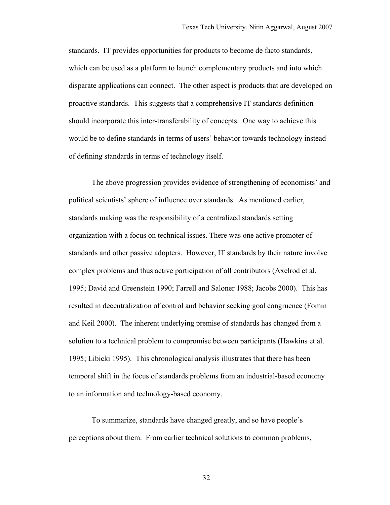standards. IT provides opportunities for products to become de facto standards, which can be used as a platform to launch complementary products and into which disparate applications can connect. The other aspect is products that are developed on proactive standards. This suggests that a comprehensive IT standards definition should incorporate this inter-transferability of concepts. One way to achieve this would be to define standards in terms of users' behavior towards technology instead of defining standards in terms of technology itself.

The above progression provides evidence of strengthening of economists' and political scientists' sphere of influence over standards. As mentioned earlier, standards making was the responsibility of a centralized standards setting organization with a focus on technical issues. There was one active promoter of standards and other passive adopters. However, IT standards by their nature involve complex problems and thus active participation of all contributors (Axelrod et al. 1995; David and Greenstein 1990; Farrell and Saloner 1988; Jacobs 2000). This has resulted in decentralization of control and behavior seeking goal congruence (Fomin and Keil 2000). The inherent underlying premise of standards has changed from a solution to a technical problem to compromise between participants (Hawkins et al. 1995; Libicki 1995). This chronological analysis illustrates that there has been temporal shift in the focus of standards problems from an industrial-based economy to an information and technology-based economy.

To summarize, standards have changed greatly, and so have people's perceptions about them. From earlier technical solutions to common problems,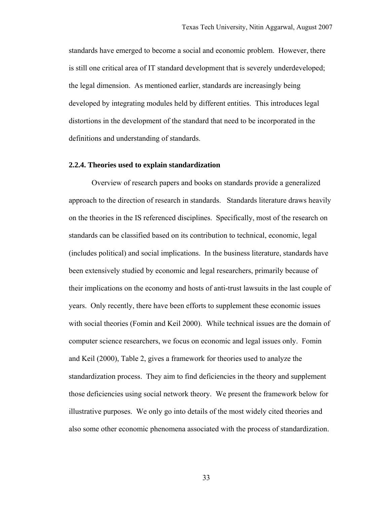standards have emerged to become a social and economic problem. However, there is still one critical area of IT standard development that is severely underdeveloped; the legal dimension. As mentioned earlier, standards are increasingly being developed by integrating modules held by different entities. This introduces legal distortions in the development of the standard that need to be incorporated in the definitions and understanding of standards.

## **2.2.4. Theories used to explain standardization**

Overview of research papers and books on standards provide a generalized approach to the direction of research in standards. Standards literature draws heavily on the theories in the IS referenced disciplines. Specifically, most of the research on standards can be classified based on its contribution to technical, economic, legal (includes political) and social implications. In the business literature, standards have been extensively studied by economic and legal researchers, primarily because of their implications on the economy and hosts of anti-trust lawsuits in the last couple of years. Only recently, there have been efforts to supplement these economic issues with social theories (Fomin and Keil 2000). While technical issues are the domain of computer science researchers, we focus on economic and legal issues only. Fomin and Keil (2000), Table 2, gives a framework for theories used to analyze the standardization process. They aim to find deficiencies in the theory and supplement those deficiencies using social network theory. We present the framework below for illustrative purposes. We only go into details of the most widely cited theories and also some other economic phenomena associated with the process of standardization.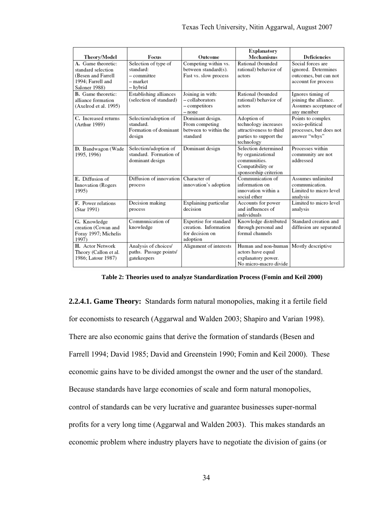|                                                                                                      |                                                                              |                                                                                | <b>Explanatory</b>                                                                                     |                                                                                          |
|------------------------------------------------------------------------------------------------------|------------------------------------------------------------------------------|--------------------------------------------------------------------------------|--------------------------------------------------------------------------------------------------------|------------------------------------------------------------------------------------------|
| Theory/Model                                                                                         | Focus                                                                        | Outcome                                                                        | <b>Mechanisms</b>                                                                                      | <b>Deficiencies</b>                                                                      |
| A. Game theoretic:<br>standard selection<br>(Besen and Farrell<br>1994; Farrell and<br>Saloner 1988) | Selection of type of<br>standard:<br>$-$ committee<br>$-$ market<br>– hybrid | Competing within vs.<br>between standard(s).<br>Fast vs. slow process          | Rational (bounded<br>rational) behavior of<br>actors                                                   | Social forces are<br>ignored. Determines<br>outcomes, but can not<br>account for process |
| B. Game theoretic:<br>alliance formation<br>(Axelrod et al. 1995)                                    | Establishing alliances<br>(selection of standard)                            | Joining in with:<br>- collaborators<br>- competitors<br>$-$ none               | Rational (bounded<br>rational) behavior of<br>actors                                                   | Ignores timing of<br>joining the alliance.<br>Assumes acceptance of<br>any member        |
| C. Increased returns<br>(Arthur 1989)                                                                | Selection/adoption of<br>standard.<br>Formation of dominant<br>design        | Dominant design.<br>From competing<br>between to within the<br>standard        | Adoption of<br>technology increases<br>attractiveness to third<br>parties to support the<br>technology | Points to complex<br>socio-political<br>processes, but does not<br>answer "whys"         |
| D. Bandwagon (Wade<br>1995, 1996)                                                                    | Selection/adoption of<br>standard. Formation of<br>dominant design           | Dominant design                                                                | Selection determined<br>by organizational<br>communities.<br>Compatibility or<br>sponsorship criterion | Processes within<br>community are not<br>addressed                                       |
| E. Diffusion of<br>Innovation (Rogers<br>1995)                                                       | Diffusion of innovation<br>process                                           | Character of<br>innovation's adoption                                          | Communication of<br>information on<br>innovation within a<br>social ether                              | Assumes unlimited<br>communication.<br>Limited to micro level<br>analysis                |
| F. Power relations<br>(Star 1991)                                                                    | Decision making<br>process                                                   | Explaining particular<br>decision                                              | Accounts for power<br>and influences of<br>individuals                                                 | Limited to micro level<br>analysis                                                       |
| G. Knowledge<br>creation (Cowan and<br>Foray 1997; Michelis<br>1997)                                 | Communication of<br>knowledge                                                | Expertise for standard<br>creation. Information<br>for decision on<br>adoption | Knowledge distributed<br>through personal and<br>formal channels                                       | Standard creation and<br>diffusion are separated                                         |
| H. Actor Network<br>Theory (Callon et al.<br>1986; Latour 1987)                                      | Analysis of choices/<br>paths. Passage points/<br>gatekeepers                | Alignment of interests                                                         | Human and non-human<br>actors have equal<br>explanatory power.<br>No micro-macro divide                | Mostly descriptive                                                                       |

**Table 2: Theories used to analyze Standardization Process (Fomin and Keil 2000)** 

**2.2.4.1. Game Theory:** Standards form natural monopolies, making it a fertile field for economists to research (Aggarwal and Walden 2003; Shapiro and Varian 1998). There are also economic gains that derive the formation of standards (Besen and Farrell 1994; David 1985; David and Greenstein 1990; Fomin and Keil 2000). These economic gains have to be divided amongst the owner and the user of the standard. Because standards have large economies of scale and form natural monopolies, control of standards can be very lucrative and guarantee businesses super-normal profits for a very long time (Aggarwal and Walden 2003). This makes standards an economic problem where industry players have to negotiate the division of gains (or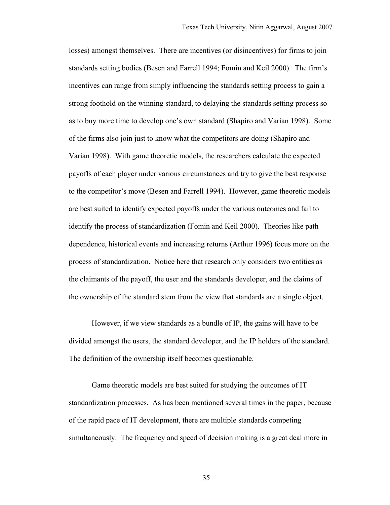losses) amongst themselves. There are incentives (or disincentives) for firms to join standards setting bodies (Besen and Farrell 1994; Fomin and Keil 2000). The firm's incentives can range from simply influencing the standards setting process to gain a strong foothold on the winning standard, to delaying the standards setting process so as to buy more time to develop one's own standard (Shapiro and Varian 1998). Some of the firms also join just to know what the competitors are doing (Shapiro and Varian 1998). With game theoretic models, the researchers calculate the expected payoffs of each player under various circumstances and try to give the best response to the competitor's move (Besen and Farrell 1994). However, game theoretic models are best suited to identify expected payoffs under the various outcomes and fail to identify the process of standardization (Fomin and Keil 2000). Theories like path dependence, historical events and increasing returns (Arthur 1996) focus more on the process of standardization. Notice here that research only considers two entities as the claimants of the payoff, the user and the standards developer, and the claims of the ownership of the standard stem from the view that standards are a single object.

 However, if we view standards as a bundle of IP, the gains will have to be divided amongst the users, the standard developer, and the IP holders of the standard. The definition of the ownership itself becomes questionable.

Game theoretic models are best suited for studying the outcomes of IT standardization processes. As has been mentioned several times in the paper, because of the rapid pace of IT development, there are multiple standards competing simultaneously. The frequency and speed of decision making is a great deal more in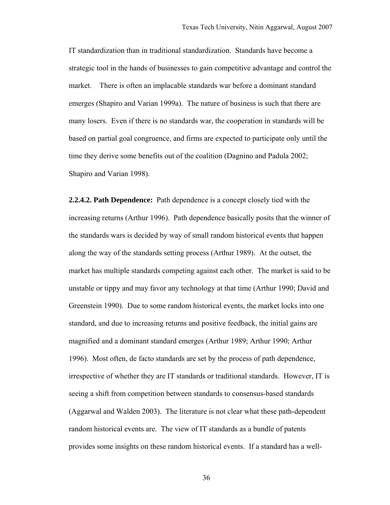IT standardization than in traditional standardization. Standards have become a strategic tool in the hands of businesses to gain competitive advantage and control the market. There is often an implacable standards war before a dominant standard emerges (Shapiro and Varian 1999a). The nature of business is such that there are many losers. Even if there is no standards war, the cooperation in standards will be based on partial goal congruence, and firms are expected to participate only until the time they derive some benefits out of the coalition (Dagnino and Padula 2002; Shapiro and Varian 1998).

**2.2.4.2. Path Dependence:** Path dependence is a concept closely tied with the increasing returns (Arthur 1996). Path dependence basically posits that the winner of the standards wars is decided by way of small random historical events that happen along the way of the standards setting process (Arthur 1989). At the outset, the market has multiple standards competing against each other. The market is said to be unstable or tippy and may favor any technology at that time (Arthur 1990; David and Greenstein 1990). Due to some random historical events, the market locks into one standard, and due to increasing returns and positive feedback, the initial gains are magnified and a dominant standard emerges (Arthur 1989; Arthur 1990; Arthur 1996). Most often, de facto standards are set by the process of path dependence, irrespective of whether they are IT standards or traditional standards. However, IT is seeing a shift from competition between standards to consensus-based standards (Aggarwal and Walden 2003). The literature is not clear what these path-dependent random historical events are. The view of IT standards as a bundle of patents provides some insights on these random historical events. If a standard has a well-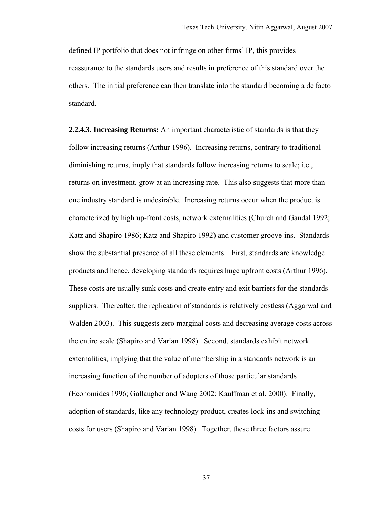defined IP portfolio that does not infringe on other firms' IP, this provides reassurance to the standards users and results in preference of this standard over the others. The initial preference can then translate into the standard becoming a de facto standard.

**2.2.4.3. Increasing Returns:** An important characteristic of standards is that they follow increasing returns (Arthur 1996). Increasing returns, contrary to traditional diminishing returns, imply that standards follow increasing returns to scale; i.e., returns on investment, grow at an increasing rate. This also suggests that more than one industry standard is undesirable. Increasing returns occur when the product is characterized by high up-front costs, network externalities (Church and Gandal 1992; Katz and Shapiro 1986; Katz and Shapiro 1992) and customer groove-ins. Standards show the substantial presence of all these elements. First, standards are knowledge products and hence, developing standards requires huge upfront costs (Arthur 1996). These costs are usually sunk costs and create entry and exit barriers for the standards suppliers. Thereafter, the replication of standards is relatively costless (Aggarwal and Walden 2003). This suggests zero marginal costs and decreasing average costs across the entire scale (Shapiro and Varian 1998). Second, standards exhibit network externalities, implying that the value of membership in a standards network is an increasing function of the number of adopters of those particular standards (Economides 1996; Gallaugher and Wang 2002; Kauffman et al. 2000). Finally, adoption of standards, like any technology product, creates lock-ins and switching costs for users (Shapiro and Varian 1998). Together, these three factors assure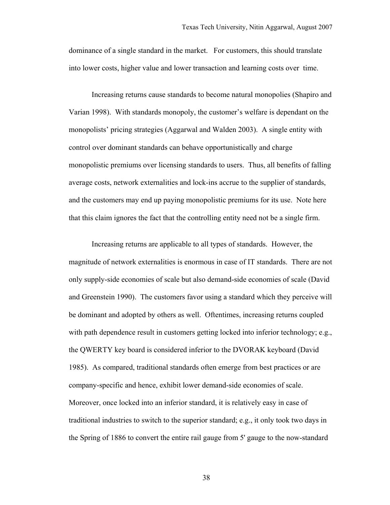dominance of a single standard in the market. For customers, this should translate into lower costs, higher value and lower transaction and learning costs over time.

Increasing returns cause standards to become natural monopolies (Shapiro and Varian 1998). With standards monopoly, the customer's welfare is dependant on the monopolists' pricing strategies (Aggarwal and Walden 2003). A single entity with control over dominant standards can behave opportunistically and charge monopolistic premiums over licensing standards to users. Thus, all benefits of falling average costs, network externalities and lock-ins accrue to the supplier of standards, and the customers may end up paying monopolistic premiums for its use. Note here that this claim ignores the fact that the controlling entity need not be a single firm.

Increasing returns are applicable to all types of standards. However, the magnitude of network externalities is enormous in case of IT standards. There are not only supply-side economies of scale but also demand-side economies of scale (David and Greenstein 1990). The customers favor using a standard which they perceive will be dominant and adopted by others as well. Oftentimes, increasing returns coupled with path dependence result in customers getting locked into inferior technology; e.g., the QWERTY key board is considered inferior to the DVORAK keyboard (David 1985). As compared, traditional standards often emerge from best practices or are company-specific and hence, exhibit lower demand-side economies of scale. Moreover, once locked into an inferior standard, it is relatively easy in case of traditional industries to switch to the superior standard; e.g., it only took two days in the Spring of 1886 to convert the entire rail gauge from 5' gauge to the now-standard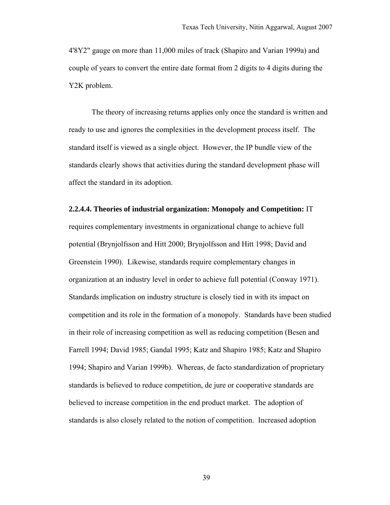4'8Y2" gauge on more than 11,000 miles of track (Shapiro and Varian 1999a) and couple of years to convert the entire date format from 2 digits to 4 digits during the Y2K problem.

The theory of increasing returns applies only once the standard is written and ready to use and ignores the complexities in the development process itself. The standard itself is viewed as a single object. However, the IP bundle view of the standards clearly shows that activities during the standard development phase will affect the standard in its adoption.

# **2.2.4.4. Theories of industrial organization: Monopoly and Competition:** IT requires complementary investments in organizational change to achieve full potential (Brynjolfsson and Hitt 2000; Brynjolfsson and Hitt 1998; David and Greenstein 1990). Likewise, standards require complementary changes in organization at an industry level in order to achieve full potential (Conway 1971). Standards implication on industry structure is closely tied in with its impact on competition and its role in the formation of a monopoly. Standards have been studied in their role of increasing competition as well as reducing competition (Besen and Farrell 1994; David 1985; Gandal 1995; Katz and Shapiro 1985; Katz and Shapiro 1994; Shapiro and Varian 1999b). Whereas, de facto standardization of proprietary standards is believed to reduce competition, de jure or cooperative standards are believed to increase competition in the end product market. The adoption of standards is also closely related to the notion of competition. Increased adoption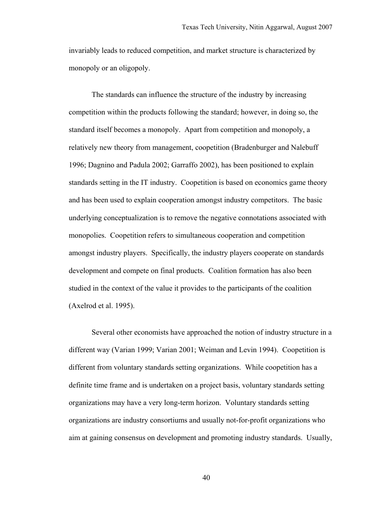invariably leads to reduced competition, and market structure is characterized by monopoly or an oligopoly.

The standards can influence the structure of the industry by increasing competition within the products following the standard; however, in doing so, the standard itself becomes a monopoly. Apart from competition and monopoly, a relatively new theory from management, coopetition (Bradenburger and Nalebuff 1996; Dagnino and Padula 2002; Garraffo 2002), has been positioned to explain standards setting in the IT industry. Coopetition is based on economics game theory and has been used to explain cooperation amongst industry competitors. The basic underlying conceptualization is to remove the negative connotations associated with monopolies. Coopetition refers to simultaneous cooperation and competition amongst industry players. Specifically, the industry players cooperate on standards development and compete on final products. Coalition formation has also been studied in the context of the value it provides to the participants of the coalition (Axelrod et al. 1995).

Several other economists have approached the notion of industry structure in a different way (Varian 1999; Varian 2001; Weiman and Levin 1994). Coopetition is different from voluntary standards setting organizations. While coopetition has a definite time frame and is undertaken on a project basis, voluntary standards setting organizations may have a very long-term horizon. Voluntary standards setting organizations are industry consortiums and usually not-for-profit organizations who aim at gaining consensus on development and promoting industry standards. Usually,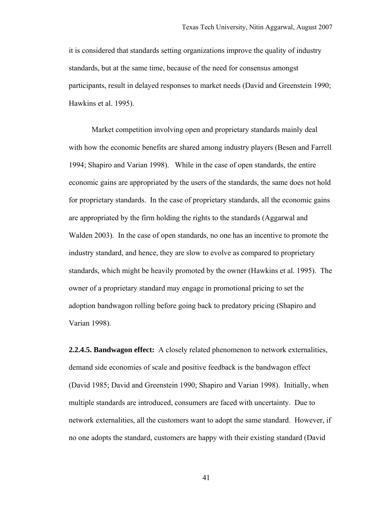it is considered that standards setting organizations improve the quality of industry standards, but at the same time, because of the need for consensus amongst participants, result in delayed responses to market needs (David and Greenstein 1990; Hawkins et al. 1995).

Market competition involving open and proprietary standards mainly deal with how the economic benefits are shared among industry players (Besen and Farrell 1994; Shapiro and Varian 1998). While in the case of open standards, the entire economic gains are appropriated by the users of the standards, the same does not hold for proprietary standards. In the case of proprietary standards, all the economic gains are appropriated by the firm holding the rights to the standards (Aggarwal and Walden 2003). In the case of open standards, no one has an incentive to promote the industry standard, and hence, they are slow to evolve as compared to proprietary standards, which might be heavily promoted by the owner (Hawkins et al. 1995). The owner of a proprietary standard may engage in promotional pricing to set the adoption bandwagon rolling before going back to predatory pricing (Shapiro and Varian 1998).

**2.2.4.5. Bandwagon effect:** A closely related phenomenon to network externalities, demand side economies of scale and positive feedback is the bandwagon effect (David 1985; David and Greenstein 1990; Shapiro and Varian 1998). Initially, when multiple standards are introduced, consumers are faced with uncertainty. Due to network externalities, all the customers want to adopt the same standard. However, if no one adopts the standard, customers are happy with their existing standard (David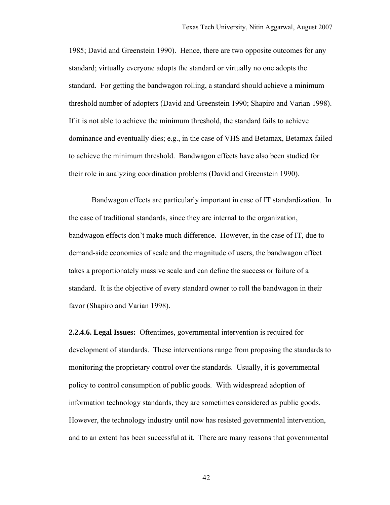1985; David and Greenstein 1990). Hence, there are two opposite outcomes for any standard; virtually everyone adopts the standard or virtually no one adopts the standard. For getting the bandwagon rolling, a standard should achieve a minimum threshold number of adopters (David and Greenstein 1990; Shapiro and Varian 1998). If it is not able to achieve the minimum threshold, the standard fails to achieve dominance and eventually dies; e.g., in the case of VHS and Betamax, Betamax failed to achieve the minimum threshold. Bandwagon effects have also been studied for their role in analyzing coordination problems (David and Greenstein 1990).

Bandwagon effects are particularly important in case of IT standardization. In the case of traditional standards, since they are internal to the organization, bandwagon effects don't make much difference. However, in the case of IT, due to demand-side economies of scale and the magnitude of users, the bandwagon effect takes a proportionately massive scale and can define the success or failure of a standard. It is the objective of every standard owner to roll the bandwagon in their favor (Shapiro and Varian 1998).

**2.2.4.6. Legal Issues:** Oftentimes, governmental intervention is required for development of standards. These interventions range from proposing the standards to monitoring the proprietary control over the standards. Usually, it is governmental policy to control consumption of public goods. With widespread adoption of information technology standards, they are sometimes considered as public goods. However, the technology industry until now has resisted governmental intervention, and to an extent has been successful at it. There are many reasons that governmental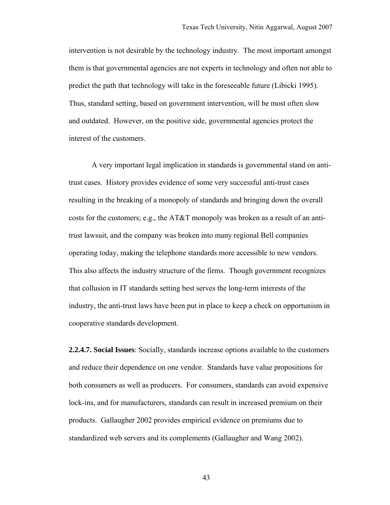intervention is not desirable by the technology industry. The most important amongst them is that governmental agencies are not experts in technology and often not able to predict the path that technology will take in the foreseeable future (Libicki 1995). Thus, standard setting, based on government intervention, will be most often slow and outdated. However, on the positive side, governmental agencies protect the interest of the customers.

A very important legal implication in standards is governmental stand on antitrust cases. History provides evidence of some very successful anti-trust cases resulting in the breaking of a monopoly of standards and bringing down the overall costs for the customers; e.g., the AT&T monopoly was broken as a result of an antitrust lawsuit, and the company was broken into many regional Bell companies operating today, making the telephone standards more accessible to new vendors. This also affects the industry structure of the firms. Though government recognizes that collusion in IT standards setting best serves the long-term interests of the industry, the anti-trust laws have been put in place to keep a check on opportunism in cooperative standards development.

**2.2.4.7. Social Issues**: Socially, standards increase options available to the customers and reduce their dependence on one vendor. Standards have value propositions for both consumers as well as producers. For consumers, standards can avoid expensive lock-ins, and for manufacturers, standards can result in increased premium on their products. Gallaugher 2002 provides empirical evidence on premiums due to standardized web servers and its complements (Gallaugher and Wang 2002).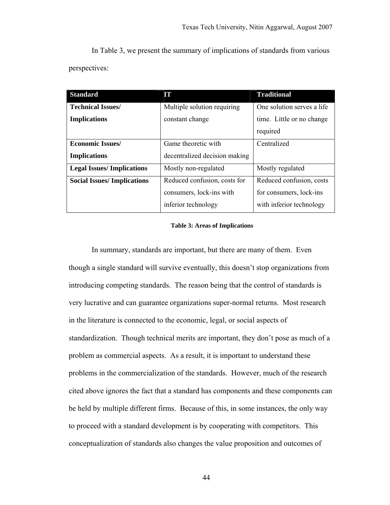In Table 3, we present the summary of implications of standards from various perspectives:

| <b>Standard</b>                   | IT                            | <b>Traditional</b>         |  |
|-----------------------------------|-------------------------------|----------------------------|--|
| <b>Technical Issues/</b>          | Multiple solution requiring   | One solution serves a life |  |
| <b>Implications</b>               | constant change               | time. Little or no change  |  |
|                                   |                               | required                   |  |
| <b>Economic Issues/</b>           | Game theoretic with           | Centralized                |  |
| <b>Implications</b>               | decentralized decision making |                            |  |
| <b>Legal Issues/Implications</b>  | Mostly non-regulated          | Mostly regulated           |  |
| <b>Social Issues/Implications</b> | Reduced confusion, costs for  | Reduced confusion, costs   |  |
|                                   | consumers, lock-ins with      | for consumers, lock-ins    |  |
|                                   | inferior technology           | with inferior technology   |  |

#### **Table 3: Areas of Implications**

In summary, standards are important, but there are many of them. Even though a single standard will survive eventually, this doesn't stop organizations from introducing competing standards. The reason being that the control of standards is very lucrative and can guarantee organizations super-normal returns. Most research in the literature is connected to the economic, legal, or social aspects of standardization. Though technical merits are important, they don't pose as much of a problem as commercial aspects. As a result, it is important to understand these problems in the commercialization of the standards. However, much of the research cited above ignores the fact that a standard has components and these components can be held by multiple different firms. Because of this, in some instances, the only way to proceed with a standard development is by cooperating with competitors. This conceptualization of standards also changes the value proposition and outcomes of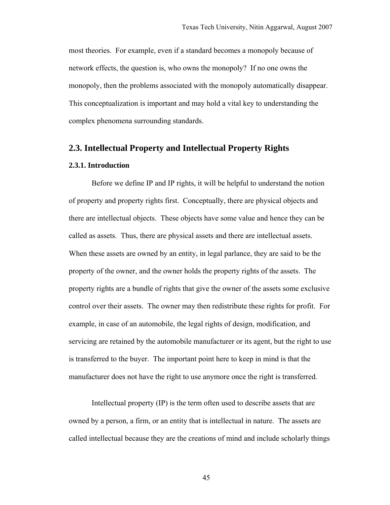most theories. For example, even if a standard becomes a monopoly because of network effects, the question is, who owns the monopoly? If no one owns the monopoly, then the problems associated with the monopoly automatically disappear. This conceptualization is important and may hold a vital key to understanding the complex phenomena surrounding standards.

# **2.3. Intellectual Property and Intellectual Property Rights**

## **2.3.1. Introduction**

Before we define IP and IP rights, it will be helpful to understand the notion of property and property rights first. Conceptually, there are physical objects and there are intellectual objects. These objects have some value and hence they can be called as assets. Thus, there are physical assets and there are intellectual assets. When these assets are owned by an entity, in legal parlance, they are said to be the property of the owner, and the owner holds the property rights of the assets. The property rights are a bundle of rights that give the owner of the assets some exclusive control over their assets. The owner may then redistribute these rights for profit. For example, in case of an automobile, the legal rights of design, modification, and servicing are retained by the automobile manufacturer or its agent, but the right to use is transferred to the buyer. The important point here to keep in mind is that the manufacturer does not have the right to use anymore once the right is transferred.

Intellectual property (IP) is the term often used to describe assets that are owned by a person, a firm, or an entity that is intellectual in nature. The assets are called intellectual because they are the creations of mind and include scholarly things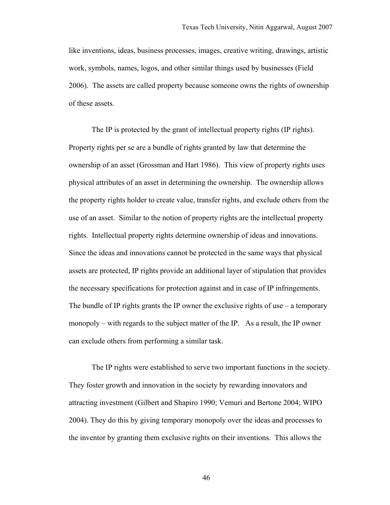like inventions, ideas, business processes, images, creative writing, drawings, artistic work, symbols, names, logos, and other similar things used by businesses (Field 2006). The assets are called property because someone owns the rights of ownership of these assets.

The IP is protected by the grant of intellectual property rights (IP rights). Property rights per se are a bundle of rights granted by law that determine the ownership of an asset (Grossman and Hart 1986). This view of property rights uses physical attributes of an asset in determining the ownership. The ownership allows the property rights holder to create value, transfer rights, and exclude others from the use of an asset. Similar to the notion of property rights are the intellectual property rights. Intellectual property rights determine ownership of ideas and innovations. Since the ideas and innovations cannot be protected in the same ways that physical assets are protected, IP rights provide an additional layer of stipulation that provides the necessary specifications for protection against and in case of IP infringements. The bundle of IP rights grants the IP owner the exclusive rights of use  $-$  a temporary monopoly – with regards to the subject matter of the IP. As a result, the IP owner can exclude others from performing a similar task.

The IP rights were established to serve two important functions in the society. They foster growth and innovation in the society by rewarding innovators and attracting investment (Gilbert and Shapiro 1990; Vemuri and Bertone 2004; WIPO 2004). They do this by giving temporary monopoly over the ideas and processes to the inventor by granting them exclusive rights on their inventions. This allows the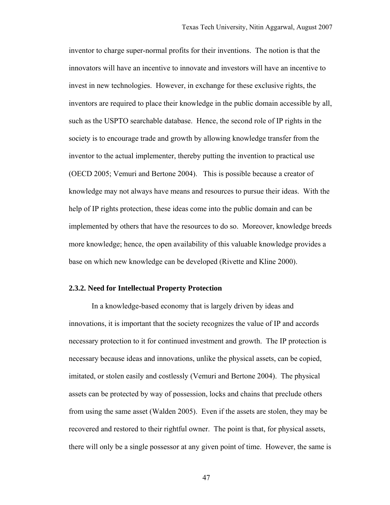inventor to charge super-normal profits for their inventions. The notion is that the innovators will have an incentive to innovate and investors will have an incentive to invest in new technologies. However, in exchange for these exclusive rights, the inventors are required to place their knowledge in the public domain accessible by all, such as the USPTO searchable database. Hence, the second role of IP rights in the society is to encourage trade and growth by allowing knowledge transfer from the inventor to the actual implementer, thereby putting the invention to practical use (OECD 2005; Vemuri and Bertone 2004). This is possible because a creator of knowledge may not always have means and resources to pursue their ideas. With the help of IP rights protection, these ideas come into the public domain and can be implemented by others that have the resources to do so. Moreover, knowledge breeds more knowledge; hence, the open availability of this valuable knowledge provides a base on which new knowledge can be developed (Rivette and Kline 2000).

#### **2.3.2. Need for Intellectual Property Protection**

In a knowledge-based economy that is largely driven by ideas and innovations, it is important that the society recognizes the value of IP and accords necessary protection to it for continued investment and growth. The IP protection is necessary because ideas and innovations, unlike the physical assets, can be copied, imitated, or stolen easily and costlessly (Vemuri and Bertone 2004). The physical assets can be protected by way of possession, locks and chains that preclude others from using the same asset (Walden 2005). Even if the assets are stolen, they may be recovered and restored to their rightful owner. The point is that, for physical assets, there will only be a single possessor at any given point of time. However, the same is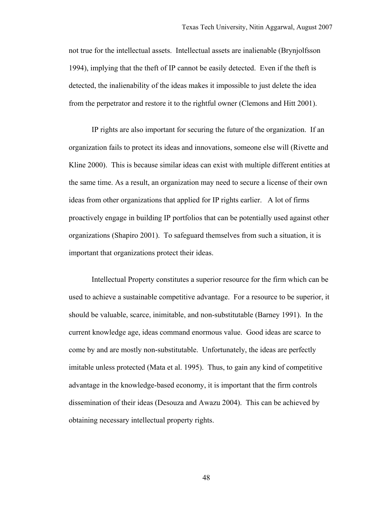not true for the intellectual assets. Intellectual assets are inalienable (Brynjolfsson 1994), implying that the theft of IP cannot be easily detected. Even if the theft is detected, the inalienability of the ideas makes it impossible to just delete the idea from the perpetrator and restore it to the rightful owner (Clemons and Hitt 2001).

IP rights are also important for securing the future of the organization. If an organization fails to protect its ideas and innovations, someone else will (Rivette and Kline 2000). This is because similar ideas can exist with multiple different entities at the same time. As a result, an organization may need to secure a license of their own ideas from other organizations that applied for IP rights earlier. A lot of firms proactively engage in building IP portfolios that can be potentially used against other organizations (Shapiro 2001). To safeguard themselves from such a situation, it is important that organizations protect their ideas.

Intellectual Property constitutes a superior resource for the firm which can be used to achieve a sustainable competitive advantage. For a resource to be superior, it should be valuable, scarce, inimitable, and non-substitutable (Barney 1991). In the current knowledge age, ideas command enormous value. Good ideas are scarce to come by and are mostly non-substitutable. Unfortunately, the ideas are perfectly imitable unless protected (Mata et al. 1995). Thus, to gain any kind of competitive advantage in the knowledge-based economy, it is important that the firm controls dissemination of their ideas (Desouza and Awazu 2004). This can be achieved by obtaining necessary intellectual property rights.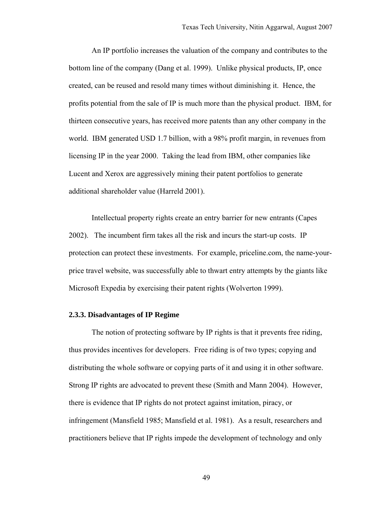An IP portfolio increases the valuation of the company and contributes to the bottom line of the company (Dang et al. 1999). Unlike physical products, IP, once created, can be reused and resold many times without diminishing it. Hence, the profits potential from the sale of IP is much more than the physical product. IBM, for thirteen consecutive years, has received more patents than any other company in the world. IBM generated USD 1.7 billion, with a 98% profit margin, in revenues from licensing IP in the year 2000. Taking the lead from IBM, other companies like Lucent and Xerox are aggressively mining their patent portfolios to generate additional shareholder value (Harreld 2001).

Intellectual property rights create an entry barrier for new entrants (Capes 2002). The incumbent firm takes all the risk and incurs the start-up costs. IP protection can protect these investments. For example, priceline.com, the name-yourprice travel website, was successfully able to thwart entry attempts by the giants like Microsoft Expedia by exercising their patent rights (Wolverton 1999).

## **2.3.3. Disadvantages of IP Regime**

The notion of protecting software by IP rights is that it prevents free riding, thus provides incentives for developers. Free riding is of two types; copying and distributing the whole software or copying parts of it and using it in other software. Strong IP rights are advocated to prevent these (Smith and Mann 2004). However, there is evidence that IP rights do not protect against imitation, piracy, or infringement (Mansfield 1985; Mansfield et al. 1981). As a result, researchers and practitioners believe that IP rights impede the development of technology and only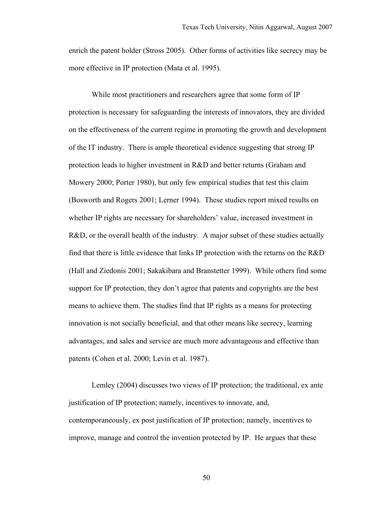enrich the patent holder (Stross 2005). Other forms of activities like secrecy may be more effective in IP protection (Mata et al. 1995).

While most practitioners and researchers agree that some form of IP protection is necessary for safeguarding the interests of innovators, they are divided on the effectiveness of the current regime in promoting the growth and development of the IT industry. There is ample theoretical evidence suggesting that strong IP protection leads to higher investment in R&D and better returns (Graham and Mowery 2000; Porter 1980), but only few empirical studies that test this claim (Bosworth and Rogers 2001; Lerner 1994). These studies report mixed results on whether IP rights are necessary for shareholders' value, increased investment in R&D, or the overall health of the industry. A major subset of these studies actually find that there is little evidence that links IP protection with the returns on the R&D (Hall and Ziedonis 2001; Sakakibara and Branstetter 1999). While others find some support for IP protection, they don't agree that patents and copyrights are the best means to achieve them. The studies find that IP rights as a means for protecting innovation is not socially beneficial, and that other means like secrecy, learning advantages, and sales and service are much more advantageous and effective than patents (Cohen et al. 2000; Levin et al. 1987).

Lemley (2004) discusses two views of IP protection; the traditional, ex ante justification of IP protection; namely, incentives to innovate, and, contemporaneously, ex post justification of IP protection; namely, incentives to improve, manage and control the invention protected by IP. He argues that these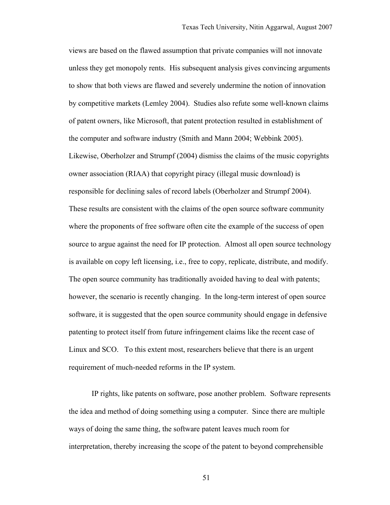views are based on the flawed assumption that private companies will not innovate unless they get monopoly rents. His subsequent analysis gives convincing arguments to show that both views are flawed and severely undermine the notion of innovation by competitive markets (Lemley 2004). Studies also refute some well-known claims of patent owners, like Microsoft, that patent protection resulted in establishment of the computer and software industry (Smith and Mann 2004; Webbink 2005). Likewise, Oberholzer and Strumpf (2004) dismiss the claims of the music copyrights owner association (RIAA) that copyright piracy (illegal music download) is responsible for declining sales of record labels (Oberholzer and Strumpf 2004). These results are consistent with the claims of the open source software community where the proponents of free software often cite the example of the success of open source to argue against the need for IP protection. Almost all open source technology is available on copy left licensing, i.e., free to copy, replicate, distribute, and modify. The open source community has traditionally avoided having to deal with patents; however, the scenario is recently changing. In the long-term interest of open source software, it is suggested that the open source community should engage in defensive patenting to protect itself from future infringement claims like the recent case of Linux and SCO. To this extent most, researchers believe that there is an urgent requirement of much-needed reforms in the IP system.

IP rights, like patents on software, pose another problem. Software represents the idea and method of doing something using a computer. Since there are multiple ways of doing the same thing, the software patent leaves much room for interpretation, thereby increasing the scope of the patent to beyond comprehensible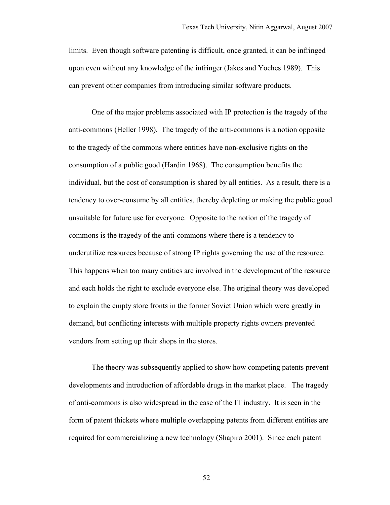limits. Even though software patenting is difficult, once granted, it can be infringed upon even without any knowledge of the infringer (Jakes and Yoches 1989). This can prevent other companies from introducing similar software products.

One of the major problems associated with IP protection is the tragedy of the anti-commons (Heller 1998). The tragedy of the anti-commons is a notion opposite to the tragedy of the commons where entities have non-exclusive rights on the consumption of a public good (Hardin 1968). The consumption benefits the individual, but the cost of consumption is shared by all entities. As a result, there is a tendency to over-consume by all entities, thereby depleting or making the public good unsuitable for future use for everyone. Opposite to the notion of the tragedy of commons is the tragedy of the anti-commons where there is a tendency to underutilize resources because of strong IP rights governing the use of the resource. This happens when too many entities are involved in the development of the resource and each holds the right to exclude everyone else. The original theory was developed to explain the empty store fronts in the former Soviet Union which were greatly in demand, but conflicting interests with multiple property rights owners prevented vendors from setting up their shops in the stores.

The theory was subsequently applied to show how competing patents prevent developments and introduction of affordable drugs in the market place. The tragedy of anti-commons is also widespread in the case of the IT industry. It is seen in the form of patent thickets where multiple overlapping patents from different entities are required for commercializing a new technology (Shapiro 2001). Since each patent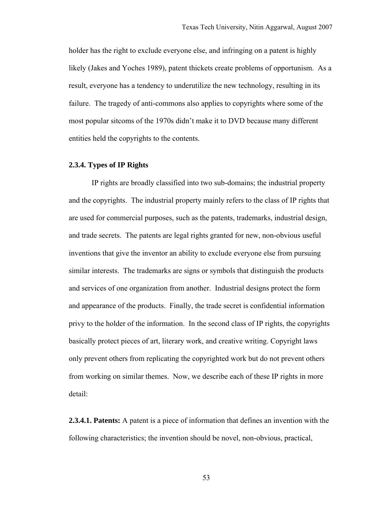holder has the right to exclude everyone else, and infringing on a patent is highly likely (Jakes and Yoches 1989), patent thickets create problems of opportunism. As a result, everyone has a tendency to underutilize the new technology, resulting in its failure. The tragedy of anti-commons also applies to copyrights where some of the most popular sitcoms of the 1970s didn't make it to DVD because many different entities held the copyrights to the contents.

## **2.3.4. Types of IP Rights**

IP rights are broadly classified into two sub-domains; the industrial property and the copyrights. The industrial property mainly refers to the class of IP rights that are used for commercial purposes, such as the patents, trademarks, industrial design, and trade secrets. The patents are legal rights granted for new, non-obvious useful inventions that give the inventor an ability to exclude everyone else from pursuing similar interests. The trademarks are signs or symbols that distinguish the products and services of one organization from another. Industrial designs protect the form and appearance of the products. Finally, the trade secret is confidential information privy to the holder of the information. In the second class of IP rights, the copyrights basically protect pieces of art, literary work, and creative writing. Copyright laws only prevent others from replicating the copyrighted work but do not prevent others from working on similar themes. Now, we describe each of these IP rights in more detail:

**2.3.4.1. Patents:** A patent is a piece of information that defines an invention with the following characteristics; the invention should be novel, non-obvious, practical,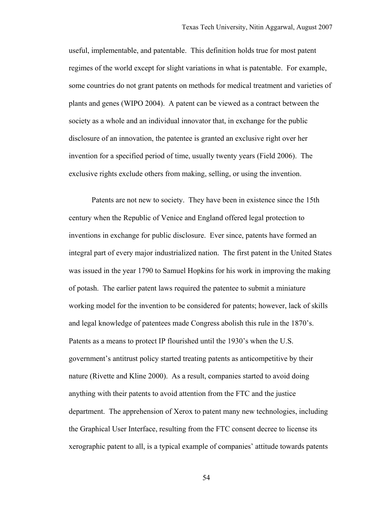useful, implementable, and patentable. This definition holds true for most patent regimes of the world except for slight variations in what is patentable. For example, some countries do not grant patents on methods for medical treatment and varieties of plants and genes (WIPO 2004). A patent can be viewed as a contract between the society as a whole and an individual innovator that, in exchange for the public disclosure of an innovation, the patentee is granted an exclusive right over her invention for a specified period of time, usually twenty years (Field 2006). The exclusive rights exclude others from making, selling, or using the invention.

Patents are not new to society. They have been in existence since the 15th century when the Republic of Venice and England offered legal protection to inventions in exchange for public disclosure. Ever since, patents have formed an integral part of every major industrialized nation. The first patent in the United States was issued in the year 1790 to Samuel Hopkins for his work in improving the making of potash. The earlier patent laws required the patentee to submit a miniature working model for the invention to be considered for patents; however, lack of skills and legal knowledge of patentees made Congress abolish this rule in the 1870's. Patents as a means to protect IP flourished until the 1930's when the U.S. government's antitrust policy started treating patents as anticompetitive by their nature (Rivette and Kline 2000). As a result, companies started to avoid doing anything with their patents to avoid attention from the FTC and the justice department. The apprehension of Xerox to patent many new technologies, including the Graphical User Interface, resulting from the FTC consent decree to license its xerographic patent to all, is a typical example of companies' attitude towards patents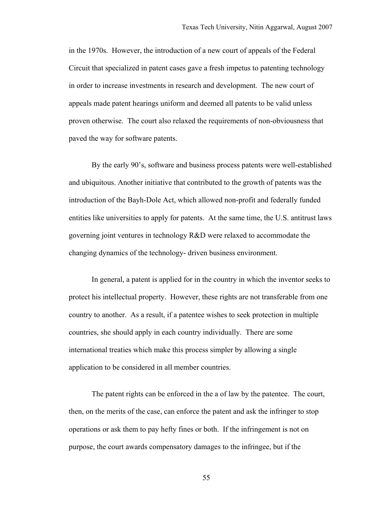in the 1970s. However, the introduction of a new court of appeals of the Federal Circuit that specialized in patent cases gave a fresh impetus to patenting technology in order to increase investments in research and development. The new court of appeals made patent hearings uniform and deemed all patents to be valid unless proven otherwise. The court also relaxed the requirements of non-obviousness that paved the way for software patents.

By the early 90's, software and business process patents were well-established and ubiquitous. Another initiative that contributed to the growth of patents was the introduction of the Bayh-Dole Act, which allowed non-profit and federally funded entities like universities to apply for patents. At the same time, the U.S. antitrust laws governing joint ventures in technology R&D were relaxed to accommodate the changing dynamics of the technology- driven business environment.

In general, a patent is applied for in the country in which the inventor seeks to protect his intellectual property. However, these rights are not transferable from one country to another. As a result, if a patentee wishes to seek protection in multiple countries, she should apply in each country individually. There are some international treaties which make this process simpler by allowing a single application to be considered in all member countries.

The patent rights can be enforced in the a of law by the patentee. The court, then, on the merits of the case, can enforce the patent and ask the infringer to stop operations or ask them to pay hefty fines or both. If the infringement is not on purpose, the court awards compensatory damages to the infringee, but if the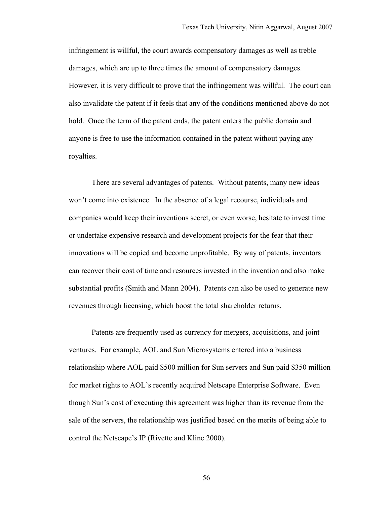infringement is willful, the court awards compensatory damages as well as treble damages, which are up to three times the amount of compensatory damages. However, it is very difficult to prove that the infringement was willful. The court can also invalidate the patent if it feels that any of the conditions mentioned above do not hold. Once the term of the patent ends, the patent enters the public domain and anyone is free to use the information contained in the patent without paying any royalties.

There are several advantages of patents. Without patents, many new ideas won't come into existence. In the absence of a legal recourse, individuals and companies would keep their inventions secret, or even worse, hesitate to invest time or undertake expensive research and development projects for the fear that their innovations will be copied and become unprofitable. By way of patents, inventors can recover their cost of time and resources invested in the invention and also make substantial profits (Smith and Mann 2004). Patents can also be used to generate new revenues through licensing, which boost the total shareholder returns.

Patents are frequently used as currency for mergers, acquisitions, and joint ventures. For example, AOL and Sun Microsystems entered into a business relationship where AOL paid \$500 million for Sun servers and Sun paid \$350 million for market rights to AOL's recently acquired Netscape Enterprise Software. Even though Sun's cost of executing this agreement was higher than its revenue from the sale of the servers, the relationship was justified based on the merits of being able to control the Netscape's IP (Rivette and Kline 2000).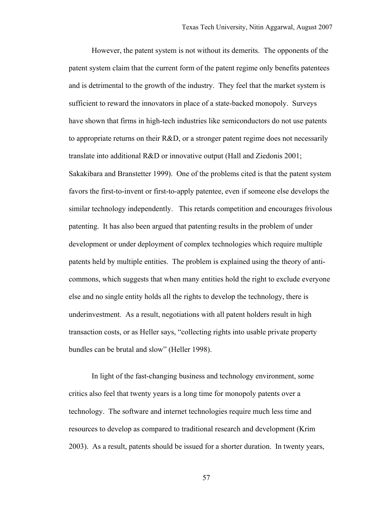However, the patent system is not without its demerits. The opponents of the patent system claim that the current form of the patent regime only benefits patentees and is detrimental to the growth of the industry. They feel that the market system is sufficient to reward the innovators in place of a state-backed monopoly. Surveys have shown that firms in high-tech industries like semiconductors do not use patents to appropriate returns on their R&D, or a stronger patent regime does not necessarily translate into additional R&D or innovative output (Hall and Ziedonis 2001; Sakakibara and Branstetter 1999). One of the problems cited is that the patent system favors the first-to-invent or first-to-apply patentee, even if someone else develops the similar technology independently. This retards competition and encourages frivolous patenting. It has also been argued that patenting results in the problem of under development or under deployment of complex technologies which require multiple patents held by multiple entities. The problem is explained using the theory of anticommons, which suggests that when many entities hold the right to exclude everyone else and no single entity holds all the rights to develop the technology, there is underinvestment. As a result, negotiations with all patent holders result in high transaction costs, or as Heller says, "collecting rights into usable private property bundles can be brutal and slow" (Heller 1998).

In light of the fast-changing business and technology environment, some critics also feel that twenty years is a long time for monopoly patents over a technology. The software and internet technologies require much less time and resources to develop as compared to traditional research and development (Krim 2003). As a result, patents should be issued for a shorter duration. In twenty years,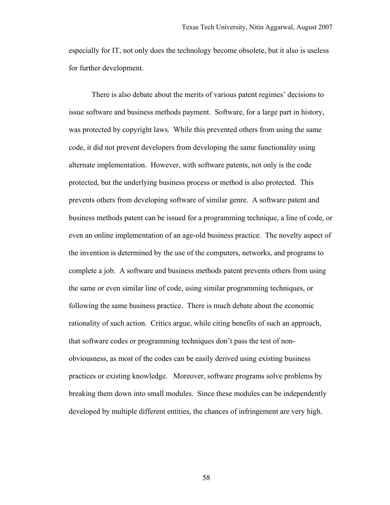especially for IT, not only does the technology become obsolete, but it also is useless for further development.

There is also debate about the merits of various patent regimes' decisions to issue software and business methods payment. Software, for a large part in history, was protected by copyright laws. While this prevented others from using the same code, it did not prevent developers from developing the same functionality using alternate implementation. However, with software patents, not only is the code protected, but the underlying business process or method is also protected. This prevents others from developing software of similar genre. A software patent and business methods patent can be issued for a programming technique, a line of code, or even an online implementation of an age-old business practice. The novelty aspect of the invention is determined by the use of the computers, networks, and programs to complete a job. A software and business methods patent prevents others from using the same or even similar line of code, using similar programming techniques, or following the same business practice. There is much debate about the economic rationality of such action. Critics argue, while citing benefits of such an approach, that software codes or programming techniques don't pass the test of nonobviousness, as most of the codes can be easily derived using existing business practices or existing knowledge. Moreover, software programs solve problems by breaking them down into small modules. Since these modules can be independently developed by multiple different entities, the chances of infringement are very high.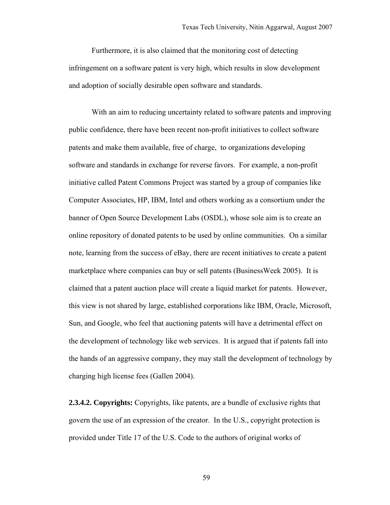Furthermore, it is also claimed that the monitoring cost of detecting infringement on a software patent is very high, which results in slow development and adoption of socially desirable open software and standards.

With an aim to reducing uncertainty related to software patents and improving public confidence, there have been recent non-profit initiatives to collect software patents and make them available, free of charge, to organizations developing software and standards in exchange for reverse favors. For example, a non-profit initiative called Patent Commons Project was started by a group of companies like Computer Associates, HP, IBM, Intel and others working as a consortium under the banner of Open Source Development Labs (OSDL), whose sole aim is to create an online repository of donated patents to be used by online communities. On a similar note, learning from the success of eBay, there are recent initiatives to create a patent marketplace where companies can buy or sell patents (BusinessWeek 2005). It is claimed that a patent auction place will create a liquid market for patents. However, this view is not shared by large, established corporations like IBM, Oracle, Microsoft, Sun, and Google, who feel that auctioning patents will have a detrimental effect on the development of technology like web services. It is argued that if patents fall into the hands of an aggressive company, they may stall the development of technology by charging high license fees (Gallen 2004).

**2.3.4.2. Copyrights:** Copyrights, like patents, are a bundle of exclusive rights that govern the use of an expression of the creator. In the U.S., copyright protection is provided under Title 17 of the U.S. Code to the authors of original works of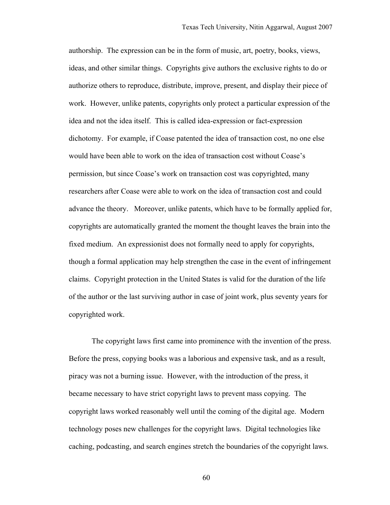authorship. The expression can be in the form of music, art, poetry, books, views, ideas, and other similar things. Copyrights give authors the exclusive rights to do or authorize others to reproduce, distribute, improve, present, and display their piece of work. However, unlike patents, copyrights only protect a particular expression of the idea and not the idea itself. This is called idea-expression or fact-expression dichotomy. For example, if Coase patented the idea of transaction cost, no one else would have been able to work on the idea of transaction cost without Coase's permission, but since Coase's work on transaction cost was copyrighted, many researchers after Coase were able to work on the idea of transaction cost and could advance the theory. Moreover, unlike patents, which have to be formally applied for, copyrights are automatically granted the moment the thought leaves the brain into the fixed medium. An expressionist does not formally need to apply for copyrights, though a formal application may help strengthen the case in the event of infringement claims. Copyright protection in the United States is valid for the duration of the life of the author or the last surviving author in case of joint work, plus seventy years for copyrighted work.

The copyright laws first came into prominence with the invention of the press. Before the press, copying books was a laborious and expensive task, and as a result, piracy was not a burning issue. However, with the introduction of the press, it became necessary to have strict copyright laws to prevent mass copying. The copyright laws worked reasonably well until the coming of the digital age. Modern technology poses new challenges for the copyright laws. Digital technologies like caching, podcasting, and search engines stretch the boundaries of the copyright laws.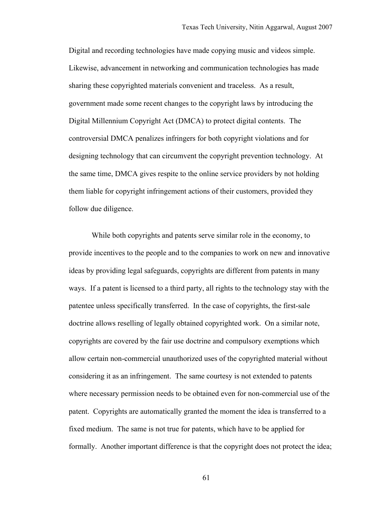Digital and recording technologies have made copying music and videos simple. Likewise, advancement in networking and communication technologies has made sharing these copyrighted materials convenient and traceless. As a result, government made some recent changes to the copyright laws by introducing the Digital Millennium Copyright Act (DMCA) to protect digital contents. The controversial DMCA penalizes infringers for both copyright violations and for designing technology that can circumvent the copyright prevention technology. At the same time, DMCA gives respite to the online service providers by not holding them liable for copyright infringement actions of their customers, provided they follow due diligence.

While both copyrights and patents serve similar role in the economy, to provide incentives to the people and to the companies to work on new and innovative ideas by providing legal safeguards, copyrights are different from patents in many ways. If a patent is licensed to a third party, all rights to the technology stay with the patentee unless specifically transferred. In the case of copyrights, the first-sale doctrine allows reselling of legally obtained copyrighted work. On a similar note, copyrights are covered by the fair use doctrine and compulsory exemptions which allow certain non-commercial unauthorized uses of the copyrighted material without considering it as an infringement. The same courtesy is not extended to patents where necessary permission needs to be obtained even for non-commercial use of the patent. Copyrights are automatically granted the moment the idea is transferred to a fixed medium. The same is not true for patents, which have to be applied for formally. Another important difference is that the copyright does not protect the idea;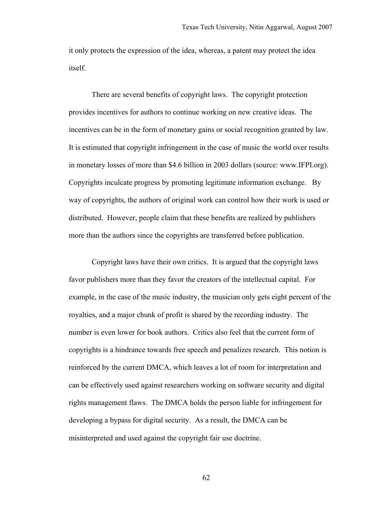it only protects the expression of the idea, whereas, a patent may protect the idea itself.

There are several benefits of copyright laws. The copyright protection provides incentives for authors to continue working on new creative ideas. The incentives can be in the form of monetary gains or social recognition granted by law. It is estimated that copyright infringement in the case of music the world over results in monetary losses of more than \$4.6 billion in 2003 dollars (source: www.IFPI.org). Copyrights inculcate progress by promoting legitimate information exchange. By way of copyrights, the authors of original work can control how their work is used or distributed. However, people claim that these benefits are realized by publishers more than the authors since the copyrights are transferred before publication.

Copyright laws have their own critics. It is argued that the copyright laws favor publishers more than they favor the creators of the intellectual capital. For example, in the case of the music industry, the musician only gets eight percent of the royalties, and a major chunk of profit is shared by the recording industry. The number is even lower for book authors. Critics also feel that the current form of copyrights is a hindrance towards free speech and penalizes research. This notion is reinforced by the current DMCA, which leaves a lot of room for interpretation and can be effectively used against researchers working on software security and digital rights management flaws. The DMCA holds the person liable for infringement for developing a bypass for digital security. As a result, the DMCA can be misinterpreted and used against the copyright fair use doctrine.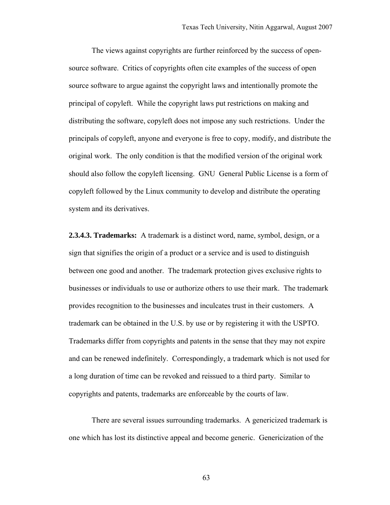The views against copyrights are further reinforced by the success of opensource software. Critics of copyrights often cite examples of the success of open source software to argue against the copyright laws and intentionally promote the principal of copyleft. While the copyright laws put restrictions on making and distributing the software, copyleft does not impose any such restrictions. Under the principals of copyleft, anyone and everyone is free to copy, modify, and distribute the original work. The only condition is that the modified version of the original work should also follow the copyleft licensing. GNU General Public License is a form of copyleft followed by the Linux community to develop and distribute the operating system and its derivatives.

**2.3.4.3. Trademarks:** A trademark is a distinct word, name, symbol, design, or a sign that signifies the origin of a product or a service and is used to distinguish between one good and another. The trademark protection gives exclusive rights to businesses or individuals to use or authorize others to use their mark. The trademark provides recognition to the businesses and inculcates trust in their customers. A trademark can be obtained in the U.S. by use or by registering it with the USPTO. Trademarks differ from copyrights and patents in the sense that they may not expire and can be renewed indefinitely. Correspondingly, a trademark which is not used for a long duration of time can be revoked and reissued to a third party. Similar to copyrights and patents, trademarks are enforceable by the courts of law.

There are several issues surrounding trademarks. A genericized trademark is one which has lost its distinctive appeal and become generic. Genericization of the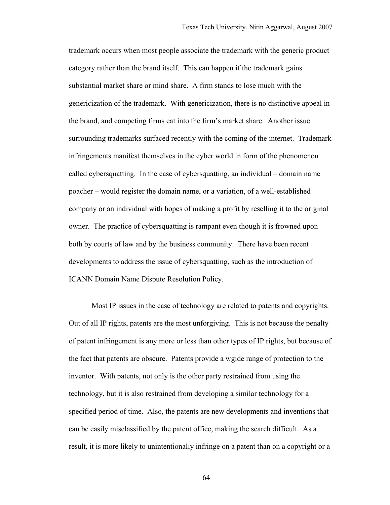trademark occurs when most people associate the trademark with the generic product category rather than the brand itself. This can happen if the trademark gains substantial market share or mind share. A firm stands to lose much with the genericization of the trademark. With genericization, there is no distinctive appeal in the brand, and competing firms eat into the firm's market share. Another issue surrounding trademarks surfaced recently with the coming of the internet. Trademark infringements manifest themselves in the cyber world in form of the phenomenon called cybersquatting. In the case of cybersquatting, an individual – domain name poacher – would register the domain name, or a variation, of a well-established company or an individual with hopes of making a profit by reselling it to the original owner. The practice of cybersquatting is rampant even though it is frowned upon both by courts of law and by the business community. There have been recent developments to address the issue of cybersquatting, such as the introduction of ICANN Domain Name Dispute Resolution Policy.

Most IP issues in the case of technology are related to patents and copyrights. Out of all IP rights, patents are the most unforgiving. This is not because the penalty of patent infringement is any more or less than other types of IP rights, but because of the fact that patents are obscure. Patents provide a wgide range of protection to the inventor. With patents, not only is the other party restrained from using the technology, but it is also restrained from developing a similar technology for a specified period of time. Also, the patents are new developments and inventions that can be easily misclassified by the patent office, making the search difficult. As a result, it is more likely to unintentionally infringe on a patent than on a copyright or a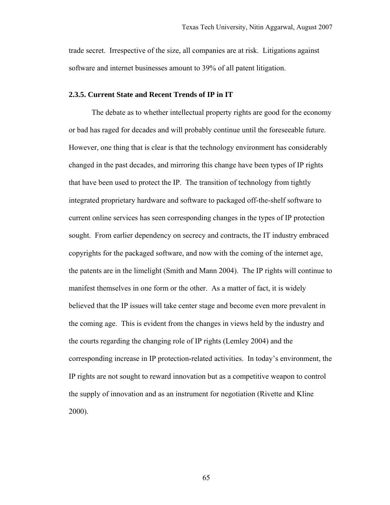trade secret. Irrespective of the size, all companies are at risk. Litigations against software and internet businesses amount to 39% of all patent litigation.

## **2.3.5. Current State and Recent Trends of IP in IT**

The debate as to whether intellectual property rights are good for the economy or bad has raged for decades and will probably continue until the foreseeable future. However, one thing that is clear is that the technology environment has considerably changed in the past decades, and mirroring this change have been types of IP rights that have been used to protect the IP. The transition of technology from tightly integrated proprietary hardware and software to packaged off-the-shelf software to current online services has seen corresponding changes in the types of IP protection sought. From earlier dependency on secrecy and contracts, the IT industry embraced copyrights for the packaged software, and now with the coming of the internet age, the patents are in the limelight (Smith and Mann 2004). The IP rights will continue to manifest themselves in one form or the other. As a matter of fact, it is widely believed that the IP issues will take center stage and become even more prevalent in the coming age. This is evident from the changes in views held by the industry and the courts regarding the changing role of IP rights (Lemley 2004) and the corresponding increase in IP protection-related activities. In today's environment, the IP rights are not sought to reward innovation but as a competitive weapon to control the supply of innovation and as an instrument for negotiation (Rivette and Kline 2000).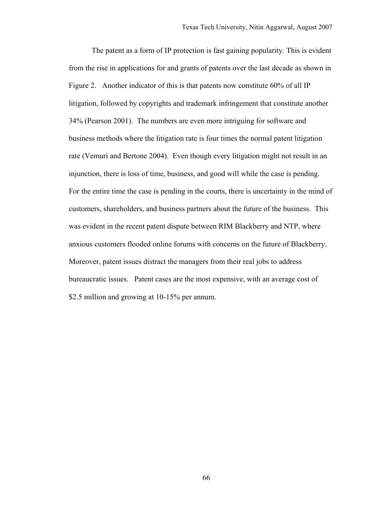The patent as a form of IP protection is fast gaining popularity. This is evident from the rise in applications for and grants of patents over the last decade as shown in Figure 2. Another indicator of this is that patents now constitute 60% of all IP litigation, followed by copyrights and trademark infringement that constitute another 34% (Pearson 2001). The numbers are even more intriguing for software and business methods where the litigation rate is four times the normal patent litigation rate (Vemuri and Bertone 2004). Even though every litigation might not result in an injunction, there is loss of time, business, and good will while the case is pending. For the entire time the case is pending in the courts, there is uncertainty in the mind of customers, shareholders, and business partners about the future of the business. This was evident in the recent patent dispute between RIM Blackberry and NTP, where anxious customers flooded online forums with concerns on the future of Blackberry. Moreover, patent issues distract the managers from their real jobs to address bureaucratic issues. Patent cases are the most expensive, with an average cost of \$2.5 million and growing at 10-15% per annum.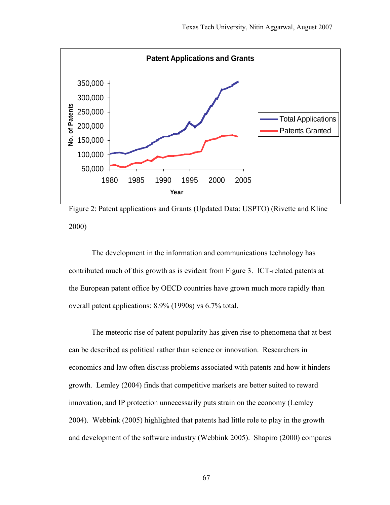

Figure 2: Patent applications and Grants (Updated Data: USPTO) (Rivette and Kline 2000)

The development in the information and communications technology has contributed much of this growth as is evident from Figure 3. ICT-related patents at the European patent office by OECD countries have grown much more rapidly than overall patent applications: 8.9% (1990s) vs 6.7% total.

The meteoric rise of patent popularity has given rise to phenomena that at best can be described as political rather than science or innovation. Researchers in economics and law often discuss problems associated with patents and how it hinders growth. Lemley (2004) finds that competitive markets are better suited to reward innovation, and IP protection unnecessarily puts strain on the economy (Lemley 2004). Webbink (2005) highlighted that patents had little role to play in the growth and development of the software industry (Webbink 2005). Shapiro (2000) compares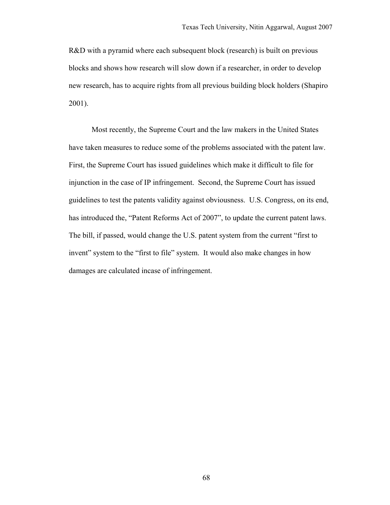R&D with a pyramid where each subsequent block (research) is built on previous blocks and shows how research will slow down if a researcher, in order to develop new research, has to acquire rights from all previous building block holders (Shapiro 2001).

Most recently, the Supreme Court and the law makers in the United States have taken measures to reduce some of the problems associated with the patent law. First, the Supreme Court has issued guidelines which make it difficult to file for injunction in the case of IP infringement. Second, the Supreme Court has issued guidelines to test the patents validity against obviousness. U.S. Congress, on its end, has introduced the, "Patent Reforms Act of 2007", to update the current patent laws. The bill, if passed, would change the U.S. patent system from the current "first to invent" system to the "first to file" system. It would also make changes in how damages are calculated incase of infringement.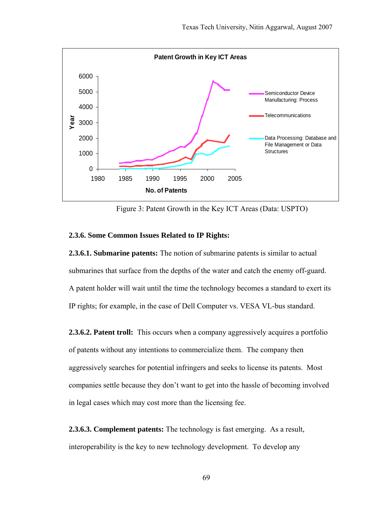

Figure 3: Patent Growth in the Key ICT Areas (Data: USPTO)

## **2.3.6. Some Common Issues Related to IP Rights:**

**2.3.6.1. Submarine patents:** The notion of submarine patents is similar to actual submarines that surface from the depths of the water and catch the enemy off-guard. A patent holder will wait until the time the technology becomes a standard to exert its IP rights; for example, in the case of Dell Computer vs. VESA VL-bus standard.

**2.3.6.2. Patent troll:** This occurs when a company aggressively acquires a portfolio of patents without any intentions to commercialize them. The company then aggressively searches for potential infringers and seeks to license its patents. Most companies settle because they don't want to get into the hassle of becoming involved in legal cases which may cost more than the licensing fee.

**2.3.6.3. Complement patents:** The technology is fast emerging. As a result, interoperability is the key to new technology development. To develop any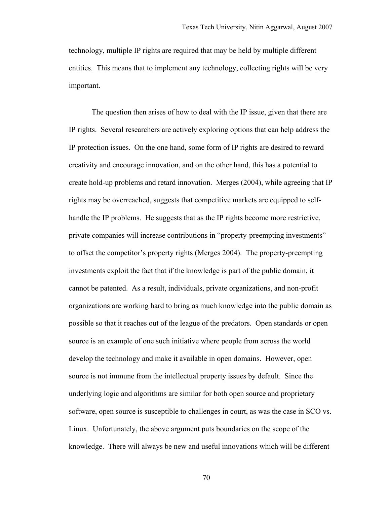technology, multiple IP rights are required that may be held by multiple different entities. This means that to implement any technology, collecting rights will be very important.

The question then arises of how to deal with the IP issue, given that there are IP rights. Several researchers are actively exploring options that can help address the IP protection issues. On the one hand, some form of IP rights are desired to reward creativity and encourage innovation, and on the other hand, this has a potential to create hold-up problems and retard innovation. Merges (2004), while agreeing that IP rights may be overreached, suggests that competitive markets are equipped to selfhandle the IP problems. He suggests that as the IP rights become more restrictive, private companies will increase contributions in "property-preempting investments" to offset the competitor's property rights (Merges 2004). The property-preempting investments exploit the fact that if the knowledge is part of the public domain, it cannot be patented. As a result, individuals, private organizations, and non-profit organizations are working hard to bring as much knowledge into the public domain as possible so that it reaches out of the league of the predators. Open standards or open source is an example of one such initiative where people from across the world develop the technology and make it available in open domains. However, open source is not immune from the intellectual property issues by default. Since the underlying logic and algorithms are similar for both open source and proprietary software, open source is susceptible to challenges in court, as was the case in SCO vs. Linux. Unfortunately, the above argument puts boundaries on the scope of the knowledge. There will always be new and useful innovations which will be different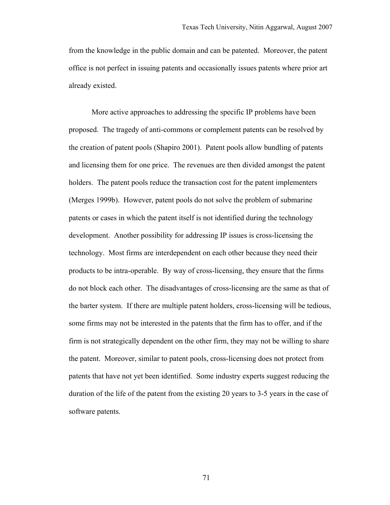from the knowledge in the public domain and can be patented. Moreover, the patent office is not perfect in issuing patents and occasionally issues patents where prior art already existed.

More active approaches to addressing the specific IP problems have been proposed. The tragedy of anti-commons or complement patents can be resolved by the creation of patent pools (Shapiro 2001). Patent pools allow bundling of patents and licensing them for one price. The revenues are then divided amongst the patent holders. The patent pools reduce the transaction cost for the patent implementers (Merges 1999b). However, patent pools do not solve the problem of submarine patents or cases in which the patent itself is not identified during the technology development. Another possibility for addressing IP issues is cross-licensing the technology. Most firms are interdependent on each other because they need their products to be intra-operable. By way of cross-licensing, they ensure that the firms do not block each other. The disadvantages of cross-licensing are the same as that of the barter system. If there are multiple patent holders, cross-licensing will be tedious, some firms may not be interested in the patents that the firm has to offer, and if the firm is not strategically dependent on the other firm, they may not be willing to share the patent. Moreover, similar to patent pools, cross-licensing does not protect from patents that have not yet been identified. Some industry experts suggest reducing the duration of the life of the patent from the existing 20 years to 3-5 years in the case of software patents.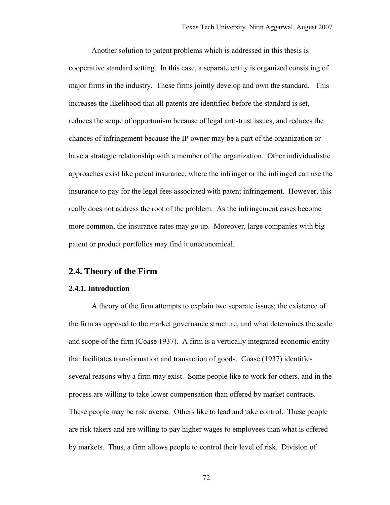Another solution to patent problems which is addressed in this thesis is cooperative standard setting. In this case, a separate entity is organized consisting of major firms in the industry. These firms jointly develop and own the standard. This increases the likelihood that all patents are identified before the standard is set, reduces the scope of opportunism because of legal anti-trust issues, and reduces the chances of infringement because the IP owner may be a part of the organization or have a strategic relationship with a member of the organization. Other individualistic approaches exist like patent insurance, where the infringer or the infringed can use the insurance to pay for the legal fees associated with patent infringement. However, this really does not address the root of the problem. As the infringement cases become more common, the insurance rates may go up. Moreover, large companies with big patent or product portfolios may find it uneconomical.

# **2.4. Theory of the Firm**

#### **2.4.1. Introduction**

A theory of the firm attempts to explain two separate issues; the existence of the firm as opposed to the market governance structure, and what determines the scale and scope of the firm (Coase 1937). A firm is a vertically integrated economic entity that facilitates transformation and transaction of goods. Coase (1937) identifies several reasons why a firm may exist. Some people like to work for others, and in the process are willing to take lower compensation than offered by market contracts. These people may be risk averse. Others like to lead and take control. These people are risk takers and are willing to pay higher wages to employees than what is offered by markets. Thus, a firm allows people to control their level of risk. Division of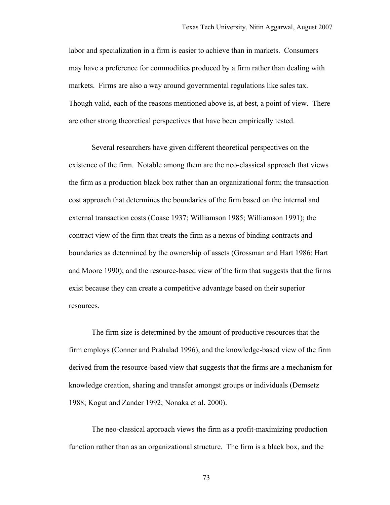labor and specialization in a firm is easier to achieve than in markets. Consumers may have a preference for commodities produced by a firm rather than dealing with markets. Firms are also a way around governmental regulations like sales tax. Though valid, each of the reasons mentioned above is, at best, a point of view. There are other strong theoretical perspectives that have been empirically tested.

Several researchers have given different theoretical perspectives on the existence of the firm. Notable among them are the neo-classical approach that views the firm as a production black box rather than an organizational form; the transaction cost approach that determines the boundaries of the firm based on the internal and external transaction costs (Coase 1937; Williamson 1985; Williamson 1991); the contract view of the firm that treats the firm as a nexus of binding contracts and boundaries as determined by the ownership of assets (Grossman and Hart 1986; Hart and Moore 1990); and the resource-based view of the firm that suggests that the firms exist because they can create a competitive advantage based on their superior resources.

The firm size is determined by the amount of productive resources that the firm employs (Conner and Prahalad 1996), and the knowledge-based view of the firm derived from the resource-based view that suggests that the firms are a mechanism for knowledge creation, sharing and transfer amongst groups or individuals (Demsetz 1988; Kogut and Zander 1992; Nonaka et al. 2000).

The neo-classical approach views the firm as a profit-maximizing production function rather than as an organizational structure. The firm is a black box, and the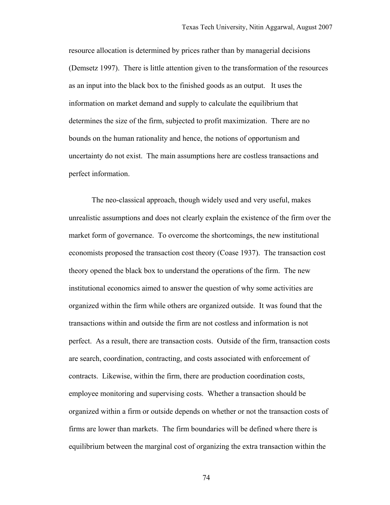resource allocation is determined by prices rather than by managerial decisions (Demsetz 1997). There is little attention given to the transformation of the resources as an input into the black box to the finished goods as an output. It uses the information on market demand and supply to calculate the equilibrium that determines the size of the firm, subjected to profit maximization. There are no bounds on the human rationality and hence, the notions of opportunism and uncertainty do not exist. The main assumptions here are costless transactions and perfect information.

The neo-classical approach, though widely used and very useful, makes unrealistic assumptions and does not clearly explain the existence of the firm over the market form of governance. To overcome the shortcomings, the new institutional economists proposed the transaction cost theory (Coase 1937). The transaction cost theory opened the black box to understand the operations of the firm. The new institutional economics aimed to answer the question of why some activities are organized within the firm while others are organized outside. It was found that the transactions within and outside the firm are not costless and information is not perfect. As a result, there are transaction costs. Outside of the firm, transaction costs are search, coordination, contracting, and costs associated with enforcement of contracts. Likewise, within the firm, there are production coordination costs, employee monitoring and supervising costs. Whether a transaction should be organized within a firm or outside depends on whether or not the transaction costs of firms are lower than markets. The firm boundaries will be defined where there is equilibrium between the marginal cost of organizing the extra transaction within the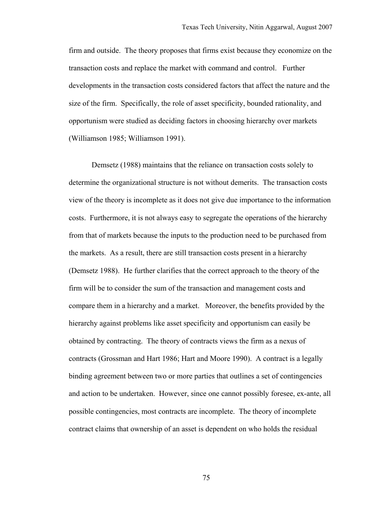firm and outside. The theory proposes that firms exist because they economize on the transaction costs and replace the market with command and control. Further developments in the transaction costs considered factors that affect the nature and the size of the firm. Specifically, the role of asset specificity, bounded rationality, and opportunism were studied as deciding factors in choosing hierarchy over markets (Williamson 1985; Williamson 1991).

Demsetz (1988) maintains that the reliance on transaction costs solely to determine the organizational structure is not without demerits. The transaction costs view of the theory is incomplete as it does not give due importance to the information costs. Furthermore, it is not always easy to segregate the operations of the hierarchy from that of markets because the inputs to the production need to be purchased from the markets. As a result, there are still transaction costs present in a hierarchy (Demsetz 1988). He further clarifies that the correct approach to the theory of the firm will be to consider the sum of the transaction and management costs and compare them in a hierarchy and a market. Moreover, the benefits provided by the hierarchy against problems like asset specificity and opportunism can easily be obtained by contracting. The theory of contracts views the firm as a nexus of contracts (Grossman and Hart 1986; Hart and Moore 1990). A contract is a legally binding agreement between two or more parties that outlines a set of contingencies and action to be undertaken. However, since one cannot possibly foresee, ex-ante, all possible contingencies, most contracts are incomplete. The theory of incomplete contract claims that ownership of an asset is dependent on who holds the residual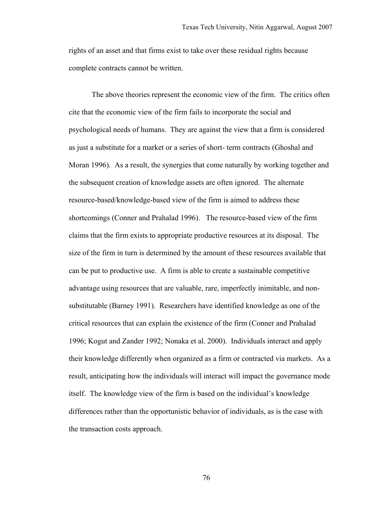rights of an asset and that firms exist to take over these residual rights because complete contracts cannot be written.

The above theories represent the economic view of the firm. The critics often cite that the economic view of the firm fails to incorporate the social and psychological needs of humans. They are against the view that a firm is considered as just a substitute for a market or a series of short- term contracts (Ghoshal and Moran 1996). As a result, the synergies that come naturally by working together and the subsequent creation of knowledge assets are often ignored. The alternate resource-based/knowledge-based view of the firm is aimed to address these shortcomings (Conner and Prahalad 1996). The resource-based view of the firm claims that the firm exists to appropriate productive resources at its disposal. The size of the firm in turn is determined by the amount of these resources available that can be put to productive use. A firm is able to create a sustainable competitive advantage using resources that are valuable, rare, imperfectly inimitable, and nonsubstitutable (Barney 1991). Researchers have identified knowledge as one of the critical resources that can explain the existence of the firm (Conner and Prahalad 1996; Kogut and Zander 1992; Nonaka et al. 2000). Individuals interact and apply their knowledge differently when organized as a firm or contracted via markets. As a result, anticipating how the individuals will interact will impact the governance mode itself. The knowledge view of the firm is based on the individual's knowledge differences rather than the opportunistic behavior of individuals, as is the case with the transaction costs approach.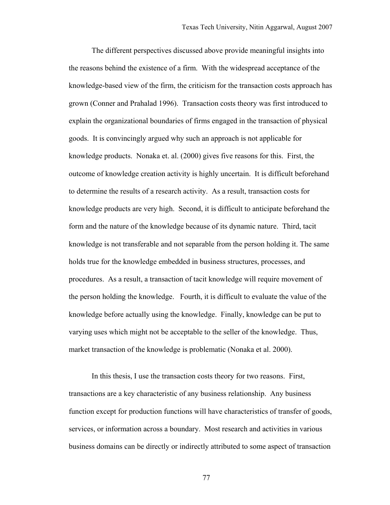The different perspectives discussed above provide meaningful insights into the reasons behind the existence of a firm. With the widespread acceptance of the knowledge-based view of the firm, the criticism for the transaction costs approach has grown (Conner and Prahalad 1996). Transaction costs theory was first introduced to explain the organizational boundaries of firms engaged in the transaction of physical goods. It is convincingly argued why such an approach is not applicable for knowledge products. Nonaka et. al. (2000) gives five reasons for this. First, the outcome of knowledge creation activity is highly uncertain. It is difficult beforehand to determine the results of a research activity. As a result, transaction costs for knowledge products are very high. Second, it is difficult to anticipate beforehand the form and the nature of the knowledge because of its dynamic nature. Third, tacit knowledge is not transferable and not separable from the person holding it. The same holds true for the knowledge embedded in business structures, processes, and procedures. As a result, a transaction of tacit knowledge will require movement of the person holding the knowledge. Fourth, it is difficult to evaluate the value of the knowledge before actually using the knowledge. Finally, knowledge can be put to varying uses which might not be acceptable to the seller of the knowledge. Thus, market transaction of the knowledge is problematic (Nonaka et al. 2000).

In this thesis, I use the transaction costs theory for two reasons. First, transactions are a key characteristic of any business relationship. Any business function except for production functions will have characteristics of transfer of goods, services, or information across a boundary. Most research and activities in various business domains can be directly or indirectly attributed to some aspect of transaction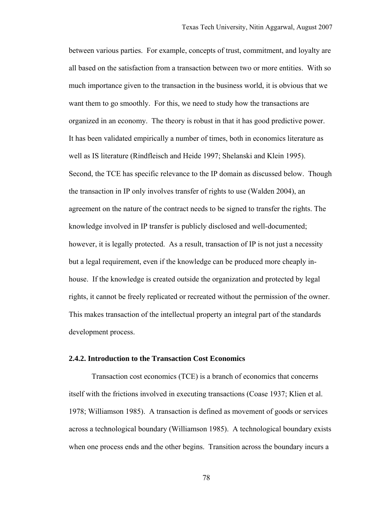between various parties. For example, concepts of trust, commitment, and loyalty are all based on the satisfaction from a transaction between two or more entities. With so much importance given to the transaction in the business world, it is obvious that we want them to go smoothly. For this, we need to study how the transactions are organized in an economy. The theory is robust in that it has good predictive power. It has been validated empirically a number of times, both in economics literature as well as IS literature (Rindfleisch and Heide 1997; Shelanski and Klein 1995). Second, the TCE has specific relevance to the IP domain as discussed below. Though the transaction in IP only involves transfer of rights to use (Walden 2004), an agreement on the nature of the contract needs to be signed to transfer the rights. The knowledge involved in IP transfer is publicly disclosed and well-documented; however, it is legally protected. As a result, transaction of IP is not just a necessity but a legal requirement, even if the knowledge can be produced more cheaply inhouse. If the knowledge is created outside the organization and protected by legal rights, it cannot be freely replicated or recreated without the permission of the owner. This makes transaction of the intellectual property an integral part of the standards development process.

#### **2.4.2. Introduction to the Transaction Cost Economics**

Transaction cost economics (TCE) is a branch of economics that concerns itself with the frictions involved in executing transactions (Coase 1937; Klien et al. 1978; Williamson 1985). A transaction is defined as movement of goods or services across a technological boundary (Williamson 1985). A technological boundary exists when one process ends and the other begins. Transition across the boundary incurs a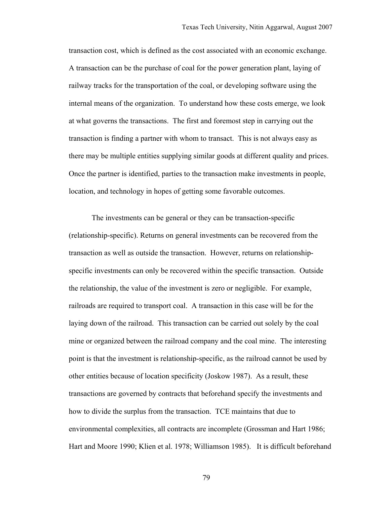transaction cost, which is defined as the cost associated with an economic exchange. A transaction can be the purchase of coal for the power generation plant, laying of railway tracks for the transportation of the coal, or developing software using the internal means of the organization. To understand how these costs emerge, we look at what governs the transactions. The first and foremost step in carrying out the transaction is finding a partner with whom to transact. This is not always easy as there may be multiple entities supplying similar goods at different quality and prices. Once the partner is identified, parties to the transaction make investments in people, location, and technology in hopes of getting some favorable outcomes.

The investments can be general or they can be transaction-specific (relationship-specific). Returns on general investments can be recovered from the transaction as well as outside the transaction. However, returns on relationshipspecific investments can only be recovered within the specific transaction. Outside the relationship, the value of the investment is zero or negligible. For example, railroads are required to transport coal. A transaction in this case will be for the laying down of the railroad. This transaction can be carried out solely by the coal mine or organized between the railroad company and the coal mine. The interesting point is that the investment is relationship-specific, as the railroad cannot be used by other entities because of location specificity (Joskow 1987). As a result, these transactions are governed by contracts that beforehand specify the investments and how to divide the surplus from the transaction. TCE maintains that due to environmental complexities, all contracts are incomplete (Grossman and Hart 1986; Hart and Moore 1990; Klien et al. 1978; Williamson 1985). It is difficult beforehand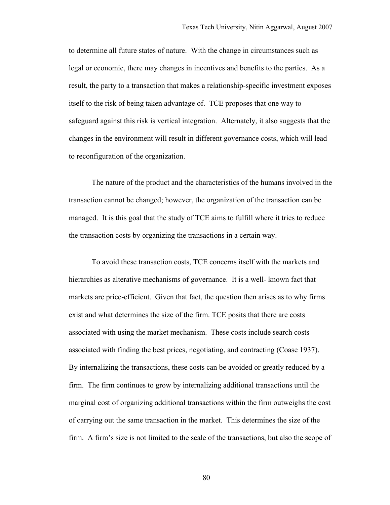to determine all future states of nature. With the change in circumstances such as legal or economic, there may changes in incentives and benefits to the parties. As a result, the party to a transaction that makes a relationship-specific investment exposes itself to the risk of being taken advantage of. TCE proposes that one way to safeguard against this risk is vertical integration. Alternately, it also suggests that the changes in the environment will result in different governance costs, which will lead to reconfiguration of the organization.

The nature of the product and the characteristics of the humans involved in the transaction cannot be changed; however, the organization of the transaction can be managed. It is this goal that the study of TCE aims to fulfill where it tries to reduce the transaction costs by organizing the transactions in a certain way.

To avoid these transaction costs, TCE concerns itself with the markets and hierarchies as alterative mechanisms of governance. It is a well- known fact that markets are price-efficient. Given that fact, the question then arises as to why firms exist and what determines the size of the firm. TCE posits that there are costs associated with using the market mechanism. These costs include search costs associated with finding the best prices, negotiating, and contracting (Coase 1937). By internalizing the transactions, these costs can be avoided or greatly reduced by a firm. The firm continues to grow by internalizing additional transactions until the marginal cost of organizing additional transactions within the firm outweighs the cost of carrying out the same transaction in the market. This determines the size of the firm. A firm's size is not limited to the scale of the transactions, but also the scope of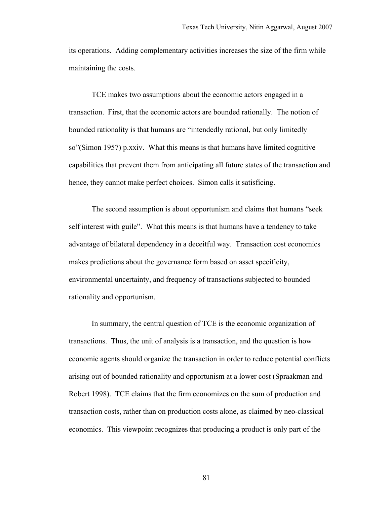its operations. Adding complementary activities increases the size of the firm while maintaining the costs.

TCE makes two assumptions about the economic actors engaged in a transaction. First, that the economic actors are bounded rationally. The notion of bounded rationality is that humans are "intendedly rational, but only limitedly so"(Simon 1957) p.xxiv. What this means is that humans have limited cognitive capabilities that prevent them from anticipating all future states of the transaction and hence, they cannot make perfect choices. Simon calls it satisficing.

The second assumption is about opportunism and claims that humans "seek self interest with guile". What this means is that humans have a tendency to take advantage of bilateral dependency in a deceitful way. Transaction cost economics makes predictions about the governance form based on asset specificity, environmental uncertainty, and frequency of transactions subjected to bounded rationality and opportunism.

In summary, the central question of TCE is the economic organization of transactions. Thus, the unit of analysis is a transaction, and the question is how economic agents should organize the transaction in order to reduce potential conflicts arising out of bounded rationality and opportunism at a lower cost (Spraakman and Robert 1998). TCE claims that the firm economizes on the sum of production and transaction costs, rather than on production costs alone, as claimed by neo-classical economics. This viewpoint recognizes that producing a product is only part of the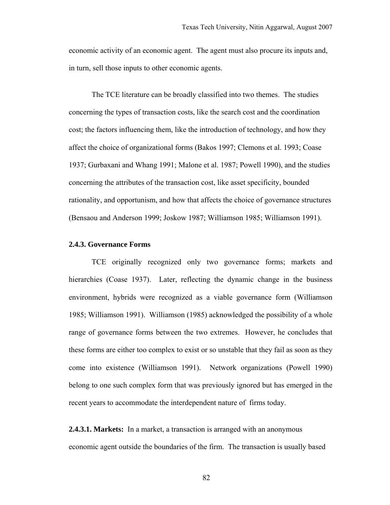economic activity of an economic agent. The agent must also procure its inputs and, in turn, sell those inputs to other economic agents.

The TCE literature can be broadly classified into two themes. The studies concerning the types of transaction costs, like the search cost and the coordination cost; the factors influencing them, like the introduction of technology, and how they affect the choice of organizational forms (Bakos 1997; Clemons et al. 1993; Coase 1937; Gurbaxani and Whang 1991; Malone et al. 1987; Powell 1990), and the studies concerning the attributes of the transaction cost, like asset specificity, bounded rationality, and opportunism, and how that affects the choice of governance structures (Bensaou and Anderson 1999; Joskow 1987; Williamson 1985; Williamson 1991).

#### **2.4.3. Governance Forms**

TCE originally recognized only two governance forms; markets and hierarchies (Coase 1937). Later, reflecting the dynamic change in the business environment, hybrids were recognized as a viable governance form (Williamson 1985; Williamson 1991). Williamson (1985) acknowledged the possibility of a whole range of governance forms between the two extremes. However, he concludes that these forms are either too complex to exist or so unstable that they fail as soon as they come into existence (Williamson 1991). Network organizations (Powell 1990) belong to one such complex form that was previously ignored but has emerged in the recent years to accommodate the interdependent nature of firms today.

**2.4.3.1. Markets:** In a market, a transaction is arranged with an anonymous economic agent outside the boundaries of the firm. The transaction is usually based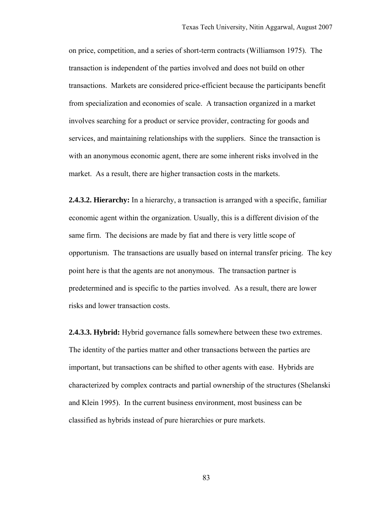on price, competition, and a series of short-term contracts (Williamson 1975). The transaction is independent of the parties involved and does not build on other transactions. Markets are considered price-efficient because the participants benefit from specialization and economies of scale. A transaction organized in a market involves searching for a product or service provider, contracting for goods and services, and maintaining relationships with the suppliers. Since the transaction is with an anonymous economic agent, there are some inherent risks involved in the market. As a result, there are higher transaction costs in the markets.

**2.4.3.2. Hierarchy:** In a hierarchy, a transaction is arranged with a specific, familiar economic agent within the organization. Usually, this is a different division of the same firm. The decisions are made by fiat and there is very little scope of opportunism. The transactions are usually based on internal transfer pricing. The key point here is that the agents are not anonymous. The transaction partner is predetermined and is specific to the parties involved. As a result, there are lower risks and lower transaction costs.

**2.4.3.3. Hybrid:** Hybrid governance falls somewhere between these two extremes. The identity of the parties matter and other transactions between the parties are important, but transactions can be shifted to other agents with ease. Hybrids are characterized by complex contracts and partial ownership of the structures (Shelanski and Klein 1995). In the current business environment, most business can be classified as hybrids instead of pure hierarchies or pure markets.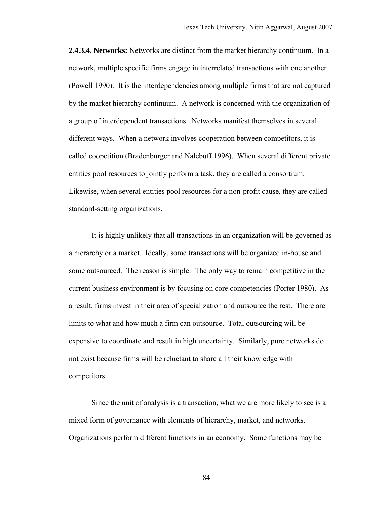**2.4.3.4. Networks:** Networks are distinct from the market hierarchy continuum. In a network, multiple specific firms engage in interrelated transactions with one another (Powell 1990). It is the interdependencies among multiple firms that are not captured by the market hierarchy continuum. A network is concerned with the organization of a group of interdependent transactions. Networks manifest themselves in several different ways. When a network involves cooperation between competitors, it is called coopetition (Bradenburger and Nalebuff 1996). When several different private entities pool resources to jointly perform a task, they are called a consortium. Likewise, when several entities pool resources for a non-profit cause, they are called standard-setting organizations.

It is highly unlikely that all transactions in an organization will be governed as a hierarchy or a market. Ideally, some transactions will be organized in-house and some outsourced. The reason is simple. The only way to remain competitive in the current business environment is by focusing on core competencies (Porter 1980). As a result, firms invest in their area of specialization and outsource the rest. There are limits to what and how much a firm can outsource. Total outsourcing will be expensive to coordinate and result in high uncertainty. Similarly, pure networks do not exist because firms will be reluctant to share all their knowledge with competitors.

Since the unit of analysis is a transaction, what we are more likely to see is a mixed form of governance with elements of hierarchy, market, and networks. Organizations perform different functions in an economy. Some functions may be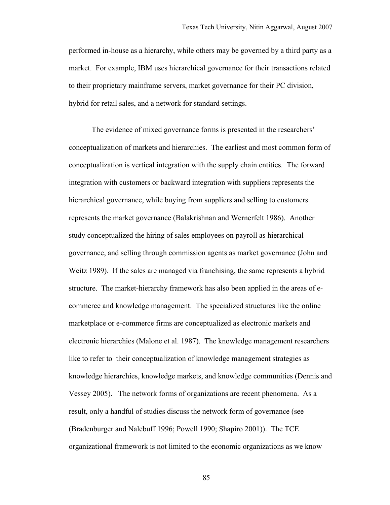performed in-house as a hierarchy, while others may be governed by a third party as a market. For example, IBM uses hierarchical governance for their transactions related to their proprietary mainframe servers, market governance for their PC division, hybrid for retail sales, and a network for standard settings.

The evidence of mixed governance forms is presented in the researchers' conceptualization of markets and hierarchies. The earliest and most common form of conceptualization is vertical integration with the supply chain entities. The forward integration with customers or backward integration with suppliers represents the hierarchical governance, while buying from suppliers and selling to customers represents the market governance (Balakrishnan and Wernerfelt 1986). Another study conceptualized the hiring of sales employees on payroll as hierarchical governance, and selling through commission agents as market governance (John and Weitz 1989). If the sales are managed via franchising, the same represents a hybrid structure. The market-hierarchy framework has also been applied in the areas of ecommerce and knowledge management. The specialized structures like the online marketplace or e-commerce firms are conceptualized as electronic markets and electronic hierarchies (Malone et al. 1987). The knowledge management researchers like to refer to their conceptualization of knowledge management strategies as knowledge hierarchies, knowledge markets, and knowledge communities (Dennis and Vessey 2005). The network forms of organizations are recent phenomena. As a result, only a handful of studies discuss the network form of governance (see (Bradenburger and Nalebuff 1996; Powell 1990; Shapiro 2001)). The TCE organizational framework is not limited to the economic organizations as we know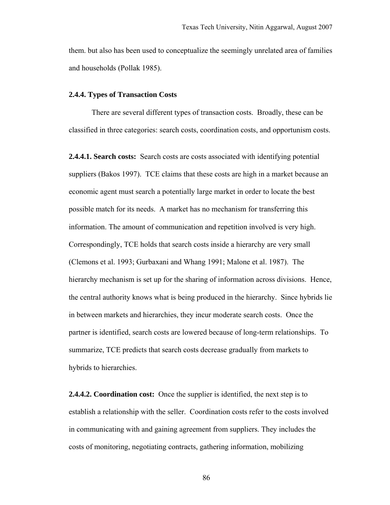them. but also has been used to conceptualize the seemingly unrelated area of families and households (Pollak 1985).

#### **2.4.4. Types of Transaction Costs**

There are several different types of transaction costs. Broadly, these can be classified in three categories: search costs, coordination costs, and opportunism costs.

**2.4.4.1. Search costs:** Search costs are costs associated with identifying potential suppliers (Bakos 1997). TCE claims that these costs are high in a market because an economic agent must search a potentially large market in order to locate the best possible match for its needs. A market has no mechanism for transferring this information. The amount of communication and repetition involved is very high. Correspondingly, TCE holds that search costs inside a hierarchy are very small (Clemons et al. 1993; Gurbaxani and Whang 1991; Malone et al. 1987). The hierarchy mechanism is set up for the sharing of information across divisions. Hence, the central authority knows what is being produced in the hierarchy. Since hybrids lie in between markets and hierarchies, they incur moderate search costs. Once the partner is identified, search costs are lowered because of long-term relationships. To summarize, TCE predicts that search costs decrease gradually from markets to hybrids to hierarchies.

**2.4.4.2. Coordination cost:** Once the supplier is identified, the next step is to establish a relationship with the seller. Coordination costs refer to the costs involved in communicating with and gaining agreement from suppliers. They includes the costs of monitoring, negotiating contracts, gathering information, mobilizing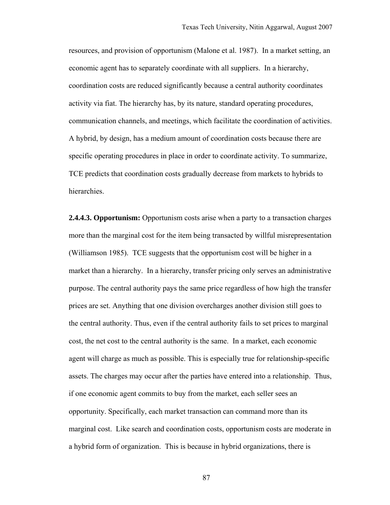resources, and provision of opportunism (Malone et al. 1987). In a market setting, an economic agent has to separately coordinate with all suppliers. In a hierarchy, coordination costs are reduced significantly because a central authority coordinates activity via fiat. The hierarchy has, by its nature, standard operating procedures, communication channels, and meetings, which facilitate the coordination of activities. A hybrid, by design, has a medium amount of coordination costs because there are specific operating procedures in place in order to coordinate activity. To summarize, TCE predicts that coordination costs gradually decrease from markets to hybrids to hierarchies.

**2.4.4.3. Opportunism:** Opportunism costs arise when a party to a transaction charges more than the marginal cost for the item being transacted by willful misrepresentation (Williamson 1985). TCE suggests that the opportunism cost will be higher in a market than a hierarchy. In a hierarchy, transfer pricing only serves an administrative purpose. The central authority pays the same price regardless of how high the transfer prices are set. Anything that one division overcharges another division still goes to the central authority. Thus, even if the central authority fails to set prices to marginal cost, the net cost to the central authority is the same. In a market, each economic agent will charge as much as possible. This is especially true for relationship-specific assets. The charges may occur after the parties have entered into a relationship. Thus, if one economic agent commits to buy from the market, each seller sees an opportunity. Specifically, each market transaction can command more than its marginal cost. Like search and coordination costs, opportunism costs are moderate in a hybrid form of organization. This is because in hybrid organizations, there is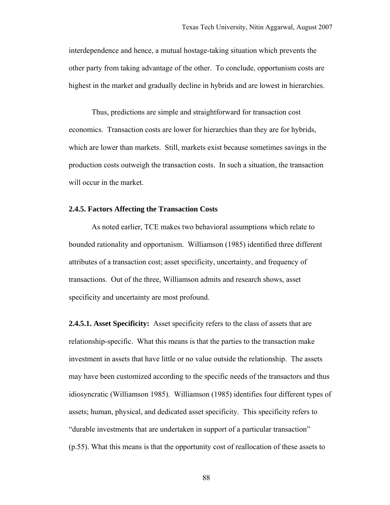interdependence and hence, a mutual hostage-taking situation which prevents the other party from taking advantage of the other. To conclude, opportunism costs are highest in the market and gradually decline in hybrids and are lowest in hierarchies.

Thus, predictions are simple and straightforward for transaction cost economics. Transaction costs are lower for hierarchies than they are for hybrids, which are lower than markets. Still, markets exist because sometimes savings in the production costs outweigh the transaction costs. In such a situation, the transaction will occur in the market.

### **2.4.5. Factors Affecting the Transaction Costs**

As noted earlier, TCE makes two behavioral assumptions which relate to bounded rationality and opportunism. Williamson (1985) identified three different attributes of a transaction cost; asset specificity, uncertainty, and frequency of transactions. Out of the three, Williamson admits and research shows, asset specificity and uncertainty are most profound.

**2.4.5.1. Asset Specificity:** Asset specificity refers to the class of assets that are relationship-specific. What this means is that the parties to the transaction make investment in assets that have little or no value outside the relationship. The assets may have been customized according to the specific needs of the transactors and thus idiosyncratic (Williamson 1985). Williamson (1985) identifies four different types of assets; human, physical, and dedicated asset specificity. This specificity refers to "durable investments that are undertaken in support of a particular transaction" (p.55). What this means is that the opportunity cost of reallocation of these assets to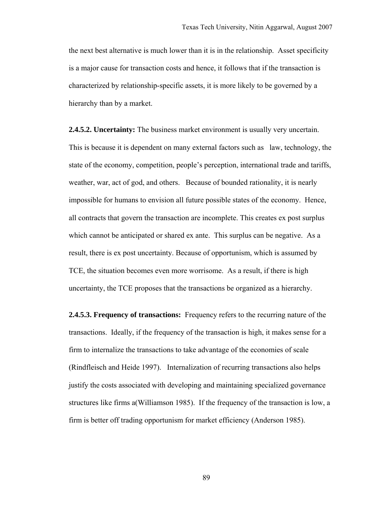the next best alternative is much lower than it is in the relationship. Asset specificity is a major cause for transaction costs and hence, it follows that if the transaction is characterized by relationship-specific assets, it is more likely to be governed by a hierarchy than by a market.

**2.4.5.2. Uncertainty:** The business market environment is usually very uncertain. This is because it is dependent on many external factors such as law, technology, the state of the economy, competition, people's perception, international trade and tariffs, weather, war, act of god, and others. Because of bounded rationality, it is nearly impossible for humans to envision all future possible states of the economy. Hence, all contracts that govern the transaction are incomplete. This creates ex post surplus which cannot be anticipated or shared ex ante. This surplus can be negative. As a result, there is ex post uncertainty. Because of opportunism, which is assumed by TCE, the situation becomes even more worrisome. As a result, if there is high uncertainty, the TCE proposes that the transactions be organized as a hierarchy.

**2.4.5.3. Frequency of transactions:** Frequency refers to the recurring nature of the transactions. Ideally, if the frequency of the transaction is high, it makes sense for a firm to internalize the transactions to take advantage of the economies of scale (Rindfleisch and Heide 1997). Internalization of recurring transactions also helps justify the costs associated with developing and maintaining specialized governance structures like firms a(Williamson 1985). If the frequency of the transaction is low, a firm is better off trading opportunism for market efficiency (Anderson 1985).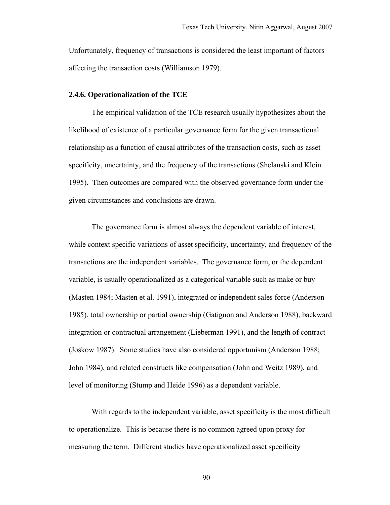Unfortunately, frequency of transactions is considered the least important of factors affecting the transaction costs (Williamson 1979).

#### **2.4.6. Operationalization of the TCE**

The empirical validation of the TCE research usually hypothesizes about the likelihood of existence of a particular governance form for the given transactional relationship as a function of causal attributes of the transaction costs, such as asset specificity, uncertainty, and the frequency of the transactions (Shelanski and Klein 1995). Then outcomes are compared with the observed governance form under the given circumstances and conclusions are drawn.

The governance form is almost always the dependent variable of interest, while context specific variations of asset specificity, uncertainty, and frequency of the transactions are the independent variables. The governance form, or the dependent variable, is usually operationalized as a categorical variable such as make or buy (Masten 1984; Masten et al. 1991), integrated or independent sales force (Anderson 1985), total ownership or partial ownership (Gatignon and Anderson 1988), backward integration or contractual arrangement (Lieberman 1991), and the length of contract (Joskow 1987). Some studies have also considered opportunism (Anderson 1988; John 1984), and related constructs like compensation (John and Weitz 1989), and level of monitoring (Stump and Heide 1996) as a dependent variable.

With regards to the independent variable, asset specificity is the most difficult to operationalize. This is because there is no common agreed upon proxy for measuring the term. Different studies have operationalized asset specificity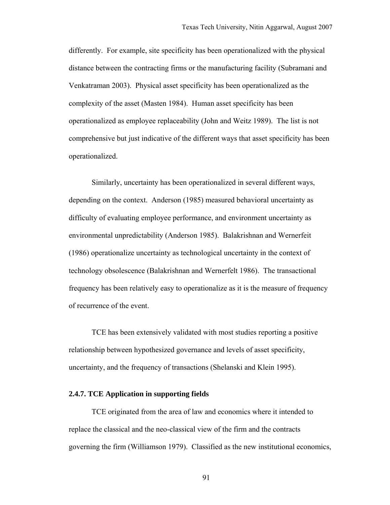differently. For example, site specificity has been operationalized with the physical distance between the contracting firms or the manufacturing facility (Subramani and Venkatraman 2003). Physical asset specificity has been operationalized as the complexity of the asset (Masten 1984). Human asset specificity has been operationalized as employee replaceability (John and Weitz 1989). The list is not comprehensive but just indicative of the different ways that asset specificity has been operationalized.

Similarly, uncertainty has been operationalized in several different ways, depending on the context. Anderson (1985) measured behavioral uncertainty as difficulty of evaluating employee performance, and environment uncertainty as environmental unpredictability (Anderson 1985). Balakrishnan and Wernerfeit (1986) operationalize uncertainty as technological uncertainty in the context of technology obsolescence (Balakrishnan and Wernerfelt 1986). The transactional frequency has been relatively easy to operationalize as it is the measure of frequency of recurrence of the event.

TCE has been extensively validated with most studies reporting a positive relationship between hypothesized governance and levels of asset specificity, uncertainty, and the frequency of transactions (Shelanski and Klein 1995).

## **2.4.7. TCE Application in supporting fields**

TCE originated from the area of law and economics where it intended to replace the classical and the neo-classical view of the firm and the contracts governing the firm (Williamson 1979). Classified as the new institutional economics,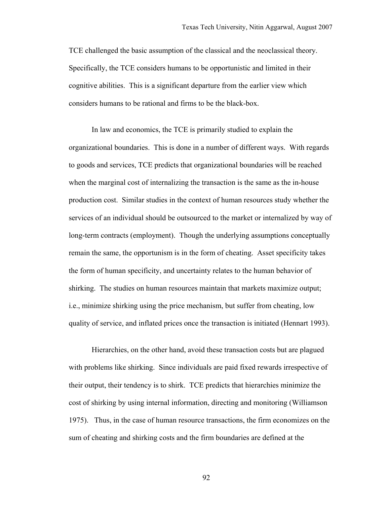TCE challenged the basic assumption of the classical and the neoclassical theory. Specifically, the TCE considers humans to be opportunistic and limited in their cognitive abilities. This is a significant departure from the earlier view which considers humans to be rational and firms to be the black-box.

In law and economics, the TCE is primarily studied to explain the organizational boundaries. This is done in a number of different ways. With regards to goods and services, TCE predicts that organizational boundaries will be reached when the marginal cost of internalizing the transaction is the same as the in-house production cost. Similar studies in the context of human resources study whether the services of an individual should be outsourced to the market or internalized by way of long-term contracts (employment). Though the underlying assumptions conceptually remain the same, the opportunism is in the form of cheating. Asset specificity takes the form of human specificity, and uncertainty relates to the human behavior of shirking. The studies on human resources maintain that markets maximize output; i.e., minimize shirking using the price mechanism, but suffer from cheating, low quality of service, and inflated prices once the transaction is initiated (Hennart 1993).

Hierarchies, on the other hand, avoid these transaction costs but are plagued with problems like shirking. Since individuals are paid fixed rewards irrespective of their output, their tendency is to shirk. TCE predicts that hierarchies minimize the cost of shirking by using internal information, directing and monitoring (Williamson 1975). Thus, in the case of human resource transactions, the firm economizes on the sum of cheating and shirking costs and the firm boundaries are defined at the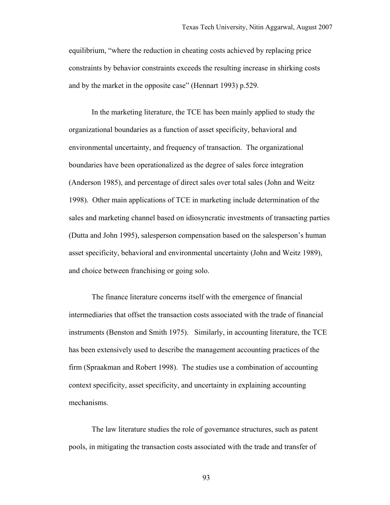equilibrium, "where the reduction in cheating costs achieved by replacing price constraints by behavior constraints exceeds the resulting increase in shirking costs and by the market in the opposite case" (Hennart 1993) p.529.

In the marketing literature, the TCE has been mainly applied to study the organizational boundaries as a function of asset specificity, behavioral and environmental uncertainty, and frequency of transaction. The organizational boundaries have been operationalized as the degree of sales force integration (Anderson 1985), and percentage of direct sales over total sales (John and Weitz 1998). Other main applications of TCE in marketing include determination of the sales and marketing channel based on idiosyncratic investments of transacting parties (Dutta and John 1995), salesperson compensation based on the salesperson's human asset specificity, behavioral and environmental uncertainty (John and Weitz 1989), and choice between franchising or going solo.

The finance literature concerns itself with the emergence of financial intermediaries that offset the transaction costs associated with the trade of financial instruments (Benston and Smith 1975). Similarly, in accounting literature, the TCE has been extensively used to describe the management accounting practices of the firm (Spraakman and Robert 1998). The studies use a combination of accounting context specificity, asset specificity, and uncertainty in explaining accounting mechanisms.

The law literature studies the role of governance structures, such as patent pools, in mitigating the transaction costs associated with the trade and transfer of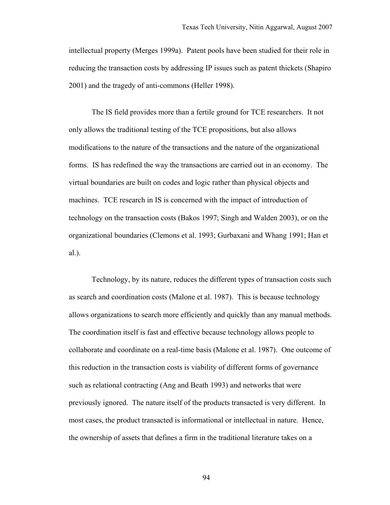intellectual property (Merges 1999a). Patent pools have been studied for their role in reducing the transaction costs by addressing IP issues such as patent thickets (Shapiro 2001) and the tragedy of anti-commons (Heller 1998).

The IS field provides more than a fertile ground for TCE researchers. It not only allows the traditional testing of the TCE propositions, but also allows modifications to the nature of the transactions and the nature of the organizational forms. IS has redefined the way the transactions are carried out in an economy. The virtual boundaries are built on codes and logic rather than physical objects and machines. TCE research in IS is concerned with the impact of introduction of technology on the transaction costs (Bakos 1997; Singh and Walden 2003), or on the organizational boundaries (Clemons et al. 1993; Gurbaxani and Whang 1991; Han et al.).

Technology, by its nature, reduces the different types of transaction costs such as search and coordination costs (Malone et al. 1987). This is because technology allows organizations to search more efficiently and quickly than any manual methods. The coordination itself is fast and effective because technology allows people to collaborate and coordinate on a real-time basis (Malone et al. 1987). One outcome of this reduction in the transaction costs is viability of different forms of governance such as relational contracting (Ang and Beath 1993) and networks that were previously ignored. The nature itself of the products transacted is very different. In most cases, the product transacted is informational or intellectual in nature. Hence, the ownership of assets that defines a firm in the traditional literature takes on a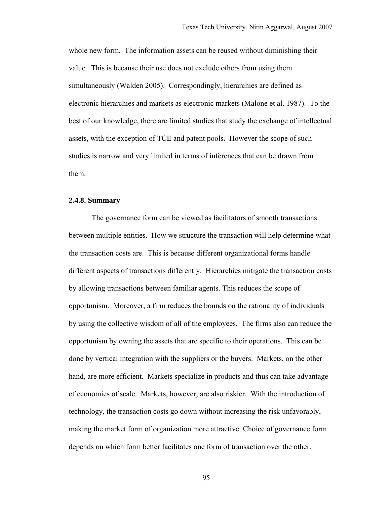whole new form. The information assets can be reused without diminishing their value. This is because their use does not exclude others from using them simultaneously (Walden 2005). Correspondingly, hierarchies are defined as electronic hierarchies and markets as electronic markets (Malone et al. 1987). To the best of our knowledge, there are limited studies that study the exchange of intellectual assets, with the exception of TCE and patent pools. However the scope of such studies is narrow and very limited in terms of inferences that can be drawn from them.

## **2.4.8. Summary**

The governance form can be viewed as facilitators of smooth transactions between multiple entities. How we structure the transaction will help determine what the transaction costs are. This is because different organizational forms handle different aspects of transactions differently. Hierarchies mitigate the transaction costs by allowing transactions between familiar agents. This reduces the scope of opportunism. Moreover, a firm reduces the bounds on the rationality of individuals by using the collective wisdom of all of the employees. The firms also can reduce the opportunism by owning the assets that are specific to their operations. This can be done by vertical integration with the suppliers or the buyers. Markets, on the other hand, are more efficient. Markets specialize in products and thus can take advantage of economies of scale. Markets, however, are also riskier. With the introduction of technology, the transaction costs go down without increasing the risk unfavorably, making the market form of organization more attractive. Choice of governance form depends on which form better facilitates one form of transaction over the other.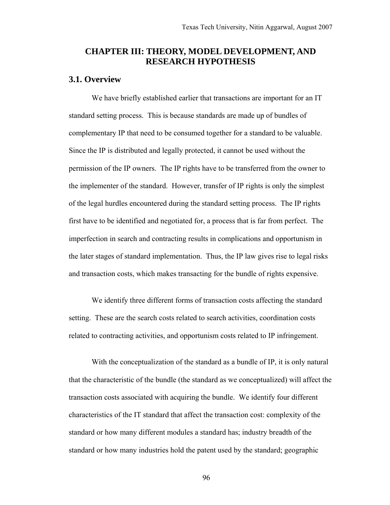# **CHAPTER III: THEORY, MODEL DEVELOPMENT, AND RESEARCH HYPOTHESIS**

## **3.1. Overview**

We have briefly established earlier that transactions are important for an IT standard setting process. This is because standards are made up of bundles of complementary IP that need to be consumed together for a standard to be valuable. Since the IP is distributed and legally protected, it cannot be used without the permission of the IP owners. The IP rights have to be transferred from the owner to the implementer of the standard. However, transfer of IP rights is only the simplest of the legal hurdles encountered during the standard setting process. The IP rights first have to be identified and negotiated for, a process that is far from perfect. The imperfection in search and contracting results in complications and opportunism in the later stages of standard implementation. Thus, the IP law gives rise to legal risks and transaction costs, which makes transacting for the bundle of rights expensive.

We identify three different forms of transaction costs affecting the standard setting. These are the search costs related to search activities, coordination costs related to contracting activities, and opportunism costs related to IP infringement.

With the conceptualization of the standard as a bundle of IP, it is only natural that the characteristic of the bundle (the standard as we conceptualized) will affect the transaction costs associated with acquiring the bundle. We identify four different characteristics of the IT standard that affect the transaction cost: complexity of the standard or how many different modules a standard has; industry breadth of the standard or how many industries hold the patent used by the standard; geographic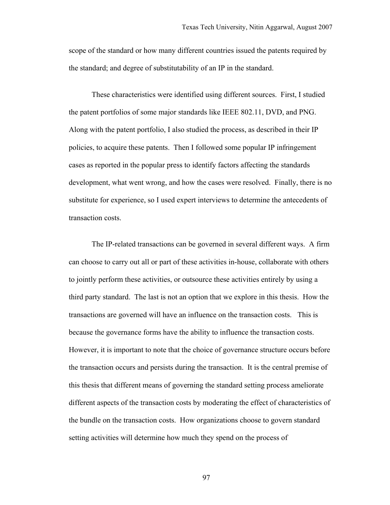scope of the standard or how many different countries issued the patents required by the standard; and degree of substitutability of an IP in the standard.

These characteristics were identified using different sources. First, I studied the patent portfolios of some major standards like IEEE 802.11, DVD, and PNG. Along with the patent portfolio, I also studied the process, as described in their IP policies, to acquire these patents. Then I followed some popular IP infringement cases as reported in the popular press to identify factors affecting the standards development, what went wrong, and how the cases were resolved. Finally, there is no substitute for experience, so I used expert interviews to determine the antecedents of transaction costs.

The IP-related transactions can be governed in several different ways. A firm can choose to carry out all or part of these activities in-house, collaborate with others to jointly perform these activities, or outsource these activities entirely by using a third party standard. The last is not an option that we explore in this thesis. How the transactions are governed will have an influence on the transaction costs. This is because the governance forms have the ability to influence the transaction costs. However, it is important to note that the choice of governance structure occurs before the transaction occurs and persists during the transaction. It is the central premise of this thesis that different means of governing the standard setting process ameliorate different aspects of the transaction costs by moderating the effect of characteristics of the bundle on the transaction costs. How organizations choose to govern standard setting activities will determine how much they spend on the process of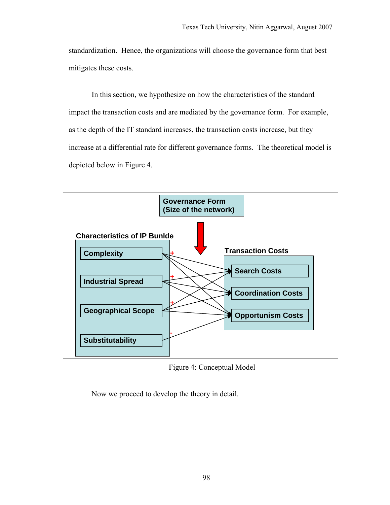standardization. Hence, the organizations will choose the governance form that best mitigates these costs.

In this section, we hypothesize on how the characteristics of the standard impact the transaction costs and are mediated by the governance form. For example, as the depth of the IT standard increases, the transaction costs increase, but they increase at a differential rate for different governance forms. The theoretical model is depicted below in Figure 4.



Figure 4: Conceptual Model

Now we proceed to develop the theory in detail.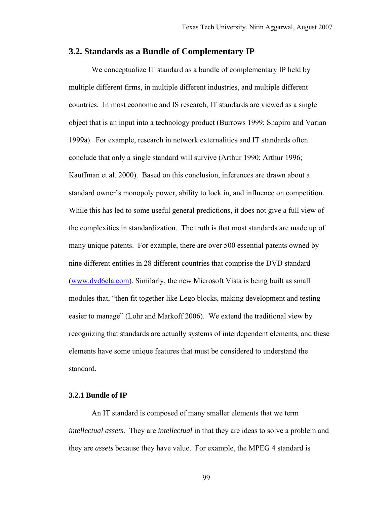# **3.2. Standards as a Bundle of Complementary IP**

We conceptualize IT standard as a bundle of complementary IP held by multiple different firms, in multiple different industries, and multiple different countries. In most economic and IS research, IT standards are viewed as a single object that is an input into a technology product (Burrows 1999; Shapiro and Varian 1999a). For example, research in network externalities and IT standards often conclude that only a single standard will survive (Arthur 1990; Arthur 1996; Kauffman et al. 2000). Based on this conclusion, inferences are drawn about a standard owner's monopoly power, ability to lock in, and influence on competition. While this has led to some useful general predictions, it does not give a full view of the complexities in standardization. The truth is that most standards are made up of many unique patents. For example, there are over 500 essential patents owned by nine different entities in 28 different countries that comprise the DVD standard (www.dvd6cla.com). Similarly, the new Microsoft Vista is being built as small modules that, "then fit together like Lego blocks, making development and testing easier to manage" (Lohr and Markoff 2006). We extend the traditional view by recognizing that standards are actually systems of interdependent elements, and these elements have some unique features that must be considered to understand the standard.

### **3.2.1 Bundle of IP**

An IT standard is composed of many smaller elements that we term *intellectual assets*. They are *intellectual* in that they are ideas to solve a problem and they are *assets* because they have value. For example, the MPEG 4 standard is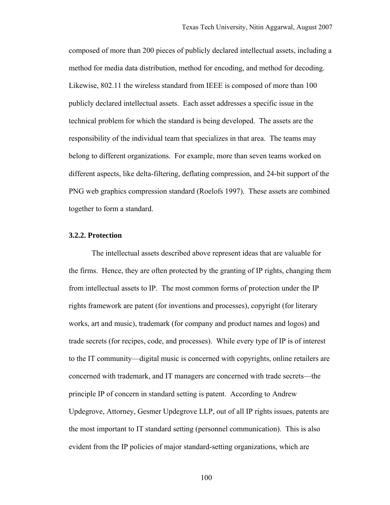composed of more than 200 pieces of publicly declared intellectual assets, including a method for media data distribution, method for encoding, and method for decoding. Likewise, 802.11 the wireless standard from IEEE is composed of more than 100 publicly declared intellectual assets. Each asset addresses a specific issue in the technical problem for which the standard is being developed. The assets are the responsibility of the individual team that specializes in that area. The teams may belong to different organizations. For example, more than seven teams worked on different aspects, like delta-filtering, deflating compression, and 24-bit support of the PNG web graphics compression standard (Roelofs 1997). These assets are combined together to form a standard.

### **3.2.2. Protection**

The intellectual assets described above represent ideas that are valuable for the firms. Hence, they are often protected by the granting of IP rights, changing them from intellectual assets to IP. The most common forms of protection under the IP rights framework are patent (for inventions and processes), copyright (for literary works, art and music), trademark (for company and product names and logos) and trade secrets (for recipes, code, and processes). While every type of IP is of interest to the IT community—digital music is concerned with copyrights, online retailers are concerned with trademark, and IT managers are concerned with trade secrets—the principle IP of concern in standard setting is patent. According to Andrew Updegrove, Attorney, Gesmer Updegrove LLP, out of all IP rights issues, patents are the most important to IT standard setting (personnel communication). This is also evident from the IP policies of major standard-setting organizations, which are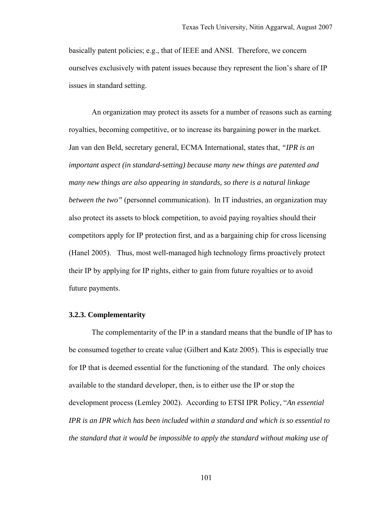basically patent policies; e.g., that of IEEE and ANSI. Therefore, we concern ourselves exclusively with patent issues because they represent the lion's share of IP issues in standard setting.

An organization may protect its assets for a number of reasons such as earning royalties, becoming competitive, or to increase its bargaining power in the market. Jan van den Beld, secretary general, ECMA International, states that, *"IPR is an important aspect (in standard-setting) because many new things are patented and many new things are also appearing in standards, so there is a natural linkage between the two"* (personnel communication)*.* In IT industries, an organization may also protect its assets to block competition, to avoid paying royalties should their competitors apply for IP protection first, and as a bargaining chip for cross licensing (Hanel 2005). Thus, most well-managed high technology firms proactively protect their IP by applying for IP rights, either to gain from future royalties or to avoid future payments.

#### **3.2.3. Complementarity**

The complementarity of the IP in a standard means that the bundle of IP has to be consumed together to create value (Gilbert and Katz 2005). This is especially true for IP that is deemed essential for the functioning of the standard. The only choices available to the standard developer, then, is to either use the IP or stop the development process (Lemley 2002). According to ETSI IPR Policy, "*An essential IPR is an IPR which has been included within a standard and which is so essential to the standard that it would be impossible to apply the standard without making use of*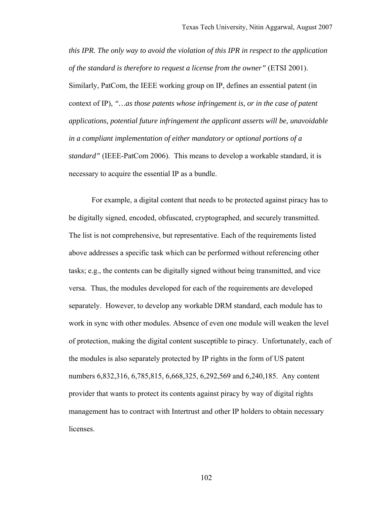*this IPR. The only way to avoid the violation of this IPR in respect to the application of the standard is therefore to request a license from the owner"* (ETSI 2001). Similarly, PatCom, the IEEE working group on IP, defines an essential patent (in context of IP), *"…as those patents whose infringement is, or in the case of patent applications, potential future infringement the applicant asserts will be, unavoidable in a compliant implementation of either mandatory or optional portions of a standard"* (IEEE-PatCom 2006). This means to develop a workable standard, it is necessary to acquire the essential IP as a bundle.

For example, a digital content that needs to be protected against piracy has to be digitally signed, encoded, obfuscated, cryptographed, and securely transmitted. The list is not comprehensive, but representative. Each of the requirements listed above addresses a specific task which can be performed without referencing other tasks; e.g., the contents can be digitally signed without being transmitted, and vice versa. Thus, the modules developed for each of the requirements are developed separately. However, to develop any workable DRM standard, each module has to work in sync with other modules. Absence of even one module will weaken the level of protection, making the digital content susceptible to piracy. Unfortunately, each of the modules is also separately protected by IP rights in the form of US patent numbers 6,832,316, 6,785,815, 6,668,325, 6,292,569 and 6,240,185. Any content provider that wants to protect its contents against piracy by way of digital rights management has to contract with Intertrust and other IP holders to obtain necessary licenses.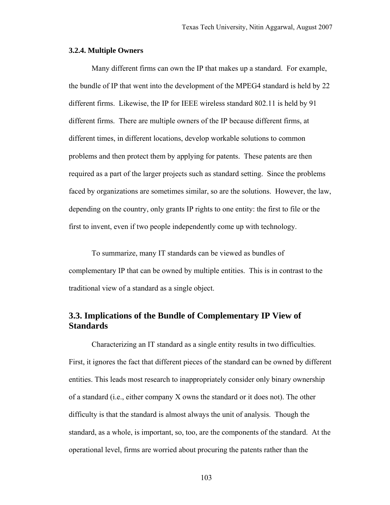### **3.2.4. Multiple Owners**

Many different firms can own the IP that makes up a standard. For example, the bundle of IP that went into the development of the MPEG4 standard is held by 22 different firms. Likewise, the IP for IEEE wireless standard 802.11 is held by 91 different firms. There are multiple owners of the IP because different firms, at different times, in different locations, develop workable solutions to common problems and then protect them by applying for patents. These patents are then required as a part of the larger projects such as standard setting. Since the problems faced by organizations are sometimes similar, so are the solutions. However, the law, depending on the country, only grants IP rights to one entity: the first to file or the first to invent, even if two people independently come up with technology.

To summarize, many IT standards can be viewed as bundles of complementary IP that can be owned by multiple entities. This is in contrast to the traditional view of a standard as a single object.

# **3.3. Implications of the Bundle of Complementary IP View of Standards**

Characterizing an IT standard as a single entity results in two difficulties. First, it ignores the fact that different pieces of the standard can be owned by different entities. This leads most research to inappropriately consider only binary ownership of a standard (i.e., either company X owns the standard or it does not). The other difficulty is that the standard is almost always the unit of analysis. Though the standard, as a whole, is important, so, too, are the components of the standard. At the operational level, firms are worried about procuring the patents rather than the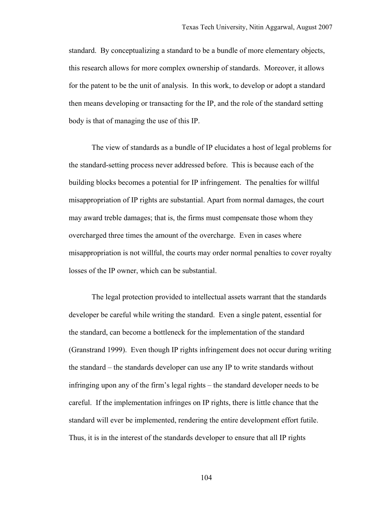standard. By conceptualizing a standard to be a bundle of more elementary objects, this research allows for more complex ownership of standards. Moreover, it allows for the patent to be the unit of analysis. In this work, to develop or adopt a standard then means developing or transacting for the IP, and the role of the standard setting body is that of managing the use of this IP.

The view of standards as a bundle of IP elucidates a host of legal problems for the standard-setting process never addressed before. This is because each of the building blocks becomes a potential for IP infringement. The penalties for willful misappropriation of IP rights are substantial. Apart from normal damages, the court may award treble damages; that is, the firms must compensate those whom they overcharged three times the amount of the overcharge. Even in cases where misappropriation is not willful, the courts may order normal penalties to cover royalty losses of the IP owner, which can be substantial.

The legal protection provided to intellectual assets warrant that the standards developer be careful while writing the standard. Even a single patent, essential for the standard, can become a bottleneck for the implementation of the standard (Granstrand 1999). Even though IP rights infringement does not occur during writing the standard – the standards developer can use any IP to write standards without infringing upon any of the firm's legal rights – the standard developer needs to be careful. If the implementation infringes on IP rights, there is little chance that the standard will ever be implemented, rendering the entire development effort futile. Thus, it is in the interest of the standards developer to ensure that all IP rights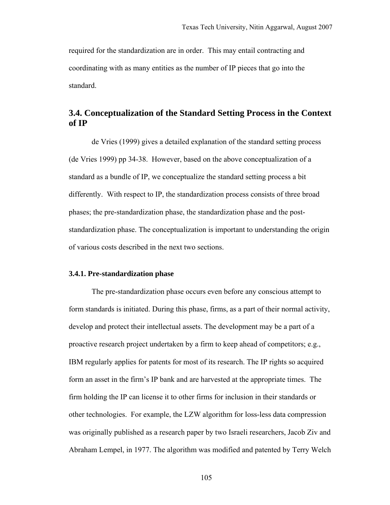required for the standardization are in order. This may entail contracting and coordinating with as many entities as the number of IP pieces that go into the standard.

# **3.4. Conceptualization of the Standard Setting Process in the Context of IP**

de Vries (1999) gives a detailed explanation of the standard setting process (de Vries 1999) pp 34-38. However, based on the above conceptualization of a standard as a bundle of IP, we conceptualize the standard setting process a bit differently. With respect to IP, the standardization process consists of three broad phases; the pre-standardization phase, the standardization phase and the poststandardization phase. The conceptualization is important to understanding the origin of various costs described in the next two sections.

### **3.4.1. Pre-standardization phase**

The pre-standardization phase occurs even before any conscious attempt to form standards is initiated. During this phase, firms, as a part of their normal activity, develop and protect their intellectual assets. The development may be a part of a proactive research project undertaken by a firm to keep ahead of competitors; e.g., IBM regularly applies for patents for most of its research. The IP rights so acquired form an asset in the firm's IP bank and are harvested at the appropriate times. The firm holding the IP can license it to other firms for inclusion in their standards or other technologies. For example, the LZW algorithm for loss-less data compression was originally published as a research paper by two Israeli researchers, Jacob Ziv and Abraham Lempel, in 1977. The algorithm was modified and patented by Terry Welch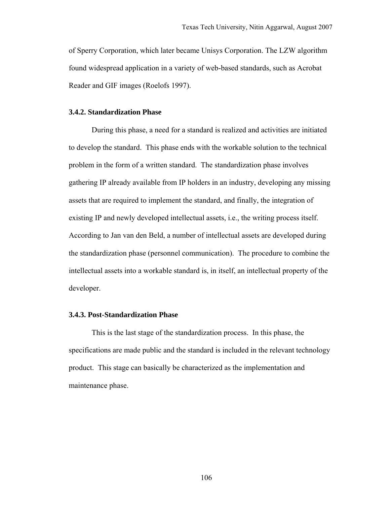of Sperry Corporation, which later became Unisys Corporation. The LZW algorithm found widespread application in a variety of web-based standards, such as Acrobat Reader and GIF images (Roelofs 1997).

# **3.4.2. Standardization Phase**

During this phase, a need for a standard is realized and activities are initiated to develop the standard. This phase ends with the workable solution to the technical problem in the form of a written standard. The standardization phase involves gathering IP already available from IP holders in an industry, developing any missing assets that are required to implement the standard, and finally, the integration of existing IP and newly developed intellectual assets, i.e., the writing process itself. According to Jan van den Beld, a number of intellectual assets are developed during the standardization phase (personnel communication). The procedure to combine the intellectual assets into a workable standard is, in itself, an intellectual property of the developer.

### **3.4.3. Post-Standardization Phase**

This is the last stage of the standardization process. In this phase, the specifications are made public and the standard is included in the relevant technology product. This stage can basically be characterized as the implementation and maintenance phase.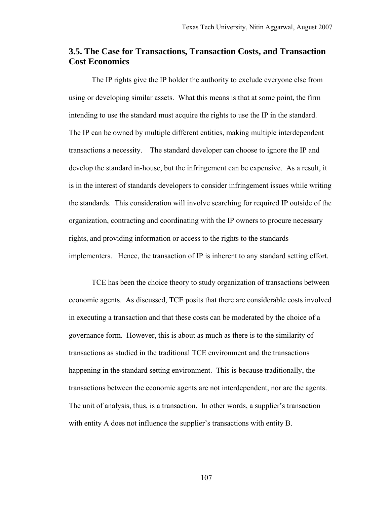# **3.5. The Case for Transactions, Transaction Costs, and Transaction Cost Economics**

The IP rights give the IP holder the authority to exclude everyone else from using or developing similar assets. What this means is that at some point, the firm intending to use the standard must acquire the rights to use the IP in the standard. The IP can be owned by multiple different entities, making multiple interdependent transactions a necessity. The standard developer can choose to ignore the IP and develop the standard in-house, but the infringement can be expensive. As a result, it is in the interest of standards developers to consider infringement issues while writing the standards. This consideration will involve searching for required IP outside of the organization, contracting and coordinating with the IP owners to procure necessary rights, and providing information or access to the rights to the standards implementers. Hence, the transaction of IP is inherent to any standard setting effort.

TCE has been the choice theory to study organization of transactions between economic agents. As discussed, TCE posits that there are considerable costs involved in executing a transaction and that these costs can be moderated by the choice of a governance form. However, this is about as much as there is to the similarity of transactions as studied in the traditional TCE environment and the transactions happening in the standard setting environment. This is because traditionally, the transactions between the economic agents are not interdependent, nor are the agents. The unit of analysis, thus, is a transaction. In other words, a supplier's transaction with entity A does not influence the supplier's transactions with entity B.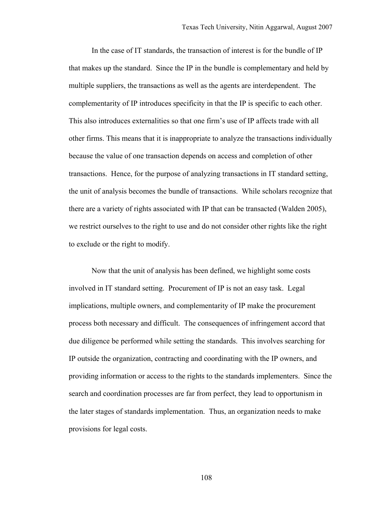In the case of IT standards, the transaction of interest is for the bundle of IP that makes up the standard. Since the IP in the bundle is complementary and held by multiple suppliers, the transactions as well as the agents are interdependent. The complementarity of IP introduces specificity in that the IP is specific to each other. This also introduces externalities so that one firm's use of IP affects trade with all other firms. This means that it is inappropriate to analyze the transactions individually because the value of one transaction depends on access and completion of other transactions. Hence, for the purpose of analyzing transactions in IT standard setting, the unit of analysis becomes the bundle of transactions. While scholars recognize that there are a variety of rights associated with IP that can be transacted (Walden 2005), we restrict ourselves to the right to use and do not consider other rights like the right to exclude or the right to modify.

Now that the unit of analysis has been defined, we highlight some costs involved in IT standard setting. Procurement of IP is not an easy task. Legal implications, multiple owners, and complementarity of IP make the procurement process both necessary and difficult. The consequences of infringement accord that due diligence be performed while setting the standards. This involves searching for IP outside the organization, contracting and coordinating with the IP owners, and providing information or access to the rights to the standards implementers. Since the search and coordination processes are far from perfect, they lead to opportunism in the later stages of standards implementation. Thus, an organization needs to make provisions for legal costs.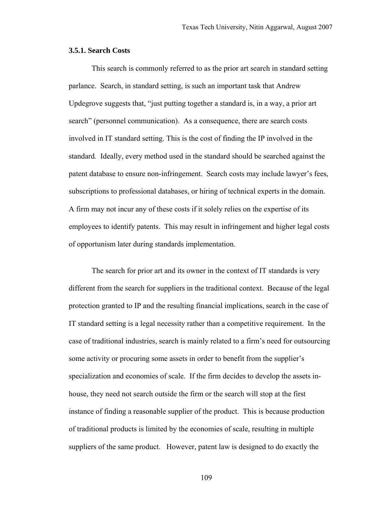### **3.5.1. Search Costs**

This search is commonly referred to as the prior art search in standard setting parlance. Search, in standard setting, is such an important task that Andrew Updegrove suggests that, "just putting together a standard is, in a way, a prior art search" (personnel communication). As a consequence, there are search costs involved in IT standard setting. This is the cost of finding the IP involved in the standard. Ideally, every method used in the standard should be searched against the patent database to ensure non-infringement. Search costs may include lawyer's fees, subscriptions to professional databases, or hiring of technical experts in the domain. A firm may not incur any of these costs if it solely relies on the expertise of its employees to identify patents. This may result in infringement and higher legal costs of opportunism later during standards implementation.

The search for prior art and its owner in the context of IT standards is very different from the search for suppliers in the traditional context. Because of the legal protection granted to IP and the resulting financial implications, search in the case of IT standard setting is a legal necessity rather than a competitive requirement. In the case of traditional industries, search is mainly related to a firm's need for outsourcing some activity or procuring some assets in order to benefit from the supplier's specialization and economies of scale. If the firm decides to develop the assets inhouse, they need not search outside the firm or the search will stop at the first instance of finding a reasonable supplier of the product. This is because production of traditional products is limited by the economies of scale, resulting in multiple suppliers of the same product. However, patent law is designed to do exactly the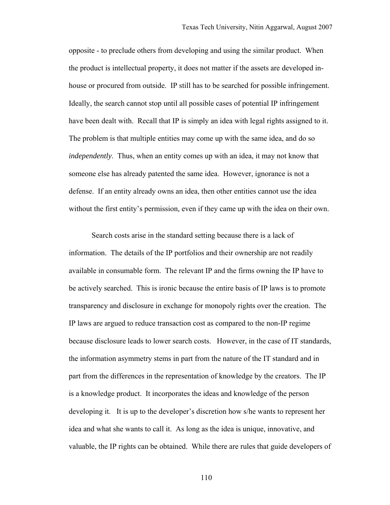opposite - to preclude others from developing and using the similar product. When the product is intellectual property, it does not matter if the assets are developed inhouse or procured from outside. IP still has to be searched for possible infringement. Ideally, the search cannot stop until all possible cases of potential IP infringement have been dealt with. Recall that IP is simply an idea with legal rights assigned to it. The problem is that multiple entities may come up with the same idea, and do so *independently*. Thus, when an entity comes up with an idea, it may not know that someone else has already patented the same idea. However, ignorance is not a defense. If an entity already owns an idea, then other entities cannot use the idea without the first entity's permission, even if they came up with the idea on their own.

Search costs arise in the standard setting because there is a lack of information. The details of the IP portfolios and their ownership are not readily available in consumable form. The relevant IP and the firms owning the IP have to be actively searched. This is ironic because the entire basis of IP laws is to promote transparency and disclosure in exchange for monopoly rights over the creation. The IP laws are argued to reduce transaction cost as compared to the non-IP regime because disclosure leads to lower search costs. However, in the case of IT standards, the information asymmetry stems in part from the nature of the IT standard and in part from the differences in the representation of knowledge by the creators. The IP is a knowledge product. It incorporates the ideas and knowledge of the person developing it. It is up to the developer's discretion how s/he wants to represent her idea and what she wants to call it. As long as the idea is unique, innovative, and valuable, the IP rights can be obtained. While there are rules that guide developers of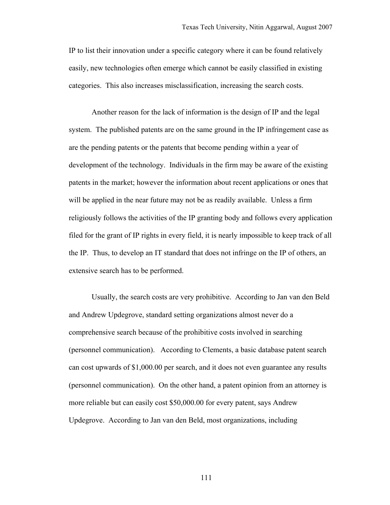IP to list their innovation under a specific category where it can be found relatively easily, new technologies often emerge which cannot be easily classified in existing categories. This also increases misclassification, increasing the search costs.

Another reason for the lack of information is the design of IP and the legal system. The published patents are on the same ground in the IP infringement case as are the pending patents or the patents that become pending within a year of development of the technology. Individuals in the firm may be aware of the existing patents in the market; however the information about recent applications or ones that will be applied in the near future may not be as readily available. Unless a firm religiously follows the activities of the IP granting body and follows every application filed for the grant of IP rights in every field, it is nearly impossible to keep track of all the IP. Thus, to develop an IT standard that does not infringe on the IP of others, an extensive search has to be performed.

Usually, the search costs are very prohibitive. According to Jan van den Beld and Andrew Updegrove, standard setting organizations almost never do a comprehensive search because of the prohibitive costs involved in searching (personnel communication). According to Clements, a basic database patent search can cost upwards of \$1,000.00 per search, and it does not even guarantee any results (personnel communication). On the other hand, a patent opinion from an attorney is more reliable but can easily cost \$50,000.00 for every patent, says Andrew Updegrove. According to Jan van den Beld, most organizations, including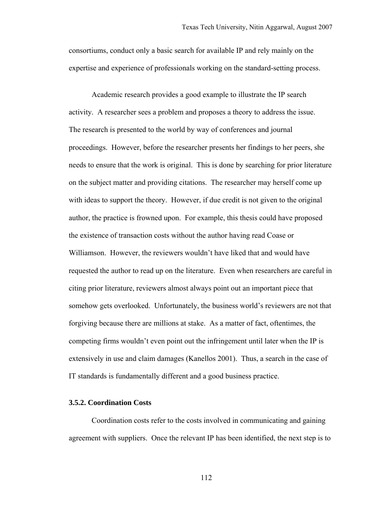consortiums, conduct only a basic search for available IP and rely mainly on the expertise and experience of professionals working on the standard-setting process.

Academic research provides a good example to illustrate the IP search activity. A researcher sees a problem and proposes a theory to address the issue. The research is presented to the world by way of conferences and journal proceedings. However, before the researcher presents her findings to her peers, she needs to ensure that the work is original. This is done by searching for prior literature on the subject matter and providing citations. The researcher may herself come up with ideas to support the theory. However, if due credit is not given to the original author, the practice is frowned upon. For example, this thesis could have proposed the existence of transaction costs without the author having read Coase or Williamson. However, the reviewers wouldn't have liked that and would have requested the author to read up on the literature. Even when researchers are careful in citing prior literature, reviewers almost always point out an important piece that somehow gets overlooked. Unfortunately, the business world's reviewers are not that forgiving because there are millions at stake. As a matter of fact, oftentimes, the competing firms wouldn't even point out the infringement until later when the IP is extensively in use and claim damages (Kanellos 2001). Thus, a search in the case of IT standards is fundamentally different and a good business practice.

#### **3.5.2. Coordination Costs**

Coordination costs refer to the costs involved in communicating and gaining agreement with suppliers. Once the relevant IP has been identified, the next step is to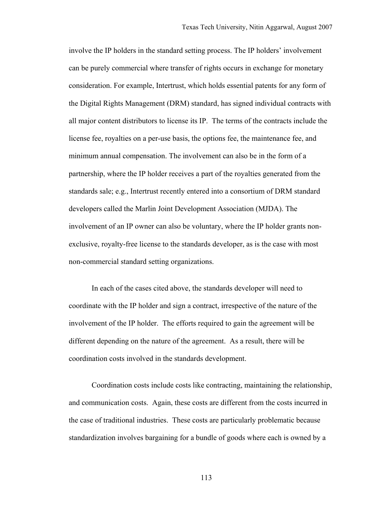involve the IP holders in the standard setting process. The IP holders' involvement can be purely commercial where transfer of rights occurs in exchange for monetary consideration. For example, Intertrust, which holds essential patents for any form of the Digital Rights Management (DRM) standard, has signed individual contracts with all major content distributors to license its IP. The terms of the contracts include the license fee, royalties on a per-use basis, the options fee, the maintenance fee, and minimum annual compensation. The involvement can also be in the form of a partnership, where the IP holder receives a part of the royalties generated from the standards sale; e.g., Intertrust recently entered into a consortium of DRM standard developers called the Marlin Joint Development Association (MJDA). The involvement of an IP owner can also be voluntary, where the IP holder grants nonexclusive, royalty-free license to the standards developer, as is the case with most non-commercial standard setting organizations.

In each of the cases cited above, the standards developer will need to coordinate with the IP holder and sign a contract, irrespective of the nature of the involvement of the IP holder. The efforts required to gain the agreement will be different depending on the nature of the agreement. As a result, there will be coordination costs involved in the standards development.

Coordination costs include costs like contracting, maintaining the relationship, and communication costs. Again, these costs are different from the costs incurred in the case of traditional industries. These costs are particularly problematic because standardization involves bargaining for a bundle of goods where each is owned by a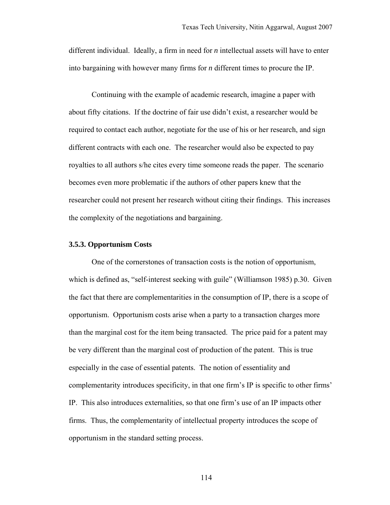different individual. Ideally, a firm in need for *n* intellectual assets will have to enter into bargaining with however many firms for *n* different times to procure the IP.

Continuing with the example of academic research, imagine a paper with about fifty citations. If the doctrine of fair use didn't exist, a researcher would be required to contact each author, negotiate for the use of his or her research, and sign different contracts with each one. The researcher would also be expected to pay royalties to all authors s/he cites every time someone reads the paper. The scenario becomes even more problematic if the authors of other papers knew that the researcher could not present her research without citing their findings. This increases the complexity of the negotiations and bargaining.

#### **3.5.3. Opportunism Costs**

One of the cornerstones of transaction costs is the notion of opportunism, which is defined as, "self-interest seeking with guile" (Williamson 1985) p.30. Given the fact that there are complementarities in the consumption of IP, there is a scope of opportunism. Opportunism costs arise when a party to a transaction charges more than the marginal cost for the item being transacted. The price paid for a patent may be very different than the marginal cost of production of the patent. This is true especially in the case of essential patents. The notion of essentiality and complementarity introduces specificity, in that one firm's IP is specific to other firms' IP. This also introduces externalities, so that one firm's use of an IP impacts other firms. Thus, the complementarity of intellectual property introduces the scope of opportunism in the standard setting process.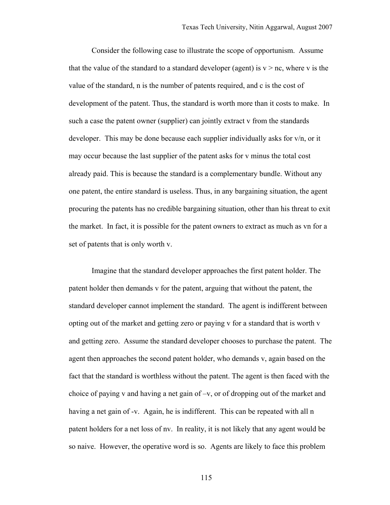Consider the following case to illustrate the scope of opportunism. Assume that the value of the standard to a standard developer (agent) is  $v > nc$ , where v is the value of the standard, n is the number of patents required, and c is the cost of development of the patent. Thus, the standard is worth more than it costs to make. In such a case the patent owner (supplier) can jointly extract v from the standards developer. This may be done because each supplier individually asks for v/n, or it may occur because the last supplier of the patent asks for v minus the total cost already paid. This is because the standard is a complementary bundle. Without any one patent, the entire standard is useless. Thus, in any bargaining situation, the agent procuring the patents has no credible bargaining situation, other than his threat to exit the market. In fact, it is possible for the patent owners to extract as much as vn for a set of patents that is only worth v.

Imagine that the standard developer approaches the first patent holder. The patent holder then demands v for the patent, arguing that without the patent, the standard developer cannot implement the standard. The agent is indifferent between opting out of the market and getting zero or paying v for a standard that is worth v and getting zero. Assume the standard developer chooses to purchase the patent. The agent then approaches the second patent holder, who demands v, again based on the fact that the standard is worthless without the patent. The agent is then faced with the choice of paying v and having a net gain of –v, or of dropping out of the market and having a net gain of -v. Again, he is indifferent. This can be repeated with all n patent holders for a net loss of nv. In reality, it is not likely that any agent would be so naive. However, the operative word is so. Agents are likely to face this problem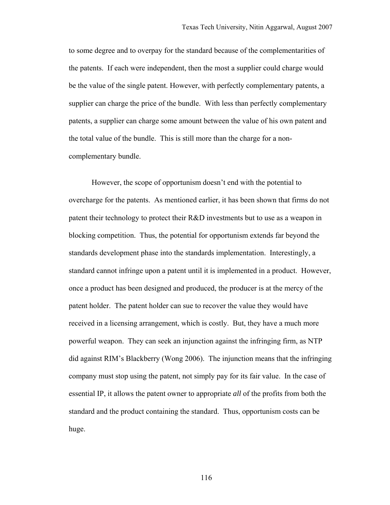to some degree and to overpay for the standard because of the complementarities of the patents. If each were independent, then the most a supplier could charge would be the value of the single patent. However, with perfectly complementary patents, a supplier can charge the price of the bundle. With less than perfectly complementary patents, a supplier can charge some amount between the value of his own patent and the total value of the bundle. This is still more than the charge for a noncomplementary bundle.

However, the scope of opportunism doesn't end with the potential to overcharge for the patents. As mentioned earlier, it has been shown that firms do not patent their technology to protect their R&D investments but to use as a weapon in blocking competition. Thus, the potential for opportunism extends far beyond the standards development phase into the standards implementation. Interestingly, a standard cannot infringe upon a patent until it is implemented in a product. However, once a product has been designed and produced, the producer is at the mercy of the patent holder. The patent holder can sue to recover the value they would have received in a licensing arrangement, which is costly. But, they have a much more powerful weapon. They can seek an injunction against the infringing firm, as NTP did against RIM's Blackberry (Wong 2006). The injunction means that the infringing company must stop using the patent, not simply pay for its fair value. In the case of essential IP, it allows the patent owner to appropriate *all* of the profits from both the standard and the product containing the standard. Thus, opportunism costs can be huge.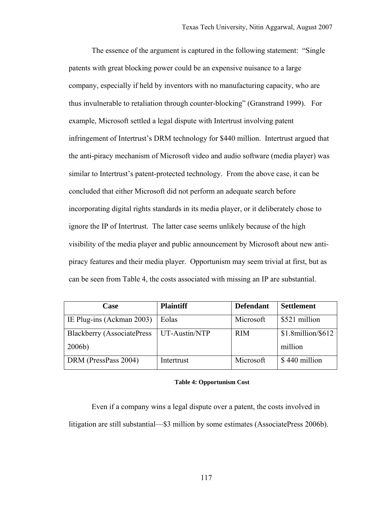The essence of the argument is captured in the following statement: "Single patents with great blocking power could be an expensive nuisance to a large company, especially if held by inventors with no manufacturing capacity, who are thus invulnerable to retaliation through counter-blocking" (Granstrand 1999). For example, Microsoft settled a legal dispute with Intertrust involving patent infringement of Intertrust's DRM technology for \$440 million. Intertrust argued that the anti-piracy mechanism of Microsoft video and audio software (media player) was similar to Intertrust's patent-protected technology. From the above case, it can be concluded that either Microsoft did not perform an adequate search before incorporating digital rights standards in its media player, or it deliberately chose to ignore the IP of Intertrust. The latter case seems unlikely because of the high visibility of the media player and public announcement by Microsoft about new antipiracy features and their media player. Opportunism may seem trivial at first, but as can be seen from Table 4, the costs associated with missing an IP are substantial.

| Case                               | <b>Plaintiff</b> | <b>Defendant</b> | <b>Settlement</b>      |
|------------------------------------|------------------|------------------|------------------------|
| <b>IE Plug-ins (Ackman 2003)</b>   | Eolas            | Microsoft        | \$521 million          |
| <b>Blackberry (AssociatePress)</b> | UT-Austin/NTP    | <b>RIM</b>       | $$1.8$ million/ $$612$ |
| 2006b)                             |                  |                  | million                |
| DRM (PressPass 2004)               | Intertrust       | Microsoft        | \$440 million          |

#### **Table 4: Opportunism Cost**

Even if a company wins a legal dispute over a patent, the costs involved in litigation are still substantial—\$3 million by some estimates (AssociatePress 2006b).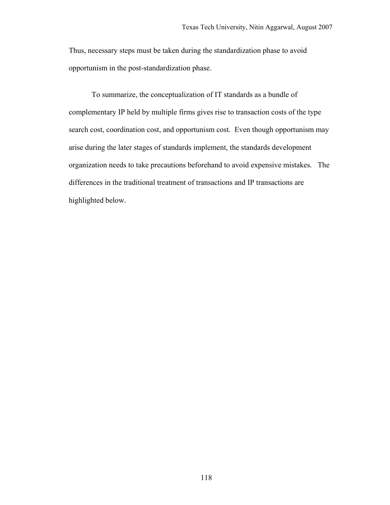Thus, necessary steps must be taken during the standardization phase to avoid opportunism in the post-standardization phase.

To summarize, the conceptualization of IT standards as a bundle of complementary IP held by multiple firms gives rise to transaction costs of the type search cost, coordination cost, and opportunism cost. Even though opportunism may arise during the later stages of standards implement, the standards development organization needs to take precautions beforehand to avoid expensive mistakes. The differences in the traditional treatment of transactions and IP transactions are highlighted below.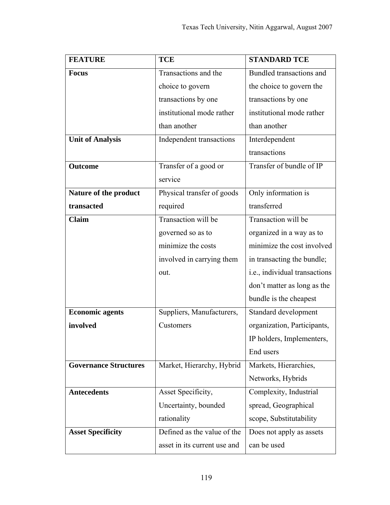| <b>FEATURE</b>               | <b>TCE</b>                   | <b>STANDARD TCE</b>           |  |
|------------------------------|------------------------------|-------------------------------|--|
| <b>Focus</b>                 | Transactions and the         | Bundled transactions and      |  |
|                              | choice to govern             | the choice to govern the      |  |
|                              | transactions by one          | transactions by one           |  |
|                              | institutional mode rather    | institutional mode rather     |  |
|                              | than another                 | than another                  |  |
| <b>Unit of Analysis</b>      | Independent transactions     | Interdependent                |  |
|                              |                              | transactions                  |  |
| <b>Outcome</b>               | Transfer of a good or        | Transfer of bundle of IP      |  |
|                              | service                      |                               |  |
| Nature of the product        | Physical transfer of goods   | Only information is           |  |
| transacted                   | required                     | transferred                   |  |
| <b>Claim</b>                 | Transaction will be          | Transaction will be           |  |
|                              | governed so as to            | organized in a way as to      |  |
|                              | minimize the costs           | minimize the cost involved    |  |
|                              | involved in carrying them    | in transacting the bundle;    |  |
|                              | out.                         | i.e., individual transactions |  |
|                              |                              | don't matter as long as the   |  |
|                              |                              | bundle is the cheapest        |  |
| <b>Economic agents</b>       | Suppliers, Manufacturers,    | Standard development          |  |
| involved                     | Customers                    | organization, Participants,   |  |
|                              |                              | IP holders, Implementers,     |  |
|                              |                              | End users                     |  |
| <b>Governance Structures</b> | Market, Hierarchy, Hybrid    | Markets, Hierarchies,         |  |
|                              |                              | Networks, Hybrids             |  |
| <b>Antecedents</b>           | Asset Specificity,           | Complexity, Industrial        |  |
|                              | Uncertainty, bounded         | spread, Geographical          |  |
|                              | rationality                  | scope, Substitutability       |  |
| <b>Asset Specificity</b>     | Defined as the value of the  | Does not apply as assets      |  |
|                              | asset in its current use and | can be used                   |  |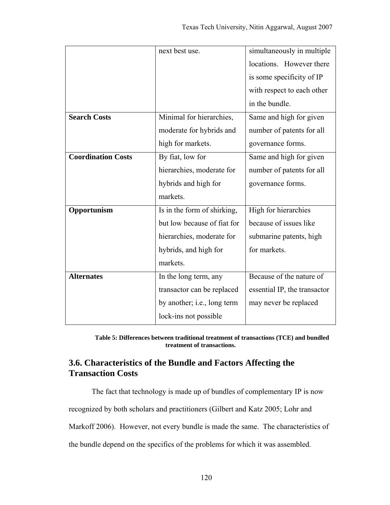|                           | next best use.              | simultaneously in multiple   |  |
|---------------------------|-----------------------------|------------------------------|--|
|                           |                             | locations. However there     |  |
|                           |                             | is some specificity of IP    |  |
|                           |                             | with respect to each other   |  |
|                           |                             | in the bundle.               |  |
| <b>Search Costs</b>       | Minimal for hierarchies,    | Same and high for given      |  |
|                           | moderate for hybrids and    | number of patents for all    |  |
|                           | high for markets.           | governance forms.            |  |
| <b>Coordination Costs</b> | By fiat, low for            | Same and high for given      |  |
|                           | hierarchies, moderate for   | number of patents for all    |  |
|                           | hybrids and high for        | governance forms.            |  |
|                           | markets.                    |                              |  |
| Opportunism               | Is in the form of shirking, | High for hierarchies         |  |
|                           | but low because of fiat for | because of issues like       |  |
|                           | hierarchies, moderate for   | submarine patents, high      |  |
|                           | hybrids, and high for       | for markets.                 |  |
|                           | markets.                    |                              |  |
| <b>Alternates</b>         | In the long term, any       | Because of the nature of     |  |
|                           | transactor can be replaced  | essential IP, the transactor |  |
|                           | by another; i.e., long term | may never be replaced        |  |
|                           | lock-ins not possible       |                              |  |

**Table 5: Differences between traditional treatment of transactions (TCE) and bundled treatment of transactions.**

# **3.6. Characteristics of the Bundle and Factors Affecting the Transaction Costs**

The fact that technology is made up of bundles of complementary IP is now

recognized by both scholars and practitioners (Gilbert and Katz 2005; Lohr and

Markoff 2006). However, not every bundle is made the same. The characteristics of

the bundle depend on the specifics of the problems for which it was assembled.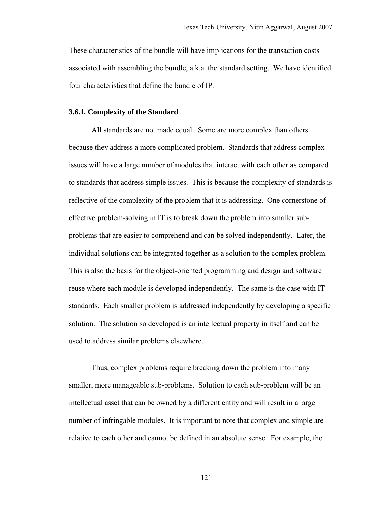These characteristics of the bundle will have implications for the transaction costs associated with assembling the bundle, a.k.a. the standard setting. We have identified four characteristics that define the bundle of IP.

# **3.6.1. Complexity of the Standard**

All standards are not made equal. Some are more complex than others because they address a more complicated problem. Standards that address complex issues will have a large number of modules that interact with each other as compared to standards that address simple issues. This is because the complexity of standards is reflective of the complexity of the problem that it is addressing. One cornerstone of effective problem-solving in IT is to break down the problem into smaller subproblems that are easier to comprehend and can be solved independently. Later, the individual solutions can be integrated together as a solution to the complex problem. This is also the basis for the object-oriented programming and design and software reuse where each module is developed independently. The same is the case with IT standards. Each smaller problem is addressed independently by developing a specific solution. The solution so developed is an intellectual property in itself and can be used to address similar problems elsewhere.

Thus, complex problems require breaking down the problem into many smaller, more manageable sub-problems. Solution to each sub-problem will be an intellectual asset that can be owned by a different entity and will result in a large number of infringable modules. It is important to note that complex and simple are relative to each other and cannot be defined in an absolute sense. For example, the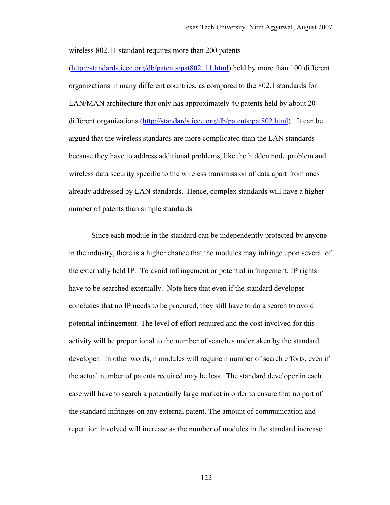wireless 802.11 standard requires more than 200 patents

(http://standards.ieee.org/db/patents/pat802\_11.html) held by more than 100 different organizations in many different countries, as compared to the 802.1 standards for LAN/MAN architecture that only has approximately 40 patents held by about 20 different organizations (http://standards.ieee.org/db/patents/pat802.html). It can be argued that the wireless standards are more complicated than the LAN standards because they have to address additional problems, like the hidden node problem and wireless data security specific to the wireless transmission of data apart from ones already addressed by LAN standards. Hence, complex standards will have a higher number of patents than simple standards.

Since each module in the standard can be independently protected by anyone in the industry, there is a higher chance that the modules may infringe upon several of the externally held IP. To avoid infringement or potential infringement, IP rights have to be searched externally. Note here that even if the standard developer concludes that no IP needs to be procured, they still have to do a search to avoid potential infringement. The level of effort required and the cost involved for this activity will be proportional to the number of searches undertaken by the standard developer. In other words, n modules will require n number of search efforts, even if the actual number of patents required may be less. The standard developer in each case will have to search a potentially large market in order to ensure that no part of the standard infringes on any external patent. The amount of communication and repetition involved will increase as the number of modules in the standard increase.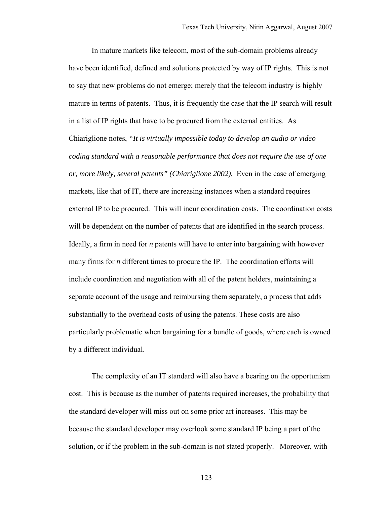In mature markets like telecom, most of the sub-domain problems already have been identified, defined and solutions protected by way of IP rights. This is not to say that new problems do not emerge; merely that the telecom industry is highly mature in terms of patents. Thus, it is frequently the case that the IP search will result in a list of IP rights that have to be procured from the external entities. As Chiariglione notes, *"It is virtually impossible today to develop an audio or video coding standard with a reasonable performance that does not require the use of one or, more likely, several patents" (Chiariglione 2002).* Even in the case of emerging markets, like that of IT, there are increasing instances when a standard requires external IP to be procured. This will incur coordination costs. The coordination costs will be dependent on the number of patents that are identified in the search process. Ideally, a firm in need for *n* patents will have to enter into bargaining with however many firms for *n* different times to procure the IP. The coordination efforts will include coordination and negotiation with all of the patent holders, maintaining a separate account of the usage and reimbursing them separately, a process that adds substantially to the overhead costs of using the patents. These costs are also particularly problematic when bargaining for a bundle of goods, where each is owned by a different individual.

The complexity of an IT standard will also have a bearing on the opportunism cost. This is because as the number of patents required increases, the probability that the standard developer will miss out on some prior art increases. This may be because the standard developer may overlook some standard IP being a part of the solution, or if the problem in the sub-domain is not stated properly. Moreover, with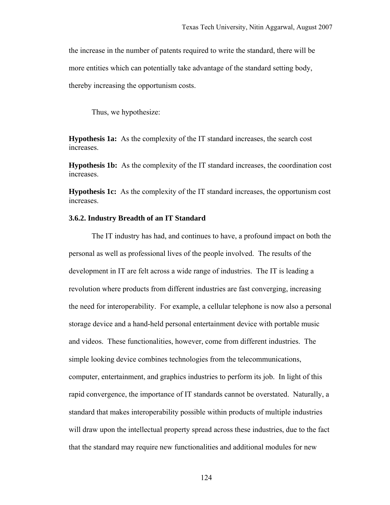the increase in the number of patents required to write the standard, there will be more entities which can potentially take advantage of the standard setting body, thereby increasing the opportunism costs.

Thus, we hypothesize:

**Hypothesis 1a:** As the complexity of the IT standard increases, the search cost increases.

**Hypothesis 1b:** As the complexity of the IT standard increases, the coordination cost increases.

**Hypothesis 1c:** As the complexity of the IT standard increases, the opportunism cost increases.

### **3.6.2. Industry Breadth of an IT Standard**

The IT industry has had, and continues to have, a profound impact on both the personal as well as professional lives of the people involved. The results of the development in IT are felt across a wide range of industries. The IT is leading a revolution where products from different industries are fast converging, increasing the need for interoperability. For example, a cellular telephone is now also a personal storage device and a hand-held personal entertainment device with portable music and videos. These functionalities, however, come from different industries. The simple looking device combines technologies from the telecommunications, computer, entertainment, and graphics industries to perform its job. In light of this rapid convergence, the importance of IT standards cannot be overstated. Naturally, a standard that makes interoperability possible within products of multiple industries will draw upon the intellectual property spread across these industries, due to the fact that the standard may require new functionalities and additional modules for new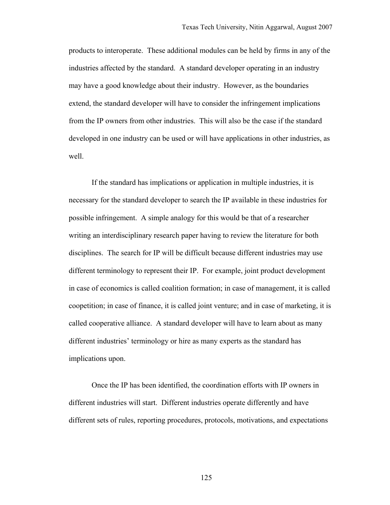products to interoperate. These additional modules can be held by firms in any of the industries affected by the standard. A standard developer operating in an industry may have a good knowledge about their industry. However, as the boundaries extend, the standard developer will have to consider the infringement implications from the IP owners from other industries. This will also be the case if the standard developed in one industry can be used or will have applications in other industries, as well.

If the standard has implications or application in multiple industries, it is necessary for the standard developer to search the IP available in these industries for possible infringement. A simple analogy for this would be that of a researcher writing an interdisciplinary research paper having to review the literature for both disciplines. The search for IP will be difficult because different industries may use different terminology to represent their IP. For example, joint product development in case of economics is called coalition formation; in case of management, it is called coopetition; in case of finance, it is called joint venture; and in case of marketing, it is called cooperative alliance. A standard developer will have to learn about as many different industries' terminology or hire as many experts as the standard has implications upon.

Once the IP has been identified, the coordination efforts with IP owners in different industries will start. Different industries operate differently and have different sets of rules, reporting procedures, protocols, motivations, and expectations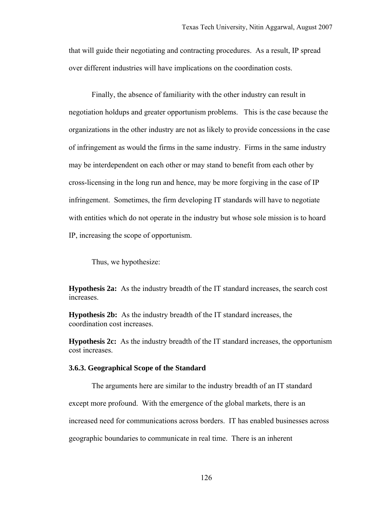that will guide their negotiating and contracting procedures. As a result, IP spread over different industries will have implications on the coordination costs.

Finally, the absence of familiarity with the other industry can result in negotiation holdups and greater opportunism problems. This is the case because the organizations in the other industry are not as likely to provide concessions in the case of infringement as would the firms in the same industry. Firms in the same industry may be interdependent on each other or may stand to benefit from each other by cross-licensing in the long run and hence, may be more forgiving in the case of IP infringement. Sometimes, the firm developing IT standards will have to negotiate with entities which do not operate in the industry but whose sole mission is to hoard IP, increasing the scope of opportunism.

Thus, we hypothesize:

**Hypothesis 2a:** As the industry breadth of the IT standard increases, the search cost increases.

**Hypothesis 2b:** As the industry breadth of the IT standard increases, the coordination cost increases.

**Hypothesis 2c:** As the industry breadth of the IT standard increases, the opportunism cost increases.

### **3.6.3. Geographical Scope of the Standard**

The arguments here are similar to the industry breadth of an IT standard except more profound. With the emergence of the global markets, there is an increased need for communications across borders. IT has enabled businesses across geographic boundaries to communicate in real time. There is an inherent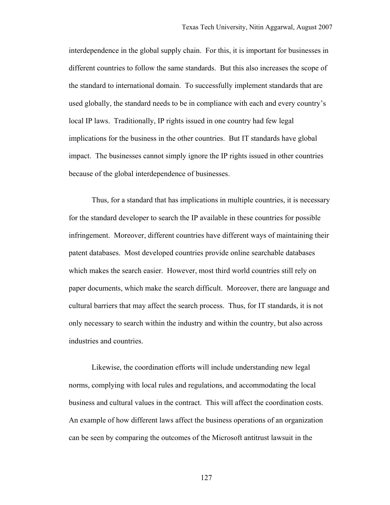interdependence in the global supply chain. For this, it is important for businesses in different countries to follow the same standards. But this also increases the scope of the standard to international domain. To successfully implement standards that are used globally, the standard needs to be in compliance with each and every country's local IP laws. Traditionally, IP rights issued in one country had few legal implications for the business in the other countries. But IT standards have global impact. The businesses cannot simply ignore the IP rights issued in other countries because of the global interdependence of businesses.

Thus, for a standard that has implications in multiple countries, it is necessary for the standard developer to search the IP available in these countries for possible infringement. Moreover, different countries have different ways of maintaining their patent databases. Most developed countries provide online searchable databases which makes the search easier. However, most third world countries still rely on paper documents, which make the search difficult. Moreover, there are language and cultural barriers that may affect the search process. Thus, for IT standards, it is not only necessary to search within the industry and within the country, but also across industries and countries.

Likewise, the coordination efforts will include understanding new legal norms, complying with local rules and regulations, and accommodating the local business and cultural values in the contract. This will affect the coordination costs. An example of how different laws affect the business operations of an organization can be seen by comparing the outcomes of the Microsoft antitrust lawsuit in the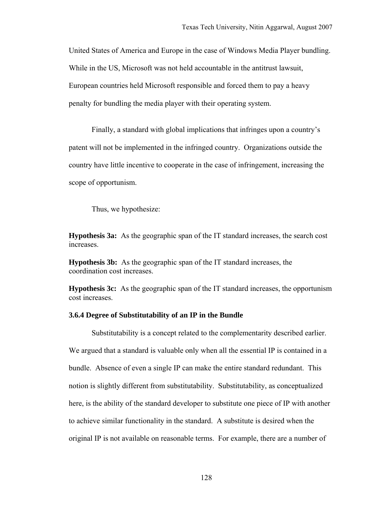United States of America and Europe in the case of Windows Media Player bundling. While in the US, Microsoft was not held accountable in the antitrust lawsuit, European countries held Microsoft responsible and forced them to pay a heavy penalty for bundling the media player with their operating system.

Finally, a standard with global implications that infringes upon a country's patent will not be implemented in the infringed country. Organizations outside the country have little incentive to cooperate in the case of infringement, increasing the scope of opportunism.

Thus, we hypothesize:

**Hypothesis 3a:** As the geographic span of the IT standard increases, the search cost increases.

**Hypothesis 3b:** As the geographic span of the IT standard increases, the coordination cost increases.

**Hypothesis 3c:** As the geographic span of the IT standard increases, the opportunism cost increases.

### **3.6.4 Degree of Substitutability of an IP in the Bundle**

Substitutability is a concept related to the complementarity described earlier. We argued that a standard is valuable only when all the essential IP is contained in a bundle. Absence of even a single IP can make the entire standard redundant. This notion is slightly different from substitutability. Substitutability, as conceptualized here, is the ability of the standard developer to substitute one piece of IP with another to achieve similar functionality in the standard. A substitute is desired when the original IP is not available on reasonable terms. For example, there are a number of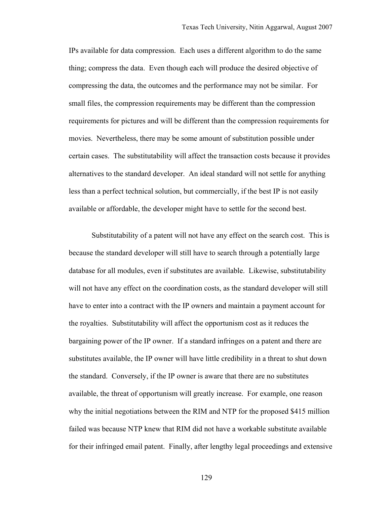IPs available for data compression. Each uses a different algorithm to do the same thing; compress the data. Even though each will produce the desired objective of compressing the data, the outcomes and the performance may not be similar. For small files, the compression requirements may be different than the compression requirements for pictures and will be different than the compression requirements for movies. Nevertheless, there may be some amount of substitution possible under certain cases. The substitutability will affect the transaction costs because it provides alternatives to the standard developer. An ideal standard will not settle for anything less than a perfect technical solution, but commercially, if the best IP is not easily available or affordable, the developer might have to settle for the second best.

Substitutability of a patent will not have any effect on the search cost. This is because the standard developer will still have to search through a potentially large database for all modules, even if substitutes are available. Likewise, substitutability will not have any effect on the coordination costs, as the standard developer will still have to enter into a contract with the IP owners and maintain a payment account for the royalties. Substitutability will affect the opportunism cost as it reduces the bargaining power of the IP owner. If a standard infringes on a patent and there are substitutes available, the IP owner will have little credibility in a threat to shut down the standard. Conversely, if the IP owner is aware that there are no substitutes available, the threat of opportunism will greatly increase. For example, one reason why the initial negotiations between the RIM and NTP for the proposed \$415 million failed was because NTP knew that RIM did not have a workable substitute available for their infringed email patent. Finally, after lengthy legal proceedings and extensive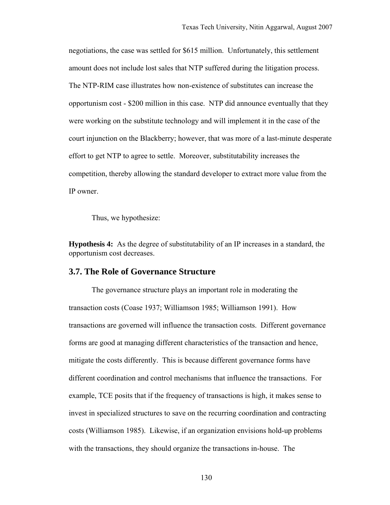negotiations, the case was settled for \$615 million. Unfortunately, this settlement amount does not include lost sales that NTP suffered during the litigation process. The NTP-RIM case illustrates how non-existence of substitutes can increase the opportunism cost - \$200 million in this case. NTP did announce eventually that they were working on the substitute technology and will implement it in the case of the court injunction on the Blackberry; however, that was more of a last-minute desperate effort to get NTP to agree to settle. Moreover, substitutability increases the competition, thereby allowing the standard developer to extract more value from the IP owner.

Thus, we hypothesize:

**Hypothesis 4:** As the degree of substitutability of an IP increases in a standard, the opportunism cost decreases.

# **3.7. The Role of Governance Structure**

The governance structure plays an important role in moderating the transaction costs (Coase 1937; Williamson 1985; Williamson 1991). How transactions are governed will influence the transaction costs. Different governance forms are good at managing different characteristics of the transaction and hence, mitigate the costs differently. This is because different governance forms have different coordination and control mechanisms that influence the transactions. For example, TCE posits that if the frequency of transactions is high, it makes sense to invest in specialized structures to save on the recurring coordination and contracting costs (Williamson 1985). Likewise, if an organization envisions hold-up problems with the transactions, they should organize the transactions in-house. The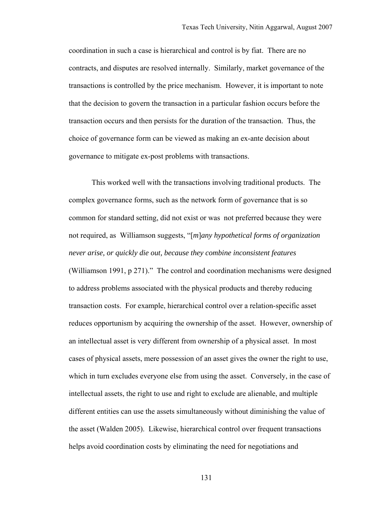coordination in such a case is hierarchical and control is by fiat. There are no contracts, and disputes are resolved internally. Similarly, market governance of the transactions is controlled by the price mechanism. However, it is important to note that the decision to govern the transaction in a particular fashion occurs before the transaction occurs and then persists for the duration of the transaction. Thus, the choice of governance form can be viewed as making an ex-ante decision about governance to mitigate ex-post problems with transactions.

This worked well with the transactions involving traditional products. The complex governance forms, such as the network form of governance that is so common for standard setting, did not exist or was not preferred because they were not required, as Williamson suggests, "[*m*]*any hypothetical forms of organization never arise, or quickly die out, because they combine inconsistent features* (Williamson 1991, p 271)." The control and coordination mechanisms were designed to address problems associated with the physical products and thereby reducing transaction costs. For example, hierarchical control over a relation-specific asset reduces opportunism by acquiring the ownership of the asset. However, ownership of an intellectual asset is very different from ownership of a physical asset. In most cases of physical assets, mere possession of an asset gives the owner the right to use, which in turn excludes everyone else from using the asset. Conversely, in the case of intellectual assets, the right to use and right to exclude are alienable, and multiple different entities can use the assets simultaneously without diminishing the value of the asset (Walden 2005). Likewise, hierarchical control over frequent transactions helps avoid coordination costs by eliminating the need for negotiations and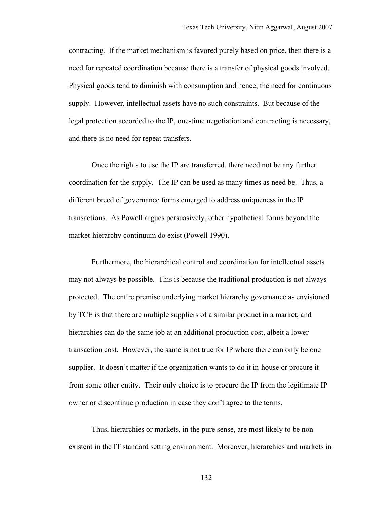contracting. If the market mechanism is favored purely based on price, then there is a need for repeated coordination because there is a transfer of physical goods involved. Physical goods tend to diminish with consumption and hence, the need for continuous supply. However, intellectual assets have no such constraints. But because of the legal protection accorded to the IP, one-time negotiation and contracting is necessary, and there is no need for repeat transfers.

Once the rights to use the IP are transferred, there need not be any further coordination for the supply. The IP can be used as many times as need be. Thus, a different breed of governance forms emerged to address uniqueness in the IP transactions. As Powell argues persuasively, other hypothetical forms beyond the market-hierarchy continuum do exist (Powell 1990).

Furthermore, the hierarchical control and coordination for intellectual assets may not always be possible. This is because the traditional production is not always protected. The entire premise underlying market hierarchy governance as envisioned by TCE is that there are multiple suppliers of a similar product in a market, and hierarchies can do the same job at an additional production cost, albeit a lower transaction cost. However, the same is not true for IP where there can only be one supplier. It doesn't matter if the organization wants to do it in-house or procure it from some other entity. Their only choice is to procure the IP from the legitimate IP owner or discontinue production in case they don't agree to the terms.

Thus, hierarchies or markets, in the pure sense, are most likely to be nonexistent in the IT standard setting environment. Moreover, hierarchies and markets in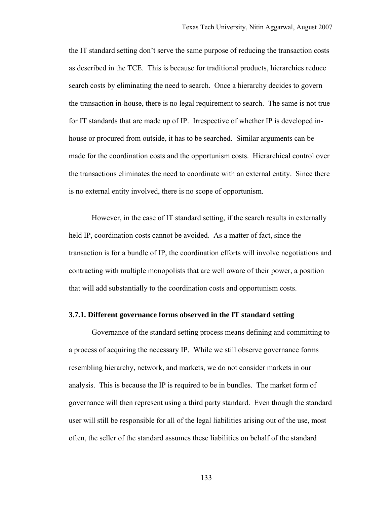the IT standard setting don't serve the same purpose of reducing the transaction costs as described in the TCE. This is because for traditional products, hierarchies reduce search costs by eliminating the need to search. Once a hierarchy decides to govern the transaction in-house, there is no legal requirement to search. The same is not true for IT standards that are made up of IP. Irrespective of whether IP is developed inhouse or procured from outside, it has to be searched. Similar arguments can be made for the coordination costs and the opportunism costs. Hierarchical control over the transactions eliminates the need to coordinate with an external entity. Since there is no external entity involved, there is no scope of opportunism.

However, in the case of IT standard setting, if the search results in externally held IP, coordination costs cannot be avoided. As a matter of fact, since the transaction is for a bundle of IP, the coordination efforts will involve negotiations and contracting with multiple monopolists that are well aware of their power, a position that will add substantially to the coordination costs and opportunism costs.

#### **3.7.1. Different governance forms observed in the IT standard setting**

Governance of the standard setting process means defining and committing to a process of acquiring the necessary IP. While we still observe governance forms resembling hierarchy, network, and markets, we do not consider markets in our analysis. This is because the IP is required to be in bundles. The market form of governance will then represent using a third party standard. Even though the standard user will still be responsible for all of the legal liabilities arising out of the use, most often, the seller of the standard assumes these liabilities on behalf of the standard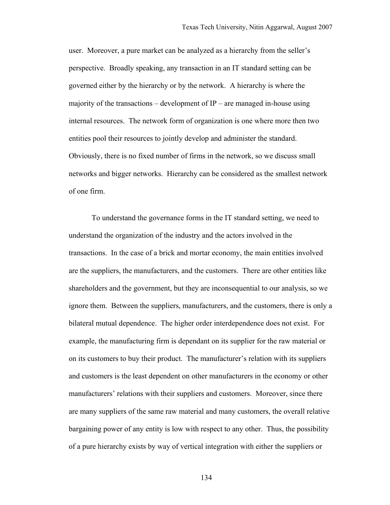user. Moreover, a pure market can be analyzed as a hierarchy from the seller's perspective. Broadly speaking, any transaction in an IT standard setting can be governed either by the hierarchy or by the network. A hierarchy is where the majority of the transactions – development of  $IP$  – are managed in-house using internal resources. The network form of organization is one where more then two entities pool their resources to jointly develop and administer the standard. Obviously, there is no fixed number of firms in the network, so we discuss small networks and bigger networks. Hierarchy can be considered as the smallest network of one firm.

To understand the governance forms in the IT standard setting, we need to understand the organization of the industry and the actors involved in the transactions. In the case of a brick and mortar economy, the main entities involved are the suppliers, the manufacturers, and the customers. There are other entities like shareholders and the government, but they are inconsequential to our analysis, so we ignore them. Between the suppliers, manufacturers, and the customers, there is only a bilateral mutual dependence. The higher order interdependence does not exist. For example, the manufacturing firm is dependant on its supplier for the raw material or on its customers to buy their product. The manufacturer's relation with its suppliers and customers is the least dependent on other manufacturers in the economy or other manufacturers' relations with their suppliers and customers. Moreover, since there are many suppliers of the same raw material and many customers, the overall relative bargaining power of any entity is low with respect to any other. Thus, the possibility of a pure hierarchy exists by way of vertical integration with either the suppliers or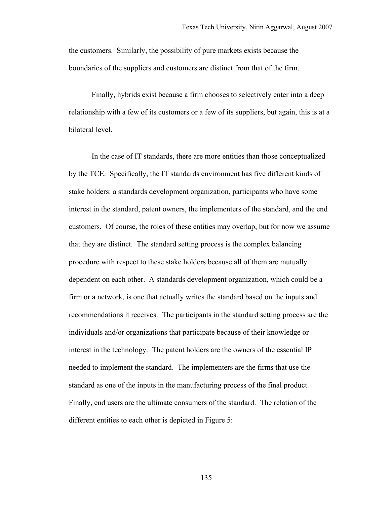the customers. Similarly, the possibility of pure markets exists because the boundaries of the suppliers and customers are distinct from that of the firm.

Finally, hybrids exist because a firm chooses to selectively enter into a deep relationship with a few of its customers or a few of its suppliers, but again, this is at a bilateral level.

In the case of IT standards, there are more entities than those conceptualized by the TCE. Specifically, the IT standards environment has five different kinds of stake holders: a standards development organization, participants who have some interest in the standard, patent owners, the implementers of the standard, and the end customers. Of course, the roles of these entities may overlap, but for now we assume that they are distinct. The standard setting process is the complex balancing procedure with respect to these stake holders because all of them are mutually dependent on each other. A standards development organization, which could be a firm or a network, is one that actually writes the standard based on the inputs and recommendations it receives. The participants in the standard setting process are the individuals and/or organizations that participate because of their knowledge or interest in the technology. The patent holders are the owners of the essential IP needed to implement the standard. The implementers are the firms that use the standard as one of the inputs in the manufacturing process of the final product. Finally, end users are the ultimate consumers of the standard. The relation of the different entities to each other is depicted in Figure 5: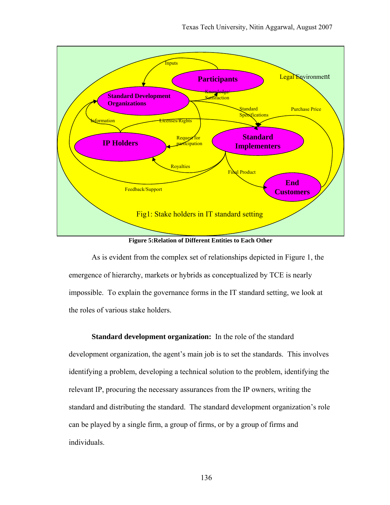

**Figure 5:Relation of Different Entities to Each Other** 

As is evident from the complex set of relationships depicted in Figure 1, the emergence of hierarchy, markets or hybrids as conceptualized by TCE is nearly impossible. To explain the governance forms in the IT standard setting, we look at the roles of various stake holders.

**Standard development organization:** In the role of the standard development organization, the agent's main job is to set the standards. This involves identifying a problem, developing a technical solution to the problem, identifying the relevant IP, procuring the necessary assurances from the IP owners, writing the standard and distributing the standard. The standard development organization's role can be played by a single firm, a group of firms, or by a group of firms and individuals.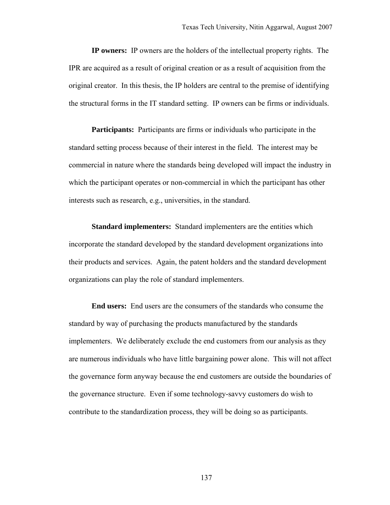**IP owners:** IP owners are the holders of the intellectual property rights. The IPR are acquired as a result of original creation or as a result of acquisition from the original creator. In this thesis, the IP holders are central to the premise of identifying the structural forms in the IT standard setting. IP owners can be firms or individuals.

**Participants:** Participants are firms or individuals who participate in the standard setting process because of their interest in the field. The interest may be commercial in nature where the standards being developed will impact the industry in which the participant operates or non-commercial in which the participant has other interests such as research, e.g., universities, in the standard.

**Standard implementers:** Standard implementers are the entities which incorporate the standard developed by the standard development organizations into their products and services. Again, the patent holders and the standard development organizations can play the role of standard implementers.

**End users:** End users are the consumers of the standards who consume the standard by way of purchasing the products manufactured by the standards implementers. We deliberately exclude the end customers from our analysis as they are numerous individuals who have little bargaining power alone. This will not affect the governance form anyway because the end customers are outside the boundaries of the governance structure. Even if some technology-savvy customers do wish to contribute to the standardization process, they will be doing so as participants.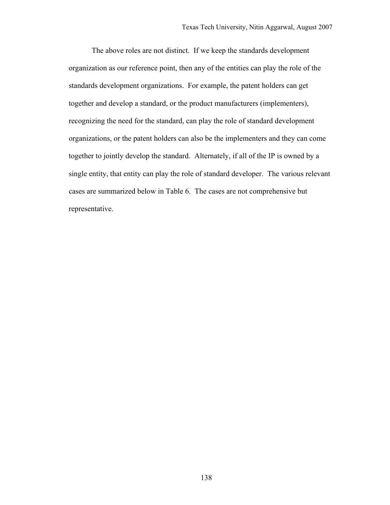The above roles are not distinct. If we keep the standards development organization as our reference point, then any of the entities can play the role of the standards development organizations. For example, the patent holders can get together and develop a standard, or the product manufacturers (implementers), recognizing the need for the standard, can play the role of standard development organizations, or the patent holders can also be the implementers and they can come together to jointly develop the standard. Alternately, if all of the IP is owned by a single entity, that entity can play the role of standard developer. The various relevant cases are summarized below in Table 6. The cases are not comprehensive but representative.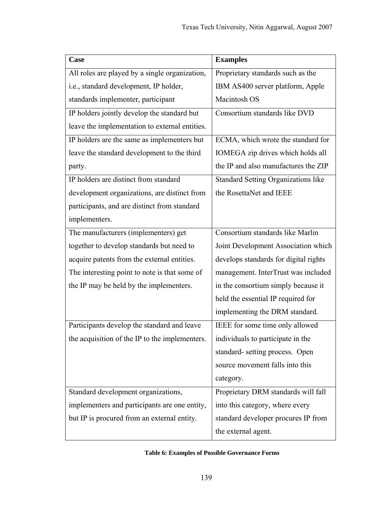| Case                                           | <b>Examples</b>                       |
|------------------------------------------------|---------------------------------------|
| All roles are played by a single organization, | Proprietary standards such as the     |
| i.e., standard development, IP holder,         | IBM AS400 server platform, Apple      |
| standards implementer, participant             | Macintosh OS                          |
| IP holders jointly develop the standard but    | Consortium standards like DVD         |
| leave the implementation to external entities. |                                       |
| IP holders are the same as implementers but    | ECMA, which wrote the standard for    |
| leave the standard development to the third    | IOMEGA zip drives which holds all     |
| party.                                         | the IP and also manufactures the ZIP  |
| IP holders are distinct from standard          | Standard Setting Organizations like   |
| development organizations, are distinct from   | the RosettaNet and IEEE               |
| participants, and are distinct from standard   |                                       |
| implementers.                                  |                                       |
| The manufacturers (implementers) get           | Consortium standards like Marlin      |
| together to develop standards but need to      | Joint Development Association which   |
| acquire patents from the external entities.    | develops standards for digital rights |
| The interesting point to note is that some of  | management. InterTrust was included   |
| the IP may be held by the implementers.        | in the consortium simply because it   |
|                                                | held the essential IP required for    |
|                                                | implementing the DRM standard.        |
| Participants develop the standard and leave    | IEEE for some time only allowed       |
| the acquisition of the IP to the implementers. | individuals to participate in the     |
|                                                | standard-setting process. Open        |
|                                                | source movement falls into this       |
|                                                | category.                             |
| Standard development organizations,            | Proprietary DRM standards will fall   |
| implementers and participants are one entity,  | into this category, where every       |
| but IP is procured from an external entity.    | standard developer procures IP from   |
|                                                | the external agent.                   |

## **Table 6: Examples of Possible Governance Forms**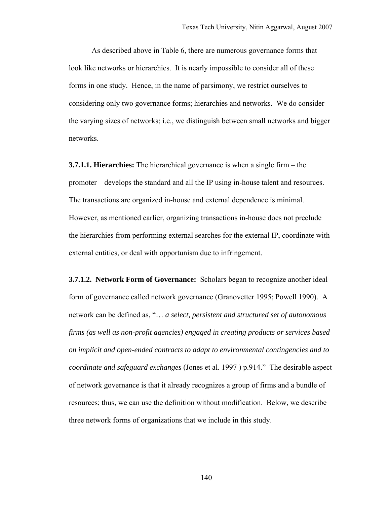As described above in Table 6, there are numerous governance forms that look like networks or hierarchies. It is nearly impossible to consider all of these forms in one study. Hence, in the name of parsimony, we restrict ourselves to considering only two governance forms; hierarchies and networks. We do consider the varying sizes of networks; i.e., we distinguish between small networks and bigger networks.

**3.7.1.1. Hierarchies:** The hierarchical governance is when a single firm – the promoter – develops the standard and all the IP using in-house talent and resources. The transactions are organized in-house and external dependence is minimal. However, as mentioned earlier, organizing transactions in-house does not preclude the hierarchies from performing external searches for the external IP, coordinate with external entities, or deal with opportunism due to infringement.

**3.7.1.2. Network Form of Governance:** Scholars began to recognize another ideal form of governance called network governance (Granovetter 1995; Powell 1990). A network can be defined as, "… *a select, persistent and structured set of autonomous firms (as well as non-profit agencies) engaged in creating products or services based on implicit and open-ended contracts to adapt to environmental contingencies and to coordinate and safeguard exchanges* (Jones et al. 1997 ) p.914." The desirable aspect of network governance is that it already recognizes a group of firms and a bundle of resources; thus, we can use the definition without modification. Below, we describe three network forms of organizations that we include in this study.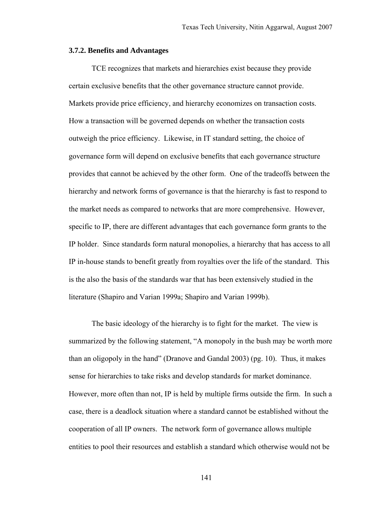#### **3.7.2. Benefits and Advantages**

TCE recognizes that markets and hierarchies exist because they provide certain exclusive benefits that the other governance structure cannot provide. Markets provide price efficiency, and hierarchy economizes on transaction costs. How a transaction will be governed depends on whether the transaction costs outweigh the price efficiency. Likewise, in IT standard setting, the choice of governance form will depend on exclusive benefits that each governance structure provides that cannot be achieved by the other form. One of the tradeoffs between the hierarchy and network forms of governance is that the hierarchy is fast to respond to the market needs as compared to networks that are more comprehensive. However, specific to IP, there are different advantages that each governance form grants to the IP holder. Since standards form natural monopolies, a hierarchy that has access to all IP in-house stands to benefit greatly from royalties over the life of the standard. This is the also the basis of the standards war that has been extensively studied in the literature (Shapiro and Varian 1999a; Shapiro and Varian 1999b).

The basic ideology of the hierarchy is to fight for the market. The view is summarized by the following statement, "A monopoly in the bush may be worth more than an oligopoly in the hand" (Dranove and Gandal 2003) (pg. 10). Thus, it makes sense for hierarchies to take risks and develop standards for market dominance. However, more often than not, IP is held by multiple firms outside the firm. In such a case, there is a deadlock situation where a standard cannot be established without the cooperation of all IP owners. The network form of governance allows multiple entities to pool their resources and establish a standard which otherwise would not be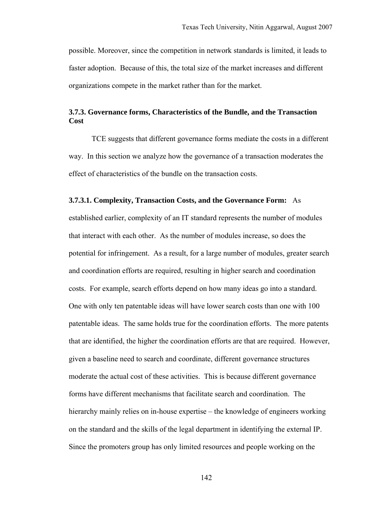possible. Moreover, since the competition in network standards is limited, it leads to faster adoption. Because of this, the total size of the market increases and different organizations compete in the market rather than for the market.

## **3.7.3. Governance forms, Characteristics of the Bundle, and the Transaction Cost**

TCE suggests that different governance forms mediate the costs in a different way. In this section we analyze how the governance of a transaction moderates the effect of characteristics of the bundle on the transaction costs.

#### **3.7.3.1. Complexity, Transaction Costs, and the Governance Form:** As

established earlier, complexity of an IT standard represents the number of modules that interact with each other. As the number of modules increase, so does the potential for infringement. As a result, for a large number of modules, greater search and coordination efforts are required, resulting in higher search and coordination costs. For example, search efforts depend on how many ideas go into a standard. One with only ten patentable ideas will have lower search costs than one with 100 patentable ideas. The same holds true for the coordination efforts. The more patents that are identified, the higher the coordination efforts are that are required. However, given a baseline need to search and coordinate, different governance structures moderate the actual cost of these activities. This is because different governance forms have different mechanisms that facilitate search and coordination. The hierarchy mainly relies on in-house expertise – the knowledge of engineers working on the standard and the skills of the legal department in identifying the external IP. Since the promoters group has only limited resources and people working on the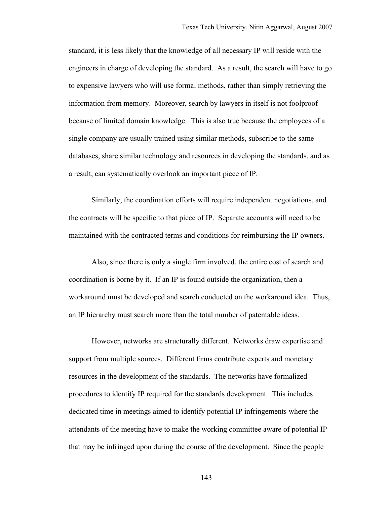standard, it is less likely that the knowledge of all necessary IP will reside with the engineers in charge of developing the standard. As a result, the search will have to go to expensive lawyers who will use formal methods, rather than simply retrieving the information from memory. Moreover, search by lawyers in itself is not foolproof because of limited domain knowledge. This is also true because the employees of a single company are usually trained using similar methods, subscribe to the same databases, share similar technology and resources in developing the standards, and as a result, can systematically overlook an important piece of IP.

 Similarly, the coordination efforts will require independent negotiations, and the contracts will be specific to that piece of IP. Separate accounts will need to be maintained with the contracted terms and conditions for reimbursing the IP owners.

Also, since there is only a single firm involved, the entire cost of search and coordination is borne by it. If an IP is found outside the organization, then a workaround must be developed and search conducted on the workaround idea. Thus, an IP hierarchy must search more than the total number of patentable ideas.

However, networks are structurally different. Networks draw expertise and support from multiple sources. Different firms contribute experts and monetary resources in the development of the standards. The networks have formalized procedures to identify IP required for the standards development. This includes dedicated time in meetings aimed to identify potential IP infringements where the attendants of the meeting have to make the working committee aware of potential IP that may be infringed upon during the course of the development. Since the people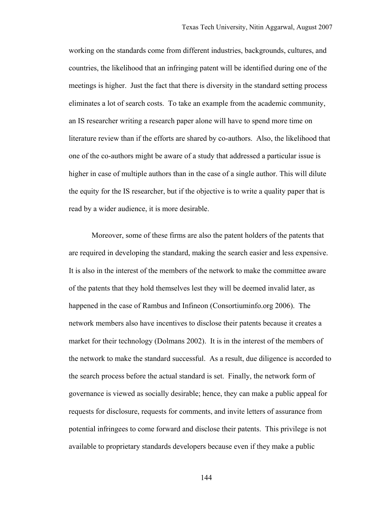working on the standards come from different industries, backgrounds, cultures, and countries, the likelihood that an infringing patent will be identified during one of the meetings is higher. Just the fact that there is diversity in the standard setting process eliminates a lot of search costs. To take an example from the academic community, an IS researcher writing a research paper alone will have to spend more time on literature review than if the efforts are shared by co-authors. Also, the likelihood that one of the co-authors might be aware of a study that addressed a particular issue is higher in case of multiple authors than in the case of a single author. This will dilute the equity for the IS researcher, but if the objective is to write a quality paper that is read by a wider audience, it is more desirable.

Moreover, some of these firms are also the patent holders of the patents that are required in developing the standard, making the search easier and less expensive. It is also in the interest of the members of the network to make the committee aware of the patents that they hold themselves lest they will be deemed invalid later, as happened in the case of Rambus and Infineon (Consortiuminfo.org 2006). The network members also have incentives to disclose their patents because it creates a market for their technology (Dolmans 2002). It is in the interest of the members of the network to make the standard successful. As a result, due diligence is accorded to the search process before the actual standard is set. Finally, the network form of governance is viewed as socially desirable; hence, they can make a public appeal for requests for disclosure, requests for comments, and invite letters of assurance from potential infringees to come forward and disclose their patents. This privilege is not available to proprietary standards developers because even if they make a public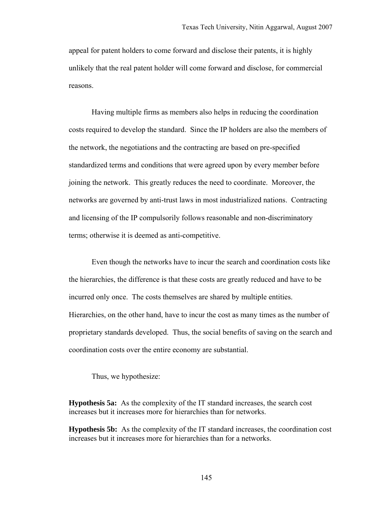appeal for patent holders to come forward and disclose their patents, it is highly unlikely that the real patent holder will come forward and disclose, for commercial reasons.

Having multiple firms as members also helps in reducing the coordination costs required to develop the standard. Since the IP holders are also the members of the network, the negotiations and the contracting are based on pre-specified standardized terms and conditions that were agreed upon by every member before joining the network. This greatly reduces the need to coordinate. Moreover, the networks are governed by anti-trust laws in most industrialized nations. Contracting and licensing of the IP compulsorily follows reasonable and non-discriminatory terms; otherwise it is deemed as anti-competitive.

Even though the networks have to incur the search and coordination costs like the hierarchies, the difference is that these costs are greatly reduced and have to be incurred only once. The costs themselves are shared by multiple entities. Hierarchies, on the other hand, have to incur the cost as many times as the number of proprietary standards developed. Thus, the social benefits of saving on the search and coordination costs over the entire economy are substantial.

Thus, we hypothesize:

**Hypothesis 5a:** As the complexity of the IT standard increases, the search cost increases but it increases more for hierarchies than for networks.

**Hypothesis 5b:** As the complexity of the IT standard increases, the coordination cost increases but it increases more for hierarchies than for a networks.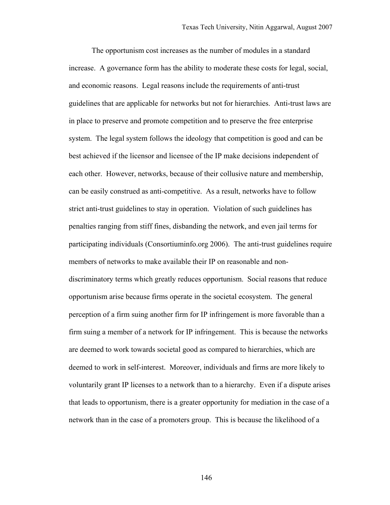The opportunism cost increases as the number of modules in a standard increase. A governance form has the ability to moderate these costs for legal, social, and economic reasons. Legal reasons include the requirements of anti-trust guidelines that are applicable for networks but not for hierarchies. Anti-trust laws are in place to preserve and promote competition and to preserve the free enterprise system. The legal system follows the ideology that competition is good and can be best achieved if the licensor and licensee of the IP make decisions independent of each other. However, networks, because of their collusive nature and membership, can be easily construed as anti-competitive. As a result, networks have to follow strict anti-trust guidelines to stay in operation. Violation of such guidelines has penalties ranging from stiff fines, disbanding the network, and even jail terms for participating individuals (Consortiuminfo.org 2006). The anti-trust guidelines require members of networks to make available their IP on reasonable and nondiscriminatory terms which greatly reduces opportunism. Social reasons that reduce opportunism arise because firms operate in the societal ecosystem. The general perception of a firm suing another firm for IP infringement is more favorable than a firm suing a member of a network for IP infringement. This is because the networks are deemed to work towards societal good as compared to hierarchies, which are deemed to work in self-interest. Moreover, individuals and firms are more likely to voluntarily grant IP licenses to a network than to a hierarchy. Even if a dispute arises that leads to opportunism, there is a greater opportunity for mediation in the case of a network than in the case of a promoters group. This is because the likelihood of a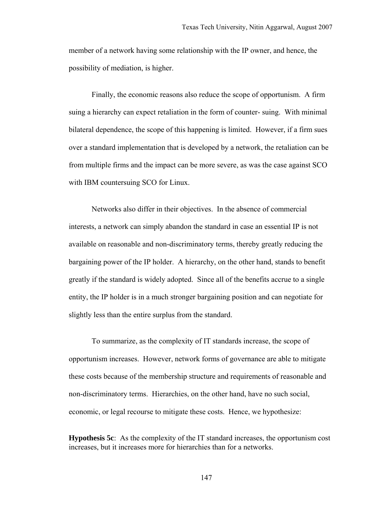member of a network having some relationship with the IP owner, and hence, the possibility of mediation, is higher.

Finally, the economic reasons also reduce the scope of opportunism. A firm suing a hierarchy can expect retaliation in the form of counter- suing. With minimal bilateral dependence, the scope of this happening is limited. However, if a firm sues over a standard implementation that is developed by a network, the retaliation can be from multiple firms and the impact can be more severe, as was the case against SCO with IBM countersuing SCO for Linux.

Networks also differ in their objectives. In the absence of commercial interests, a network can simply abandon the standard in case an essential IP is not available on reasonable and non-discriminatory terms, thereby greatly reducing the bargaining power of the IP holder. A hierarchy, on the other hand, stands to benefit greatly if the standard is widely adopted. Since all of the benefits accrue to a single entity, the IP holder is in a much stronger bargaining position and can negotiate for slightly less than the entire surplus from the standard.

To summarize, as the complexity of IT standards increase, the scope of opportunism increases. However, network forms of governance are able to mitigate these costs because of the membership structure and requirements of reasonable and non-discriminatory terms. Hierarchies, on the other hand, have no such social, economic, or legal recourse to mitigate these costs. Hence, we hypothesize:

**Hypothesis 5c**: As the complexity of the IT standard increases, the opportunism cost increases, but it increases more for hierarchies than for a networks.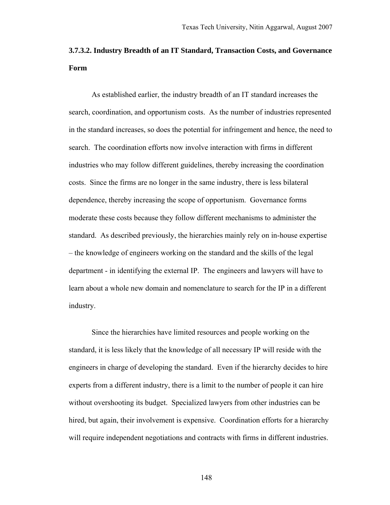# **3.7.3.2. Industry Breadth of an IT Standard, Transaction Costs, and Governance Form**

As established earlier, the industry breadth of an IT standard increases the search, coordination, and opportunism costs. As the number of industries represented in the standard increases, so does the potential for infringement and hence, the need to search. The coordination efforts now involve interaction with firms in different industries who may follow different guidelines, thereby increasing the coordination costs. Since the firms are no longer in the same industry, there is less bilateral dependence, thereby increasing the scope of opportunism. Governance forms moderate these costs because they follow different mechanisms to administer the standard. As described previously, the hierarchies mainly rely on in-house expertise – the knowledge of engineers working on the standard and the skills of the legal department - in identifying the external IP. The engineers and lawyers will have to learn about a whole new domain and nomenclature to search for the IP in a different industry.

Since the hierarchies have limited resources and people working on the standard, it is less likely that the knowledge of all necessary IP will reside with the engineers in charge of developing the standard. Even if the hierarchy decides to hire experts from a different industry, there is a limit to the number of people it can hire without overshooting its budget. Specialized lawyers from other industries can be hired, but again, their involvement is expensive. Coordination efforts for a hierarchy will require independent negotiations and contracts with firms in different industries.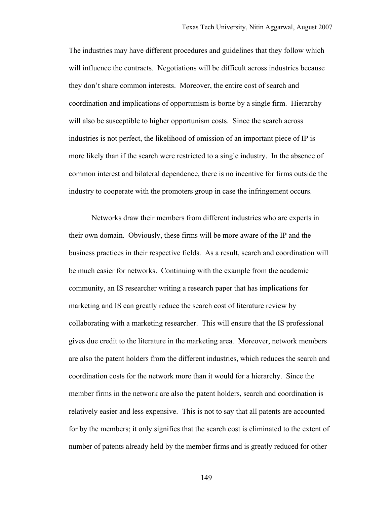The industries may have different procedures and guidelines that they follow which will influence the contracts. Negotiations will be difficult across industries because they don't share common interests. Moreover, the entire cost of search and coordination and implications of opportunism is borne by a single firm. Hierarchy will also be susceptible to higher opportunism costs. Since the search across industries is not perfect, the likelihood of omission of an important piece of IP is more likely than if the search were restricted to a single industry. In the absence of common interest and bilateral dependence, there is no incentive for firms outside the industry to cooperate with the promoters group in case the infringement occurs.

Networks draw their members from different industries who are experts in their own domain. Obviously, these firms will be more aware of the IP and the business practices in their respective fields. As a result, search and coordination will be much easier for networks. Continuing with the example from the academic community, an IS researcher writing a research paper that has implications for marketing and IS can greatly reduce the search cost of literature review by collaborating with a marketing researcher. This will ensure that the IS professional gives due credit to the literature in the marketing area. Moreover, network members are also the patent holders from the different industries, which reduces the search and coordination costs for the network more than it would for a hierarchy. Since the member firms in the network are also the patent holders, search and coordination is relatively easier and less expensive. This is not to say that all patents are accounted for by the members; it only signifies that the search cost is eliminated to the extent of number of patents already held by the member firms and is greatly reduced for other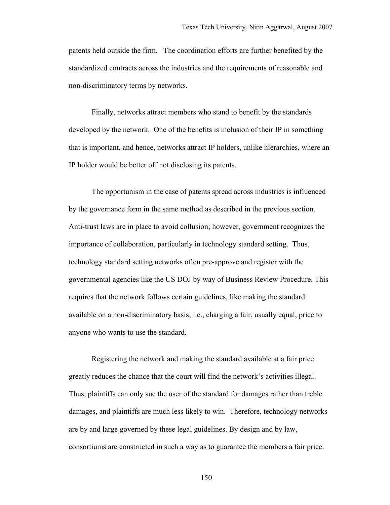patents held outside the firm. The coordination efforts are further benefited by the standardized contracts across the industries and the requirements of reasonable and non-discriminatory terms by networks.

Finally, networks attract members who stand to benefit by the standards developed by the network. One of the benefits is inclusion of their IP in something that is important, and hence, networks attract IP holders, unlike hierarchies, where an IP holder would be better off not disclosing its patents.

The opportunism in the case of patents spread across industries is influenced by the governance form in the same method as described in the previous section. Anti-trust laws are in place to avoid collusion; however, government recognizes the importance of collaboration, particularly in technology standard setting. Thus, technology standard setting networks often pre-approve and register with the governmental agencies like the US DOJ by way of Business Review Procedure. This requires that the network follows certain guidelines, like making the standard available on a non-discriminatory basis; i.e., charging a fair, usually equal, price to anyone who wants to use the standard.

Registering the network and making the standard available at a fair price greatly reduces the chance that the court will find the network's activities illegal. Thus, plaintiffs can only sue the user of the standard for damages rather than treble damages, and plaintiffs are much less likely to win. Therefore, technology networks are by and large governed by these legal guidelines. By design and by law, consortiums are constructed in such a way as to guarantee the members a fair price.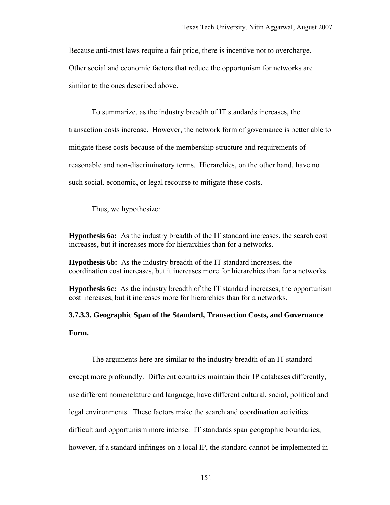Because anti-trust laws require a fair price, there is incentive not to overcharge. Other social and economic factors that reduce the opportunism for networks are similar to the ones described above.

To summarize, as the industry breadth of IT standards increases, the transaction costs increase. However, the network form of governance is better able to mitigate these costs because of the membership structure and requirements of reasonable and non-discriminatory terms. Hierarchies, on the other hand, have no such social, economic, or legal recourse to mitigate these costs.

Thus, we hypothesize:

**Hypothesis 6a:** As the industry breadth of the IT standard increases, the search cost increases, but it increases more for hierarchies than for a networks.

**Hypothesis 6b:** As the industry breadth of the IT standard increases, the coordination cost increases, but it increases more for hierarchies than for a networks.

**Hypothesis 6c:** As the industry breadth of the IT standard increases, the opportunism cost increases, but it increases more for hierarchies than for a networks.

**3.7.3.3. Geographic Span of the Standard, Transaction Costs, and Governance Form.** 

The arguments here are similar to the industry breadth of an IT standard except more profoundly. Different countries maintain their IP databases differently, use different nomenclature and language, have different cultural, social, political and legal environments. These factors make the search and coordination activities difficult and opportunism more intense. IT standards span geographic boundaries; however, if a standard infringes on a local IP, the standard cannot be implemented in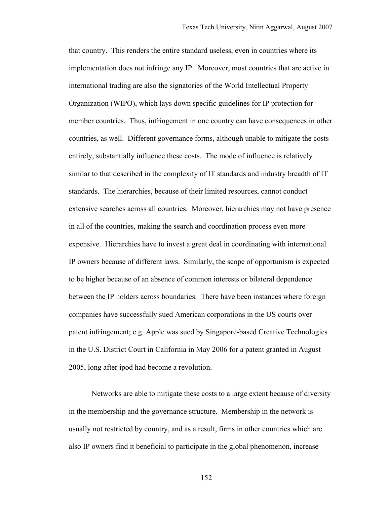that country. This renders the entire standard useless, even in countries where its implementation does not infringe any IP. Moreover, most countries that are active in international trading are also the signatories of the World Intellectual Property Organization (WIPO), which lays down specific guidelines for IP protection for member countries. Thus, infringement in one country can have consequences in other countries, as well. Different governance forms, although unable to mitigate the costs entirely, substantially influence these costs. The mode of influence is relatively similar to that described in the complexity of IT standards and industry breadth of IT standards. The hierarchies, because of their limited resources, cannot conduct extensive searches across all countries. Moreover, hierarchies may not have presence in all of the countries, making the search and coordination process even more expensive. Hierarchies have to invest a great deal in coordinating with international IP owners because of different laws. Similarly, the scope of opportunism is expected to be higher because of an absence of common interests or bilateral dependence between the IP holders across boundaries. There have been instances where foreign companies have successfully sued American corporations in the US courts over patent infringement; e.g. Apple was sued by Singapore-based Creative Technologies in the U.S. District Court in California in May 2006 for a patent granted in August 2005, long after ipod had become a revolution.

Networks are able to mitigate these costs to a large extent because of diversity in the membership and the governance structure. Membership in the network is usually not restricted by country, and as a result, firms in other countries which are also IP owners find it beneficial to participate in the global phenomenon, increase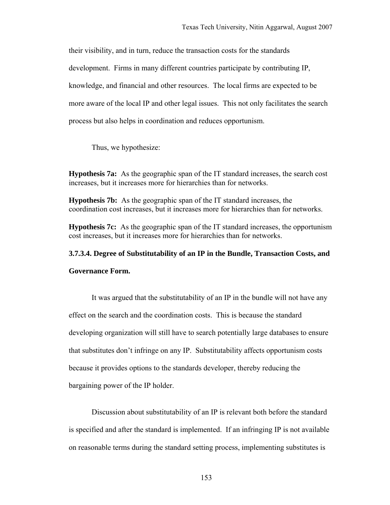their visibility, and in turn, reduce the transaction costs for the standards development. Firms in many different countries participate by contributing IP, knowledge, and financial and other resources. The local firms are expected to be more aware of the local IP and other legal issues. This not only facilitates the search process but also helps in coordination and reduces opportunism.

Thus, we hypothesize:

**Hypothesis 7a:** As the geographic span of the IT standard increases, the search cost increases, but it increases more for hierarchies than for networks.

**Hypothesis 7b:** As the geographic span of the IT standard increases, the coordination cost increases, but it increases more for hierarchies than for networks.

**Hypothesis 7c:** As the geographic span of the IT standard increases, the opportunism cost increases, but it increases more for hierarchies than for networks.

# **3.7.3.4. Degree of Substitutability of an IP in the Bundle, Transaction Costs, and Governance Form.**

It was argued that the substitutability of an IP in the bundle will not have any effect on the search and the coordination costs. This is because the standard developing organization will still have to search potentially large databases to ensure that substitutes don't infringe on any IP. Substitutability affects opportunism costs because it provides options to the standards developer, thereby reducing the bargaining power of the IP holder.

Discussion about substitutability of an IP is relevant both before the standard is specified and after the standard is implemented. If an infringing IP is not available on reasonable terms during the standard setting process, implementing substitutes is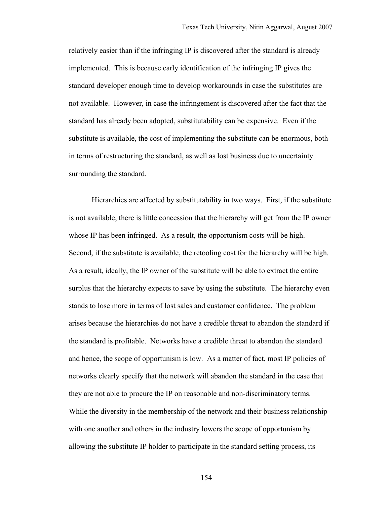relatively easier than if the infringing IP is discovered after the standard is already implemented. This is because early identification of the infringing IP gives the standard developer enough time to develop workarounds in case the substitutes are not available. However, in case the infringement is discovered after the fact that the standard has already been adopted, substitutability can be expensive. Even if the substitute is available, the cost of implementing the substitute can be enormous, both in terms of restructuring the standard, as well as lost business due to uncertainty surrounding the standard.

Hierarchies are affected by substitutability in two ways. First, if the substitute is not available, there is little concession that the hierarchy will get from the IP owner whose IP has been infringed. As a result, the opportunism costs will be high. Second, if the substitute is available, the retooling cost for the hierarchy will be high. As a result, ideally, the IP owner of the substitute will be able to extract the entire surplus that the hierarchy expects to save by using the substitute. The hierarchy even stands to lose more in terms of lost sales and customer confidence. The problem arises because the hierarchies do not have a credible threat to abandon the standard if the standard is profitable. Networks have a credible threat to abandon the standard and hence, the scope of opportunism is low. As a matter of fact, most IP policies of networks clearly specify that the network will abandon the standard in the case that they are not able to procure the IP on reasonable and non-discriminatory terms. While the diversity in the membership of the network and their business relationship with one another and others in the industry lowers the scope of opportunism by allowing the substitute IP holder to participate in the standard setting process, its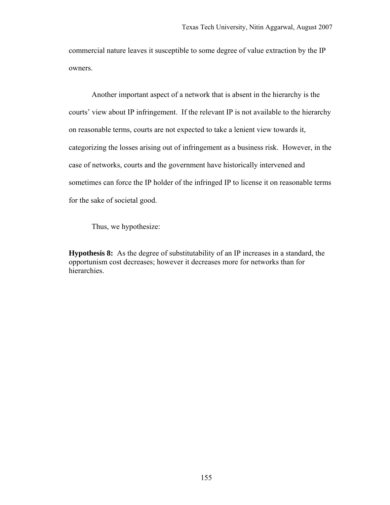commercial nature leaves it susceptible to some degree of value extraction by the IP owners.

Another important aspect of a network that is absent in the hierarchy is the courts' view about IP infringement. If the relevant IP is not available to the hierarchy on reasonable terms, courts are not expected to take a lenient view towards it, categorizing the losses arising out of infringement as a business risk. However, in the case of networks, courts and the government have historically intervened and sometimes can force the IP holder of the infringed IP to license it on reasonable terms for the sake of societal good.

Thus, we hypothesize:

**Hypothesis 8:** As the degree of substitutability of an IP increases in a standard, the opportunism cost decreases; however it decreases more for networks than for hierarchies.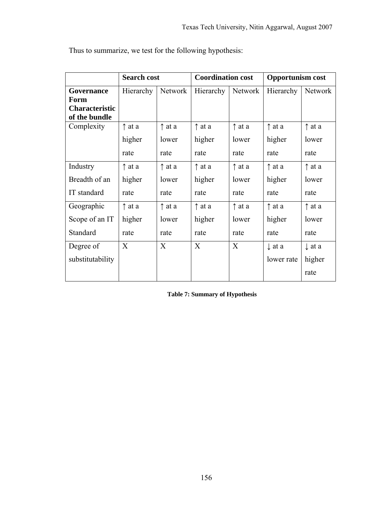|                                        | <b>Search cost</b> |                 |                 | <b>Coordination cost</b> |                   | <b>Opportunism cost</b> |  |
|----------------------------------------|--------------------|-----------------|-----------------|--------------------------|-------------------|-------------------------|--|
| Governance                             | Hierarchy          | Network         | Hierarchy       | Network                  | Hierarchy         | Network                 |  |
| Form                                   |                    |                 |                 |                          |                   |                         |  |
| <b>Characteristic</b><br>of the bundle |                    |                 |                 |                          |                   |                         |  |
| Complexity                             | $\uparrow$ at a    | $\uparrow$ at a | $\uparrow$ at a | $\uparrow$ at a          | $\uparrow$ at a   | $\uparrow$ at a         |  |
|                                        |                    |                 |                 |                          |                   |                         |  |
|                                        | higher             | lower           | higher          | lower                    | higher            | lower                   |  |
|                                        | rate               | rate            | rate            | rate                     | rate              | rate                    |  |
| Industry                               | $\uparrow$ at a    | $\uparrow$ at a | $\uparrow$ at a | $\uparrow$ at a          | $\uparrow$ at a   | $\uparrow$ at a         |  |
| Breadth of an                          | higher             | lower           | higher          | lower                    | higher            | lower                   |  |
| IT standard                            | rate               | rate            | rate            | rate                     | rate              | rate                    |  |
| Geographic                             | $\uparrow$ at a    | $\uparrow$ at a | $\uparrow$ at a | $\uparrow$ at a          | $\uparrow$ at a   | $\uparrow$ at a         |  |
| Scope of an IT                         | higher             | lower           | higher          | lower                    | higher            | lower                   |  |
| Standard                               | rate               | rate            | rate            | rate                     | rate              | rate                    |  |
| Degree of                              | X                  | X               | X               | X                        | $\downarrow$ at a | $\downarrow$ at a       |  |
| substitutability                       |                    |                 |                 |                          | lower rate        | higher                  |  |
|                                        |                    |                 |                 |                          |                   | rate                    |  |

Thus to summarize, we test for the following hypothesis:

**Table 7: Summary of Hypothesis**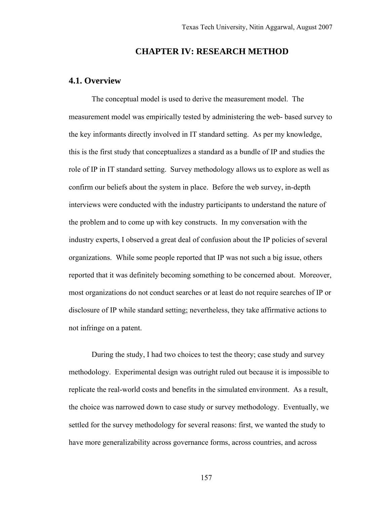## **CHAPTER IV: RESEARCH METHOD**

## **4.1. Overview**

The conceptual model is used to derive the measurement model. The measurement model was empirically tested by administering the web- based survey to the key informants directly involved in IT standard setting. As per my knowledge, this is the first study that conceptualizes a standard as a bundle of IP and studies the role of IP in IT standard setting. Survey methodology allows us to explore as well as confirm our beliefs about the system in place. Before the web survey, in-depth interviews were conducted with the industry participants to understand the nature of the problem and to come up with key constructs. In my conversation with the industry experts, I observed a great deal of confusion about the IP policies of several organizations. While some people reported that IP was not such a big issue, others reported that it was definitely becoming something to be concerned about. Moreover, most organizations do not conduct searches or at least do not require searches of IP or disclosure of IP while standard setting; nevertheless, they take affirmative actions to not infringe on a patent.

During the study, I had two choices to test the theory; case study and survey methodology. Experimental design was outright ruled out because it is impossible to replicate the real-world costs and benefits in the simulated environment. As a result, the choice was narrowed down to case study or survey methodology. Eventually, we settled for the survey methodology for several reasons: first, we wanted the study to have more generalizability across governance forms, across countries, and across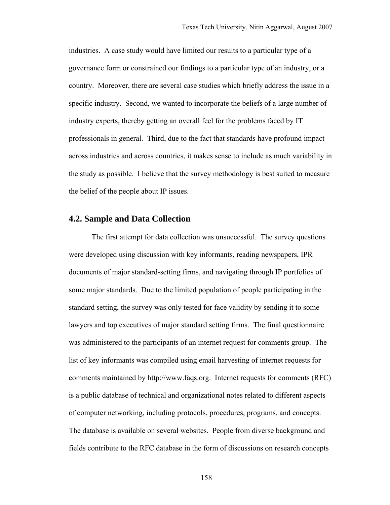industries. A case study would have limited our results to a particular type of a governance form or constrained our findings to a particular type of an industry, or a country. Moreover, there are several case studies which briefly address the issue in a specific industry. Second, we wanted to incorporate the beliefs of a large number of industry experts, thereby getting an overall feel for the problems faced by IT professionals in general. Third, due to the fact that standards have profound impact across industries and across countries, it makes sense to include as much variability in the study as possible. I believe that the survey methodology is best suited to measure the belief of the people about IP issues.

# **4.2. Sample and Data Collection**

The first attempt for data collection was unsuccessful. The survey questions were developed using discussion with key informants, reading newspapers, IPR documents of major standard-setting firms, and navigating through IP portfolios of some major standards. Due to the limited population of people participating in the standard setting, the survey was only tested for face validity by sending it to some lawyers and top executives of major standard setting firms. The final questionnaire was administered to the participants of an internet request for comments group. The list of key informants was compiled using email harvesting of internet requests for comments maintained by http://www.faqs.org. Internet requests for comments (RFC) is a public database of technical and organizational notes related to different aspects of computer networking, including protocols, procedures, programs, and concepts. The database is available on several websites. People from diverse background and fields contribute to the RFC database in the form of discussions on research concepts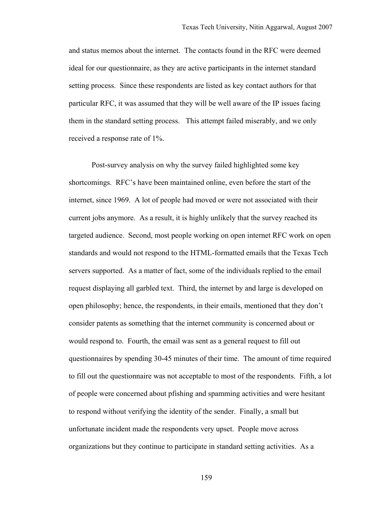and status memos about the internet. The contacts found in the RFC were deemed ideal for our questionnaire, as they are active participants in the internet standard setting process. Since these respondents are listed as key contact authors for that particular RFC, it was assumed that they will be well aware of the IP issues facing them in the standard setting process. This attempt failed miserably, and we only received a response rate of 1%.

Post-survey analysis on why the survey failed highlighted some key shortcomings. RFC's have been maintained online, even before the start of the internet, since 1969. A lot of people had moved or were not associated with their current jobs anymore. As a result, it is highly unlikely that the survey reached its targeted audience. Second, most people working on open internet RFC work on open standards and would not respond to the HTML-formatted emails that the Texas Tech servers supported. As a matter of fact, some of the individuals replied to the email request displaying all garbled text. Third, the internet by and large is developed on open philosophy; hence, the respondents, in their emails, mentioned that they don't consider patents as something that the internet community is concerned about or would respond to. Fourth, the email was sent as a general request to fill out questionnaires by spending 30-45 minutes of their time. The amount of time required to fill out the questionnaire was not acceptable to most of the respondents. Fifth, a lot of people were concerned about pfishing and spamming activities and were hesitant to respond without verifying the identity of the sender. Finally, a small but unfortunate incident made the respondents very upset. People move across organizations but they continue to participate in standard setting activities. As a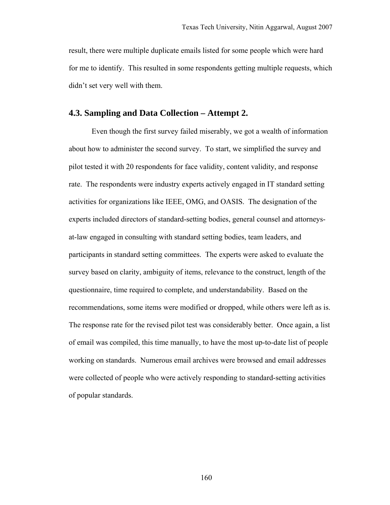result, there were multiple duplicate emails listed for some people which were hard for me to identify. This resulted in some respondents getting multiple requests, which didn't set very well with them.

# **4.3. Sampling and Data Collection – Attempt 2.**

Even though the first survey failed miserably, we got a wealth of information about how to administer the second survey. To start, we simplified the survey and pilot tested it with 20 respondents for face validity, content validity, and response rate. The respondents were industry experts actively engaged in IT standard setting activities for organizations like IEEE, OMG, and OASIS. The designation of the experts included directors of standard-setting bodies, general counsel and attorneysat-law engaged in consulting with standard setting bodies, team leaders, and participants in standard setting committees. The experts were asked to evaluate the survey based on clarity, ambiguity of items, relevance to the construct, length of the questionnaire, time required to complete, and understandability. Based on the recommendations, some items were modified or dropped, while others were left as is. The response rate for the revised pilot test was considerably better. Once again, a list of email was compiled, this time manually, to have the most up-to-date list of people working on standards. Numerous email archives were browsed and email addresses were collected of people who were actively responding to standard-setting activities of popular standards.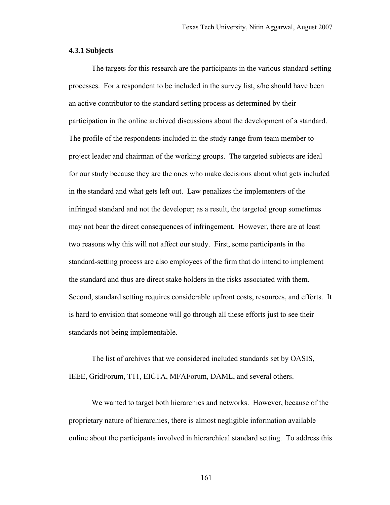#### **4.3.1 Subjects**

The targets for this research are the participants in the various standard-setting processes. For a respondent to be included in the survey list, s/he should have been an active contributor to the standard setting process as determined by their participation in the online archived discussions about the development of a standard. The profile of the respondents included in the study range from team member to project leader and chairman of the working groups. The targeted subjects are ideal for our study because they are the ones who make decisions about what gets included in the standard and what gets left out. Law penalizes the implementers of the infringed standard and not the developer; as a result, the targeted group sometimes may not bear the direct consequences of infringement. However, there are at least two reasons why this will not affect our study. First, some participants in the standard-setting process are also employees of the firm that do intend to implement the standard and thus are direct stake holders in the risks associated with them. Second, standard setting requires considerable upfront costs, resources, and efforts. It is hard to envision that someone will go through all these efforts just to see their standards not being implementable.

The list of archives that we considered included standards set by OASIS, IEEE, GridForum, T11, EICTA, MFAForum, DAML, and several others.

We wanted to target both hierarchies and networks. However, because of the proprietary nature of hierarchies, there is almost negligible information available online about the participants involved in hierarchical standard setting. To address this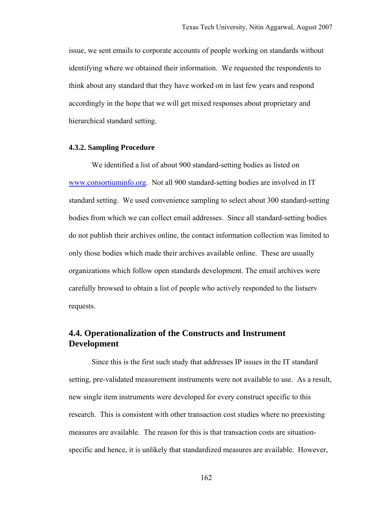issue, we sent emails to corporate accounts of people working on standards without identifying where we obtained their information. We requested the respondents to think about any standard that they have worked on in last few years and respond accordingly in the hope that we will get mixed responses about proprietary and hierarchical standard setting.

#### **4.3.2. Sampling Procedure**

We identified a list of about 900 standard-setting bodies as listed on www.consortiuminfo.org. Not all 900 standard-setting bodies are involved in IT standard setting. We used convenience sampling to select about 300 standard-setting bodies from which we can collect email addresses. Since all standard-setting bodies do not publish their archives online, the contact information collection was limited to only those bodies which made their archives available online. These are usually organizations which follow open standards development. The email archives were carefully browsed to obtain a list of people who actively responded to the listserv requests.

# **4.4. Operationalization of the Constructs and Instrument Development**

Since this is the first such study that addresses IP issues in the IT standard setting, pre-validated measurement instruments were not available to use. As a result, new single item instruments were developed for every construct specific to this research. This is consistent with other transaction cost studies where no preexisting measures are available. The reason for this is that transaction costs are situationspecific and hence, it is unlikely that standardized measures are available. However,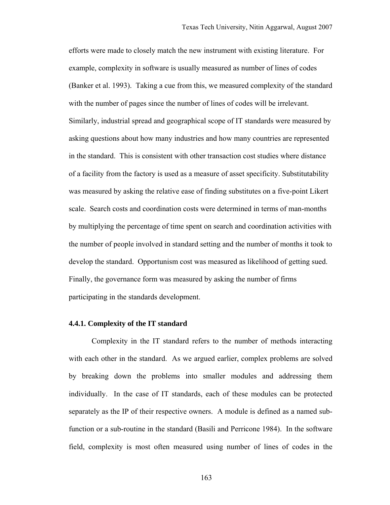efforts were made to closely match the new instrument with existing literature. For example, complexity in software is usually measured as number of lines of codes (Banker et al. 1993). Taking a cue from this, we measured complexity of the standard with the number of pages since the number of lines of codes will be irrelevant. Similarly, industrial spread and geographical scope of IT standards were measured by asking questions about how many industries and how many countries are represented in the standard. This is consistent with other transaction cost studies where distance of a facility from the factory is used as a measure of asset specificity. Substitutability was measured by asking the relative ease of finding substitutes on a five-point Likert scale. Search costs and coordination costs were determined in terms of man-months by multiplying the percentage of time spent on search and coordination activities with the number of people involved in standard setting and the number of months it took to develop the standard. Opportunism cost was measured as likelihood of getting sued. Finally, the governance form was measured by asking the number of firms participating in the standards development.

#### **4.4.1. Complexity of the IT standard**

Complexity in the IT standard refers to the number of methods interacting with each other in the standard. As we argued earlier, complex problems are solved by breaking down the problems into smaller modules and addressing them individually. In the case of IT standards, each of these modules can be protected separately as the IP of their respective owners. A module is defined as a named subfunction or a sub-routine in the standard (Basili and Perricone 1984). In the software field, complexity is most often measured using number of lines of codes in the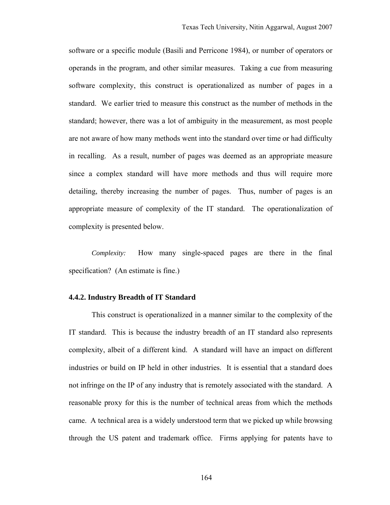software or a specific module (Basili and Perricone 1984), or number of operators or operands in the program, and other similar measures. Taking a cue from measuring software complexity, this construct is operationalized as number of pages in a standard. We earlier tried to measure this construct as the number of methods in the standard; however, there was a lot of ambiguity in the measurement, as most people are not aware of how many methods went into the standard over time or had difficulty in recalling. As a result, number of pages was deemed as an appropriate measure since a complex standard will have more methods and thus will require more detailing, thereby increasing the number of pages. Thus, number of pages is an appropriate measure of complexity of the IT standard. The operationalization of complexity is presented below.

*Complexity:* How many single-spaced pages are there in the final specification? (An estimate is fine.)

#### **4.4.2. Industry Breadth of IT Standard**

This construct is operationalized in a manner similar to the complexity of the IT standard. This is because the industry breadth of an IT standard also represents complexity, albeit of a different kind. A standard will have an impact on different industries or build on IP held in other industries. It is essential that a standard does not infringe on the IP of any industry that is remotely associated with the standard. A reasonable proxy for this is the number of technical areas from which the methods came. A technical area is a widely understood term that we picked up while browsing through the US patent and trademark office. Firms applying for patents have to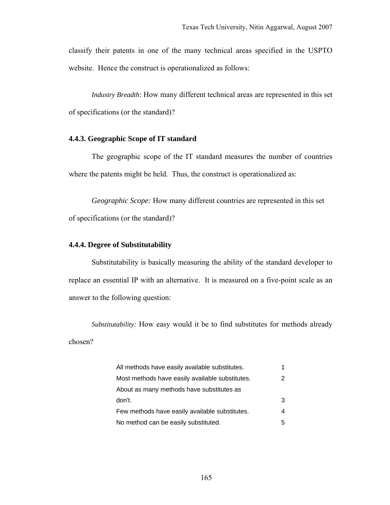classify their patents in one of the many technical areas specified in the USPTO website. Hence the construct is operationalized as follows:

*Industry Breadth:* How many different technical areas are represented in this set of specifications (or the standard)?

### **4.4.3. Geographic Scope of IT standard**

The geographic scope of the IT standard measures the number of countries where the patents might be held. Thus, the construct is operationalized as:

*Geographic Scope:* How many different countries are represented in this set of specifications (or the standard)?

#### **4.4.4. Degree of Substitutability**

Substitutability is basically measuring the ability of the standard developer to replace an essential IP with an alternative. It is measured on a five-point scale as an answer to the following question:

*Substitutability:* How easy would it be to find substitutes for methods already chosen?

| All methods have easily available substitutes.  |   |
|-------------------------------------------------|---|
| Most methods have easily available substitutes. |   |
| About as many methods have substitutes as       |   |
| don't.                                          | 3 |
| Few methods have easily available substitutes.  | 4 |
| No method can be easily substituted.            | 5 |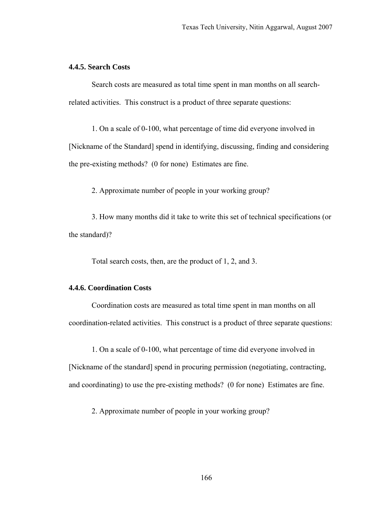### **4.4.5. Search Costs**

Search costs are measured as total time spent in man months on all searchrelated activities. This construct is a product of three separate questions:

1. On a scale of 0-100, what percentage of time did everyone involved in [Nickname of the Standard] spend in identifying, discussing, finding and considering the pre-existing methods? (0 for none) Estimates are fine.

2. Approximate number of people in your working group?

3. How many months did it take to write this set of technical specifications (or the standard)?

Total search costs, then, are the product of 1, 2, and 3.

## **4.4.6. Coordination Costs**

Coordination costs are measured as total time spent in man months on all coordination-related activities. This construct is a product of three separate questions:

1. On a scale of 0-100, what percentage of time did everyone involved in [Nickname of the standard] spend in procuring permission (negotiating, contracting, and coordinating) to use the pre-existing methods? (0 for none) Estimates are fine.

2. Approximate number of people in your working group?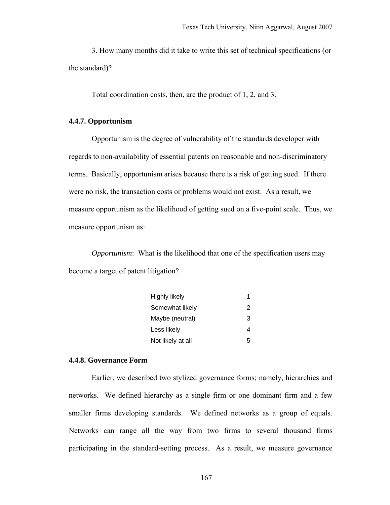3. How many months did it take to write this set of technical specifications (or the standard)?

Total coordination costs, then, are the product of 1, 2, and 3.

#### **4.4.7. Opportunism**

Opportunism is the degree of vulnerability of the standards developer with regards to non-availability of essential patents on reasonable and non-discriminatory terms. Basically, opportunism arises because there is a risk of getting sued. If there were no risk, the transaction costs or problems would not exist. As a result, we measure opportunism as the likelihood of getting sued on a five-point scale. Thus, we measure opportunism as:

*Opportunism*: What is the likelihood that one of the specification users may become a target of patent litigation?

| <b>Highly likely</b> | 1 |
|----------------------|---|
| Somewhat likely      | 2 |
| Maybe (neutral)      | 3 |
| Less likely          |   |
| Not likely at all    | 5 |

#### **4.4.8. Governance Form**

Earlier, we described two stylized governance forms; namely, hierarchies and networks. We defined hierarchy as a single firm or one dominant firm and a few smaller firms developing standards. We defined networks as a group of equals. Networks can range all the way from two firms to several thousand firms participating in the standard-setting process. As a result, we measure governance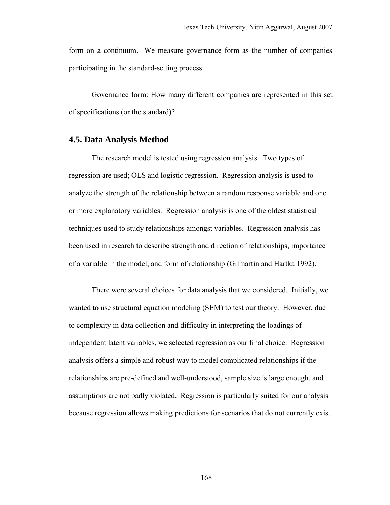form on a continuum. We measure governance form as the number of companies participating in the standard-setting process.

Governance form: How many different companies are represented in this set of specifications (or the standard)?

# **4.5. Data Analysis Method**

The research model is tested using regression analysis. Two types of regression are used; OLS and logistic regression. Regression analysis is used to analyze the strength of the relationship between a random response variable and one or more explanatory variables. Regression analysis is one of the oldest statistical techniques used to study relationships amongst variables. Regression analysis has been used in research to describe strength and direction of relationships, importance of a variable in the model, and form of relationship (Gilmartin and Hartka 1992).

There were several choices for data analysis that we considered. Initially, we wanted to use structural equation modeling (SEM) to test our theory. However, due to complexity in data collection and difficulty in interpreting the loadings of independent latent variables, we selected regression as our final choice. Regression analysis offers a simple and robust way to model complicated relationships if the relationships are pre-defined and well-understood, sample size is large enough, and assumptions are not badly violated. Regression is particularly suited for our analysis because regression allows making predictions for scenarios that do not currently exist.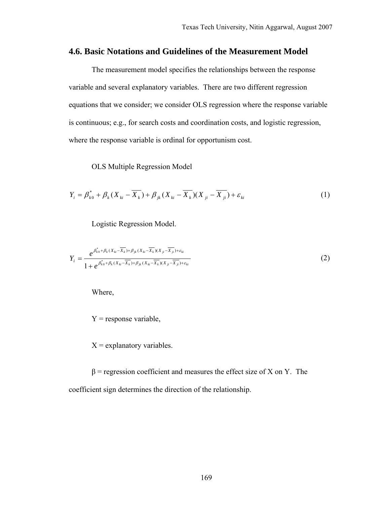## **4.6. Basic Notations and Guidelines of the Measurement Model**

The measurement model specifies the relationships between the response variable and several explanatory variables. There are two different regression equations that we consider; we consider OLS regression where the response variable is continuous; e.g., for search costs and coordination costs, and logistic regression, where the response variable is ordinal for opportunism cost.

OLS Multiple Regression Model

$$
Y_{i} = \beta_{k0}^{*} + \beta_{k} (X_{ki} - \overline{X_{k}}) + \beta_{jk} (X_{ki} - \overline{X_{k}}) (X_{ji} - \overline{X_{ji}}) + \varepsilon_{ki}
$$
 (1)

Logistic Regression Model.

$$
Y_{i} = \frac{e^{\beta_{k0}^{*} + \beta_{k}(X_{ki} - \overline{X_{k}}) + \beta_{jk}(X_{ki} - \overline{X_{k}})(X_{ji} - \overline{X_{ji}}) + \varepsilon_{ki}}}{1 + e^{\beta_{k0}^{*} + \beta_{k}(X_{ki} - \overline{X_{k}}) + \beta_{jk}(X_{ki} - \overline{X_{k}})(X_{ji} - \overline{X_{ji}}) + \varepsilon_{ki}}}
$$
(2)

Where,

 $Y =$  response variable,

 $X =$  explanatory variables.

 $β$  = regression coefficient and measures the effect size of X on Y. The coefficient sign determines the direction of the relationship.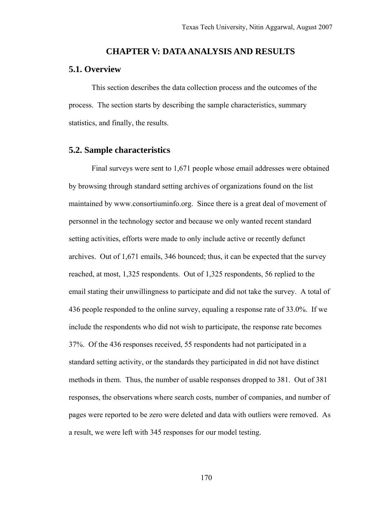#### **CHAPTER V: DATA ANALYSIS AND RESULTS**

### **5.1. Overview**

This section describes the data collection process and the outcomes of the process. The section starts by describing the sample characteristics, summary statistics, and finally, the results.

### **5.2. Sample characteristics**

Final surveys were sent to 1,671 people whose email addresses were obtained by browsing through standard setting archives of organizations found on the list maintained by www.consortiuminfo.org. Since there is a great deal of movement of personnel in the technology sector and because we only wanted recent standard setting activities, efforts were made to only include active or recently defunct archives. Out of 1,671 emails, 346 bounced; thus, it can be expected that the survey reached, at most, 1,325 respondents. Out of 1,325 respondents, 56 replied to the email stating their unwillingness to participate and did not take the survey. A total of 436 people responded to the online survey, equaling a response rate of 33.0%. If we include the respondents who did not wish to participate, the response rate becomes 37%. Of the 436 responses received, 55 respondents had not participated in a standard setting activity, or the standards they participated in did not have distinct methods in them. Thus, the number of usable responses dropped to 381. Out of 381 responses, the observations where search costs, number of companies, and number of pages were reported to be zero were deleted and data with outliers were removed. As a result, we were left with 345 responses for our model testing.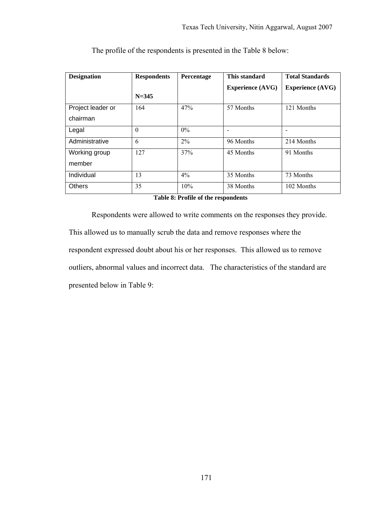| <b>Designation</b> | This standard<br><b>Respondents</b><br>Percentage |       | <b>Total Standards</b>  |                         |
|--------------------|---------------------------------------------------|-------|-------------------------|-------------------------|
|                    |                                                   |       | <b>Experience (AVG)</b> | <b>Experience (AVG)</b> |
|                    | $N = 345$                                         |       |                         |                         |
| Project leader or  | 164                                               | 47%   | 57 Months               | 121 Months              |
| chairman           |                                                   |       |                         |                         |
| Legal              | $\Omega$                                          | $0\%$ |                         |                         |
| Administrative     | 6                                                 | $2\%$ | 96 Months               | 214 Months              |
| Working group      | 127                                               | 37%   | 45 Months               | 91 Months               |
| member             |                                                   |       |                         |                         |
| Individual         | 13                                                | 4%    | 35 Months               | 73 Months               |
| <b>Others</b>      | 35                                                | 10%   | 38 Months               | 102 Months              |

The profile of the respondents is presented in the Table 8 below:

#### **Table 8: Profile of the respondents**

Respondents were allowed to write comments on the responses they provide. This allowed us to manually scrub the data and remove responses where the respondent expressed doubt about his or her responses. This allowed us to remove outliers, abnormal values and incorrect data. The characteristics of the standard are presented below in Table 9: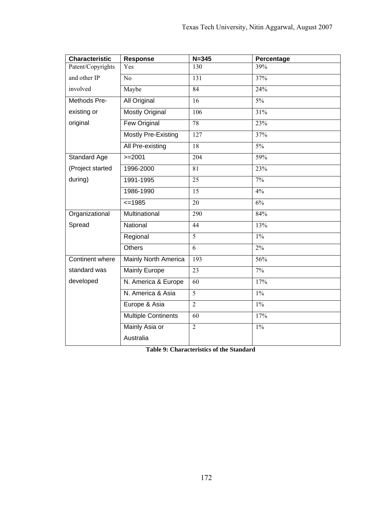| <b>Characteristic</b> | Response                   | $N = 345$        | Percentage    |
|-----------------------|----------------------------|------------------|---------------|
| Patent/Copyrights     | Yes                        | 130              | 39%           |
| and other IP          | No                         | 131              | 37%           |
| involved              | Maybe                      | 84               | 24%           |
| Methods Pre-          | <b>All Original</b>        | $\overline{16}$  | $5\%$         |
| existing or           | <b>Mostly Original</b>     | 106              | 31%           |
| original              | <b>Few Original</b>        | $\overline{78}$  | 23%           |
|                       | <b>Mostly Pre-Existing</b> | $\overline{127}$ | 37%           |
|                       | All Pre-existing           | 18               | $5\%$         |
| Standard Age          | $>=2001$                   | $\overline{204}$ | 59%           |
| (Project started      | 1996-2000                  | 81               | 23%           |
| during)               | 1991-1995                  | 25               | $7\%$         |
|                       | 1986-1990                  | 15               | 4%            |
|                       | $=1985$                    | 20               | $\frac{6}{6}$ |
| Organizational        | Multinational              | 290              | 84%           |
| Spread                | National                   | 44               | 13%           |
|                       | Regional                   | $\overline{5}$   | $1\%$         |
|                       | <b>Others</b>              | $\overline{6}$   | $2\%$         |
| Continent where       | Mainly North America       | 193              | 56%           |
| standard was          | <b>Mainly Europe</b>       | $\overline{23}$  | $7\%$         |
| developed             | N. America & Europe        | 60               | 17%           |
|                       | N. America & Asia          | $\overline{5}$   | $1\%$         |
|                       | Europe & Asia              | $\overline{2}$   | $1\%$         |
|                       | <b>Multiple Continents</b> | 60               | 17%           |
|                       | Mainly Asia or             | $\overline{2}$   | $1\%$         |
|                       | Australia                  |                  |               |

**Table 9: Characteristics of the Standard**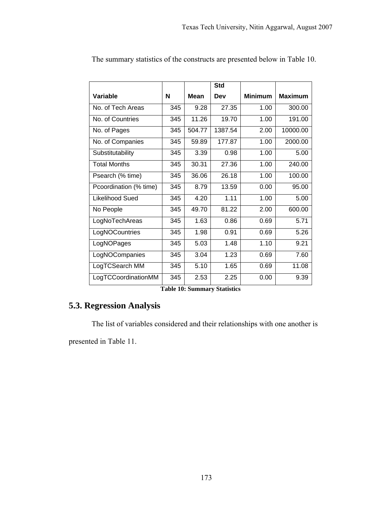|                        |     |             | <b>Std</b> |                |                |
|------------------------|-----|-------------|------------|----------------|----------------|
| Variable               | N   | <b>Mean</b> | Dev        | <b>Minimum</b> | <b>Maximum</b> |
| No. of Tech Areas      | 345 | 9.28        | 27.35      | 1.00           | 300.00         |
| No. of Countries       | 345 | 11.26       | 19.70      | 1.00           | 191.00         |
| No. of Pages           | 345 | 504.77      | 1387.54    | 2.00           | 10000.00       |
| No. of Companies       | 345 | 59.89       | 177.87     | 1.00           | 2000.00        |
| Substitutability       | 345 | 3.39        | 0.98       | 1.00           | 5.00           |
| <b>Total Months</b>    | 345 | 30.31       | 27.36      | 1.00           | 240.00         |
| Psearch (% time)       | 345 | 36.06       | 26.18      | 1.00           | 100.00         |
| Pcoordination (% time) | 345 | 8.79        | 13.59      | 0.00           | 95.00          |
| Likelihood Sued        | 345 | 4.20        | 1.11       | 1.00           | 5.00           |
| No People              | 345 | 49.70       | 81.22      | 2.00           | 600.00         |
| LogNoTechAreas         | 345 | 1.63        | 0.86       | 0.69           | 5.71           |
| LogNOCountries         | 345 | 1.98        | 0.91       | 0.69           | 5.26           |
| LogNOPages             | 345 | 5.03        | 1.48       | 1.10           | 9.21           |
| LogNOCompanies         | 345 | 3.04        | 1.23       | 0.69           | 7.60           |
| LogTCSearch MM         | 345 | 5.10        | 1.65       | 0.69           | 11.08          |
| LogTCCoordinationMM    | 345 | 2.53        | 2.25       | 0.00           | 9.39           |

The summary statistics of the constructs are presented below in Table 10.

**Table 10: Summary Statistics**

# **5.3. Regression Analysis**

The list of variables considered and their relationships with one another is

presented in Table 11.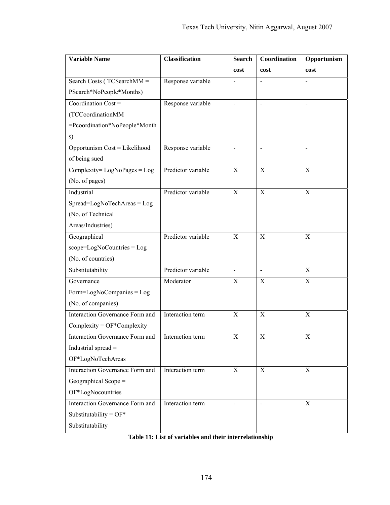| <b>Variable Name</b>                            | <b>Classification</b> | <b>Search</b>            | Coordination             | Opportunism |
|-------------------------------------------------|-----------------------|--------------------------|--------------------------|-------------|
|                                                 |                       | cost                     | cost                     | cost        |
| Search Costs ( $\overline{\text{TCSearchMM}}$ = | Response variable     |                          |                          |             |
| PSearch*NoPeople*Months)                        |                       |                          |                          |             |
| Coordination Cost =                             | Response variable     | $\overline{a}$           |                          |             |
| (TCCoordinationMM                               |                       |                          |                          |             |
| =Pcoordination*NoPeople*Month                   |                       |                          |                          |             |
| s)                                              |                       |                          |                          |             |
| Opportunism Cost = Likelihood                   | Response variable     | $\overline{\phantom{a}}$ | $\overline{\phantom{0}}$ |             |
| of being sued                                   |                       |                          |                          |             |
| $Complexity = LogNo Pages = Log$                | Predictor variable    | X                        | X                        | X           |
| (No. of pages)                                  |                       |                          |                          |             |
| Industrial                                      | Predictor variable    | $\mathbf X$              | $\mathbf X$              | X           |
| Spread=LogNoTechAreas = Log                     |                       |                          |                          |             |
| (No. of Technical                               |                       |                          |                          |             |
| Areas/Industries)                               |                       |                          |                          |             |
| Geographical                                    | Predictor variable    | X                        | X                        | X           |
| $scope = LogNoCountries = Log$                  |                       |                          |                          |             |
| (No. of countries)                              |                       |                          |                          |             |
| Substitutability                                | Predictor variable    | $\blacksquare$           | $\blacksquare$           | X           |
| Governance                                      | Moderator             | X                        | X                        | X           |
| Form=LogNoCompanies = Log                       |                       |                          |                          |             |
| (No. of companies)                              |                       |                          |                          |             |
| Interaction Governance Form and                 | Interaction term      | X                        | X                        | X           |
| $Complexity = OF*Complexity$                    |                       |                          |                          |             |
| Interaction Governance Form and                 | Interaction term      | X                        | X                        | X           |
| Industrial spread =                             |                       |                          |                          |             |
| OF*LogNoTechAreas                               |                       |                          |                          |             |
| Interaction Governance Form and                 | Interaction term      | $\mathbf X$              | $\mathbf X$              | $\mathbf X$ |
| Geographical Scope =                            |                       |                          |                          |             |
| OF*LogNocountries                               |                       |                          |                          |             |
| Interaction Governance Form and                 | Interaction term      | $\overline{\phantom{a}}$ | $\blacksquare$           | X           |
| Substitutability = $OF*$                        |                       |                          |                          |             |
| Substitutability                                |                       |                          |                          |             |

**Table 11: List of variables and their interrelationship**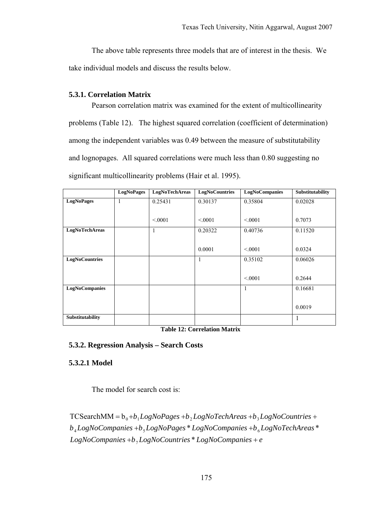The above table represents three models that are of interest in the thesis. We take individual models and discuss the results below.

# **5.3.1. Correlation Matrix**

Pearson correlation matrix was examined for the extent of multicollinearity problems (Table 12). The highest squared correlation (coefficient of determination) among the independent variables was 0.49 between the measure of substitutability and lognopages. All squared correlations were much less than 0.80 suggesting no significant multicollinearity problems (Hair et al. 1995).

|                       | <b>LogNoPages</b> | LogNoTechAreas | <b>LogNoCountries</b> | <b>LogNoCompanies</b> | Substitutability |
|-----------------------|-------------------|----------------|-----------------------|-----------------------|------------------|
| <b>LogNoPages</b>     | 1                 | 0.25431        | 0.30137               | 0.35804               | 0.02028          |
|                       |                   |                |                       |                       |                  |
|                       |                   | < 0.001        | < 0.001               | < 0.001               | 0.7073           |
| LogNoTechAreas        |                   | 1              | 0.20322               | 0.40736               | 0.11520          |
|                       |                   |                |                       |                       |                  |
|                       |                   |                | 0.0001                | < 0.001               | 0.0324           |
| <b>LogNoCountries</b> |                   |                | 1                     | 0.35102               | 0.06026          |
|                       |                   |                |                       |                       |                  |
|                       |                   |                |                       | < 0.001               | 0.2644           |
| <b>LogNoCompanies</b> |                   |                |                       |                       | 0.16681          |
|                       |                   |                |                       |                       |                  |
|                       |                   |                |                       |                       | 0.0019           |
| Substitutability      |                   |                |                       |                       |                  |

#### **Table 12: Correlation Matrix**

# **5.3.2. Regression Analysis – Search Costs**

# **5.3.2.1 Model**

The model for search cost is:

 $LogNoComparies + b<sub>7</sub> LogNoCountries * LogNoComparies + e$  $b_4 Log No Companies + b_5 Log No Pages * Log No Companies + b_6 Log NoTechnisms$  $TCSearchMM = b_0 + b_1 LogNo Pages + b_2 LogNoTechnares + b_3 LogNoCountries +$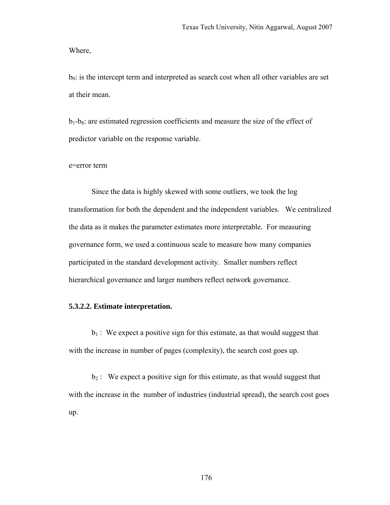Where,

 $b<sub>0</sub>$ : is the intercept term and interpreted as search cost when all other variables are set at their mean.

 $b_1-b_8$ : are estimated regression coefficients and measure the size of the effect of predictor variable on the response variable.

#### e=error term

Since the data is highly skewed with some outliers, we took the log transformation for both the dependent and the independent variables. We centralized the data as it makes the parameter estimates more interpretable. For measuring governance form, we used a continuous scale to measure how many companies participated in the standard development activity. Smaller numbers reflect hierarchical governance and larger numbers reflect network governance.

### **5.3.2.2. Estimate interpretation.**

 $b_1$ : We expect a positive sign for this estimate, as that would suggest that with the increase in number of pages (complexity), the search cost goes up.

 $b_2$ : We expect a positive sign for this estimate, as that would suggest that with the increase in the number of industries (industrial spread), the search cost goes up.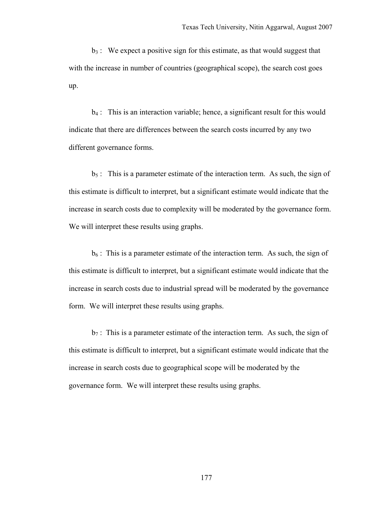$b_3$ : We expect a positive sign for this estimate, as that would suggest that with the increase in number of countries (geographical scope), the search cost goes up.

b4 : This is an interaction variable; hence, a significant result for this would indicate that there are differences between the search costs incurred by any two different governance forms.

 $b_5$ : This is a parameter estimate of the interaction term. As such, the sign of this estimate is difficult to interpret, but a significant estimate would indicate that the increase in search costs due to complexity will be moderated by the governance form. We will interpret these results using graphs.

 $b<sub>6</sub>$ : This is a parameter estimate of the interaction term. As such, the sign of this estimate is difficult to interpret, but a significant estimate would indicate that the increase in search costs due to industrial spread will be moderated by the governance form. We will interpret these results using graphs.

 $b_7$ : This is a parameter estimate of the interaction term. As such, the sign of this estimate is difficult to interpret, but a significant estimate would indicate that the increase in search costs due to geographical scope will be moderated by the governance form. We will interpret these results using graphs.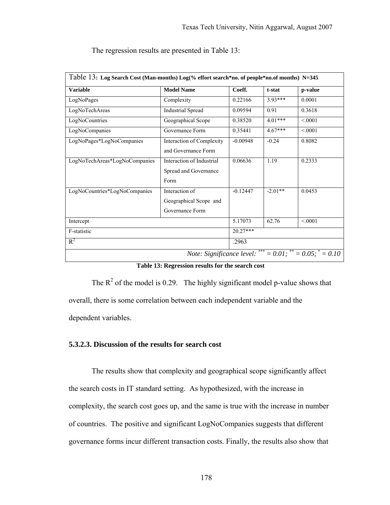| <b>Variable</b>               | <b>Model Name</b>                                           | Coeff.     | t-stat    | p-value |
|-------------------------------|-------------------------------------------------------------|------------|-----------|---------|
| LogNoPages                    | Complexity                                                  | 0.22166    | $3.93***$ | 0.0001  |
| LogNoTechAreas                | <b>Industrial Spread</b>                                    | 0.09594    | 0.91      | 0.3618  |
| LogNoCountries                | Geographical Scope                                          | 0.38520    | $4.01***$ | < 0.001 |
| LogNoCompanies                | Governance Form                                             | 0.35441    | $4.67***$ | < 0.001 |
| LogNoPages*LogNoCompanies     | Interaction of Complexity<br>and Governance Form            | $-0.00948$ | $-0.24$   | 0.8082  |
| LogNoTechAreas*LogNoCompanies | Interaction of Industrial<br>Spread and Governance<br>Form  | 0.06636    | 1.19      | 0.2333  |
| LogNoCountries*LogNoCompanies | Interaction of<br>Geographical Scope and<br>Governance Form | $-0.12447$ | $-2.01**$ | 0.0453  |
| Intercept                     |                                                             | 5.17073    | 62.76     | < 0001  |
| F-statistic                   |                                                             | $20.27***$ |           |         |
| $R^2$                         |                                                             | .2963      |           |         |

The regression results are presented in Table 13:

**Table 13: Regression results for the search cost** 

The  $R^2$  of the model is 0.29. The highly significant model p-value shows that overall, there is some correlation between each independent variable and the dependent variables.

### **5.3.2.3. Discussion of the results for search cost**

The results show that complexity and geographical scope significantly affect the search costs in IT standard setting. As hypothesized, with the increase in complexity, the search cost goes up, and the same is true with the increase in number of countries. The positive and significant LogNoCompanies suggests that different governance forms incur different transaction costs. Finally, the results also show that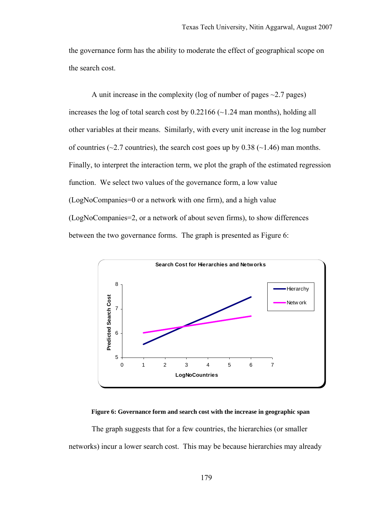the governance form has the ability to moderate the effect of geographical scope on the search cost.

A unit increase in the complexity (log of number of pages  $\sim$  2.7 pages) increases the log of total search cost by  $0.22166$  ( $\sim$ 1.24 man months), holding all other variables at their means. Similarly, with every unit increase in the log number of countries ( $\sim$ 2.7 countries), the search cost goes up by 0.38 ( $\sim$ 1.46) man months. Finally, to interpret the interaction term, we plot the graph of the estimated regression function. We select two values of the governance form, a low value (LogNoCompanies=0 or a network with one firm), and a high value (LogNoCompanies=2, or a network of about seven firms), to show differences between the two governance forms. The graph is presented as Figure 6:



**Figure 6: Governance form and search cost with the increase in geographic span** 

The graph suggests that for a few countries, the hierarchies (or smaller networks) incur a lower search cost. This may be because hierarchies may already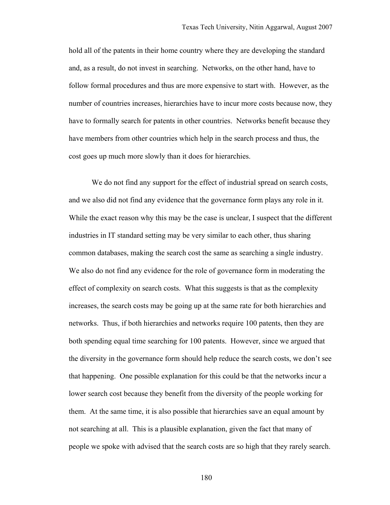hold all of the patents in their home country where they are developing the standard and, as a result, do not invest in searching. Networks, on the other hand, have to follow formal procedures and thus are more expensive to start with. However, as the number of countries increases, hierarchies have to incur more costs because now, they have to formally search for patents in other countries. Networks benefit because they have members from other countries which help in the search process and thus, the cost goes up much more slowly than it does for hierarchies.

We do not find any support for the effect of industrial spread on search costs, and we also did not find any evidence that the governance form plays any role in it. While the exact reason why this may be the case is unclear, I suspect that the different industries in IT standard setting may be very similar to each other, thus sharing common databases, making the search cost the same as searching a single industry. We also do not find any evidence for the role of governance form in moderating the effect of complexity on search costs. What this suggests is that as the complexity increases, the search costs may be going up at the same rate for both hierarchies and networks. Thus, if both hierarchies and networks require 100 patents, then they are both spending equal time searching for 100 patents. However, since we argued that the diversity in the governance form should help reduce the search costs, we don't see that happening. One possible explanation for this could be that the networks incur a lower search cost because they benefit from the diversity of the people working for them. At the same time, it is also possible that hierarchies save an equal amount by not searching at all. This is a plausible explanation, given the fact that many of people we spoke with advised that the search costs are so high that they rarely search.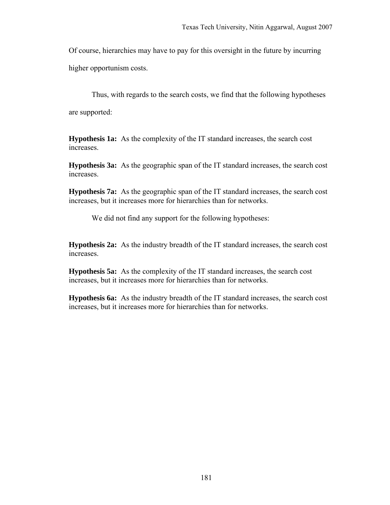Of course, hierarchies may have to pay for this oversight in the future by incurring

higher opportunism costs.

Thus, with regards to the search costs, we find that the following hypotheses

are supported:

**Hypothesis 1a:** As the complexity of the IT standard increases, the search cost increases.

**Hypothesis 3a:** As the geographic span of the IT standard increases, the search cost increases.

**Hypothesis 7a:** As the geographic span of the IT standard increases, the search cost increases, but it increases more for hierarchies than for networks.

We did not find any support for the following hypotheses:

**Hypothesis 2a:** As the industry breadth of the IT standard increases, the search cost increases.

**Hypothesis 5a:** As the complexity of the IT standard increases, the search cost increases, but it increases more for hierarchies than for networks.

**Hypothesis 6a:** As the industry breadth of the IT standard increases, the search cost increases, but it increases more for hierarchies than for networks.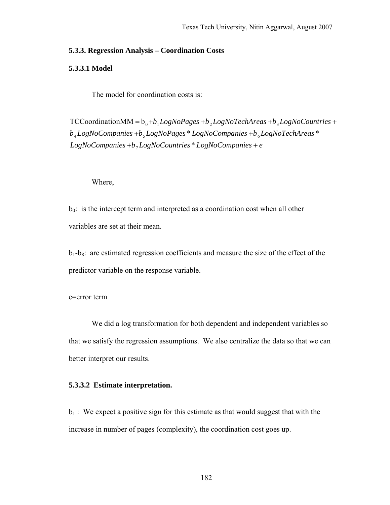### **5.3.3. Regression Analysis – Coordination Costs**

### **5.3.3.1 Model**

The model for coordination costs is:

 $LogNoComparies + b<sub>7</sub> LogNoCountries * LogNoComparies + e$  $b_4 Log No Companies + b_5 Log No Pages * Log No Companies + b_6 Log NoTechnisms$  $TCC$ oordination $MM = b_0 + b_1 LogNo Pages + b_2 LogNoTechAreas + b_3 LogNoCountries +$ 

#### Where,

 $b<sub>0</sub>$ : is the intercept term and interpreted as a coordination cost when all other variables are set at their mean.

 $b_1-b_8$ : are estimated regression coefficients and measure the size of the effect of the predictor variable on the response variable.

e=error term

We did a log transformation for both dependent and independent variables so that we satisfy the regression assumptions. We also centralize the data so that we can better interpret our results.

### **5.3.3.2 Estimate interpretation.**

 $b_1$ : We expect a positive sign for this estimate as that would suggest that with the increase in number of pages (complexity), the coordination cost goes up.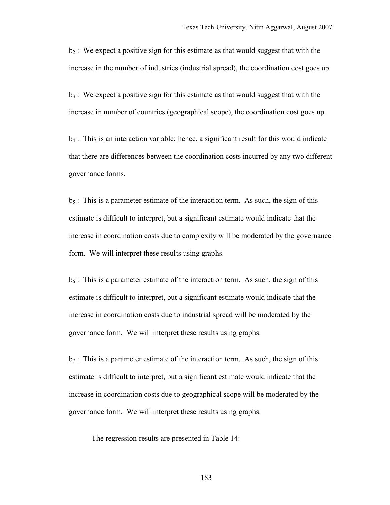$b_2$ : We expect a positive sign for this estimate as that would suggest that with the increase in the number of industries (industrial spread), the coordination cost goes up.

 $b_3$ : We expect a positive sign for this estimate as that would suggest that with the increase in number of countries (geographical scope), the coordination cost goes up.

 $b_4$ : This is an interaction variable; hence, a significant result for this would indicate that there are differences between the coordination costs incurred by any two different governance forms.

 $b_5$ : This is a parameter estimate of the interaction term. As such, the sign of this estimate is difficult to interpret, but a significant estimate would indicate that the increase in coordination costs due to complexity will be moderated by the governance form. We will interpret these results using graphs.

 $b_6$ : This is a parameter estimate of the interaction term. As such, the sign of this estimate is difficult to interpret, but a significant estimate would indicate that the increase in coordination costs due to industrial spread will be moderated by the governance form. We will interpret these results using graphs.

 $b_7$ : This is a parameter estimate of the interaction term. As such, the sign of this estimate is difficult to interpret, but a significant estimate would indicate that the increase in coordination costs due to geographical scope will be moderated by the governance form. We will interpret these results using graphs.

The regression results are presented in Table 14: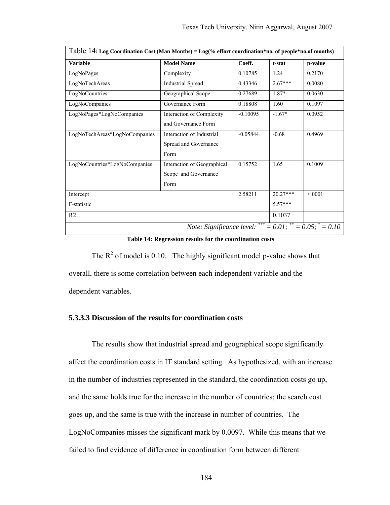| Table 14: Log Coordination Cost (Man Months) = Log(% effort coordination*no. of people*no.of months) |                                                             |            |            |                                           |
|------------------------------------------------------------------------------------------------------|-------------------------------------------------------------|------------|------------|-------------------------------------------|
| <b>Variable</b>                                                                                      | <b>Model Name</b>                                           | Coeff.     | t-stat     | p-value                                   |
| LogNoPages                                                                                           | Complexity                                                  | 0.10785    | 1.24       | 0.2170                                    |
| LogNoTechAreas                                                                                       | <b>Industrial Spread</b>                                    | 0.43346    | $2.67***$  | 0.0080                                    |
| LogNoCountries                                                                                       | Geographical Scope                                          | 0.27689    | 1.87*      | 0.0630                                    |
| LogNoCompanies                                                                                       | Governance Form                                             | 0.18808    | 1.60       | 0.1097                                    |
| LogNoPages*LogNoCompanies                                                                            | Interaction of Complexity<br>and Governance Form            | $-0.10095$ | $-1.67*$   | 0.0952                                    |
| LogNoTechAreas*LogNoCompanies                                                                        | Interaction of Industrial<br>Spread and Governance<br>Form  | $-0.05844$ | $-0.68$    | 0.4969                                    |
| LogNoCountries*LogNoCompanies                                                                        | Interaction of Geographical<br>Scope and Governance<br>Form | 0.15752    | 1.65       | 0.1009                                    |
| Intercept                                                                                            |                                                             | 2.58211    | $20.27***$ | < 0.001                                   |
| F-statistic                                                                                          |                                                             |            | $5.57***$  |                                           |
| R <sub>2</sub>                                                                                       |                                                             | 0.1037     |            |                                           |
|                                                                                                      | Note: Significance level:                                   | ***        |            | $= 0.01$ ; $^{**} = 0.05$ ; $^{*} = 0.10$ |

**Table 14: Regression results for the coordination costs** 

The  $R^2$  of model is 0.10. The highly significant model p-value shows that overall, there is some correlation between each independent variable and the dependent variables.

### **5.3.3.3 Discussion of the results for coordination costs**

The results show that industrial spread and geographical scope significantly affect the coordination costs in IT standard setting. As hypothesized, with an increase in the number of industries represented in the standard, the coordination costs go up, and the same holds true for the increase in the number of countries; the search cost goes up, and the same is true with the increase in number of countries. The LogNoCompanies misses the significant mark by 0.0097. While this means that we failed to find evidence of difference in coordination form between different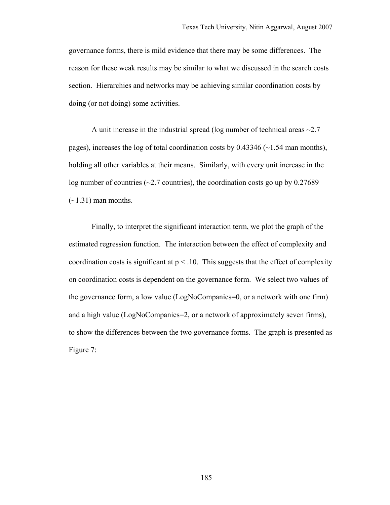governance forms, there is mild evidence that there may be some differences. The reason for these weak results may be similar to what we discussed in the search costs section. Hierarchies and networks may be achieving similar coordination costs by doing (or not doing) some activities.

A unit increase in the industrial spread (log number of technical areas  $\sim 2.7$ ) pages), increases the log of total coordination costs by  $0.43346$  ( $\sim$ 1.54 man months), holding all other variables at their means. Similarly, with every unit increase in the log number of countries ( $\sim$ 2.7 countries), the coordination costs go up by 0.27689  $(-1.31)$  man months.

Finally, to interpret the significant interaction term, we plot the graph of the estimated regression function. The interaction between the effect of complexity and coordination costs is significant at  $p < 10$ . This suggests that the effect of complexity on coordination costs is dependent on the governance form. We select two values of the governance form, a low value (LogNoCompanies=0, or a network with one firm) and a high value (LogNoCompanies=2, or a network of approximately seven firms), to show the differences between the two governance forms. The graph is presented as Figure 7: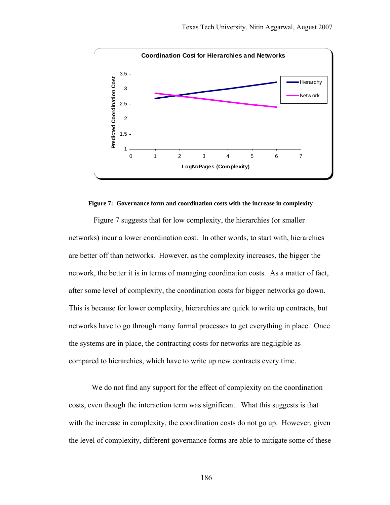

#### **Figure 7: Governance form and coordination costs with the increase in complexity**

 Figure 7 suggests that for low complexity, the hierarchies (or smaller networks) incur a lower coordination cost. In other words, to start with, hierarchies are better off than networks. However, as the complexity increases, the bigger the network, the better it is in terms of managing coordination costs. As a matter of fact, after some level of complexity, the coordination costs for bigger networks go down. This is because for lower complexity, hierarchies are quick to write up contracts, but networks have to go through many formal processes to get everything in place. Once the systems are in place, the contracting costs for networks are negligible as compared to hierarchies, which have to write up new contracts every time.

We do not find any support for the effect of complexity on the coordination costs, even though the interaction term was significant. What this suggests is that with the increase in complexity, the coordination costs do not go up. However, given the level of complexity, different governance forms are able to mitigate some of these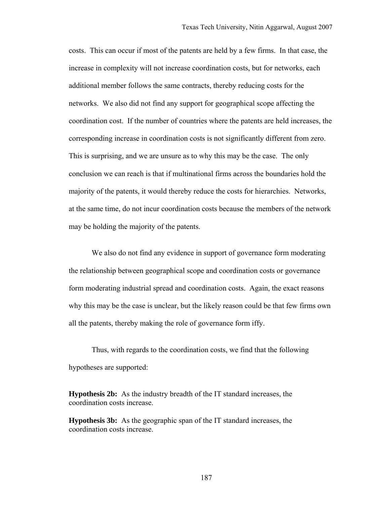costs. This can occur if most of the patents are held by a few firms. In that case, the increase in complexity will not increase coordination costs, but for networks, each additional member follows the same contracts, thereby reducing costs for the networks. We also did not find any support for geographical scope affecting the coordination cost. If the number of countries where the patents are held increases, the corresponding increase in coordination costs is not significantly different from zero. This is surprising, and we are unsure as to why this may be the case. The only conclusion we can reach is that if multinational firms across the boundaries hold the majority of the patents, it would thereby reduce the costs for hierarchies. Networks, at the same time, do not incur coordination costs because the members of the network may be holding the majority of the patents.

We also do not find any evidence in support of governance form moderating the relationship between geographical scope and coordination costs or governance form moderating industrial spread and coordination costs. Again, the exact reasons why this may be the case is unclear, but the likely reason could be that few firms own all the patents, thereby making the role of governance form iffy.

Thus, with regards to the coordination costs, we find that the following hypotheses are supported:

**Hypothesis 2b:** As the industry breadth of the IT standard increases, the coordination costs increase.

**Hypothesis 3b:** As the geographic span of the IT standard increases, the coordination costs increase.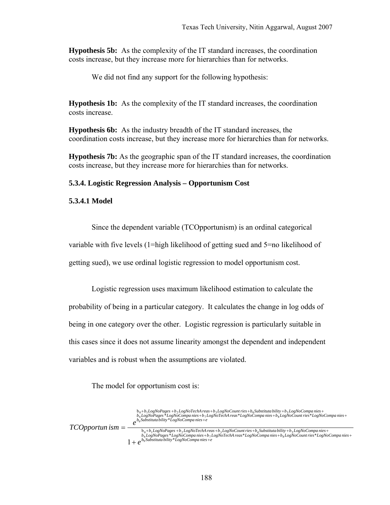**Hypothesis 5b:** As the complexity of the IT standard increases, the coordination costs increase, but they increase more for hierarchies than for networks.

We did not find any support for the following hypothesis:

**Hypothesis 1b:** As the complexity of the IT standard increases, the coordination costs increase.

**Hypothesis 6b:** As the industry breadth of the IT standard increases, the coordination costs increase, but they increase more for hierarchies than for networks.

**Hypothesis 7b:** As the geographic span of the IT standard increases, the coordination costs increase, but they increase more for hierarchies than for networks.

#### **5.3.4. Logistic Regression Analysis – Opportunism Cost**

#### **5.3.4.1 Model**

Since the dependent variable (TCOpportunism) is an ordinal categorical

variable with five levels (1=high likelihood of getting sued and 5=no likelihood of

getting sued), we use ordinal logistic regression to model opportunism cost.

Logistic regression uses maximum likelihood estimation to calculate the probability of being in a particular category. It calculates the change in log odds of being in one category over the other. Logistic regression is particularly suitable in this cases since it does not assume linearity amongst the dependent and independent variables and is robust when the assumptions are violated.

The model for opportunism cost is:

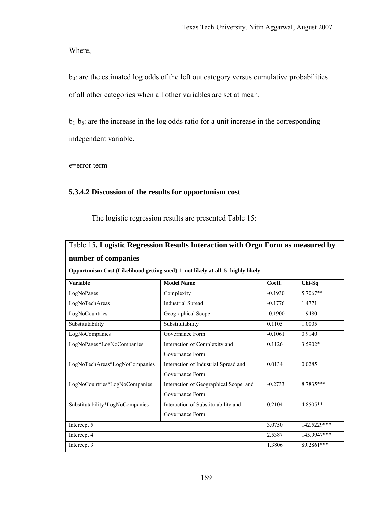Where,

 $b<sub>0</sub>$ : are the estimated log odds of the left out category versus cumulative probabilities of all other categories when all other variables are set at mean.

 $b_1-b_8$ : are the increase in the log odds ratio for a unit increase in the corresponding independent variable.

e=error term

## **5.3.4.2 Discussion of the results for opportunism cost**

The logistic regression results are presented Table 15:

| Table 15. Logistic Regression Results Interaction with Orgn Form as measured by |                                                                                |            |               |  |  |
|---------------------------------------------------------------------------------|--------------------------------------------------------------------------------|------------|---------------|--|--|
| number of companies                                                             |                                                                                |            |               |  |  |
|                                                                                 | Opportunism Cost (Likelihood getting sued) 1=not likely at all 5=highly likely |            |               |  |  |
| <b>Variable</b>                                                                 | <b>Model Name</b>                                                              | Coeff.     | $Chi-Sq$      |  |  |
| LogNoPages                                                                      | Complexity                                                                     | $-0.1930$  | 5.7067**      |  |  |
| LogNoTechAreas                                                                  | <b>Industrial Spread</b>                                                       | $-0.1776$  | 1.4771        |  |  |
| LogNoCountries                                                                  | Geographical Scope                                                             | $-0.1900$  | 1.9480        |  |  |
| Substitutability                                                                | Substitutability                                                               | 0.1105     | 1.0005        |  |  |
| LogNoCompanies                                                                  | Governance Form                                                                | $-0.1061$  | 0.9140        |  |  |
| LogNoPages*LogNoCompanies                                                       | Interaction of Complexity and                                                  | 0.1126     | 3.5902*       |  |  |
|                                                                                 | Governance Form                                                                |            |               |  |  |
| LogNoTechAreas*LogNoCompanies                                                   | Interaction of Industrial Spread and                                           | 0.0134     | 0.0285        |  |  |
|                                                                                 | Governance Form                                                                |            |               |  |  |
| LogNoCountries*LogNoCompanies                                                   | Interaction of Geographical Scope and                                          | $-0.2733$  | $8.7835***$   |  |  |
|                                                                                 | Governance Form                                                                |            |               |  |  |
| Substitutability*LogNoCompanies                                                 | Interaction of Substitutability and                                            | 0.2104     | 4.8505**      |  |  |
|                                                                                 | Governance Form                                                                |            |               |  |  |
| Intercept 5                                                                     |                                                                                | 3.0750     | $142.5229***$ |  |  |
| Intercept 4                                                                     |                                                                                | 2.5387     | 145.9947***   |  |  |
| Intercept 3                                                                     | 1.3806                                                                         | 89.2861*** |               |  |  |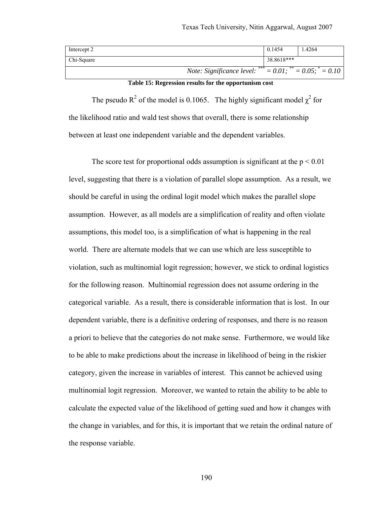| Intercept 2 |                                                                          | 0.1454     | .4264 |
|-------------|--------------------------------------------------------------------------|------------|-------|
| Chi-Square  |                                                                          | 38.8618*** |       |
|             | <i>Note: Significance level:</i> *** = $0.01$ ; ** = $0.05$ ; * = $0.10$ |            |       |

**Table 15: Regression results for the opportunism cost** 

The pseudo R<sup>2</sup> of the model is 0.1065. The highly significant model  $\chi^2$  for the likelihood ratio and wald test shows that overall, there is some relationship between at least one independent variable and the dependent variables.

The score test for proportional odds assumption is significant at the  $p \le 0.01$ level, suggesting that there is a violation of parallel slope assumption. As a result, we should be careful in using the ordinal logit model which makes the parallel slope assumption. However, as all models are a simplification of reality and often violate assumptions, this model too, is a simplification of what is happening in the real world. There are alternate models that we can use which are less susceptible to violation, such as multinomial logit regression; however, we stick to ordinal logistics for the following reason. Multinomial regression does not assume ordering in the categorical variable. As a result, there is considerable information that is lost. In our dependent variable, there is a definitive ordering of responses, and there is no reason a priori to believe that the categories do not make sense. Furthermore, we would like to be able to make predictions about the increase in likelihood of being in the riskier category, given the increase in variables of interest. This cannot be achieved using multinomial logit regression. Moreover, we wanted to retain the ability to be able to calculate the expected value of the likelihood of getting sued and how it changes with the change in variables, and for this, it is important that we retain the ordinal nature of the response variable.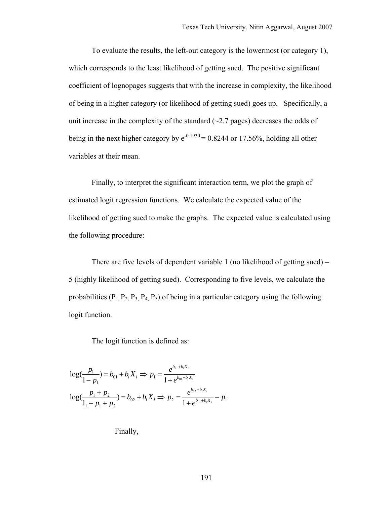To evaluate the results, the left-out category is the lowermost (or category 1), which corresponds to the least likelihood of getting sued. The positive significant coefficient of lognopages suggests that with the increase in complexity, the likelihood of being in a higher category (or likelihood of getting sued) goes up. Specifically, a unit increase in the complexity of the standard  $(\sim 2.7$  pages) decreases the odds of being in the next higher category by  $e^{-0.1930} = 0.8244$  or 17.56%, holding all other variables at their mean.

Finally, to interpret the significant interaction term, we plot the graph of estimated logit regression functions. We calculate the expected value of the likelihood of getting sued to make the graphs. The expected value is calculated using the following procedure:

There are five levels of dependent variable 1 (no likelihood of getting sued) – 5 (highly likelihood of getting sued). Corresponding to five levels, we calculate the probabilities  $(P_1, P_2, P_3, P_4, P_5)$  of being in a particular category using the following logit function.

The logit function is defined as:

$$
log(\frac{p_1}{1-p_1}) = b_{01} + b_i X_i \Rightarrow p_1 = \frac{e^{b_{01} + b_i X_i}}{1 + e^{b_{01} + b_i X_i}}
$$

$$
log(\frac{p_1 + p_2}{1_1 - p_1 + p_2}) = b_{02} + b_i X_i \Rightarrow p_2 = \frac{e^{b_{02} + b_i X_i}}{1 + e^{b_{01} + b_i X_i}} - p_1
$$

Finally,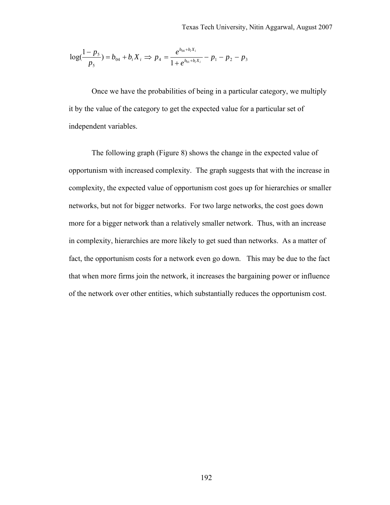$$
\log(\frac{1-p_5}{p_5}) = b_{04} + b_i X_i \Rightarrow p_4 = \frac{e^{b_{04} + b_i X_i}}{1 + e^{b_{01} + b_i X_i}} - p_1 - p_2 - p_3
$$

Once we have the probabilities of being in a particular category, we multiply it by the value of the category to get the expected value for a particular set of independent variables.

The following graph (Figure 8) shows the change in the expected value of opportunism with increased complexity. The graph suggests that with the increase in complexity, the expected value of opportunism cost goes up for hierarchies or smaller networks, but not for bigger networks. For two large networks, the cost goes down more for a bigger network than a relatively smaller network. Thus, with an increase in complexity, hierarchies are more likely to get sued than networks. As a matter of fact, the opportunism costs for a network even go down. This may be due to the fact that when more firms join the network, it increases the bargaining power or influence of the network over other entities, which substantially reduces the opportunism cost.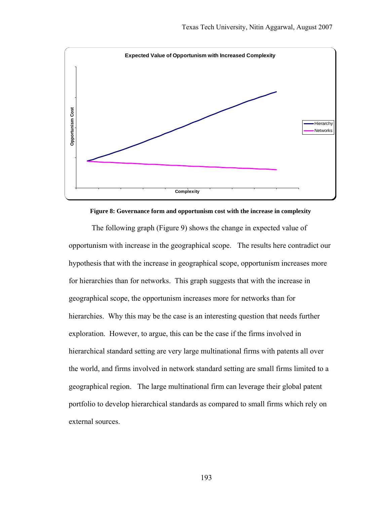

**Figure 8: Governance form and opportunism cost with the increase in complexity** 

The following graph (Figure 9) shows the change in expected value of opportunism with increase in the geographical scope. The results here contradict our hypothesis that with the increase in geographical scope, opportunism increases more for hierarchies than for networks. This graph suggests that with the increase in geographical scope, the opportunism increases more for networks than for hierarchies. Why this may be the case is an interesting question that needs further exploration. However, to argue, this can be the case if the firms involved in hierarchical standard setting are very large multinational firms with patents all over the world, and firms involved in network standard setting are small firms limited to a geographical region. The large multinational firm can leverage their global patent portfolio to develop hierarchical standards as compared to small firms which rely on external sources.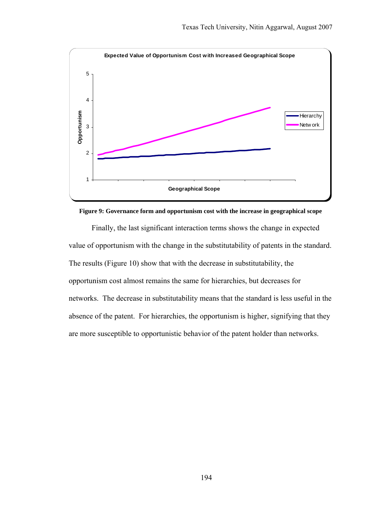

**Figure 9: Governance form and opportunism cost with the increase in geographical scope** 

Finally, the last significant interaction terms shows the change in expected value of opportunism with the change in the substitutability of patents in the standard. The results (Figure 10) show that with the decrease in substitutability, the opportunism cost almost remains the same for hierarchies, but decreases for networks. The decrease in substitutability means that the standard is less useful in the absence of the patent. For hierarchies, the opportunism is higher, signifying that they are more susceptible to opportunistic behavior of the patent holder than networks.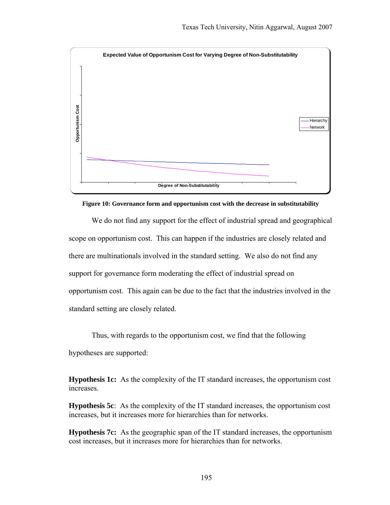

**Figure 10: Governance form and opportunism cost with the decrease in substitutability** 

We do not find any support for the effect of industrial spread and geographical scope on opportunism cost. This can happen if the industries are closely related and there are multinationals involved in the standard setting. We also do not find any support for governance form moderating the effect of industrial spread on opportunism cost. This again can be due to the fact that the industries involved in the standard setting are closely related.

Thus, with regards to the opportunism cost, we find that the following hypotheses are supported:

**Hypothesis 1c:** As the complexity of the IT standard increases, the opportunism cost increases.

**Hypothesis 5c**: As the complexity of the IT standard increases, the opportunism cost increases, but it increases more for hierarchies than for networks.

**Hypothesis 7c:** As the geographic span of the IT standard increases, the opportunism cost increases, but it increases more for hierarchies than for networks.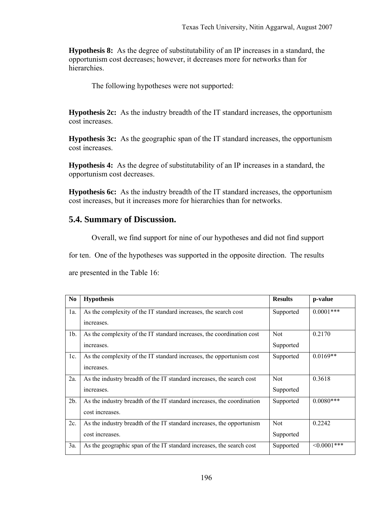**Hypothesis 8:** As the degree of substitutability of an IP increases in a standard, the opportunism cost decreases; however, it decreases more for networks than for hierarchies.

The following hypotheses were not supported:

**Hypothesis 2c:** As the industry breadth of the IT standard increases, the opportunism cost increases.

**Hypothesis 3c:** As the geographic span of the IT standard increases, the opportunism cost increases.

**Hypothesis 4:** As the degree of substitutability of an IP increases in a standard, the opportunism cost decreases.

**Hypothesis 6c:** As the industry breadth of the IT standard increases, the opportunism cost increases, but it increases more for hierarchies than for networks.

# **5.4. Summary of Discussion.**

Overall, we find support for nine of our hypotheses and did not find support

for ten. One of the hypotheses was supported in the opposite direction. The results

are presented in the Table 16:

| N <sub>0</sub> | <b>Hypothesis</b>                                                      | <b>Results</b> | p-value      |
|----------------|------------------------------------------------------------------------|----------------|--------------|
| $1a$ .         | As the complexity of the IT standard increases, the search cost        | Supported      | $0.0001***$  |
|                | increases.                                                             |                |              |
| 1 <sub>b</sub> | As the complexity of the IT standard increases, the coordination cost  | <b>Not</b>     | 0.2170       |
|                | increases.                                                             | Supported      |              |
| $1c$ .         | As the complexity of the IT standard increases, the opportunism cost   | Supported      | $0.0169**$   |
|                | increases.                                                             |                |              |
| 2a.            | As the industry breadth of the IT standard increases, the search cost  | <b>Not</b>     | 0.3618       |
|                | increases.                                                             | Supported      |              |
| 2b.            | As the industry breadth of the IT standard increases, the coordination | Supported      | $0.0080***$  |
|                | cost increases.                                                        |                |              |
| 2c.            | As the industry breadth of the IT standard increases, the opportunism  | <b>Not</b>     | 0.2242       |
|                | cost increases.                                                        | Supported      |              |
| 3a.            | As the geographic span of the IT standard increases, the search cost   | Supported      | $<0.0001***$ |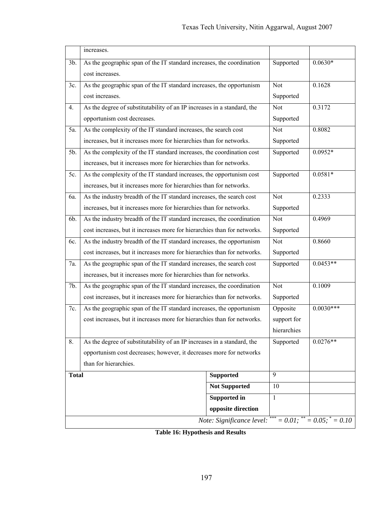|              | increases.                                                                               |                           |              |                                     |
|--------------|------------------------------------------------------------------------------------------|---------------------------|--------------|-------------------------------------|
| $3b$ .       | As the geographic span of the IT standard increases, the coordination<br>cost increases. |                           | Supported    | $0.0630*$                           |
| 3c.          | As the geographic span of the IT standard increases, the opportunism                     |                           | Not          | 0.1628                              |
|              | cost increases.                                                                          |                           | Supported    |                                     |
| 4.           | As the degree of substitutability of an IP increases in a standard, the                  |                           |              | 0.3172                              |
|              | opportunism cost decreases.                                                              |                           | Supported    |                                     |
| 5a.          | As the complexity of the IT standard increases, the search cost                          |                           | Not          | 0.8082                              |
|              | increases, but it increases more for hierarchies than for networks.                      |                           | Supported    |                                     |
| 5b.          | As the complexity of the IT standard increases, the coordination cost                    |                           | Supported    | $0.0952*$                           |
|              | increases, but it increases more for hierarchies than for networks.                      |                           |              |                                     |
| 5c.          | As the complexity of the IT standard increases, the opportunism cost                     |                           | Supported    | $0.0581*$                           |
|              | increases, but it increases more for hierarchies than for networks.                      |                           |              |                                     |
| 6a.          | As the industry breadth of the IT standard increases, the search cost                    |                           | Not          | 0.2333                              |
|              | increases, but it increases more for hierarchies than for networks.                      |                           |              |                                     |
| 6b.          | As the industry breadth of the IT standard increases, the coordination                   |                           |              | 0.4969                              |
|              | cost increases, but it increases more for hierarchies than for networks.                 |                           |              |                                     |
| 6c.          | As the industry breadth of the IT standard increases, the opportunism                    |                           | Not          | 0.8660                              |
|              | cost increases, but it increases more for hierarchies than for networks.                 |                           | Supported    |                                     |
| 7a.          | As the geographic span of the IT standard increases, the search cost                     |                           | Supported    | $0.0453**$                          |
|              | increases, but it increases more for hierarchies than for networks.                      |                           |              |                                     |
| 7b.          | As the geographic span of the IT standard increases, the coordination                    |                           | Not          | 0.1009                              |
|              | cost increases, but it increases more for hierarchies than for networks.                 |                           | Supported    |                                     |
| 7c.          | As the geographic span of the IT standard increases, the opportunism                     |                           | Opposite     | $0.0030***$                         |
|              | cost increases, but it increases more for hierarchies than for networks.                 |                           | support for  |                                     |
|              |                                                                                          |                           | hierarchies  |                                     |
| 8.           | As the degree of substitutability of an IP increases in a standard, the                  |                           | Supported    | $0.0276**$                          |
|              | opportunism cost decreases; however, it decreases more for networks                      |                           |              |                                     |
|              | than for hierarchies.                                                                    |                           |              |                                     |
| <b>Total</b> |                                                                                          | Supported                 | 9            |                                     |
|              |                                                                                          | <b>Not Supported</b>      | 10           |                                     |
|              |                                                                                          | Supported in              | $\mathbf{1}$ |                                     |
|              |                                                                                          | opposite direction        |              |                                     |
|              |                                                                                          | Note: Significance level: |              | $= 0.01$ ; ** $= 0.05$ ; * $= 0.10$ |

**Table 16: Hypothesis and Results**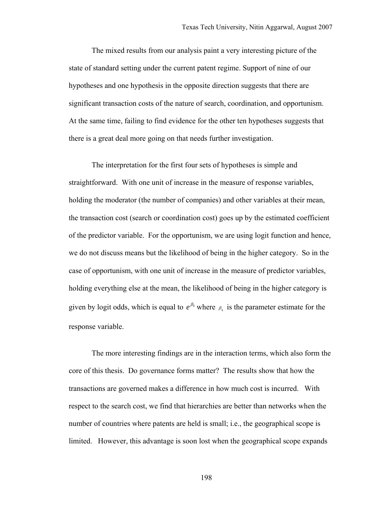The mixed results from our analysis paint a very interesting picture of the state of standard setting under the current patent regime. Support of nine of our hypotheses and one hypothesis in the opposite direction suggests that there are significant transaction costs of the nature of search, coordination, and opportunism. At the same time, failing to find evidence for the other ten hypotheses suggests that there is a great deal more going on that needs further investigation.

The interpretation for the first four sets of hypotheses is simple and straightforward. With one unit of increase in the measure of response variables, holding the moderator (the number of companies) and other variables at their mean, the transaction cost (search or coordination cost) goes up by the estimated coefficient of the predictor variable. For the opportunism, we are using logit function and hence, we do not discuss means but the likelihood of being in the higher category. So in the case of opportunism, with one unit of increase in the measure of predictor variables, holding everything else at the mean, the likelihood of being in the higher category is given by logit odds, which is equal to  $e^{\beta_k}$  where  $\beta_k$  is the parameter estimate for the response variable.

The more interesting findings are in the interaction terms, which also form the core of this thesis. Do governance forms matter? The results show that how the transactions are governed makes a difference in how much cost is incurred. With respect to the search cost, we find that hierarchies are better than networks when the number of countries where patents are held is small; i.e., the geographical scope is limited. However, this advantage is soon lost when the geographical scope expands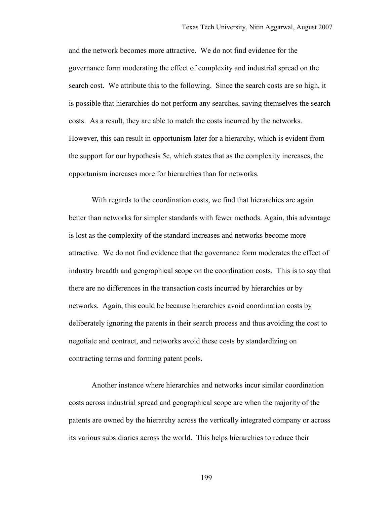and the network becomes more attractive. We do not find evidence for the governance form moderating the effect of complexity and industrial spread on the search cost. We attribute this to the following. Since the search costs are so high, it is possible that hierarchies do not perform any searches, saving themselves the search costs. As a result, they are able to match the costs incurred by the networks. However, this can result in opportunism later for a hierarchy, which is evident from the support for our hypothesis 5c, which states that as the complexity increases, the opportunism increases more for hierarchies than for networks.

With regards to the coordination costs, we find that hierarchies are again better than networks for simpler standards with fewer methods. Again, this advantage is lost as the complexity of the standard increases and networks become more attractive. We do not find evidence that the governance form moderates the effect of industry breadth and geographical scope on the coordination costs. This is to say that there are no differences in the transaction costs incurred by hierarchies or by networks. Again, this could be because hierarchies avoid coordination costs by deliberately ignoring the patents in their search process and thus avoiding the cost to negotiate and contract, and networks avoid these costs by standardizing on contracting terms and forming patent pools.

Another instance where hierarchies and networks incur similar coordination costs across industrial spread and geographical scope are when the majority of the patents are owned by the hierarchy across the vertically integrated company or across its various subsidiaries across the world. This helps hierarchies to reduce their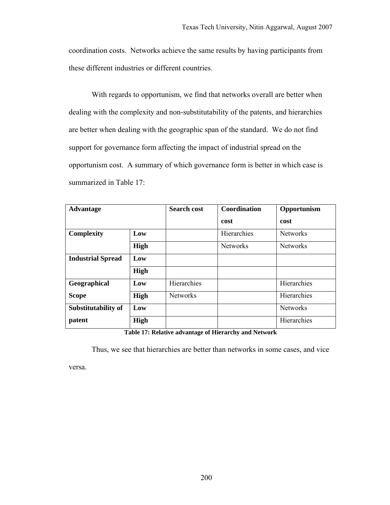coordination costs. Networks achieve the same results by having participants from these different industries or different countries.

With regards to opportunism, we find that networks overall are better when dealing with the complexity and non-substitutability of the patents, and hierarchies are better when dealing with the geographic span of the standard. We do not find support for governance form affecting the impact of industrial spread on the opportunism cost. A summary of which governance form is better in which case is summarized in Table 17:

| <b>Advantage</b>         |      | <b>Search cost</b> | <b>Coordination</b> | Opportunism     |
|--------------------------|------|--------------------|---------------------|-----------------|
|                          |      |                    | cost                | cost            |
| <b>Complexity</b>        | Low  |                    | Hierarchies         | <b>Networks</b> |
|                          | High |                    | <b>Networks</b>     | <b>Networks</b> |
| <b>Industrial Spread</b> | Low  |                    |                     |                 |
|                          | High |                    |                     |                 |
| Geographical             | Low  | Hierarchies        |                     | Hierarchies     |
| <b>Scope</b>             | High | <b>Networks</b>    |                     | Hierarchies     |
| Substitutability of      | Low  |                    |                     | <b>Networks</b> |
| patent                   | High |                    |                     | Hierarchies     |

**Table 17: Relative advantage of Hierarchy and Network** 

Thus, we see that hierarchies are better than networks in some cases, and vice

versa.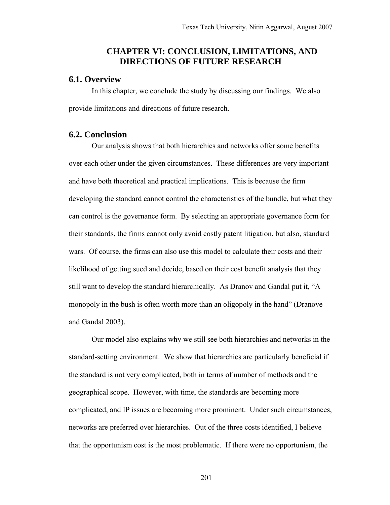# **CHAPTER VI: CONCLUSION, LIMITATIONS, AND DIRECTIONS OF FUTURE RESEARCH**

#### **6.1. Overview**

In this chapter, we conclude the study by discussing our findings. We also provide limitations and directions of future research.

# **6.2. Conclusion**

Our analysis shows that both hierarchies and networks offer some benefits over each other under the given circumstances. These differences are very important and have both theoretical and practical implications. This is because the firm developing the standard cannot control the characteristics of the bundle, but what they can control is the governance form. By selecting an appropriate governance form for their standards, the firms cannot only avoid costly patent litigation, but also, standard wars. Of course, the firms can also use this model to calculate their costs and their likelihood of getting sued and decide, based on their cost benefit analysis that they still want to develop the standard hierarchically. As Dranov and Gandal put it, "A monopoly in the bush is often worth more than an oligopoly in the hand" (Dranove and Gandal 2003).

Our model also explains why we still see both hierarchies and networks in the standard-setting environment. We show that hierarchies are particularly beneficial if the standard is not very complicated, both in terms of number of methods and the geographical scope. However, with time, the standards are becoming more complicated, and IP issues are becoming more prominent. Under such circumstances, networks are preferred over hierarchies. Out of the three costs identified, I believe that the opportunism cost is the most problematic. If there were no opportunism, the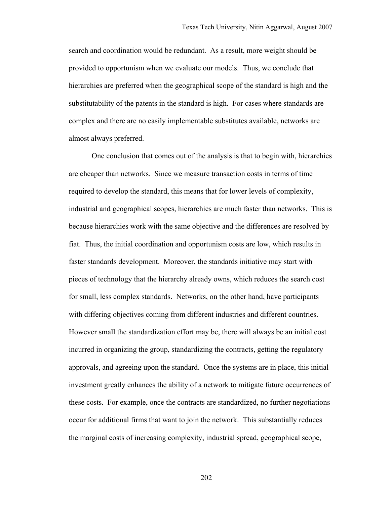search and coordination would be redundant. As a result, more weight should be provided to opportunism when we evaluate our models. Thus, we conclude that hierarchies are preferred when the geographical scope of the standard is high and the substitutability of the patents in the standard is high. For cases where standards are complex and there are no easily implementable substitutes available, networks are almost always preferred.

One conclusion that comes out of the analysis is that to begin with, hierarchies are cheaper than networks. Since we measure transaction costs in terms of time required to develop the standard, this means that for lower levels of complexity, industrial and geographical scopes, hierarchies are much faster than networks. This is because hierarchies work with the same objective and the differences are resolved by fiat. Thus, the initial coordination and opportunism costs are low, which results in faster standards development. Moreover, the standards initiative may start with pieces of technology that the hierarchy already owns, which reduces the search cost for small, less complex standards. Networks, on the other hand, have participants with differing objectives coming from different industries and different countries. However small the standardization effort may be, there will always be an initial cost incurred in organizing the group, standardizing the contracts, getting the regulatory approvals, and agreeing upon the standard. Once the systems are in place, this initial investment greatly enhances the ability of a network to mitigate future occurrences of these costs. For example, once the contracts are standardized, no further negotiations occur for additional firms that want to join the network. This substantially reduces the marginal costs of increasing complexity, industrial spread, geographical scope,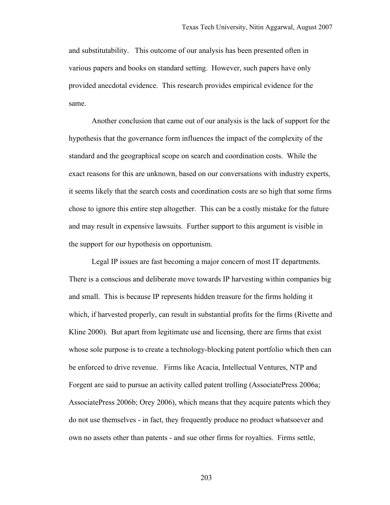and substitutability. This outcome of our analysis has been presented often in various papers and books on standard setting. However, such papers have only provided anecdotal evidence. This research provides empirical evidence for the same.

Another conclusion that came out of our analysis is the lack of support for the hypothesis that the governance form influences the impact of the complexity of the standard and the geographical scope on search and coordination costs. While the exact reasons for this are unknown, based on our conversations with industry experts, it seems likely that the search costs and coordination costs are so high that some firms chose to ignore this entire step altogether. This can be a costly mistake for the future and may result in expensive lawsuits. Further support to this argument is visible in the support for our hypothesis on opportunism.

Legal IP issues are fast becoming a major concern of most IT departments. There is a conscious and deliberate move towards IP harvesting within companies big and small. This is because IP represents hidden treasure for the firms holding it which, if harvested properly, can result in substantial profits for the firms (Rivette and Kline 2000). But apart from legitimate use and licensing, there are firms that exist whose sole purpose is to create a technology-blocking patent portfolio which then can be enforced to drive revenue. Firms like Acacia, Intellectual Ventures, NTP and Forgent are said to pursue an activity called patent trolling (AssociatePress 2006a; AssociatePress 2006b; Orey 2006), which means that they acquire patents which they do not use themselves - in fact, they frequently produce no product whatsoever and own no assets other than patents - and sue other firms for royalties. Firms settle,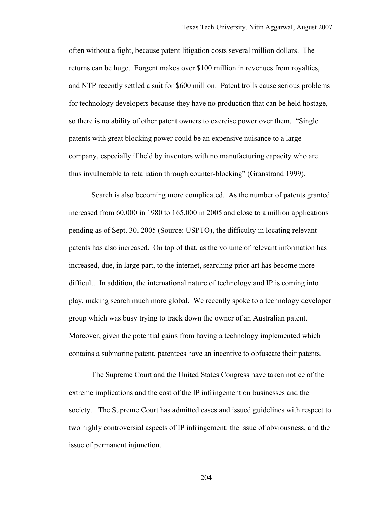often without a fight, because patent litigation costs several million dollars. The returns can be huge. Forgent makes over \$100 million in revenues from royalties, and NTP recently settled a suit for \$600 million. Patent trolls cause serious problems for technology developers because they have no production that can be held hostage, so there is no ability of other patent owners to exercise power over them. "Single patents with great blocking power could be an expensive nuisance to a large company, especially if held by inventors with no manufacturing capacity who are thus invulnerable to retaliation through counter-blocking" (Granstrand 1999).

Search is also becoming more complicated. As the number of patents granted increased from 60,000 in 1980 to 165,000 in 2005 and close to a million applications pending as of Sept. 30, 2005 (Source: USPTO), the difficulty in locating relevant patents has also increased. On top of that, as the volume of relevant information has increased, due, in large part, to the internet, searching prior art has become more difficult. In addition, the international nature of technology and IP is coming into play, making search much more global. We recently spoke to a technology developer group which was busy trying to track down the owner of an Australian patent. Moreover, given the potential gains from having a technology implemented which contains a submarine patent, patentees have an incentive to obfuscate their patents.

The Supreme Court and the United States Congress have taken notice of the extreme implications and the cost of the IP infringement on businesses and the society. The Supreme Court has admitted cases and issued guidelines with respect to two highly controversial aspects of IP infringement: the issue of obviousness, and the issue of permanent injunction.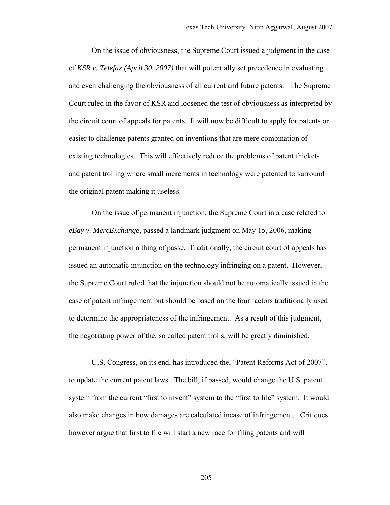On the issue of obviousness, the Supreme Court issued a judgment in the case of *KSR v. Telefax (April 30, 2007)* that will potentially set precedence in evaluating and even challenging the obviousness of all current and future patents. The Supreme Court ruled in the favor of KSR and loosened the test of obviousness as interpreted by the circuit court of appeals for patents. It will now be difficult to apply for patents or easier to challenge patents granted on inventions that are mere combination of existing technologies. This will effectively reduce the problems of patent thickets and patent trolling where small increments in technology were patented to surround the original patent making it useless.

On the issue of permanent injunction, the Supreme Court in a case related to *eBay v. MercExchange,* passed a landmark judgment on May 15, 2006, making permanent injunction a thing of passé. Traditionally, the circuit court of appeals has issued an automatic injunction on the technology infringing on a patent. However, the Supreme Court ruled that the injunction should not be automatically issued in the case of patent infringement but should be based on the four factors traditionally used to determine the appropriateness of the infringement. As a result of this judgment, the negotiating power of the, so called patent trolls, will be greatly diminished.

U.S. Congress, on its end, has introduced the, "Patent Reforms Act of 2007", to update the current patent laws. The bill, if passed, would change the U.S. patent system from the current "first to invent" system to the "first to file" system. It would also make changes in how damages are calculated incase of infringement. Critiques however argue that first to file will start a new race for filing patents and will

205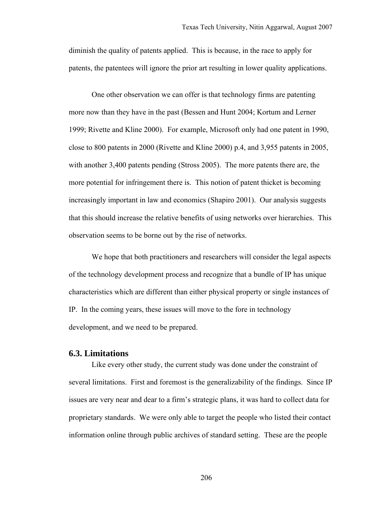diminish the quality of patents applied. This is because, in the race to apply for patents, the patentees will ignore the prior art resulting in lower quality applications.

One other observation we can offer is that technology firms are patenting more now than they have in the past (Bessen and Hunt 2004; Kortum and Lerner 1999; Rivette and Kline 2000). For example, Microsoft only had one patent in 1990, close to 800 patents in 2000 (Rivette and Kline 2000) p.4, and 3,955 patents in 2005, with another 3,400 patents pending (Stross 2005). The more patents there are, the more potential for infringement there is. This notion of patent thicket is becoming increasingly important in law and economics (Shapiro 2001). Our analysis suggests that this should increase the relative benefits of using networks over hierarchies. This observation seems to be borne out by the rise of networks.

We hope that both practitioners and researchers will consider the legal aspects of the technology development process and recognize that a bundle of IP has unique characteristics which are different than either physical property or single instances of IP. In the coming years, these issues will move to the fore in technology development, and we need to be prepared.

### **6.3. Limitations**

Like every other study, the current study was done under the constraint of several limitations. First and foremost is the generalizability of the findings. Since IP issues are very near and dear to a firm's strategic plans, it was hard to collect data for proprietary standards. We were only able to target the people who listed their contact information online through public archives of standard setting. These are the people

206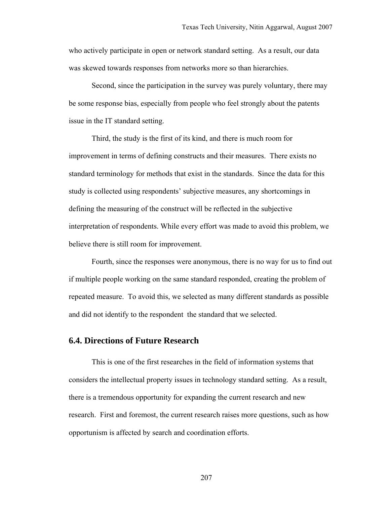who actively participate in open or network standard setting. As a result, our data was skewed towards responses from networks more so than hierarchies.

Second, since the participation in the survey was purely voluntary, there may be some response bias, especially from people who feel strongly about the patents issue in the IT standard setting.

Third, the study is the first of its kind, and there is much room for improvement in terms of defining constructs and their measures. There exists no standard terminology for methods that exist in the standards. Since the data for this study is collected using respondents' subjective measures, any shortcomings in defining the measuring of the construct will be reflected in the subjective interpretation of respondents. While every effort was made to avoid this problem, we believe there is still room for improvement.

Fourth, since the responses were anonymous, there is no way for us to find out if multiple people working on the same standard responded, creating the problem of repeated measure. To avoid this, we selected as many different standards as possible and did not identify to the respondent the standard that we selected.

### **6.4. Directions of Future Research**

This is one of the first researches in the field of information systems that considers the intellectual property issues in technology standard setting. As a result, there is a tremendous opportunity for expanding the current research and new research. First and foremost, the current research raises more questions, such as how opportunism is affected by search and coordination efforts.

207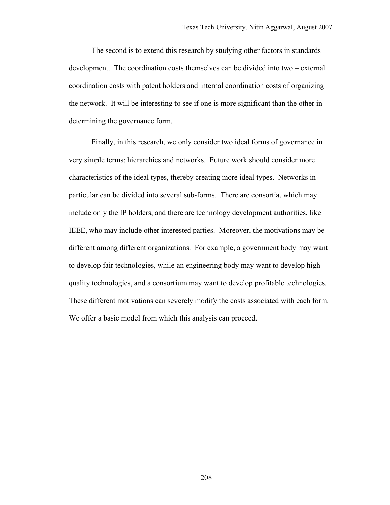The second is to extend this research by studying other factors in standards development. The coordination costs themselves can be divided into two – external coordination costs with patent holders and internal coordination costs of organizing the network. It will be interesting to see if one is more significant than the other in determining the governance form.

Finally, in this research, we only consider two ideal forms of governance in very simple terms; hierarchies and networks. Future work should consider more characteristics of the ideal types, thereby creating more ideal types. Networks in particular can be divided into several sub-forms. There are consortia, which may include only the IP holders, and there are technology development authorities, like IEEE, who may include other interested parties. Moreover, the motivations may be different among different organizations. For example, a government body may want to develop fair technologies, while an engineering body may want to develop highquality technologies, and a consortium may want to develop profitable technologies. These different motivations can severely modify the costs associated with each form. We offer a basic model from which this analysis can proceed.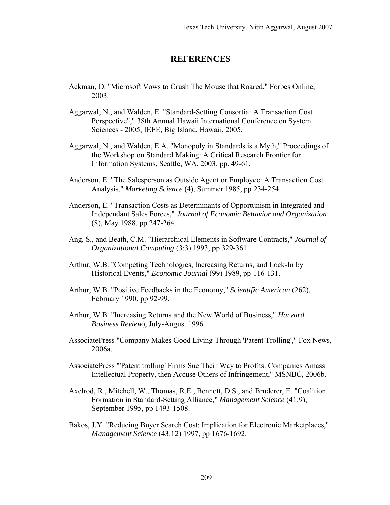## **REFERENCES**

- Ackman, D. "Microsoft Vows to Crush The Mouse that Roared," Forbes Online, 2003.
- Aggarwal, N., and Walden, E. "Standard-Setting Consortia: A Transaction Cost Perspective"," 38th Annual Hawaii International Conference on System Sciences - 2005, IEEE, Big Island, Hawaii, 2005.
- Aggarwal, N., and Walden, E.A. "Monopoly in Standards is a Myth," Proceedings of the Workshop on Standard Making: A Critical Research Frontier for Information Systems, Seattle, WA, 2003, pp. 49-61.
- Anderson, E. "The Salesperson as Outside Agent or Employee: A Transaction Cost Analysis," *Marketing Science* (4), Summer 1985, pp 234-254.
- Anderson, E. "Transaction Costs as Determinants of Opportunism in Integrated and Independant Sales Forces," *Journal of Economic Behavior and Organization* (8), May 1988, pp 247-264.
- Ang, S., and Beath, C.M. "Hierarchical Elements in Software Contracts," *Journal of Organizational Computing* (3:3) 1993, pp 329-361.
- Arthur, W.B. "Competing Technologies, Increasing Returns, and Lock-In by Historical Events," *Economic Journal* (99) 1989, pp 116-131.
- Arthur, W.B. "Positive Feedbacks in the Economy," *Scientific American* (262), February 1990, pp 92-99.
- Arthur, W.B. "Increasing Returns and the New World of Business," *Harvard Business Review*), July-August 1996.
- AssociatePress "Company Makes Good Living Through 'Patent Trolling'," Fox News, 2006a.
- AssociatePress "'Patent trolling' Firms Sue Their Way to Profits: Companies Amass Intellectual Property, then Accuse Others of Infringement," MSNBC, 2006b.
- Axelrod, R., Mitchell, W., Thomas, R.E., Bennett, D.S., and Bruderer, E. "Coalition Formation in Standard-Setting Alliance," *Management Science* (41:9), September 1995, pp 1493-1508.
- Bakos, J.Y. "Reducing Buyer Search Cost: Implication for Electronic Marketplaces," *Management Science* (43:12) 1997, pp 1676-1692.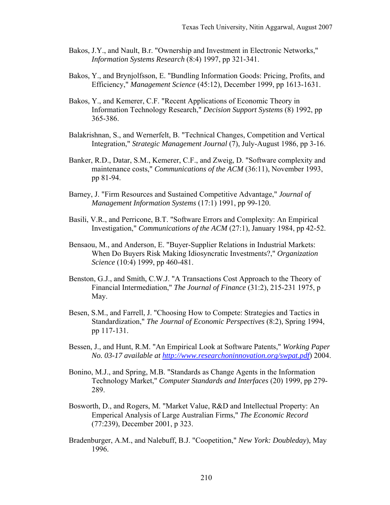- Bakos, J.Y., and Nault, B.r. "Ownership and Investment in Electronic Networks," *Information Systems Research* (8:4) 1997, pp 321-341.
- Bakos, Y., and Brynjolfsson, E. "Bundling Information Goods: Pricing, Profits, and Efficiency," *Management Science* (45:12), December 1999, pp 1613-1631.
- Bakos, Y., and Kemerer, C.F. "Recent Applications of Economic Theory in Information Technology Research," *Decision Support Systems* (8) 1992, pp 365-386.
- Balakrishnan, S., and Wernerfelt, B. "Technical Changes, Competition and Vertical Integration," *Strategic Management Journal* (7), July-August 1986, pp 3-16.
- Banker, R.D., Datar, S.M., Kemerer, C.F., and Zweig, D. "Software complexity and maintenance costs," *Communications of the ACM* (36:11), November 1993, pp 81-94.
- Barney, J. "Firm Resources and Sustained Competitive Advantage," *Journal of Management Information Systems* (17:1) 1991, pp 99-120.
- Basili, V.R., and Perricone, B.T. "Software Errors and Complexity: An Empirical Investigation," *Communications of the ACM* (27:1), January 1984, pp 42-52.
- Bensaou, M., and Anderson, E. "Buyer-Supplier Relations in Industrial Markets: When Do Buyers Risk Making Idiosyncratic Investments?," *Organization Science* (10:4) 1999, pp 460-481.
- Benston, G.J., and Smith, C.W.J. "A Transactions Cost Approach to the Theory of Financial Intermediation," *The Journal of Finance* (31:2), 215-231 1975, p May.
- Besen, S.M., and Farrell, J. "Choosing How to Compete: Strategies and Tactics in Standardization," *The Journal of Economic Perspectives* (8:2), Spring 1994, pp 117-131.
- Bessen, J., and Hunt, R.M. "An Empirical Look at Software Patents," *Working Paper No. 03-17 available at http://www.researchoninnovation.org/swpat.pdf*) 2004.
- Bonino, M.J., and Spring, M.B. "Standards as Change Agents in the Information Technology Market," *Computer Standards and Interfaces* (20) 1999, pp 279- 289.
- Bosworth, D., and Rogers, M. "Market Value, R&D and Intellectual Property: An Emperical Analysis of Large Australian Firms," *The Economic Record* (77:239), December 2001, p 323.
- Bradenburger, A.M., and Nalebuff, B.J. "Coopetition," *New York: Doubleday*), May 1996.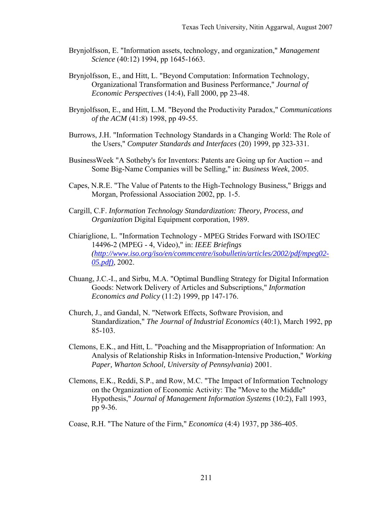- Brynjolfsson, E. "Information assets, technology, and organization," *Management Science* (40:12) 1994, pp 1645-1663.
- Brynjolfsson, E., and Hitt, L. "Beyond Computation: Information Technology, Organizational Transformation and Business Performance," *Journal of Economic Perspectives* (14:4), Fall 2000, pp 23-48.
- Brynjolfsson, E., and Hitt, L.M. "Beyond the Productivity Paradox," *Communications of the ACM* (41:8) 1998, pp 49-55.
- Burrows, J.H. "Information Technology Standards in a Changing World: The Role of the Users," *Computer Standards and Interfaces* (20) 1999, pp 323-331.
- BusinessWeek "A Sotheby's for Inventors: Patents are Going up for Auction -- and Some Big-Name Companies will be Selling," in: *Business Week*, 2005.
- Capes, N.R.E. "The Value of Patents to the High-Technology Business," Briggs and Morgan, Professional Association 2002, pp. 1-5.
- Cargill, C.F. *Information Technology Standardization: Theory, Process, and Organization* Digital Equipment corporation, 1989.
- Chiariglione, L. "Information Technology MPEG Strides Forward with ISO/IEC 14496-2 (MPEG - 4, Video)," in: *IEEE Briefings (http://www.iso.org/iso/en/commcentre/isobulletin/articles/2002/pdf/mpeg02- 05.pdf)*, 2002.
- Chuang, J.C.-I., and Sirbu, M.A. "Optimal Bundling Strategy for Digital Information Goods: Network Delivery of Articles and Subscriptions," *Information Economics and Policy* (11:2) 1999, pp 147-176.
- Church, J., and Gandal, N. "Network Effects, Software Provision, and Standardization," *The Journal of Industrial Economics* (40:1), March 1992, pp 85-103.
- Clemons, E.K., and Hitt, L. "Poaching and the Misappropriation of Information: An Analysis of Relationship Risks in Information-Intensive Production," *Working Paper, Wharton School, University of Pennsylvania*) 2001.
- Clemons, E.K., Reddi, S.P., and Row, M.C. "The Impact of Information Technology on the Organization of Economic Activity: The "Move to the Middle" Hypothesis," *Journal of Management Information Systems* (10:2), Fall 1993, pp 9-36.

Coase, R.H. "The Nature of the Firm," *Economica* (4:4) 1937, pp 386-405.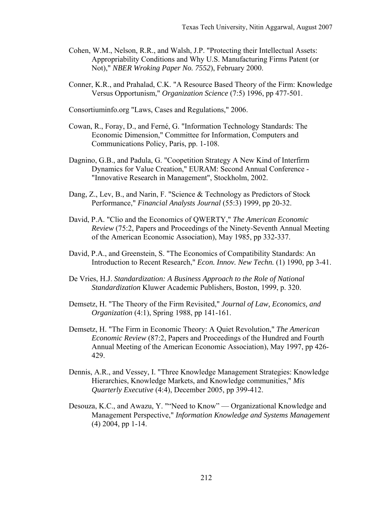- Cohen, W.M., Nelson, R.R., and Walsh, J.P. "Protecting their Intellectual Assets: Appropriability Conditions and Why U.S. Manufacturing Firms Patent (or Not)," *NBER Wroking Paper No. 7552*), February 2000.
- Conner, K.R., and Prahalad, C.K. "A Resource Based Theory of the Firm: Knowledge Versus Opportunism," *Organization Science* (7:5) 1996, pp 477-501.

Consortiuminfo.org "Laws, Cases and Regulations," 2006.

- Cowan, R., Foray, D., and Ferné, G. "Information Technology Standards: The Economic Dimension," Committee for Information, Computers and Communications Policy, Paris, pp. 1-108.
- Dagnino, G.B., and Padula, G. "Coopetition Strategy A New Kind of Interfirm Dynamics for Value Creation," EURAM: Second Annual Conference - "Innovative Research in Management", Stockholm, 2002.
- Dang, Z., Lev, B., and Narin, F. "Science & Technology as Predictors of Stock Performance," *Financial Analysts Journal* (55:3) 1999, pp 20-32.
- David, P.A. "Clio and the Economics of QWERTY," *The American Economic Review* (75:2, Papers and Proceedings of the Ninety-Seventh Annual Meeting of the American Economic Association), May 1985, pp 332-337.
- David, P.A., and Greenstein, S. "The Economics of Compatibility Standards: An Introduction to Recent Research," *Econ. Innov. New Techn.* (1) 1990, pp 3-41.
- De Vries, H.J. *Standardization: A Business Approach to the Role of National Standardization* Kluwer Academic Publishers, Boston, 1999, p. 320.
- Demsetz, H. "The Theory of the Firm Revisited," *Journal of Law, Economics, and Organization* (4:1), Spring 1988, pp 141-161.
- Demsetz, H. "The Firm in Economic Theory: A Quiet Revolution," *The American Economic Review* (87:2, Papers and Proceedings of the Hundred and Fourth Annual Meeting of the American Economic Association), May 1997, pp 426- 429.
- Dennis, A.R., and Vessey, I. "Three Knowledge Management Strategies: Knowledge Hierarchies, Knowledge Markets, and Knowledge communities," *Mis Quarterly Executive* (4:4), December 2005, pp 399-412.
- Desouza, K.C., and Awazu, Y. ""Need to Know" Organizational Knowledge and Management Perspective," *Information Knowledge and Systems Management* (4) 2004, pp 1-14.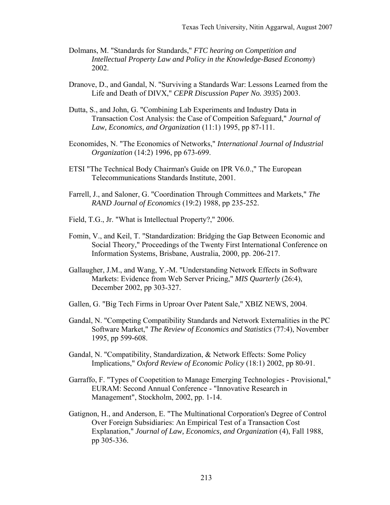- Dolmans, M. "Standards for Standards," *FTC hearing on Competition and Intellectual Property Law and Policy in the Knowledge-Based Economy*) 2002.
- Dranove, D., and Gandal, N. "Surviving a Standards War: Lessons Learned from the Life and Death of DIVX," *CEPR Discussion Paper No. 3935*) 2003.
- Dutta, S., and John, G. "Combining Lab Experiments and Industry Data in Transaction Cost Analysis: the Case of Compeition Safeguard," *Journal of Law, Economics, and Organization* (11:1) 1995, pp 87-111.
- Economides, N. "The Economics of Networks," *International Journal of Industrial Organization* (14:2) 1996, pp 673-699.
- ETSI "The Technical Body Chairman's Guide on IPR V6.0.," The European Telecommunications Standards Institute, 2001.
- Farrell, J., and Saloner, G. "Coordination Through Committees and Markets," *The RAND Journal of Economics* (19:2) 1988, pp 235-252.
- Field, T.G., Jr. "What is Intellectual Property?," 2006.
- Fomin, V., and Keil, T. "Standardization: Bridging the Gap Between Economic and Social Theory," Proceedings of the Twenty First International Conference on Information Systems, Brisbane, Australia, 2000, pp. 206-217.
- Gallaugher, J.M., and Wang, Y.-M. "Understanding Network Effects in Software Markets: Evidence from Web Server Pricing," *MIS Quarterly* (26:4), December 2002, pp 303-327.
- Gallen, G. "Big Tech Firms in Uproar Over Patent Sale," XBIZ NEWS, 2004.
- Gandal, N. "Competing Compatibility Standards and Network Externalities in the PC Software Market," *The Review of Economics and Statistics* (77:4), November 1995, pp 599-608.
- Gandal, N. "Compatibility, Standardization, & Network Effects: Some Policy Implications," *Oxford Review of Economic Policy* (18:1) 2002, pp 80-91.
- Garraffo, F. "Types of Coopetition to Manage Emerging Technologies Provisional," EURAM: Second Annual Conference - "Innovative Research in Management", Stockholm, 2002, pp. 1-14.
- Gatignon, H., and Anderson, E. "The Multinational Corporation's Degree of Control Over Foreign Subsidiaries: An Empirical Test of a Transaction Cost Explanation," *Journal of Law, Economics, and Organization* (4), Fall 1988, pp 305-336.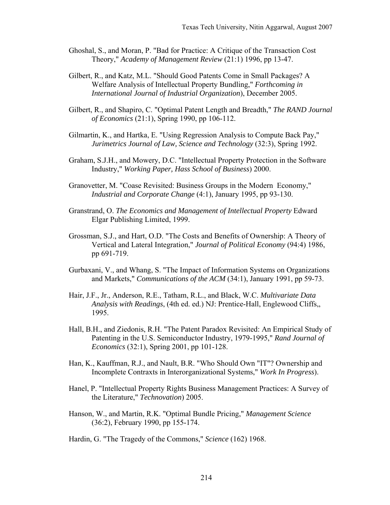- Ghoshal, S., and Moran, P. "Bad for Practice: A Critique of the Transaction Cost Theory," *Academy of Management Review* (21:1) 1996, pp 13-47.
- Gilbert, R., and Katz, M.L. "Should Good Patents Come in Small Packages? A Welfare Analysis of Intellectual Property Bundling," *Forthcoming in International Journal of Industrial Organization*), December 2005.
- Gilbert, R., and Shapiro, C. "Optimal Patent Length and Breadth," *The RAND Journal of Economics* (21:1), Spring 1990, pp 106-112.
- Gilmartin, K., and Hartka, E. "Using Regression Analysis to Compute Back Pay," *Jurimetrics Journal of Law, Science and Technology* (32:3), Spring 1992.
- Graham, S.J.H., and Mowery, D.C. "Intellectual Property Protection in the Software Industry," *Working Paper, Hass School of Business*) 2000.
- Granovetter, M. "Coase Revisited: Business Groups in the Modern Economy," *Industrial and Corporate Change* (4:1), January 1995, pp 93-130.
- Granstrand, O. *The Economics and Management of Intellectual Property* Edward Elgar Publishing Limited, 1999.
- Grossman, S.J., and Hart, O.D. "The Costs and Benefits of Ownership: A Theory of Vertical and Lateral Integration," *Journal of Political Economy* (94:4) 1986, pp 691-719.
- Gurbaxani, V., and Whang, S. "The Impact of Information Systems on Organizations and Markets," *Communications of the ACM* (34:1), January 1991, pp 59-73.
- Hair, J.F., Jr., Anderson, R.E., Tatham, R.L., and Black, W.C. *Multivariate Data Analysis with Readings*, (4th ed. ed.) NJ: Prentice-Hall, Englewood Cliffs,, 1995.
- Hall, B.H., and Ziedonis, R.H. "The Patent Paradox Revisited: An Empirical Study of Patenting in the U.S. Semiconductor Industry, 1979-1995," *Rand Journal of Economics* (32:1), Spring 2001, pp 101-128.
- Han, K., Kauffman, R.J., and Nault, B.R. "Who Should Own "IT"? Ownership and Incomplete Contraxts in Interorganizational Systems," *Work In Progress*).
- Hanel, P. "Intellectual Property Rights Business Management Practices: A Survey of the Literature," *Technovation*) 2005.
- Hanson, W., and Martin, R.K. "Optimal Bundle Pricing," *Management Science* (36:2), February 1990, pp 155-174.
- Hardin, G. "The Tragedy of the Commons," *Science* (162) 1968.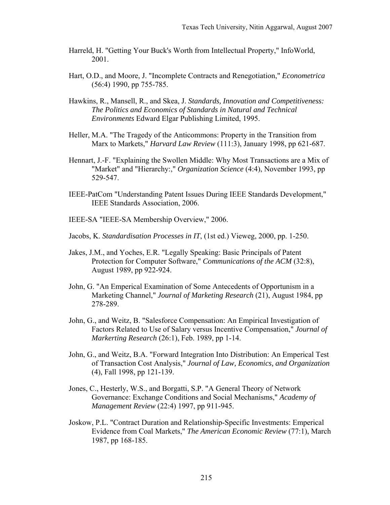- Harreld, H. "Getting Your Buck's Worth from Intellectual Property," InfoWorld, 2001.
- Hart, O.D., and Moore, J. "Incomplete Contracts and Renegotiation," *Econometrica* (56:4) 1990, pp 755-785.
- Hawkins, R., Mansell, R., and Skea, J. *Standards, Innovation and Competitiveness: The Politics and Economics of Standards in Natural and Technical Environments* Edward Elgar Publishing Limited, 1995.
- Heller, M.A. "The Tragedy of the Anticommons: Property in the Transition from Marx to Markets," *Harvard Law Review* (111:3), January 1998, pp 621-687.
- Hennart, J.-F. "Explaining the Swollen Middle: Why Most Transactions are a Mix of "Market" and "Hierarchy:," *Organization Science* (4:4), November 1993, pp 529-547.
- IEEE-PatCom "Understanding Patent Issues During IEEE Standards Development," IEEE Standards Association, 2006.
- IEEE-SA "IEEE-SA Membership Overview," 2006.
- Jacobs, K. *Standardisation Processes in IT*, (1st ed.) Vieweg, 2000, pp. 1-250.
- Jakes, J.M., and Yoches, E.R. "Legally Speaking: Basic Principals of Patent Protection for Computer Software," *Communications of the ACM* (32:8), August 1989, pp 922-924.
- John, G. "An Emperical Examination of Some Antecedents of Opportunism in a Marketing Channel," *Journal of Marketing Research* (21), August 1984, pp 278-289.
- John, G., and Weitz, B. "Salesforce Compensation: An Empirical Investigation of Factors Related to Use of Salary versus Incentive Compensation," *Journal of Markerting Research* (26:1), Feb. 1989, pp 1-14.
- John, G., and Weitz, B.A. "Forward Integration Into Distribution: An Emperical Test of Transaction Cost Analysis," *Journal of Law, Economics, and Organization* (4), Fall 1998, pp 121-139.
- Jones, C., Hesterly, W.S., and Borgatti, S.P. "A General Theory of Network Governance: Exchange Conditions and Social Mechanisms," *Academy of Management Review* (22:4) 1997, pp 911-945.
- Joskow, P.L. "Contract Duration and Relationship-Specific Investments: Emperical Evidence from Coal Markets," *The American Economic Review* (77:1), March 1987, pp 168-185.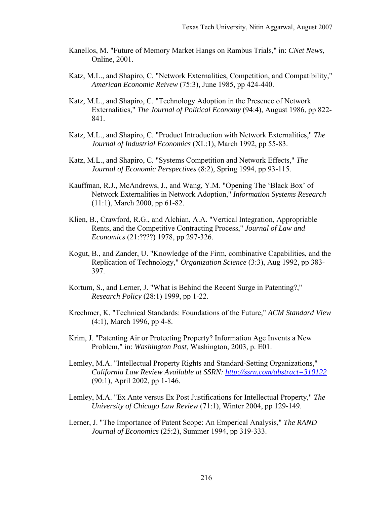- Kanellos, M. "Future of Memory Market Hangs on Rambus Trials," in: *CNet News*, Online, 2001.
- Katz, M.L., and Shapiro, C. "Network Externalities, Competition, and Compatibility," *American Economic Reivew* (75:3), June 1985, pp 424-440.
- Katz, M.L., and Shapiro, C. "Technology Adoption in the Presence of Network Externalities," *The Journal of Political Economy* (94:4), August 1986, pp 822- 841.
- Katz, M.L., and Shapiro, C. "Product Introduction with Network Externalities," *The Journal of Industrial Economics* (XL:1), March 1992, pp 55-83.
- Katz, M.L., and Shapiro, C. "Systems Competition and Network Effects," *The Journal of Economic Perspectives* (8:2), Spring 1994, pp 93-115.
- Kauffman, R.J., McAndrews, J., and Wang, Y.M. "Opening The 'Black Box' of Network Externalities in Network Adoption," *Information Systems Research* (11:1), March 2000, pp 61-82.
- Klien, B., Crawford, R.G., and Alchian, A.A. "Vertical Integration, Appropriable Rents, and the Competitive Contracting Process," *Journal of Law and Economics* (21:????) 1978, pp 297-326.
- Kogut, B., and Zander, U. "Knowledge of the Firm, combinative Capabilities, and the Replication of Technology," *Organization Science* (3:3), Aug 1992, pp 383- 397.
- Kortum, S., and Lerner, J. "What is Behind the Recent Surge in Patenting?," *Research Policy* (28:1) 1999, pp 1-22.
- Krechmer, K. "Technical Standards: Foundations of the Future," *ACM Standard View* (4:1), March 1996, pp 4-8.
- Krim, J. "Patenting Air or Protecting Property? Information Age Invents a New Problem," in: *Washington Post*, Washington, 2003, p. E01.
- Lemley, M.A. "Intellectual Property Rights and Standard-Setting Organizations," *California Law Review Available at SSRN: http://ssrn.com/abstract=310122* (90:1), April 2002, pp 1-146.
- Lemley, M.A. "Ex Ante versus Ex Post Justifications for Intellectual Property," *The University of Chicago Law Review* (71:1), Winter 2004, pp 129-149.
- Lerner, J. "The Importance of Patent Scope: An Emperical Analysis," *The RAND Journal of Economics* (25:2), Summer 1994, pp 319-333.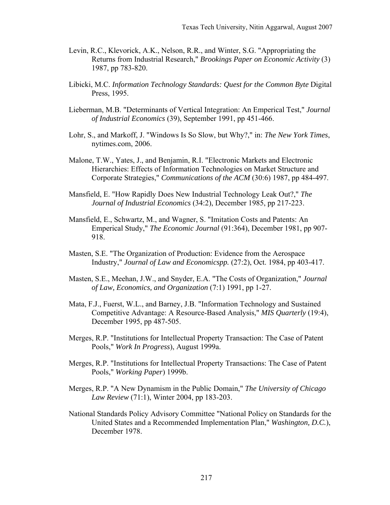- Levin, R.C., Klevorick, A.K., Nelson, R.R., and Winter, S.G. "Appropriating the Returns from Industrial Research," *Brookings Paper on Economic Activity* (3) 1987, pp 783-820.
- Libicki, M.C. *Information Technology Standards: Quest for the Common Byte* Digital Press, 1995.
- Lieberman, M.B. "Determinants of Vertical Integration: An Emperical Test," *Journal of Industrial Economics* (39), September 1991, pp 451-466.
- Lohr, S., and Markoff, J. "Windows Is So Slow, but Why?," in: *The New York Times*, nytimes.com, 2006.
- Malone, T.W., Yates, J., and Benjamin, R.I. "Electronic Markets and Electronic Hierarchies: Effects of Information Technologies on Market Structure and Corporate Strategies," *Communications of the ACM* (30:6) 1987, pp 484-497.
- Mansfield, E. "How Rapidly Does New Industrial Technology Leak Out?," *The Journal of Industrial Economics* (34:2), December 1985, pp 217-223.
- Mansfield, E., Schwartz, M., and Wagner, S. "Imitation Costs and Patents: An Emperical Study," *The Economic Journal* (91:364), December 1981, pp 907- 918.
- Masten, S.E. "The Organization of Production: Evidence from the Aerospace Industry," *Journal of Law and Economicspp.* (27:2), Oct. 1984, pp 403-417.
- Masten, S.E., Meehan, J.W., and Snyder, E.A. "The Costs of Organization," *Journal of Law, Economics, and Organization* (7:1) 1991, pp 1-27.
- Mata, F.J., Fuerst, W.L., and Barney, J.B. "Information Technology and Sustained Competitive Advantage: A Resource-Based Analysis," *MIS Quarterly* (19:4), December 1995, pp 487-505.
- Merges, R.P. "Institutions for Intellectual Property Transaction: The Case of Patent Pools," *Work In Progress*), August 1999a.
- Merges, R.P. "Institutions for Intellectual Property Transactions: The Case of Patent Pools," *Working Paper*) 1999b.
- Merges, R.P. "A New Dynamism in the Public Domain," *The University of Chicago Law Review* (71:1), Winter 2004, pp 183-203.
- National Standards Policy Advisory Committee "National Policy on Standards for the United States and a Recommended Implementation Plan," *Washington, D.C.*), December 1978.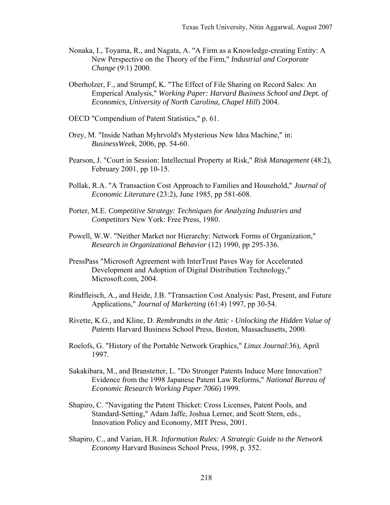- Nonaka, I., Toyama, R., and Nagata, A. "A Firm as a Knowledge-creating Entity: A New Perspective on the Theory of the Firm," *Industrial and Corporate Change* (9:1) 2000.
- Oberholzer, F., and Strumpf, K. "The Effect of File Sharing on Record Sales: An Emperical Analysis," *Working Paper: Harvard Business School and Dept. of Economics, University of North Carolina, Chapel Hill*) 2004.
- OECD "Compendium of Patent Statistics," p. 61.
- Orey, M. "Inside Nathan Myhrvold's Mysterious New Idea Machine," in: *BusinessWeek*, 2006, pp. 54-60.
- Pearson, J. "Court in Session: Intellectual Property at Risk," *Risk Management* (48:2), February 2001, pp 10-15.
- Pollak, R.A. "A Transaction Cost Approach to Families and Household," *Journal of Economic Literature* (23:2), June 1985, pp 581-608.
- Porter, M.E. *Competitive Strategy: Techniques for Analyzing Industries and Competitors* New York: Free Press, 1980.
- Powell, W.W. "Neither Market nor Hierarchy: Network Forms of Organization," *Research in Organizational Behavior* (12) 1990, pp 295-336.
- PressPass "Microsoft Agreement with InterTrust Paves Way for Accelerated Development and Adoption of Digital Distribution Technology," Microsoft.com, 2004.
- Rindfleisch, A., and Heide, J.B. "Transaction Cost Analysis: Past, Present, and Future Applications," *Journal of Markerting* (61:4) 1997, pp 30-54.
- Rivette, K.G., and Kline, D. *Rembrandts in the Attic Unlocking the Hidden Value of Patents* Harvard Business School Press, Boston, Massachusetts, 2000.
- Roelofs, G. "History of the Portable Network Graphics," *Linux Journal*:36), April 1997.
- Sakakibara, M., and Branstetter, L. "Do Stronger Patents Induce More Innovation? Evidence from the 1998 Japanese Patent Law Reforms," *National Bureau of Economic Research Working Paper 7066*) 1999.
- Shapiro, C. "Navigating the Patent Thicket: Cross Licenses, Patent Pools, and Standard-Setting," Adam Jaffe, Joshua Lerner, and Scott Stern, eds., Innovation Policy and Economy, MIT Press, 2001.
- Shapiro, C., and Varian, H.R. *Information Rules: A Strategic Guide to the Network Economy* Harvard Business School Press, 1998, p. 352.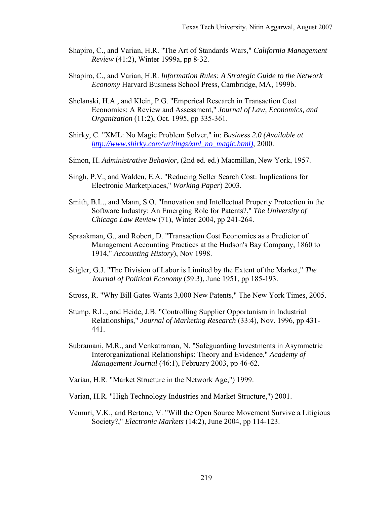- Shapiro, C., and Varian, H.R. "The Art of Standards Wars," *California Management Review* (41:2), Winter 1999a, pp 8-32.
- Shapiro, C., and Varian, H.R. *Information Rules: A Strategic Guide to the Network Economy* Harvard Business School Press, Cambridge, MA, 1999b.
- Shelanski, H.A., and Klein, P.G. "Emperical Research in Transaction Cost Economics: A Review and Assessment," *Journal of Law, Economics, and Organization* (11:2), Oct. 1995, pp 335-361.
- Shirky, C. "XML: No Magic Problem Solver," in: *Business 2.0 (Available at http://www.shirky.com/writings/xml\_no\_magic.html)*, 2000.
- Simon, H. *Administrative Behavior*, (2nd ed. ed.) Macmillan, New York, 1957.
- Singh, P.V., and Walden, E.A. "Reducing Seller Search Cost: Implications for Electronic Marketplaces," *Working Paper*) 2003.
- Smith, B.L., and Mann, S.O. "Innovation and Intellectual Property Protection in the Software Industry: An Emerging Role for Patents?," *The University of Chicago Law Review* (71), Winter 2004, pp 241-264.
- Spraakman, G., and Robert, D. "Transaction Cost Economics as a Predictor of Management Accounting Practices at the Hudson's Bay Company, 1860 to 1914," *Accounting History*), Nov 1998.
- Stigler, G.J. "The Division of Labor is Limited by the Extent of the Market," *The Journal of Political Economy* (59:3), June 1951, pp 185-193.
- Stross, R. "Why Bill Gates Wants 3,000 New Patents," The New York Times, 2005.
- Stump, R.L., and Heide, J.B. "Controlling Supplier Opportunism in Industrial Relationships," *Journal of Marketing Research* (33:4), Nov. 1996, pp 431- 441.
- Subramani, M.R., and Venkatraman, N. "Safeguarding Investments in Asymmetric Interorganizational Relationships: Theory and Evidence," *Academy of Management Journal* (46:1), February 2003, pp 46-62.
- Varian, H.R. "Market Structure in the Network Age,") 1999.
- Varian, H.R. "High Technology Industries and Market Structure,") 2001.
- Vemuri, V.K., and Bertone, V. "Will the Open Source Movement Survive a Litigious Society?," *Electronic Markets* (14:2), June 2004, pp 114-123.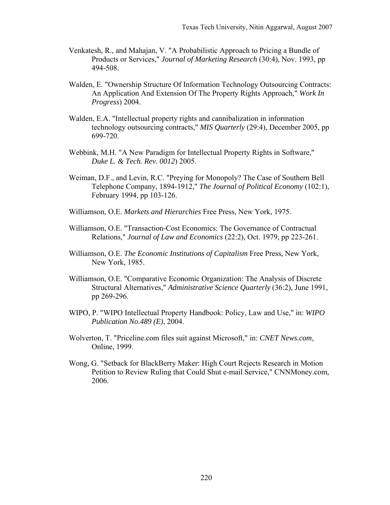- Venkatesh, R., and Mahajan, V. "A Probabilistic Approach to Pricing a Bundle of Products or Services," *Journal of Marketing Research* (30:4), Nov. 1993, pp 494-508.
- Walden, E. "Ownership Structure Of Information Technology Outsourcing Contracts: An Application And Extension Of The Property Rights Approach," *Work In Progress*) 2004.
- Walden, E.A. "Intellectual property rights and cannibalization in information technology outsourcing contracts," *MIS Quarterly* (29:4), December 2005, pp 699-720.
- Webbink, M.H. "A New Paradigm for Intellectual Property Rights in Software," *Duke L. & Tech. Rev. 0012*) 2005.
- Weiman, D.F., and Levin, R.C. "Preying for Monopoly? The Case of Southern Bell Telephone Company, 1894-1912," *The Journal of Political Economy* (102:1), February 1994, pp 103-126.
- Williamson, O.E. *Markets and Hierarchies* Free Press, New York, 1975.
- Williamson, O.E. "Transaction-Cost Economics: The Governance of Contractual Relations," *Journal of Law and Economics* (22:2), Oct. 1979, pp 223-261.
- Williamson, O.E. *The Economic Institutions of Capitalism* Free Press, New York, New York, 1985.
- Williamson, O.E. "Comparative Economic Organization: The Analysis of Discrete Structural Alternatives," *Administrative Science Quarterly* (36:2), June 1991, pp 269-296.
- WIPO, P. "WIPO Intellectual Property Handbook: Policy, Law and Use," in: *WIPO Publication No.489 (E)*, 2004.
- Wolverton, T. "Priceline.com files suit against Microsoft," in: *CNET News.com*, Online, 1999.
- Wong, G. "Setback for BlackBerry Maker: High Court Rejects Research in Motion Petition to Review Ruling that Could Shut e-mail Service," CNNMoney.com, 2006.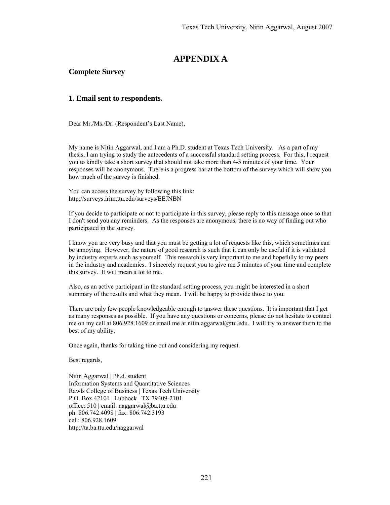# **APPENDIX A**

#### **Complete Survey**

#### **1. Email sent to respondents.**

Dear Mr./Ms./Dr. (Respondent's Last Name),

My name is Nitin Aggarwal, and I am a Ph.D. student at Texas Tech University. As a part of my thesis, I am trying to study the antecedents of a successful standard setting process. For this, I request you to kindly take a short survey that should not take more than 4-5 minutes of your time. Your responses will be anonymous. There is a progress bar at the bottom of the survey which will show you how much of the survey is finished.

You can access the survey by following this link: http://surveys.irim.ttu.edu/surveys/EEJNBN

If you decide to participate or not to participate in this survey, please reply to this message once so that I don't send you any reminders. As the responses are anonymous, there is no way of finding out who participated in the survey.

I know you are very busy and that you must be getting a lot of requests like this, which sometimes can be annoying. However, the nature of good research is such that it can only be useful if it is validated by industry experts such as yourself. This research is very important to me and hopefully to my peers in the industry and academics. I sincerely request you to give me 5 minutes of your time and complete this survey. It will mean a lot to me.

Also, as an active participant in the standard setting process, you might be interested in a short summary of the results and what they mean. I will be happy to provide those to you.

There are only few people knowledgeable enough to answer these questions. It is important that I get as many responses as possible. If you have any questions or concerns, please do not hesitate to contact me on my cell at 806.928.1609 or email me at nitin.aggarwal@ttu.edu. I will try to answer them to the best of my ability.

Once again, thanks for taking time out and considering my request.

Best regards,

Nitin Aggarwal | Ph.d. student Information Systems and Quantitative Sciences Rawls College of Business | Texas Tech University P.O. Box 42101 | Lubbock | TX 79409-2101 office:  $510$  | email: naggarwal@ba.ttu.edu ph: 806.742.4098 | fax: 806.742.3193 cell: 806.928.1609 http://ta.ba.ttu.edu/naggarwal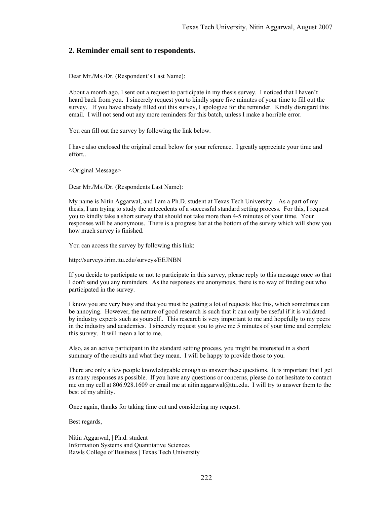#### **2. Reminder email sent to respondents.**

Dear Mr./Ms./Dr. (Respondent's Last Name):

About a month ago, I sent out a request to participate in my thesis survey. I noticed that I haven't heard back from you. I sincerely request you to kindly spare five minutes of your time to fill out the survey. If you have already filled out this survey, I apologize for the reminder. Kindly disregard this email. I will not send out any more reminders for this batch, unless I make a horrible error.

You can fill out the survey by following the link below.

I have also enclosed the original email below for your reference. I greatly appreciate your time and effort..

<Original Message>

Dear Mr./Ms./Dr. (Respondents Last Name):

My name is Nitin Aggarwal, and I am a Ph.D. student at Texas Tech University. As a part of my thesis, I am trying to study the antecedents of a successful standard setting process. For this, I request you to kindly take a short survey that should not take more than 4-5 minutes of your time. Your responses will be anonymous. There is a progress bar at the bottom of the survey which will show you how much survey is finished.

You can access the survey by following this link:

http://surveys.irim.ttu.edu/surveys/EEJNBN

If you decide to participate or not to participate in this survey, please reply to this message once so that I don't send you any reminders. As the responses are anonymous, there is no way of finding out who participated in the survey.

I know you are very busy and that you must be getting a lot of requests like this, which sometimes can be annoying. However, the nature of good research is such that it can only be useful if it is validated by industry experts such as yourself.. This research is very important to me and hopefully to my peers in the industry and academics. I sincerely request you to give me 5 minutes of your time and complete this survey. It will mean a lot to me.

Also, as an active participant in the standard setting process, you might be interested in a short summary of the results and what they mean. I will be happy to provide those to you.

There are only a few people knowledgeable enough to answer these questions. It is important that I get as many responses as possible. If you have any questions or concerns, please do not hesitate to contact me on my cell at 806.928.1609 or email me at nitin.aggarwal@ttu.edu. I will try to answer them to the best of my ability.

Once again, thanks for taking time out and considering my request.

Best regards,

Nitin Aggarwal, | Ph.d. student Information Systems and Quantitative Sciences Rawls College of Business | Texas Tech University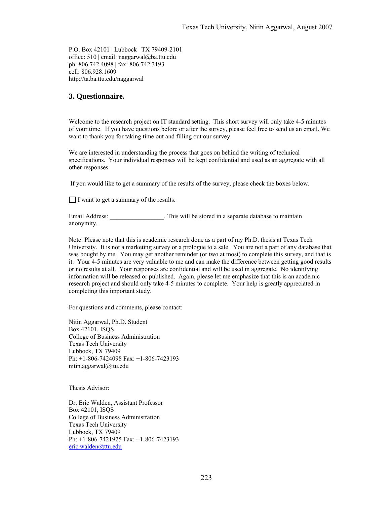P.O. Box 42101 | Lubbock | TX 79409-2101 office: 510 | email: naggarwal@ba.ttu.edu ph: 806.742.4098 | fax: 806.742.3193 cell: 806.928.1609 http://ta.ba.ttu.edu/naggarwal

#### **3. Questionnaire.**

Welcome to the research project on IT standard setting. This short survey will only take 4-5 minutes of your time. If you have questions before or after the survey, please feel free to send us an email. We want to thank you for taking time out and filling out our survey.

We are interested in understanding the process that goes on behind the writing of technical specifications. Your individual responses will be kept confidential and used as an aggregate with all other responses.

If you would like to get a summary of the results of the survey, please check the boxes below.

I want to get a summary of the results.

Email Address: This will be stored in a separate database to maintain anonymity.

Note: Please note that this is academic research done as a part of my Ph.D. thesis at Texas Tech University. It is not a marketing survey or a prologue to a sale. You are not a part of any database that was bought by me. You may get another reminder (or two at most) to complete this survey, and that is it. Your 4-5 minutes are very valuable to me and can make the difference between getting good results or no results at all. Your responses are confidential and will be used in aggregate. No identifying information will be released or published. Again, please let me emphasize that this is an academic research project and should only take 4-5 minutes to complete. Your help is greatly appreciated in completing this important study.

For questions and comments, please contact:

Nitin Aggarwal, Ph.D. Student Box 42101, ISQS College of Business Administration Texas Tech University Lubbock, TX 79409 Ph: +1-806-7424098 Fax: +1-806-7423193 nitin.aggarwal@ttu.edu

Thesis Advisor:

Dr. Eric Walden, Assistant Professor Box 42101, ISQS College of Business Administration Texas Tech University Lubbock, TX 79409 Ph: +1-806-7421925 Fax: +1-806-7423193 eric.walden@ttu.edu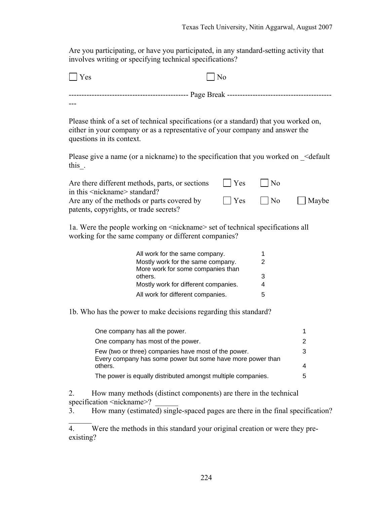Are you participating, or have you participated, in any standard-setting activity that involves writing or specifying technical specifications?

| Yes                                                                                                                                                                                                |     |                |       |
|----------------------------------------------------------------------------------------------------------------------------------------------------------------------------------------------------|-----|----------------|-------|
|                                                                                                                                                                                                    |     |                |       |
|                                                                                                                                                                                                    |     |                |       |
| Please think of a set of technical specifications (or a standard) that you worked on,<br>either in your company or as a representative of your company and answer the<br>questions in its context. |     |                |       |
| Please give a name (or a nickname) to the specification that you worked on $\leq$ default<br>this.                                                                                                 |     |                |       |
| Are there different methods, parts, or sections<br>in this <nickname> standard?</nickname>                                                                                                         | Yes | N <sub>0</sub> |       |
| Are any of the methods or parts covered by<br>patents, copyrights, or trade secrets?                                                                                                               | Yes | N <sub>o</sub> | Maybe |
| 1a. Were the people working on <nickname> set of technical specifications all<br/>working for the same company or different companies?</nickname>                                                  |     |                |       |

| All work for the same company.       |   |
|--------------------------------------|---|
| Mostly work for the same company.    | 2 |
| More work for some companies than    |   |
| others.                              | 3 |
| Mostly work for different companies. | 4 |
| All work for different companies.    | 5 |

1b. Who has the power to make decisions regarding this standard?

| One company has all the power.                                                                                     |    |
|--------------------------------------------------------------------------------------------------------------------|----|
| One company has most of the power.                                                                                 |    |
| Few (two or three) companies have most of the power.<br>Every company has some power but some have more power than | З  |
| others.                                                                                                            |    |
| The power is equally distributed amongst multiple companies.                                                       | :5 |

2. How many methods (distinct components) are there in the technical specification <nickname>?

 $\mathcal{L}$ 

 $\overline{3}$ . How many (estimated) single-spaced pages are there in the final specification?

 $\overline{4.}$  Were the methods in this standard your original creation or were they preexisting?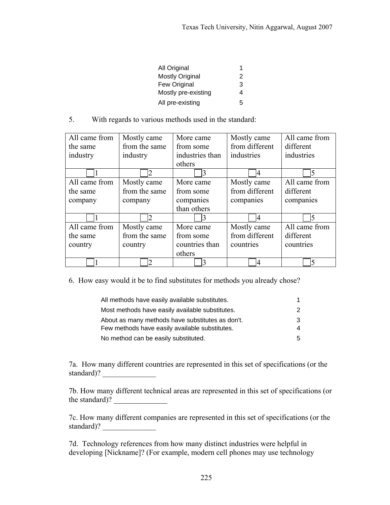| All Original           |   |
|------------------------|---|
| <b>Mostly Original</b> | 2 |
| Few Original           | 3 |
| Mostly pre-existing    | 4 |
| All pre-existing       | 5 |

5. With regards to various methods used in the standard:

| All came from | Mostly came    | More came       | Mostly came    | All came from |
|---------------|----------------|-----------------|----------------|---------------|
| the same      | from the same  | from some       | from different | different     |
| industry      | industry       | industries than | industries     | industries    |
|               |                | others          |                |               |
|               |                |                 | 4              | 5             |
| All came from | Mostly came    | More came       | Mostly came    | All came from |
| the same      | from the same  | from some       | from different | different     |
| company       | company        | companies       | companies      | companies     |
|               |                | than others     |                |               |
|               | $\overline{2}$ | 3               | 4              | 5             |
| All came from | Mostly came    | More came       | Mostly came    | All came from |
| the same      | from the same  | from some       | from different | different     |
| country       | country        | countries than  | countries      | countries     |
|               |                | others          |                |               |
|               |                |                 |                | 5             |

6. How easy would it be to find substitutes for methods you already chose?

| All methods have easily available substitutes.   |    |
|--------------------------------------------------|----|
| Most methods have easily available substitutes.  | 2  |
| About as many methods have substitutes as don't. | 3  |
| Few methods have easily available substitutes.   | 4  |
| No method can be easily substituted.             | 5. |

7a. How many different countries are represented in this set of specifications (or the standard)?

7b. How many different technical areas are represented in this set of specifications (or the standard)?

7c. How many different companies are represented in this set of specifications (or the standard)?

7d. Technology references from how many distinct industries were helpful in developing [Nickname]? (For example, modern cell phones may use technology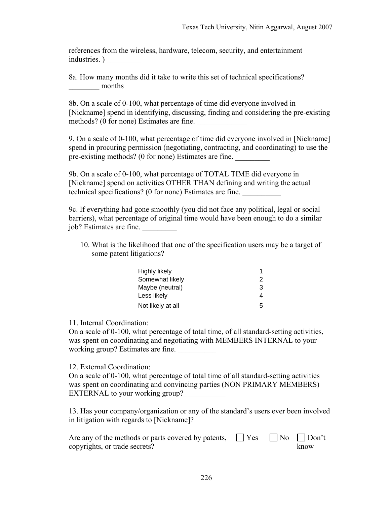references from the wireless, hardware, telecom, security, and entertainment industries. ) \_\_\_\_\_\_\_\_\_

8a. How many months did it take to write this set of technical specifications? months

8b. On a scale of 0-100, what percentage of time did everyone involved in [Nickname] spend in identifying, discussing, finding and considering the pre-existing methods? (0 for none) Estimates are fine.

9. On a scale of 0-100, what percentage of time did everyone involved in [Nickname] spend in procuring permission (negotiating, contracting, and coordinating) to use the pre-existing methods? (0 for none) Estimates are fine.

9b. On a scale of 0-100, what percentage of TOTAL TIME did everyone in [Nickname] spend on activities OTHER THAN defining and writing the actual technical specifications? (0 for none) Estimates are fine. \_\_\_\_\_\_\_\_\_\_

9c. If everything had gone smoothly (you did not face any political, legal or social barriers), what percentage of original time would have been enough to do a similar job? Estimates are fine. \_\_\_\_\_\_\_\_\_

10. What is the likelihood that one of the specification users may be a target of some patent litigations?

| <b>Highly likely</b> | 1 |
|----------------------|---|
| Somewhat likely      | 2 |
| Maybe (neutral)      | 3 |
| Less likely          | 4 |
| Not likely at all    | 5 |

11. Internal Coordination:

On a scale of 0-100, what percentage of total time, of all standard-setting activities, was spent on coordinating and negotiating with MEMBERS INTERNAL to your working group? Estimates are fine.

## 12. External Coordination:

On a scale of 0-100, what percentage of total time of all standard-setting activities was spent on coordinating and convincing parties (NON PRIMARY MEMBERS) EXTERNAL to your working group?

13. Has your company/organization or any of the standard's users ever been involved in litigation with regards to [Nickname]?

| Are any of the methods or parts covered by patents, $\Box$ Yes $\Box$ No $\Box$ Don't |  |      |
|---------------------------------------------------------------------------------------|--|------|
| copyrights, or trade secrets?                                                         |  | know |